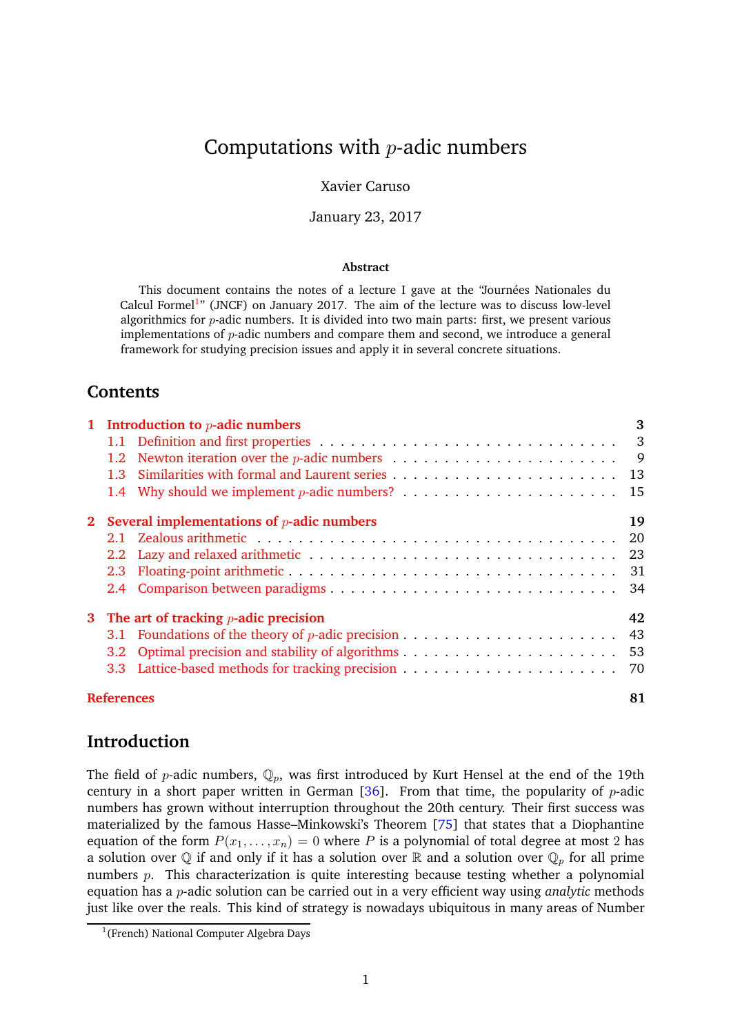# Computations with  $p$ -adic numbers

# Xavier Caruso

#### January 23, 2017

#### **Abstract**

This document contains the notes of a lecture I gave at the "Journées Nationales du Calcul Formel<sup>[1](#page-0-0)</sup>" (JNCF) on January 2017. The aim of the lecture was to discuss low-level algorithmics for  $p$ -adic numbers. It is divided into two main parts: first, we present various implementations of p-adic numbers and compare them and second, we introduce a general framework for studying precision issues and apply it in several concrete situations.

# **Contents**

|                   | 1 Introduction to $p$ -adic numbers                                                                    | 3              |
|-------------------|--------------------------------------------------------------------------------------------------------|----------------|
|                   |                                                                                                        | $\overline{3}$ |
|                   | 1.2 Newton iteration over the <i>p</i> -adic numbers $\dots \dots \dots \dots \dots \dots \dots \dots$ | $\overline{9}$ |
| 1.3               |                                                                                                        | -13            |
|                   |                                                                                                        | 15             |
|                   | Several implementations of $p$ -adic numbers                                                           | 19             |
|                   |                                                                                                        |                |
|                   |                                                                                                        |                |
|                   |                                                                                                        | - 31           |
|                   |                                                                                                        | -34            |
|                   | 3 The art of tracking $p$ -adic precision                                                              | 42             |
|                   |                                                                                                        | 43             |
|                   |                                                                                                        |                |
|                   |                                                                                                        |                |
| <b>References</b> |                                                                                                        | 81             |

# **Introduction**

The field of p-adic numbers,  $\mathbb{Q}_p$ , was first introduced by Kurt Hensel at the end of the 19th century in a short paper written in German  $[36]$ . From that time, the popularity of *p*-adic numbers has grown without interruption throughout the 20th century. Their first success was materialized by the famous Hasse–Minkowski's Theorem [\[75\]](#page-83-0) that states that a Diophantine equation of the form  $P(x_1, \ldots, x_n) = 0$  where P is a polynomial of total degree at most 2 has a solution over  $\mathbb Q$  if and only if it has a solution over  $\mathbb R$  and a solution over  $\mathbb Q_p$  for all prime numbers p. This characterization is quite interesting because testing whether a polynomial equation has a p-adic solution can be carried out in a very efficient way using *analytic* methods just like over the reals. This kind of strategy is nowadays ubiquitous in many areas of Number

<span id="page-0-0"></span><sup>&</sup>lt;sup>1</sup> (French) National Computer Algebra Days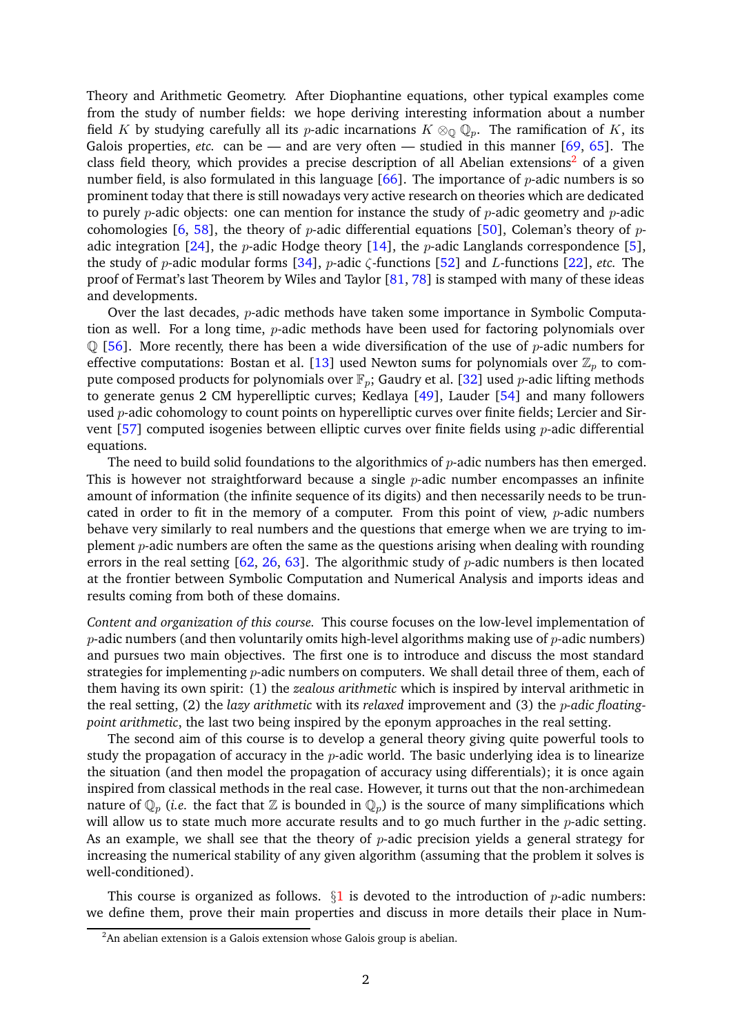Theory and Arithmetic Geometry. After Diophantine equations, other typical examples come from the study of number fields: we hope deriving interesting information about a number field K by studying carefully all its p-adic incarnations  $K \otimes_{\mathbb{Q}} \mathbb{Q}_p$ . The ramification of K, its Galois properties, *etc.* can be — and are very often — studied in this manner [\[69,](#page-83-1) [65\]](#page-83-2). The class field theory, which provides a precise description of all Abelian extensions<sup>[2](#page-1-0)</sup> of a given number field, is also formulated in this language  $[66]$ . The importance of *p*-adic numbers is so prominent today that there is still nowadays very active research on theories which are dedicated to purely *p*-adic objects: one can mention for instance the study of *p*-adic geometry and *p*-adic cohomologies [\[6,](#page-81-0) [58\]](#page-82-1), the theory of p-adic differential equations [\[50\]](#page-82-2), Coleman's theory of p-adic integration [\[24\]](#page-81-1), the *p*-adic Hodge theory [\[14\]](#page-81-2), the *p*-adic Langlands correspondence [\[5\]](#page-81-3), the study of p-adic modular forms [\[34\]](#page-82-3), p-adic ζ-functions [\[52\]](#page-82-4) and L-functions [\[22\]](#page-81-4), *etc.* The proof of Fermat's last Theorem by Wiles and Taylor [\[81,](#page-83-4) [78\]](#page-83-5) is stamped with many of these ideas and developments.

Over the last decades, p-adic methods have taken some importance in Symbolic Computation as well. For a long time, p-adic methods have been used for factoring polynomials over  $\mathbb{Q}$  [\[56\]](#page-82-5). More recently, there has been a wide diversification of the use of *p*-adic numbers for effective computations: Bostan et al. [\[13\]](#page-81-5) used Newton sums for polynomials over  $\mathbb{Z}_p$  to compute composed products for polynomials over  $\mathbb{F}_p$ ; Gaudry et al. [\[32\]](#page-82-6) used p-adic lifting methods to generate genus 2 CM hyperelliptic curves; Kedlaya [\[49\]](#page-82-7), Lauder [\[54\]](#page-82-8) and many followers used *p*-adic cohomology to count points on hyperelliptic curves over finite fields; Lercier and Sirvent  $[57]$  computed isogenies between elliptic curves over finite fields using *p*-adic differential equations.

The need to build solid foundations to the algorithmics of  $p$ -adic numbers has then emerged. This is however not straightforward because a single *p*-adic number encompasses an infinite amount of information (the infinite sequence of its digits) and then necessarily needs to be truncated in order to fit in the memory of a computer. From this point of view,  $p$ -adic numbers behave very similarly to real numbers and the questions that emerge when we are trying to implement  $p$ -adic numbers are often the same as the questions arising when dealing with rounding errors in the real setting  $[62, 26, 63]$  $[62, 26, 63]$  $[62, 26, 63]$  $[62, 26, 63]$  $[62, 26, 63]$ . The algorithmic study of p-adic numbers is then located at the frontier between Symbolic Computation and Numerical Analysis and imports ideas and results coming from both of these domains.

*Content and organization of this course.* This course focuses on the low-level implementation of  $p$ -adic numbers (and then voluntarily omits high-level algorithms making use of  $p$ -adic numbers) and pursues two main objectives. The first one is to introduce and discuss the most standard strategies for implementing  $p$ -adic numbers on computers. We shall detail three of them, each of them having its own spirit: (1) the *zealous arithmetic* which is inspired by interval arithmetic in the real setting, (2) the *lazy arithmetic* with its *relaxed* improvement and (3) the p*-adic floatingpoint arithmetic*, the last two being inspired by the eponym approaches in the real setting.

The second aim of this course is to develop a general theory giving quite powerful tools to study the propagation of accuracy in the  $p$ -adic world. The basic underlying idea is to linearize the situation (and then model the propagation of accuracy using differentials); it is once again inspired from classical methods in the real case. However, it turns out that the non-archimedean nature of  $\mathbb{Q}_p$  (*i.e.* the fact that  $\mathbb{Z}$  is bounded in  $\mathbb{Q}_p$ ) is the source of many simplifications which will allow us to state much more accurate results and to go much further in the  $p$ -adic setting. As an example, we shall see that the theory of  $p$ -adic precision yields a general strategy for increasing the numerical stability of any given algorithm (assuming that the problem it solves is well-conditioned).

This course is organized as follows.  $\S1$  $\S1$  is devoted to the introduction of *p*-adic numbers: we define them, prove their main properties and discuss in more details their place in Num-

<span id="page-1-0"></span> $2An$  abelian extension is a Galois extension whose Galois group is abelian.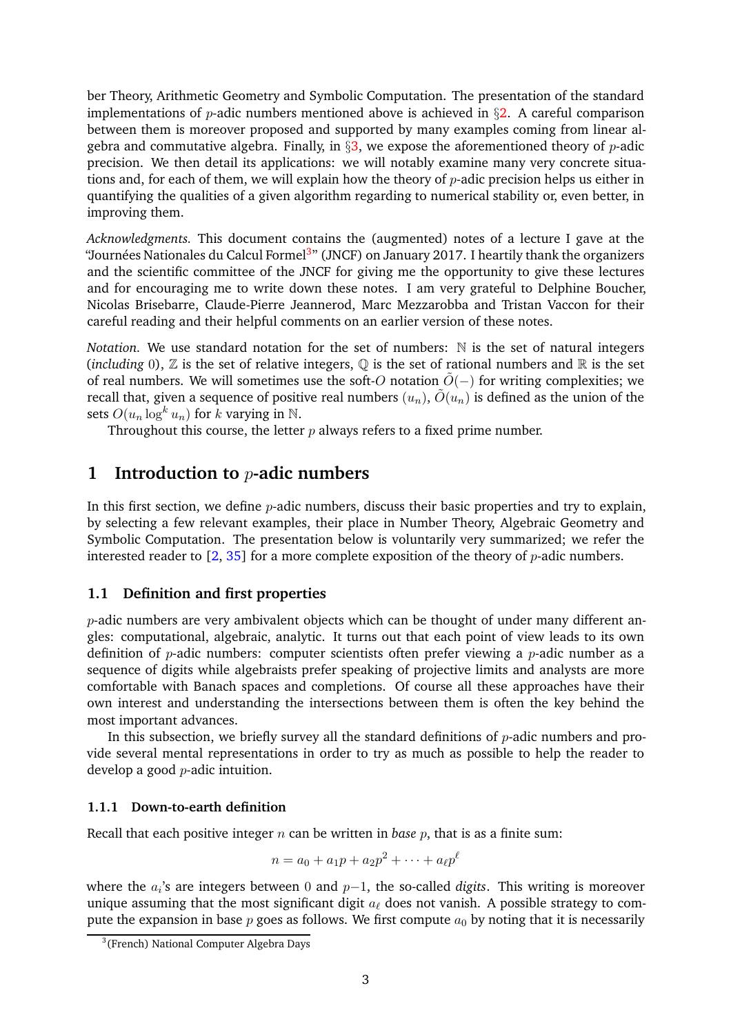ber Theory, Arithmetic Geometry and Symbolic Computation. The presentation of the standard implementations of *p*-adic numbers mentioned above is achieved in §[2.](#page-18-0) A careful comparison between them is moreover proposed and supported by many examples coming from linear algebra and commutative algebra. Finally, in  $\S3$ , we expose the aforementioned theory of *p*-adic precision. We then detail its applications: we will notably examine many very concrete situations and, for each of them, we will explain how the theory of p-adic precision helps us either in quantifying the qualities of a given algorithm regarding to numerical stability or, even better, in improving them.

*Acknowledgments.* This document contains the (augmented) notes of a lecture I gave at the "Journées Nationales du Calcul Formel<sup>[3](#page-2-2)</sup>" (JNCF) on January 2017. I heartily thank the organizers and the scientific committee of the JNCF for giving me the opportunity to give these lectures and for encouraging me to write down these notes. I am very grateful to Delphine Boucher, Nicolas Brisebarre, Claude-Pierre Jeannerod, Marc Mezzarobba and Tristan Vaccon for their careful reading and their helpful comments on an earlier version of these notes.

*Notation.* We use standard notation for the set of numbers:  $\mathbb N$  is the set of natural integers (*including* 0),  $\mathbb Z$  is the set of relative integers,  $\mathbb Q$  is the set of rational numbers and  $\mathbb R$  is the set of real numbers. We will sometimes use the soft-O notation  $\tilde{O}(-)$  for writing complexities; we recall that, given a sequence of positive real numbers  $(u_n)$ ,  $\tilde{O}(u_n)$  is defined as the union of the sets  $O(u_n \log^k u_n)$  for k varying in N.

Throughout this course, the letter  $p$  always refers to a fixed prime number.

# <span id="page-2-0"></span>**1 Introduction to** p**-adic numbers**

In this first section, we define  $p$ -adic numbers, discuss their basic properties and try to explain, by selecting a few relevant examples, their place in Number Theory, Algebraic Geometry and Symbolic Computation. The presentation below is voluntarily very summarized; we refer the interested reader to  $\lceil 2, 35 \rceil$  for a more complete exposition of the theory of *p*-adic numbers.

# <span id="page-2-1"></span>**1.1 Definition and first properties**

 $p$ -adic numbers are very ambivalent objects which can be thought of under many different angles: computational, algebraic, analytic. It turns out that each point of view leads to its own definition of *p*-adic numbers: computer scientists often prefer viewing a *p*-adic number as a sequence of digits while algebraists prefer speaking of projective limits and analysts are more comfortable with Banach spaces and completions. Of course all these approaches have their own interest and understanding the intersections between them is often the key behind the most important advances.

In this subsection, we briefly survey all the standard definitions of  $p$ -adic numbers and provide several mental representations in order to try as much as possible to help the reader to develop a good  $p$ -adic intuition.

# <span id="page-2-3"></span>**1.1.1 Down-to-earth definition**

Recall that each positive integer n can be written in *base* p, that is as a finite sum:

$$
n = a_0 + a_1p + a_2p^2 + \cdots + a_\ell p^\ell
$$

where the  $a_i$ 's are integers between 0 and  $p-1$ , the so-called *digits*. This writing is moreover unique assuming that the most significant digit  $a_\ell$  does not vanish. A possible strategy to compute the expansion in base  $p$  goes as follows. We first compute  $a_0$  by noting that it is necessarily

<span id="page-2-2"></span><sup>3</sup> (French) National Computer Algebra Days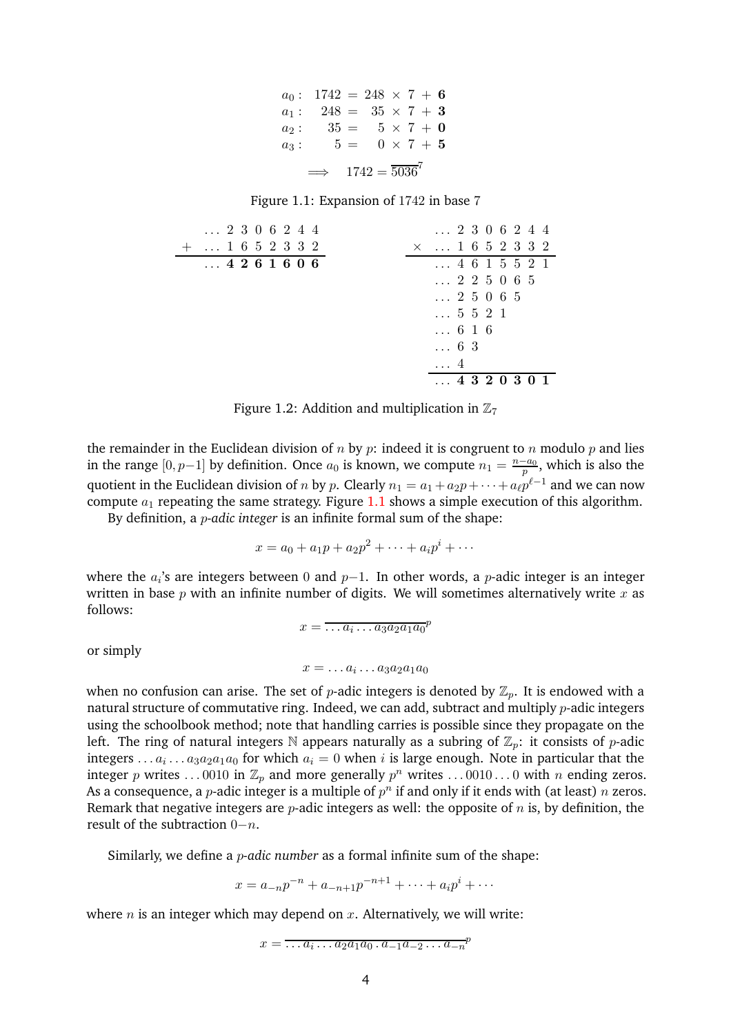| $a_0$ : | $1742 = 248 \times 7 + 6$             |                      |  |  |
|---------|---------------------------------------|----------------------|--|--|
| $a_1$ : | $248 = 35 \times 7 + 3$               |                      |  |  |
| $a_2$ : | $35 = 5 \times 7 + 0$                 |                      |  |  |
| $a_3$ : |                                       | $5 = 0 \times 7 + 5$ |  |  |
|         | $\implies$ 1742 = $\overline{5036}^7$ |                      |  |  |

<span id="page-3-0"></span>Figure 1.1: Expansion of 1742 in base 7

| $\ldots$ 2 3 0 6 2 4 4 | $\ldots$ 2 3 0 6 2 4 4 |
|------------------------|------------------------|
| $+$ 1 6 5 2 3 3 2      | $\times$ 1 6 5 2 3 3 2 |
| $\ldots$ 4 2 6 1 6 0 6 | $\ldots$ 4 6 1 5 5 2 1 |
|                        | $\ldots$ 2 2 5 0 6 5   |
|                        | $\ldots$ 2 5 0 6 5     |
|                        | $\ldots$ 5 5 2 1       |
|                        | $\ldots$ 6 1 6         |
|                        | $\ldots$ 6 3           |
|                        | $\ldots$ 4             |
|                        | $\ldots$ 43203         |

Figure 1.2: Addition and multiplication in  $\mathbb{Z}_7$ 

the remainder in the Euclidean division of  $n$  by  $p$ : indeed it is congruent to  $n$  modulo  $p$  and lies in the range  $[0, p-1]$  by definition. Once  $a_0$  is known, we compute  $n_1 = \frac{n-a_0}{p}$ , which is also the quotient in the Euclidean division of  $n$  by  $p$ . Clearly  $n_1 = a_1 + a_2p + \cdots + a_\ell p^{\ell-1}$  and we can now compute  $a_1$  repeating the same strategy. Figure [1.1](#page-3-0) shows a simple execution of this algorithm. By definition, a p*-adic integer* is an infinite formal sum of the shape:

$$
x = a_0 + a_1p + a_2p^2 + \dots + a_ip^i + \dots
$$

where the  $a_i$ 's are integers between 0 and  $p-1$ . In other words, a p-adic integer is an integer written in base  $p$  with an infinite number of digits. We will sometimes alternatively write  $x$  as follows:

$$
x = \overline{\ldots a_i \ldots a_3 a_2 a_1 a_0}^p
$$

or simply

$$
x=\ldots a_i\ldots a_3a_2a_1a_0
$$

when no confusion can arise. The set of *p*-adic integers is denoted by  $\mathbb{Z}_p$ . It is endowed with a natural structure of commutative ring. Indeed, we can add, subtract and multiply  $p$ -adic integers using the schoolbook method; note that handling carries is possible since they propagate on the left. The ring of natural integers N appears naturally as a subring of  $\mathbb{Z}_p$ : it consists of p-adic integers  $\ldots a_i \ldots a_3 a_2 a_1 a_0$  for which  $a_i=0$  when  $i$  is large enough. Note in particular that the integer  $p$  writes . . . 0010 in  $\mathbb{Z}_p$  and more generally  $p^n$  writes . . . 0010 . . . 0 with  $n$  ending zeros. As a consequence, a  $p$ -adic integer is a multiple of  $p^n$  if and only if it ends with (at least)  $n$  zeros. Remark that negative integers are  $p$ -adic integers as well: the opposite of  $n$  is, by definition, the result of the subtraction  $0-n$ .

Similarly, we define a p*-adic number* as a formal infinite sum of the shape:

$$
x = a_{-n}p^{-n} + a_{-n+1}p^{-n+1} + \dots + a_i p^i + \dots
$$

where  $n$  is an integer which may depend on  $x$ . Alternatively, we will write:

$$
x = \overline{\ldots a_i \ldots a_2 a_1 a_0 \ldots a_{-1} a_{-2} \ldots a_{-n}}^p
$$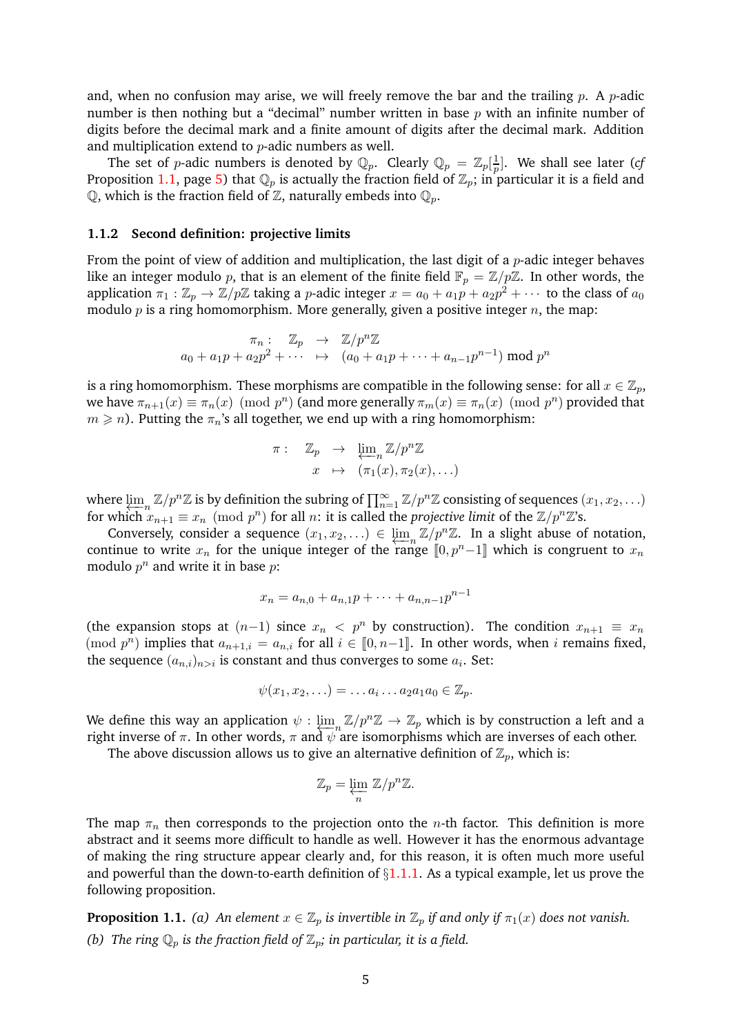and, when no confusion may arise, we will freely remove the bar and the trailing p. A p-adic number is then nothing but a "decimal" number written in base  $p$  with an infinite number of digits before the decimal mark and a finite amount of digits after the decimal mark. Addition and multiplication extend to  $p$ -adic numbers as well.

The set of *p*-adic numbers is denoted by  $\mathbb{Q}_p$ . Clearly  $\mathbb{Q}_p = \mathbb{Z}_p[\frac{1}{p}]$ . We shall see later (*cf* Proposition [1.1,](#page-4-0) page [5\)](#page-4-0) that  $\mathbb{Q}_p$  is actually the fraction field of  $\mathbb{Z}_p$ ; in particular it is a field and  $\mathbb Q$ , which is the fraction field of  $\mathbb Z$ , naturally embeds into  $\mathbb Q_p$ .

#### **1.1.2 Second definition: projective limits**

From the point of view of addition and multiplication, the last digit of a  $p$ -adic integer behaves like an integer modulo p, that is an element of the finite field  $\mathbb{F}_p = \mathbb{Z}/p\mathbb{Z}$ . In other words, the application  $\pi_1: \mathbb{Z}_p \to \mathbb{Z}/p\mathbb{Z}$  taking a  $p$ -adic integer  $x=a_0+a_1p+a_2p^2+\cdots$  to the class of  $a_0$ modulo  $p$  is a ring homomorphism. More generally, given a positive integer  $n$ , the map:

$$
\pi_n: \mathbb{Z}_p \to \mathbb{Z}/p^n\mathbb{Z}
$$
  

$$
a_0 + a_1 p + a_2 p^2 + \cdots \mapsto (a_0 + a_1 p + \cdots + a_{n-1} p^{n-1}) \bmod p^n
$$

is a ring homomorphism. These morphisms are compatible in the following sense: for all  $x \in \mathbb{Z}_p$ , we have  $\pi_{n+1}(x) \equiv \pi_n(x) \pmod{p^n}$  (and more generally  $\pi_m(x) \equiv \pi_n(x) \pmod{p^n}$ ) provided that  $m \geq n$ ). Putting the  $\pi_n$ 's all together, we end up with a ring homomorphism:

$$
\pi: \quad \mathbb{Z}_p \quad \to \quad \varprojlim_n \mathbb{Z}/p^n\mathbb{Z}
$$
\n
$$
x \quad \mapsto \quad (\pi_1(x), \pi_2(x), \ldots)
$$

where  $\varprojlim_n \mathbb{Z}/p^n\mathbb{Z}$  is by definition the subring of  $\prod_{n=1}^\infty \mathbb{Z}/p^n\mathbb{Z}$  consisting of sequences  $(x_1, x_2, \ldots)$ for which  $x_{n+1} \equiv x_n \pmod{p^n}$  for all n: it is called the *projective limit* of the  $\mathbb{Z}/p^n\mathbb{Z}$ 's.

Conversely, consider a sequence  $(x_1, x_2, ...) \in \varprojlim_n \mathbb{Z}/p^n\mathbb{Z}$ . In a slight abuse of notation, continue to write  $x_n$  for the unique integer of the range  $[0, p^n-1]$  which is congruent to  $x_n$ modulo  $p^n$  and write it in base  $p$ :

$$
x_n = a_{n,0} + a_{n,1}p + \dots + a_{n,n-1}p^{n-1}
$$

(the expansion stops at  $(n-1)$  since  $x_n < p^n$  by construction). The condition  $x_{n+1} \equiv x_n$ (mod  $p^n$ ) implies that  $a_{n+1,i} = a_{n,i}$  for all  $i \in [0, n-1]$ . In other words, when i remains fixed, the sequence  $(a_{n,i})_{n>i}$  is constant and thus converges to some  $a_i$ . Set:

$$
\psi(x_1,x_2,\ldots)=\ldots a_i\ldots a_2a_1a_0\in\mathbb{Z}_p.
$$

We define this way an application  $\psi$  :  $\varprojlim_n \mathbb{Z}/p^n\mathbb{Z} \to \mathbb{Z}_p$  which is by construction a left and a right inverse of  $\pi$ . In other words  $\pi$  and  $\psi$  are isomorphisms which are inverses of each other right inverse of  $\pi$ . In other words,  $\pi$  and  $\psi$  are isomorphisms which are inverses of each other.

The above discussion allows us to give an alternative definition of  $\mathbb{Z}_p$ , which is:

$$
\mathbb{Z}_p = \varprojlim_n \mathbb{Z}/p^n\mathbb{Z}.
$$

The map  $\pi_n$  then corresponds to the projection onto the *n*-th factor. This definition is more abstract and it seems more difficult to handle as well. However it has the enormous advantage of making the ring structure appear clearly and, for this reason, it is often much more useful and powerful than the down-to-earth definition of  $\S1.1.1$ . As a typical example, let us prove the following proposition.

<span id="page-4-0"></span>**Proposition 1.1.** *(a)* An element  $x \in \mathbb{Z}_p$  *is invertible in*  $\mathbb{Z}_p$  *if and only if*  $\pi_1(x)$  *does not vanish. (b)* The ring  $\mathbb{Q}_p$  *is the fraction field of*  $\mathbb{Z}_p$ *; in particular, it is a field.*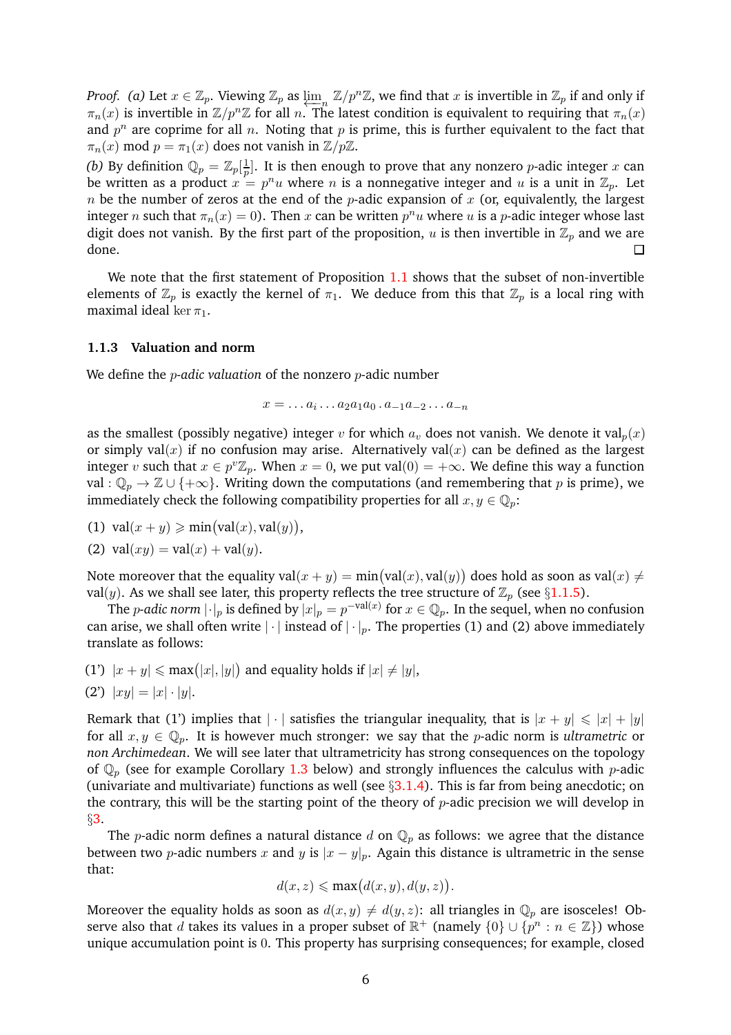*Proof.* (a) Let  $x \in \mathbb{Z}_p$ . Viewing  $\mathbb{Z}_p$  as  $\varprojlim_n \mathbb{Z}/p^n\mathbb{Z}$ , we find that  $x$  is invertible in  $\mathbb{Z}_p$  if and only if  $\pi$  (x) is invertible in  $\mathbb{Z}/p^n\mathbb{Z}$  for all  $p$ . The latest condition is equival  $\pi_n(x)$  is invertible in  $\mathbb{Z}/p^n\mathbb{Z}$  for all n. The latest condition is equivalent to requiring that  $\pi_n(x)$ and  $p^n$  are coprime for all n. Noting that p is prime, this is further equivalent to the fact that  $\pi_n(x)$  mod  $p = \pi_1(x)$  does not vanish in  $\mathbb{Z}/p\mathbb{Z}$ .

(b) By definition  $\mathbb{Q}_p = \mathbb{Z}_p[\frac{1}{p}]$ . It is then enough to prove that any nonzero *p*-adic integer *x* can be written as a product  $x = p^n u$  where n is a nonnegative integer and u is a unit in  $\mathbb{Z}_p$ . Let  $n$  be the number of zeros at the end of the  $p$ -adic expansion of  $x$  (or, equivalently, the largest integer  $n$  such that  $\pi_n(x) = 0$ ). Then  $x$  can be written  $p^n u$  where  $u$  is a  $p$ -adic integer whose last digit does not vanish. By the first part of the proposition,  $u$  is then invertible in  $\mathbb{Z}_p$  and we are done.  $\Box$ 

We note that the first statement of Proposition [1.1](#page-4-0) shows that the subset of non-invertible elements of  $\mathbb{Z}_p$  is exactly the kernel of  $\pi_1$ . We deduce from this that  $\mathbb{Z}_p$  is a local ring with maximal ideal ker  $\pi_1$ .

#### **1.1.3 Valuation and norm**

We define the p*-adic valuation* of the nonzero p-adic number

$$
x=\ldots a_i\ldots a_2a_1a_0\ldots a_{-1}a_{-2}\ldots a_{-n}
$$

as the smallest (possibly negative) integer v for which  $a_v$  does not vanish. We denote it val<sub>p</sub> $(x)$ or simply val(x) if no confusion may arise. Alternatively val(x) can be defined as the largest integer v such that  $x \in p^v \mathbb{Z}_p$ . When  $x = 0$ , we put val $(0) = +\infty$ . We define this way a function val :  $\mathbb{Q}_p \to \mathbb{Z} \cup \{+\infty\}$ . Writing down the computations (and remembering that p is prime), we immediately check the following compatibility properties for all  $x, y \in \mathbb{Q}_p$ :

(1)  $\operatorname{val}(x+y) \geqslant \min(\operatorname{val}(x), \operatorname{val}(y)),$ 

(2) 
$$
val(xy) = val(x) + val(y)
$$
.

Note moreover that the equality  $\text{val}(x+y) = \min(\text{val}(x), \text{val}(y))$  does hold as soon as  $\text{val}(x) \neq \emptyset$ val(y). As we shall see later, this property reflects the tree structure of  $\mathbb{Z}_p$  (see §[1.1.5\)](#page-7-0).

The *p*-adic norm  $|\cdot|_p$  is defined by  $|x|_p = p^{-\text{val}(x)}$  for  $x \in \mathbb{Q}_p$ . In the sequel, when no confusion can arise, we shall often write  $|\cdot|$  instead of  $|\cdot|_p$ . The properties (1) and (2) above immediately translate as follows:

(1')  $|x + y| \le \max(|x|, |y|)$  and equality holds if  $|x| \ne |y|$ , (2')  $|xy| = |x| \cdot |y|$ .

Remark that (1) implies that | · | satisfies the triangular inequality, that is  $|x + y| \le |x| + |y|$ for all  $x, y \in \mathbb{Q}_p$ . It is however much stronger: we say that the *p*-adic norm is *ultrametric* or *non Archimedean*. We will see later that ultrametricity has strong consequences on the topology of  $\mathbb{Q}_p$  (see for example Corollary [1.3](#page-6-0) below) and strongly influences the calculus with p-adic (univariate and multivariate) functions as well (see  $\S 3.1.4$ ). This is far from being anecdotic; on the contrary, this will be the starting point of the theory of  $p$ -adic precision we will develop in §[3.](#page-41-0)

The *p*-adic norm defines a natural distance d on  $\mathbb{Q}_p$  as follows: we agree that the distance between two *p*-adic numbers x and y is  $|x-y|_p$ . Again this distance is ultrametric in the sense that:

$$
d(x, z) \le \max(d(x, y), d(y, z)).
$$

Moreover the equality holds as soon as  $d(x, y) \neq d(y, z)$ : all triangles in  $\mathbb{Q}_p$  are isosceles! Observe also that  $d$  takes its values in a proper subset of  $\mathbb{R}^+$  (namely  $\{0\} \cup \{p^n : n \in \mathbb{Z}\}$ ) whose unique accumulation point is 0. This property has surprising consequences; for example, closed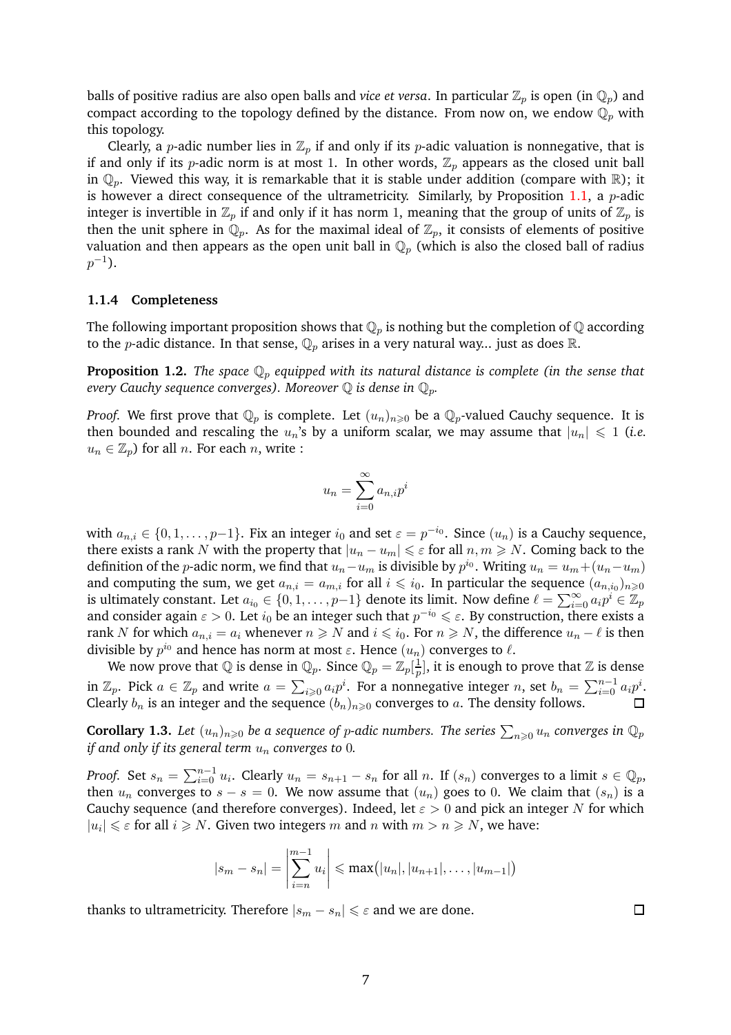balls of positive radius are also open balls and *vice et versa*. In particular  $\mathbb{Z}_p$  is open (in  $\mathbb{Q}_p$ ) and compact according to the topology defined by the distance. From now on, we endow  $\mathbb{Q}_p$  with this topology.

Clearly, a *p*-adic number lies in  $\mathbb{Z}_p$  if and only if its *p*-adic valuation is nonnegative, that is if and only if its *p*-adic norm is at most 1. In other words,  $\mathbb{Z}_p$  appears as the closed unit ball in  $\mathbb{Q}_p$ . Viewed this way, it is remarkable that it is stable under addition (compare with  $\mathbb{R}$ ); it is however a direct consequence of the ultrametricity. Similarly, by Proposition [1.1,](#page-4-0) a  $p$ -adic integer is invertible in  $\mathbb{Z}_p$  if and only if it has norm 1, meaning that the group of units of  $\mathbb{Z}_p$  is then the unit sphere in  $\mathbb{Q}_p$ . As for the maximal ideal of  $\mathbb{Z}_p$ , it consists of elements of positive valuation and then appears as the open unit ball in  $\mathbb{Q}_p$  (which is also the closed ball of radius  $p^{-1}$ ).

#### **1.1.4 Completeness**

The following important proposition shows that  $\mathbb{Q}_p$  is nothing but the completion of  $\mathbb Q$  according to the *p*-adic distance. In that sense,  $\mathbb{Q}_p$  arises in a very natural way... just as does  $\mathbb{R}$ .

**Proposition 1.2.** *The space*  $\mathbb{Q}_p$  *equipped with its natural distance is complete (in the sense that every Cauchy sequence converges). Moreover*  $\mathbb Q$  *is dense in*  $\mathbb Q_p$ *.* 

*Proof.* We first prove that  $\mathbb{Q}_p$  is complete. Let  $(u_n)_{n\geq 0}$  be a  $\mathbb{Q}_p$ -valued Cauchy sequence. It is then bounded and rescaling the  $u_n$ 's by a uniform scalar, we may assume that  $|u_n| \leq 1$  (*i.e.*  $u_n \in \mathbb{Z}_p$ ) for all *n*. For each *n*, write :

$$
u_n = \sum_{i=0}^{\infty} a_{n,i} p^i
$$

with  $a_{n,i} \in \{0, 1, \ldots, p-1\}$ . Fix an integer  $i_0$  and set  $\varepsilon = p^{-i_0}$ . Since  $(u_n)$  is a Cauchy sequence, there exists a rank N with the property that  $|u_n - u_m| \le \varepsilon$  for all  $n, m \ge N$ . Coming back to the definition of the *p*-adic norm, we find that  $u_n - u_m$  is divisible by  $p^{i_0}$ . Writing  $u_n = u_m + (u_n - u_m)$ and computing the sum, we get  $a_{n,i}=a_{m,i}$  for all  $i\leqslant i_0.$  In particular the sequence  $(a_{n,i_0})_{n\geqslant 0}$ is ultimately constant. Let  $a_{i_0}\in\{0,1,\ldots,p-1\}$  denote its limit. Now define  $\ell=\sum_{i=0}^\infty a_ip^i\in\mathbb{Z}_p$ and consider again  $\varepsilon > 0.$  Let  $i_0$  be an integer such that  $p^{-i_0} \leqslant \varepsilon.$  By construction, there exists a rank N for which  $a_{n,i} = a_i$  whenever  $n \ge N$  and  $i \le i_0$ . For  $n \ge N$ , the difference  $u_n - \ell$  is then divisible by  $p^{i_0}$  and hence has norm at most  $\varepsilon.$  Hence  $(u_n)$  converges to  $\ell.$ 

We now prove that  $\mathbb Q$  is dense in  $\mathbb Q_p$ . Since  $\mathbb Q_p = \mathbb Z_p[\frac{1}{n}]$  $\frac{1}{p}],$  it is enough to prove that  $\mathbb Z$  is dense in  $\mathbb{Z}_p$ . Pick  $a \in \mathbb{Z}_p$  and write  $a = \sum_{i \geq 0} a_i p^i$ . For a nonnegative integer n, set  $b_n = \sum_{i=0}^{n-1} a_i p^i$ . Clearly  $b_n$  is an integer and the sequence  $(b_n)_{n\geq 0}$  converges to a. The density follows.

<span id="page-6-0"></span>**Corollary 1.3.** Let  $(u_n)_{n\geqslant 0}$  be a sequence of  $p$ -adic numbers. The series  $\sum_{n\geqslant 0}u_n$  converges in  $\mathbb{Q}_p$ *if and only if its general term* u<sup>n</sup> *converges to* 0*.*

*Proof.* Set  $s_n = \sum_{i=0}^{n-1} u_i$ . Clearly  $u_n = s_{n+1} - s_n$  for all n. If  $(s_n)$  converges to a limit  $s \in \mathbb{Q}_p$ , then  $u_n$  converges to  $s - s = 0$ . We now assume that  $(u_n)$  goes to 0. We claim that  $(s_n)$  is a Cauchy sequence (and therefore converges). Indeed, let  $\varepsilon > 0$  and pick an integer N for which  $|u_i| \leq \varepsilon$  for all  $i \geq N$ . Given two integers m and n with  $m > n \geq N$ , we have:

$$
|s_m - s_n| = \left| \sum_{i=n}^{m-1} u_i \right| \le \max(|u_n|, |u_{n+1}|, \dots, |u_{m-1}|)
$$

thanks to ultrametricity. Therefore  $|s_m - s_n| \leq \varepsilon$  and we are done.

 $\Box$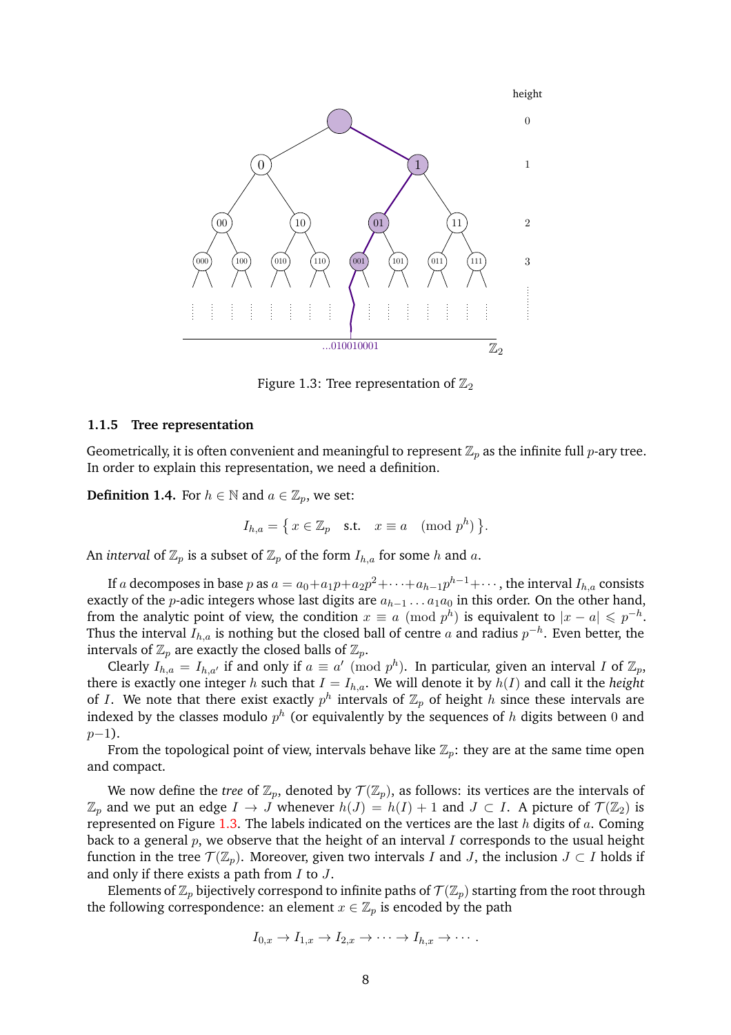

<span id="page-7-1"></span>Figure 1.3: Tree representation of  $\mathbb{Z}_2$ 

#### <span id="page-7-0"></span>**1.1.5 Tree representation**

<span id="page-7-2"></span>Geometrically, it is often convenient and meaningful to represent  $\mathbb{Z}_p$  as the infinite full p-ary tree. In order to explain this representation, we need a definition.

**Definition 1.4.** For  $h \in \mathbb{N}$  and  $a \in \mathbb{Z}_p$ , we set:

$$
I_{h,a} = \left\{ x \in \mathbb{Z}_p \quad \text{s.t.} \quad x \equiv a \pmod{p^h} \right\}
$$

.

An *interval* of  $\mathbb{Z}_p$  is a subset of  $\mathbb{Z}_p$  of the form  $I_{h,a}$  for some h and a.

If  $a$  decomposes in base  $p$  as  $a=a_0+a_1p+a_2p^2+\cdots+a_{h-1}p^{h-1}+\cdots$  , the interval  $I_{h,a}$  consists exactly of the *p*-adic integers whose last digits are  $a_{h-1} \ldots a_1 a_0$  in this order. On the other hand, from the analytic point of view, the condition  $x \equiv a \pmod{p^h}$  is equivalent to  $|x - a| \leq p^{-h}$ . Thus the interval  $I_{h,a}$  is nothing but the closed ball of centre  $a$  and radius  $p^{-h}$ . Even better, the intervals of  $\mathbb{Z}_p$  are exactly the closed balls of  $\mathbb{Z}_p$ .

Clearly  $I_{h,a} = I_{h,a'}$  if and only if  $a \equiv a' \pmod{p^h}$ . In particular, given an interval I of  $\mathbb{Z}_p$ , there is exactly one integer h such that  $I = I_{h,a}$ . We will denote it by  $h(I)$  and call it the height of *I*. We note that there exist exactly  $p^h$  intervals of  $\mathbb{Z}_p$  of height  $h$  since these intervals are indexed by the classes modulo  $p^h$  (or equivalently by the sequences of  $h$  digits between  $0$  and  $p-1$ ).

From the topological point of view, intervals behave like  $\mathbb{Z}_p$ : they are at the same time open and compact.

We now define the *tree* of  $\mathbb{Z}_p$ , denoted by  $\mathcal{T}(\mathbb{Z}_p)$ , as follows: its vertices are the intervals of  $\mathbb{Z}_p$  and we put an edge  $I \to J$  whenever  $h(J) = h(I) + 1$  and  $J \subset I$ . A picture of  $\mathcal{T}(\mathbb{Z}_2)$  is represented on Figure [1.3.](#page-7-1) The labels indicated on the vertices are the last  $h$  digits of  $a$ . Coming back to a general  $p$ , we observe that the height of an interval  $I$  corresponds to the usual height function in the tree  $\mathcal{T}(\mathbb{Z}_p)$ . Moreover, given two intervals I and J, the inclusion  $J \subset I$  holds if and only if there exists a path from  $I$  to  $J$ .

Elements of  $\mathbb{Z}_p$  bijectively correspond to infinite paths of  $\mathcal{T}(\mathbb{Z}_p)$  starting from the root through the following correspondence: an element  $x \in \mathbb{Z}_p$  is encoded by the path

$$
I_{0,x} \to I_{1,x} \to I_{2,x} \to \cdots \to I_{h,x} \to \cdots
$$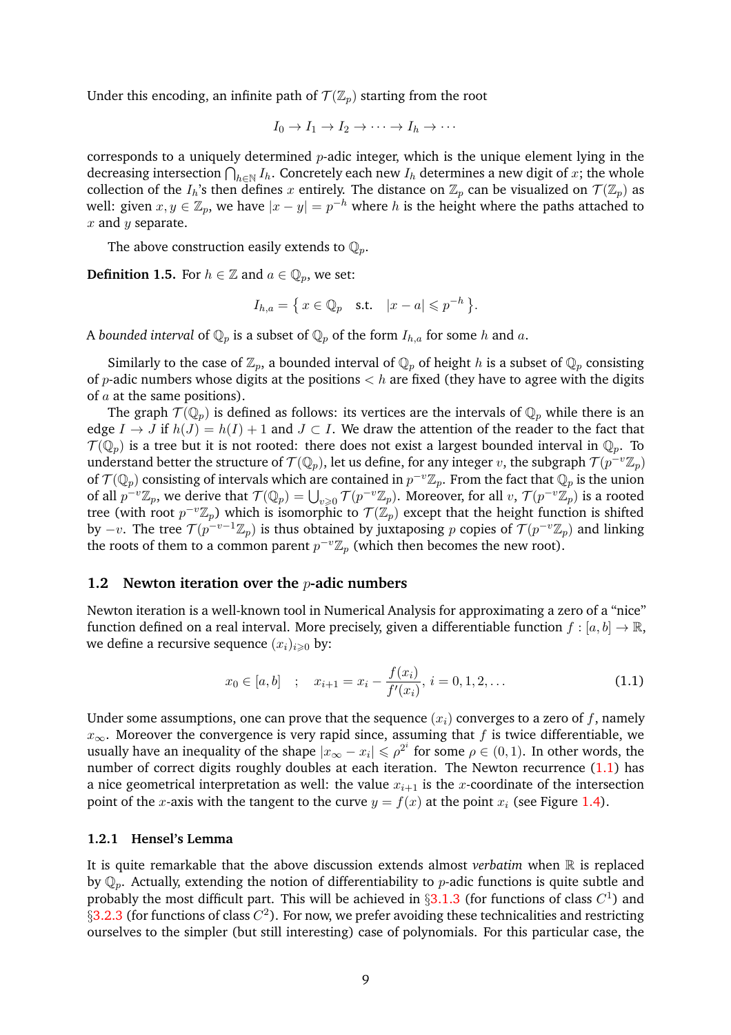Under this encoding, an infinite path of  $\mathcal{T}(\mathbb{Z}_p)$  starting from the root

$$
I_0 \to I_1 \to I_2 \to \cdots \to I_h \to \cdots
$$

corresponds to a uniquely determined  $p$ -adic integer, which is the unique element lying in the decreasing intersection  $\bigcap_{h\in\mathbb{N}}I_h.$  Concretely each new  $I_h$  determines a new digit of  $x;$  the whole collection of the  $I_h$ 's then defines x entirely. The distance on  $\mathbb{Z}_p$  can be visualized on  $\mathcal{T}(\mathbb{Z}_p)$  as well: given  $x, y \in \mathbb{Z}_p$ , we have  $|x - y| = p^{-h}$  where  $h$  is the height where the paths attached to x and  $\psi$  separate.

<span id="page-8-2"></span>The above construction easily extends to  $\mathbb{Q}_p$ .

**Definition 1.5.** For  $h \in \mathbb{Z}$  and  $a \in \mathbb{Q}_p$ , we set:

$$
I_{h,a} = \{ x \in \mathbb{Q}_p \quad \text{s.t.} \quad |x - a| \leqslant p^{-h} \}.
$$

A *bounded interval* of  $\mathbb{Q}_p$  is a subset of  $\mathbb{Q}_p$  of the form  $I_{h,a}$  for some h and a.

Similarly to the case of  $\mathbb{Z}_p$ , a bounded interval of  $\mathbb{Q}_p$  of height h is a subset of  $\mathbb{Q}_p$  consisting of p-adic numbers whose digits at the positions  $\lt h$  are fixed (they have to agree with the digits of  $a$  at the same positions).

The graph  $\mathcal{T}(\mathbb{Q}_p)$  is defined as follows: its vertices are the intervals of  $\mathbb{Q}_p$  while there is an edge  $I \rightarrow J$  if  $h(J) = h(I) + 1$  and  $J \subset I$ . We draw the attention of the reader to the fact that  $\mathcal{T}(\mathbb{Q}_p)$  is a tree but it is not rooted: there does not exist a largest bounded interval in  $\mathbb{Q}_p$ . To understand better the structure of  $\mathcal{T}(\mathbb{Q}_p)$ , let us define, for any integer  $v$ , the subgraph  $\mathcal{T}(p^{-v}\mathbb{Z}_p)$ of  $\mathcal{T}(\mathbb{Q}_p)$  consisting of intervals which are contained in  $p^{-v}\mathbb{Z}_p$ . From the fact that  $\mathbb{Q}_p$  is the union of all  $p^{-v}\mathbb{Z}_p$ , we derive that  $\mathcal{T}(\mathbb{Q}_p) = \bigcup_{v\geqslant 0} \mathcal{T}(p^{-v}\mathbb{Z}_p)$ . Moreover, for all  $v, \mathcal{T}(p^{-v}\mathbb{Z}_p)$  is a rooted tree (with root  $p^{-v}\mathbb{Z}_p$ ) which is isomorphic to  $\mathcal{T}(\mathbb{Z}_p)$  except that the height function is shifted by  $-v$ . The tree  $\mathcal{T}(p^{-v-1}\mathbb{Z}_p)$  is thus obtained by juxtaposing p copies of  $\mathcal{T}(p^{-v}\mathbb{Z}_p)$  and linking the roots of them to a common parent  $p^{-v}\mathbb{Z}_p$  (which then becomes the new root).

#### <span id="page-8-0"></span>**1.2 Newton iteration over the** p**-adic numbers**

Newton iteration is a well-known tool in Numerical Analysis for approximating a zero of a "nice" function defined on a real interval. More precisely, given a differentiable function  $f : [a, b] \to \mathbb{R}$ , we define a recursive sequence  $(x_i)_{i\geq 0}$  by:

<span id="page-8-1"></span>
$$
x_0 \in [a, b] \quad ; \quad x_{i+1} = x_i - \frac{f(x_i)}{f'(x_i)}, \, i = 0, 1, 2, \dots \tag{1.1}
$$

Under some assumptions, one can prove that the sequence  $(x_i)$  converges to a zero of f, namely  $x_{\infty}$ . Moreover the convergence is very rapid since, assuming that f is twice differentiable, we usually have an inequality of the shape  $|x_{\infty} - x_i| \leqslant \rho^{2^i}$  for some  $\rho \in (0, 1)$ . In other words, the number of correct digits roughly doubles at each iteration. The Newton recurrence [\(1.1\)](#page-8-1) has a nice geometrical interpretation as well: the value  $x_{i+1}$  is the x-coordinate of the intersection point of the x-axis with the tangent to the curve  $y = f(x)$  at the point  $x_i$  (see Figure [1.4\)](#page-9-0).

#### **1.2.1 Hensel's Lemma**

It is quite remarkable that the above discussion extends almost *verbatim* when R is replaced by  $\mathbb{Q}_p$ . Actually, extending the notion of differentiability to p-adic functions is quite subtle and probably the most difficult part. This will be achieved in  $\S3.1.3$  $\S3.1.3$  (for functions of class  $C^1$ ) and  $\S 3.2.3$  $\S 3.2.3$  (for functions of class  $C^2$ ). For now, we prefer avoiding these technicalities and restricting ourselves to the simpler (but still interesting) case of polynomials. For this particular case, the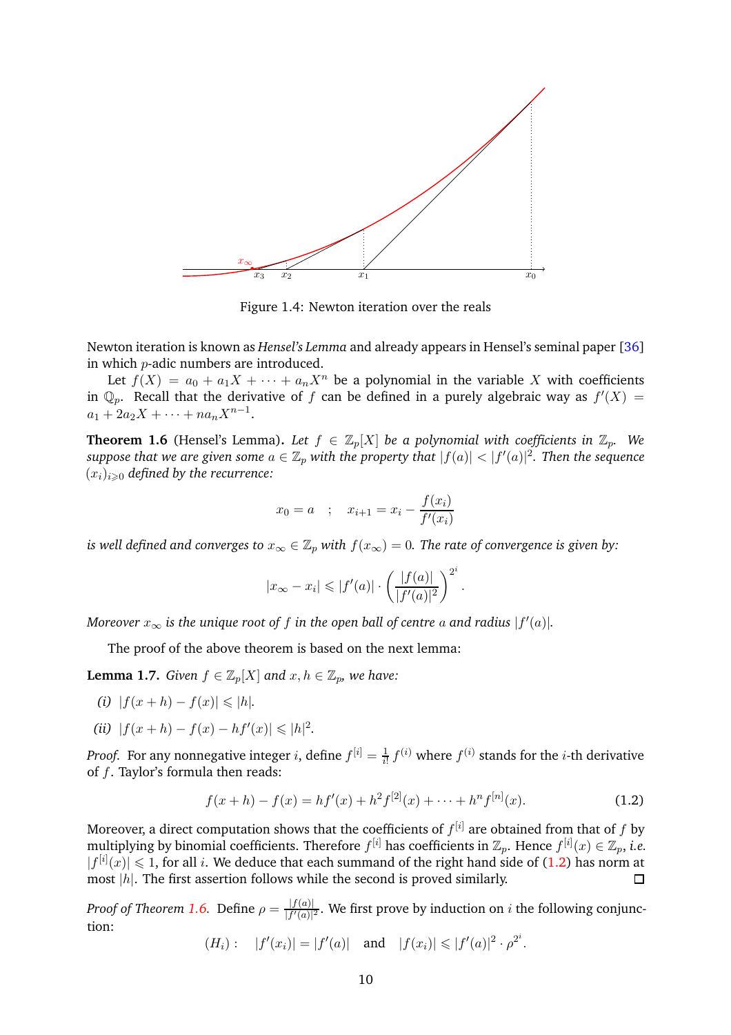

<span id="page-9-0"></span>Figure 1.4: Newton iteration over the reals

Newton iteration is known as *Hensel's Lemma* and already appears in Hensel's seminal paper [\[36\]](#page-82-0) in which  $p$ -adic numbers are introduced.

Let  $f(X) = a_0 + a_1X + \cdots + a_nX^n$  be a polynomial in the variable X with coefficients in  $\mathbb{Q}_p$ . Recall that the derivative of f can be defined in a purely algebraic way as  $f'(X) =$  $a_1 + 2a_2X + \cdots + na_nX^{n-1}.$ 

<span id="page-9-2"></span>**Theorem 1.6** (Hensel's Lemma). Let  $f \in \mathbb{Z}_p[X]$  be a polynomial with coefficients in  $\mathbb{Z}_p$ . We  $suppose$  that we are given some  $a \in \mathbb{Z}_p$  with the property that  $|f(a)| < |f'(a)|^2.$  Then the sequence  $(x_i)_{i\geq 0}$  *defined by the recurrence:* 

$$
x_0 = a
$$
 ;  $x_{i+1} = x_i - \frac{f(x_i)}{f'(x_i)}$ 

*is well defined and converges to*  $x_{\infty} \in \mathbb{Z}_p$  *with*  $f(x_{\infty}) = 0$ *. The rate of convergence is given by:* 

$$
|x_{\infty} - x_i| \leq |f'(a)| \cdot \left(\frac{|f(a)|}{|f'(a)|^2}\right)^{2^i}.
$$

 $M$ oreover  $x_{\infty}$  is the unique root of  $f$  in the open ball of centre  $a$  and radius  $|f'(a)|.$ 

<span id="page-9-3"></span>The proof of the above theorem is based on the next lemma:

**Lemma 1.7.** *Given*  $f \in \mathbb{Z}_p[X]$  *and*  $x, h \in \mathbb{Z}_p$ *, we have:* 

- *(i)*  $|f(x+h) f(x)| \leq h$ .
- (*ii*)  $|f(x+h) f(x) hf'(x)| \leq |h|^2$ .

*Proof.* For any nonnegative integer  $i$ , define  $f^{[i]} = \frac{1}{i!} f^{(i)}$  where  $f^{(i)}$  stands for the  $i$ -th derivative of f. Taylor's formula then reads:

<span id="page-9-1"></span>
$$
f(x+h) - f(x) = hf'(x) + h^2 f^{[2]}(x) + \dots + h^n f^{[n]}(x).
$$
 (1.2)

Moreover, a direct computation shows that the coefficients of  $f^{[i]}$  are obtained from that of  $f$  by multiplying by binomial coefficients. Therefore  $f^{[i]}$  has coefficients in  $\mathbb{Z}_p$ . Hence  $f^{[i]}(x) \in \mathbb{Z}_p$ , *i.e.*  $|f^{[i]}(x)| \leq 1$ , for all i. We deduce that each summand of the right hand side of [\(1.2\)](#page-9-1) has norm at most  $|h|$ . The first assertion follows while the second is proved similarly.

*Proof of Theorem [1.6.](#page-9-2)* Define  $\rho = \frac{|f(a)|}{|f'(a)|}$  $\frac{|f(a)|}{|f'(a)|^2}$ . We first prove by induction on *i* the following conjunction:

$$
(H_i):
$$
  $|f'(x_i)| = |f'(a)|$  and  $|f(x_i)| \leq |f'(a)|^2 \cdot \rho^{2^i}$ .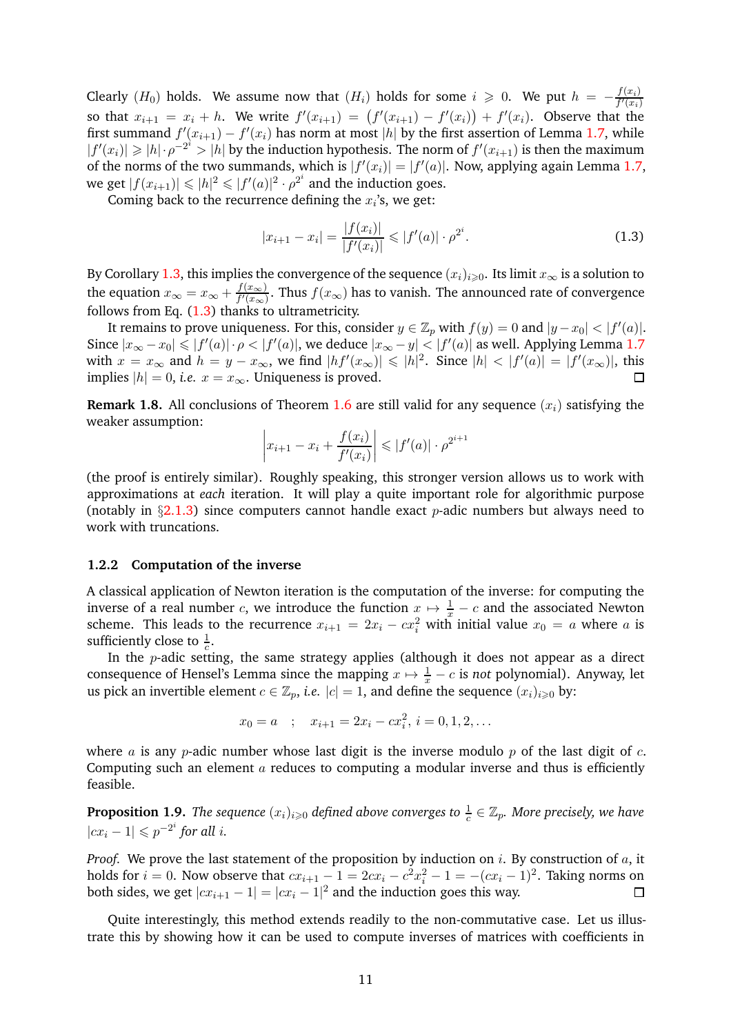Clearly  $(H_0)$  holds. We assume now that  $(H_i)$  holds for some  $i \geq 0$ . We put  $h = -\frac{f(x_i)}{f'(x_i)}$  $f'(x_i)$ so that  $x_{i+1} = x_i + h$ . We write  $f'(x_{i+1}) = (f'(x_{i+1}) - f'(x_i)) + f'(x_i)$ . Observe that the first summand  $f'(x_{i+1}) - f'(x_i)$  has norm at most |h| by the first assertion of Lemma [1.7,](#page-9-3) while  $|f'(x_i)| \geq |h| \cdot \rho^{-2^i} > |h|$  by the induction hypothesis. The norm of  $f'(x_{i+1})$  is then the maximum of the norms of the two summands, which is  $|f'(x_i)| = |f'(a)|$ . Now, applying again Lemma [1.7,](#page-9-3) we get  $|f(x_{i+1})| \leq |h|^2 \leq |f'(a)|^2 \cdot \rho^{2^i}$  and the induction goes.

Coming back to the recurrence defining the  $x_i$ 's, we get:

<span id="page-10-0"></span>
$$
|x_{i+1} - x_i| = \frac{|f(x_i)|}{|f'(x_i)|} \leq |f'(a)| \cdot \rho^{2^i}.
$$
 (1.3)

By Corollary [1.3,](#page-6-0) this implies the convergence of the sequence  $(x_i)_{i\geq 0}$ . Its limit  $x_\infty$  is a solution to the equation  $x_{\infty} = x_{\infty} + \frac{f(x_{\infty})}{f'(x_{\infty})}$  $\frac{f(x\infty)}{f'(x\infty)}$ . Thus  $f(x_{\infty})$  has to vanish. The announced rate of convergence follows from Eq.  $(1.3)$  thanks to ultrametricity.

It remains to prove uniqueness. For this, consider  $y \in \mathbb{Z}_p$  with  $f(y) = 0$  and  $|y - x_0| < |f'(a)|$ . Since  $|x_{\infty}-x_0| \leq |f'(a)| \cdot \rho < |f'(a)|$ , we deduce  $|x_{\infty}-y| < |f'(a)|$  as well. Applying Lemma [1.7](#page-9-3) with  $x = x_\infty$  and  $h = y - x_\infty$ , we find  $|hf'(x_\infty)| \leqslant |h|^2$ . Since  $|h| < |f'(a)| = |f'(x_\infty)|$ , this implies  $|h| = 0$ , *i.e.*  $x = x_{\infty}$ . Uniqueness is proved.

<span id="page-10-3"></span>**Remark 1.8.** All conclusions of Theorem [1.6](#page-9-2) are still valid for any sequence  $(x_i)$  satisfying the weaker assumption:

$$
\left| x_{i+1} - x_i + \frac{f(x_i)}{f'(x_i)} \right| \leq |f'(a)| \cdot \rho^{2^{i+1}}
$$

(the proof is entirely similar). Roughly speaking, this stronger version allows us to work with approximations at *each* iteration. It will play a quite important role for algorithmic purpose (notably in  $\S2.1.3$ ) since computers cannot handle exact p-adic numbers but always need to work with truncations.

#### <span id="page-10-2"></span>**1.2.2 Computation of the inverse**

A classical application of Newton iteration is the computation of the inverse: for computing the inverse of a real number c, we introduce the function  $x \mapsto \frac{1}{x} - c$  and the associated Newton scheme. This leads to the recurrence  $x_{i+1} = 2x_i - cx_i^2$  with initial value  $x_0 = a$  where a is sufficiently close to  $\frac{1}{c}$ .

In the  $p$ -adic setting, the same strategy applies (although it does not appear as a direct consequence of Hensel's Lemma since the mapping  $x \mapsto \frac{1}{x} - c$  is *not* polynomial). Anyway, let us pick an invertible element  $c \in \mathbb{Z}_p$ , *i.e.*  $|c| = 1$ , and define the sequence  $(x_i)_{i \geq 0}$  by:

$$
x_0 = a
$$
 ;  $x_{i+1} = 2x_i - cx_i^2$ ,  $i = 0, 1, 2, ...$ 

where a is any p-adic number whose last digit is the inverse modulo p of the last digit of c. Computing such an element  $\alpha$  reduces to computing a modular inverse and thus is efficiently feasible.

<span id="page-10-1"></span>**Proposition 1.9.** The sequence  $(x_i)_{i\geqslant 0}$  defined above converges to  $\frac{1}{c}\in \mathbb{Z}_p.$  More precisely, we have  $|cx_i - 1| \leqslant p^{-2^i}$  for all *i*.

*Proof.* We prove the last statement of the proposition by induction on i. By construction of  $a$ , it holds for  $i = 0$ . Now observe that  $cx_{i+1} - 1 = 2cx_i - c^2x_i^2 - 1 = -(cx_i - 1)^2$ . Taking norms on both sides, we get  $|cx_{i+1} - 1| = |cx_i - 1|^2$  and the induction goes this way.

Quite interestingly, this method extends readily to the non-commutative case. Let us illustrate this by showing how it can be used to compute inverses of matrices with coefficients in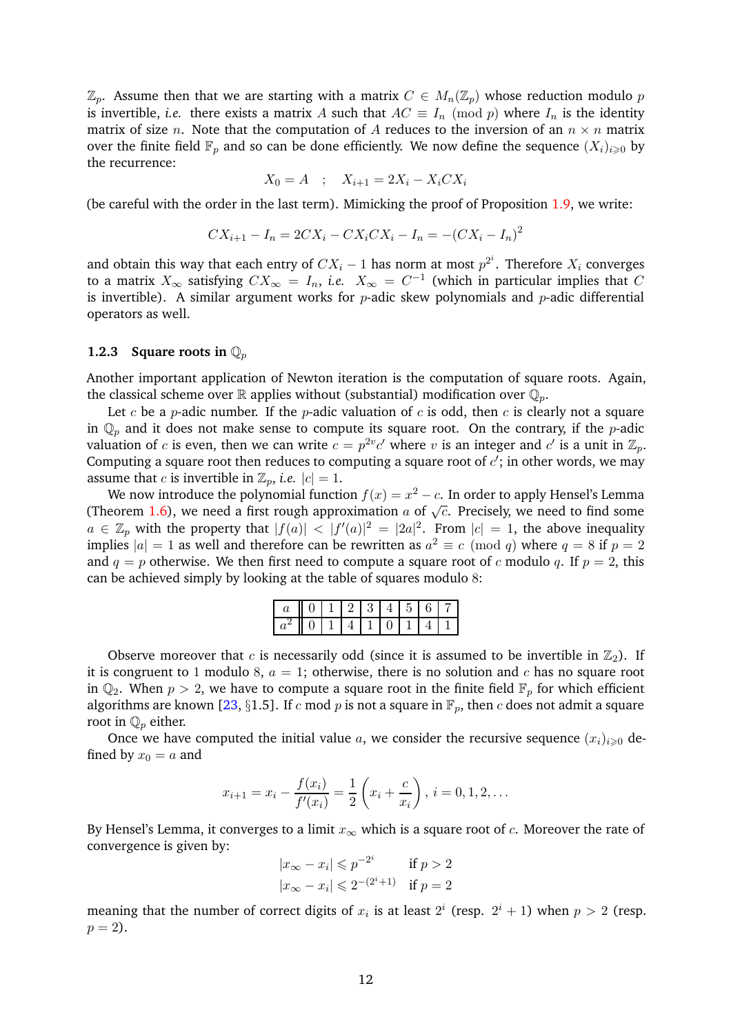$\mathbb{Z}_p$ . Assume then that we are starting with a matrix  $C \in M_n(\mathbb{Z}_p)$  whose reduction modulo p is invertible, *i.e.* there exists a matrix A such that  $AC \equiv I_n \pmod{p}$  where  $I_n$  is the identity matrix of size *n*. Note that the computation of A reduces to the inversion of an  $n \times n$  matrix over the finite field  $\mathbb{F}_p$  and so can be done efficiently. We now define the sequence  $(X_i)_{i\geqslant0}$  by the recurrence:

$$
X_0 = A \quad ; \quad X_{i+1} = 2X_i - X_i C X_i
$$

(be careful with the order in the last term). Mimicking the proof of Proposition [1.9,](#page-10-1) we write:

$$
CX_{i+1} - I_n = 2CX_i - CX_i CX_i - I_n = -(CX_i - I_n)^2
$$

and obtain this way that each entry of  $CX_i - 1$  has norm at most  $p^{2^i}$ . Therefore  $X_i$  converges to a matrix  $X_\infty$  satisfying  $CX_\infty\,=\,I_n,\ i.e.\;\;X_\infty\,=\,C^{-1}$  (which in particular implies that  $C$ is invertible). A similar argument works for  $p$ -adic skew polynomials and  $p$ -adic differential operators as well.

#### <span id="page-11-0"></span>**1.2.3** Square roots in  $\mathbb{Q}_p$

Another important application of Newton iteration is the computation of square roots. Again, the classical scheme over  $\mathbb R$  applies without (substantial) modification over  $\mathbb Q_p$ .

Let c be a p-adic number. If the p-adic valuation of c is odd, then c is clearly not a square in  $\mathbb{Q}_p$  and it does not make sense to compute its square root. On the contrary, if the *p*-adic valuation of  $c$  is even, then we can write  $c = p^{2v}c'$  where  $v$  is an integer and  $c'$  is a unit in  $\mathbb{Z}_p$ . Computing a square root then reduces to computing a square root of  $c'$ ; in other words, we may assume that *c* is invertible in  $\mathbb{Z}_p$ , *i.e.*  $|c| = 1$ .

We now introduce the polynomial function  $f(x) = x^2 - c$ . In order to apply Hensel's Lemma (Theorem [1.6\)](#page-9-2), we need a first rough approximation a of  $\sqrt{c}$ . Precisely, we need to find some  $a \in \mathbb{Z}_p$  with the property that  $|f(a)| < |f'(a)|^2 = |2a|^2$ . From  $|c| = 1$ , the above inequality implies  $|a| = 1$  as well and therefore can be rewritten as  $a^2 \equiv c \pmod{q}$  where  $q = 8$  if  $p = 2$ and  $q = p$  otherwise. We then first need to compute a square root of c modulo q. If  $p = 2$ , this can be achieved simply by looking at the table of squares modulo 8:

|  |  |       |                | 1   2   3   4   5   6   7 |  |
|--|--|-------|----------------|---------------------------|--|
|  |  | 4 1 1 | $\overline{1}$ |                           |  |

Observe moreover that c is necessarily odd (since it is assumed to be invertible in  $\mathbb{Z}_2$ ). If it is congruent to 1 modulo 8,  $a = 1$ ; otherwise, there is no solution and c has no square root in  $\mathbb{Q}_2$ . When  $p > 2$ , we have to compute a square root in the finite field  $\mathbb{F}_p$  for which efficient algorithms are known [\[23,](#page-81-7) §1.5]. If c mod p is not a square in  $\mathbb{F}_p$ , then c does not admit a square root in  $\mathbb{Q}_n$  either.

Once we have computed the initial value a, we consider the recursive sequence  $(x_i)_{i\geq 0}$  defined by  $x_0 = a$  and

$$
x_{i+1} = x_i - \frac{f(x_i)}{f'(x_i)} = \frac{1}{2} \left( x_i + \frac{c}{x_i} \right), i = 0, 1, 2, \dots
$$

By Hensel's Lemma, it converges to a limit  $x_{\infty}$  which is a square root of c. Moreover the rate of convergence is given by:

$$
|x_{\infty} - x_i| \leqslant p^{-2^i} \quad \text{if } p > 2
$$
  

$$
|x_{\infty} - x_i| \leqslant 2^{-(2^i + 1)} \quad \text{if } p = 2
$$

meaning that the number of correct digits of  $x_i$  is at least  $2^i$  (resp.  $2^i + 1$ ) when  $p > 2$  (resp.  $p = 2$ ).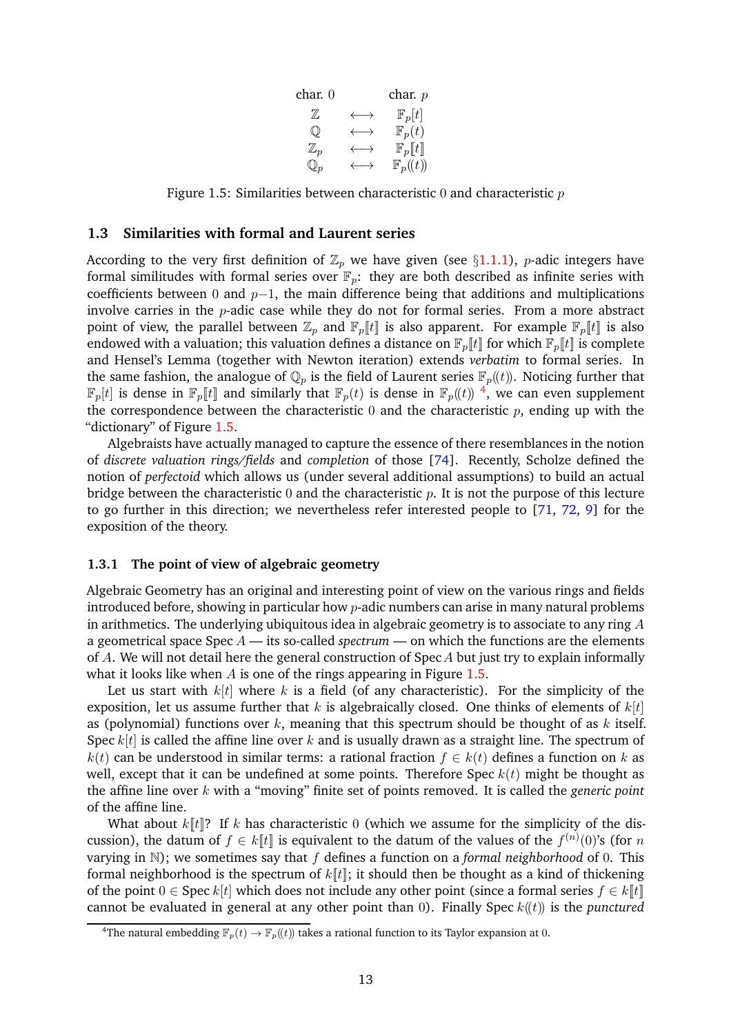| char. 0        |                       | char. $p$               |
|----------------|-----------------------|-------------------------|
| 77,            | $\longleftrightarrow$ | $\mathbb{F}_p[t]$       |
| $\mathbb O$    | $\longleftrightarrow$ | $\mathbb{F}_p(t)$       |
| $\mathbb{Z}_p$ | $\longleftrightarrow$ | $\mathbb{F}_p[[t]]$     |
|                | $\longleftrightarrow$ | $\mathbb{F}_p(\!(t)\!)$ |

<span id="page-12-2"></span>Figure 1.5: Similarities between characteristic  $\theta$  and characteristic  $p$ 

#### <span id="page-12-0"></span>**1.3 Similarities with formal and Laurent series**

According to the very first definition of  $\mathbb{Z}_p$  we have given (see §[1.1.1\)](#page-2-3), *p*-adic integers have formal similitudes with formal series over  $\mathbb{F}_p$ : they are both described as infinite series with coefficients between 0 and  $p-1$ , the main difference being that additions and multiplications involve carries in the p-adic case while they do not for formal series. From a more abstract point of view, the parallel between  $\mathbb{Z}_p$  and  $\mathbb{F}_p[[t]]$  is also apparent. For example  $\mathbb{F}_p[[t]]$  is also endowed with a valuation; this valuation defines a distance on  $\mathbb{F}_p[[t]]$  for which  $\mathbb{F}_p[[t]]$  is complete and Hensel's Lemma (together with Newton iteration) extends *verbatim* to formal series. In the same fashion, the analogue of  $\mathbb{Q}_p$  is the field of Laurent series  $\mathbb{F}_p(\!(t)\!)$ . Noticing further that  $\mathbb{F}_p[t]$  is dense in  $\mathbb{F}_p[\![t]\!]$  and similarly that  $\mathbb{F}_p(t)$  is dense in  $\mathbb{F}_p(\!(t)\!)$   $\frac{4}{2}$  $\frac{4}{2}$  $\frac{4}{2}$ , we can even supplement the correspondence between the characteristic  $\theta$  and the characteristic  $p$ , ending up with the "dictionary" of Figure [1.5.](#page-12-2)

Algebraists have actually managed to capture the essence of there resemblances in the notion of *discrete valuation rings/fields* and *completion* of those [\[74\]](#page-83-8). Recently, Scholze defined the notion of *perfectoid* which allows us (under several additional assumptions) to build an actual bridge between the characteristic  $\theta$  and the characteristic  $p$ . It is not the purpose of this lecture to go further in this direction; we nevertheless refer interested people to [\[71,](#page-83-9) [72,](#page-83-10) [9\]](#page-81-8) for the exposition of the theory.

#### **1.3.1 The point of view of algebraic geometry**

Algebraic Geometry has an original and interesting point of view on the various rings and fields introduced before, showing in particular how  $p$ -adic numbers can arise in many natural problems in arithmetics. The underlying ubiquitous idea in algebraic geometry is to associate to any ring  $A$ a geometrical space Spec A — its so-called *spectrum* — on which the functions are the elements of A. We will not detail here the general construction of Spec A but just try to explain informally what it looks like when  $A$  is one of the rings appearing in Figure [1.5.](#page-12-2)

Let us start with  $k[t]$  where k is a field (of any characteristic). For the simplicity of the exposition, let us assume further that k is algebraically closed. One thinks of elements of  $k[t]$ as (polynomial) functions over  $k$ , meaning that this spectrum should be thought of as  $k$  itself. Spec k[t] is called the affine line over k and is usually drawn as a straight line. The spectrum of  $k(t)$  can be understood in similar terms: a rational fraction  $f \in k(t)$  defines a function on k as well, except that it can be undefined at some points. Therefore Spec  $k(t)$  might be thought as the affine line over k with a "moving" finite set of points removed. It is called the *generic point* of the affine line.

What about  $k[[t]]$ ? If k has characteristic 0 (which we assume for the simplicity of the discussion), the datum of  $f \in k[[t]]$  is equivalent to the datum of the values of the  $f^{(n)}(0)$ 's (for n varying in N); we sometimes say that f defines a function on a *formal neighborhood* of 0. This formal neighborhood is the spectrum of  $k[[t]]$ ; it should then be thought as a kind of thickening of the point  $0 \in \text{Spec } k[t]$  which does not include any other point (since a formal series  $f \in k[[t]]$ cannot be evaluated in general at any other point than 0). Finally Spec  $k((t))$  is the *punctured* 

<span id="page-12-1"></span><sup>&</sup>lt;sup>4</sup>The natural embedding  $\mathbb{F}_p(t) \to \mathbb{F}_p(\mathfrak{t})$  takes a rational function to its Taylor expansion at 0.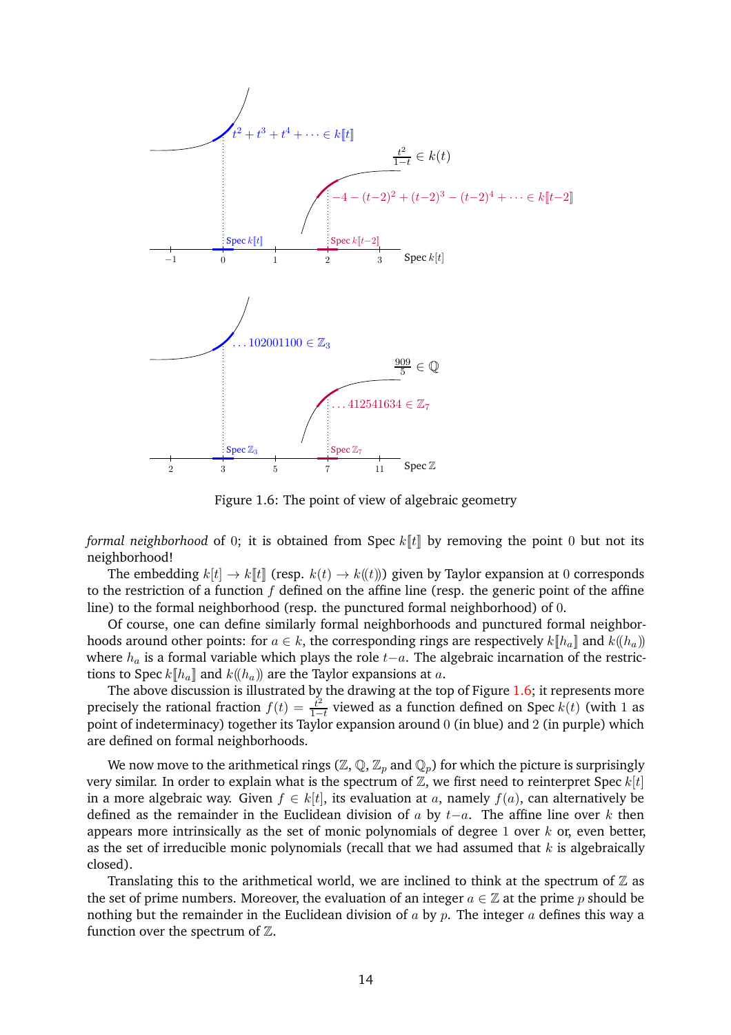

<span id="page-13-0"></span>Figure 1.6: The point of view of algebraic geometry

*formal neighborhood* of 0; it is obtained from Spec  $k[[t]]$  by removing the point 0 but not its neighborhood!

The embedding  $k[t] \to k[[t]]$  (resp.  $k(t) \to k((t))$ ) given by Taylor expansion at 0 corresponds to the restriction of a function  $f$  defined on the affine line (resp. the generic point of the affine line) to the formal neighborhood (resp. the punctured formal neighborhood) of 0.

Of course, one can define similarly formal neighborhoods and punctured formal neighborhoods around other points: for  $a \in k$ , the corresponding rings are respectively  $k[[h_a]]$  and  $k([h_a])$ where  $h_a$  is a formal variable which plays the role  $t-a$ . The algebraic incarnation of the restrictions to Spec  $k[[h_a]]$  and  $k([h_a])$  are the Taylor expansions at a.

The above discussion is illustrated by the drawing at the top of Figure [1.6;](#page-13-0) it represents more precisely the rational fraction  $f(t) = \frac{t^2}{1-t^2}$  $\frac{t^2}{1-t}$  viewed as a function defined on Spec  $k(t)$  (with 1 as point of indeterminacy) together its Taylor expansion around 0 (in blue) and 2 (in purple) which are defined on formal neighborhoods.

We now move to the arithmetical rings ( $\mathbb{Z}, \mathbb{Q}, \mathbb{Z}_p$  and  $\mathbb{Q}_p$ ) for which the picture is surprisingly very similar. In order to explain what is the spectrum of  $\mathbb{Z}$ , we first need to reinterpret Spec  $k[t]$ in a more algebraic way. Given  $f \in k[t]$ , its evaluation at a, namely  $f(a)$ , can alternatively be defined as the remainder in the Euclidean division of a by  $t-a$ . The affine line over k then appears more intrinsically as the set of monic polynomials of degree 1 over  $k$  or, even better, as the set of irreducible monic polynomials (recall that we had assumed that  $k$  is algebraically closed).

Translating this to the arithmetical world, we are inclined to think at the spectrum of  $\mathbb Z$  as the set of prime numbers. Moreover, the evaluation of an integer  $a \in \mathbb{Z}$  at the prime p should be nothing but the remainder in the Euclidean division of  $a$  by  $p$ . The integer  $a$  defines this way a function over the spectrum of  $\mathbb{Z}$ .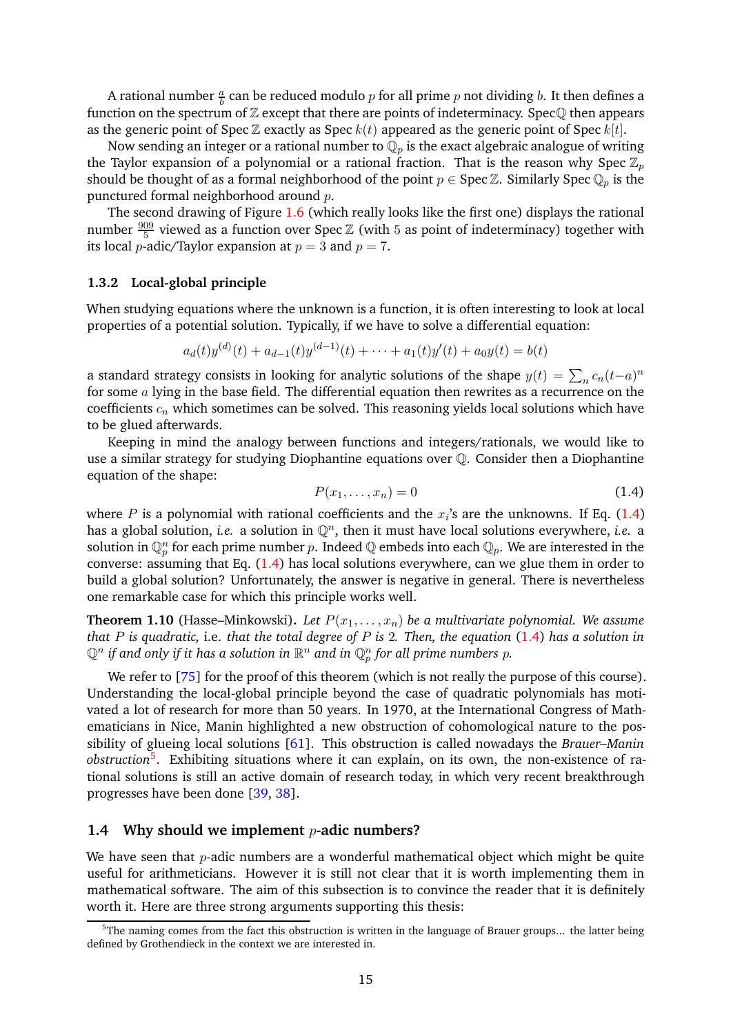A rational number  $\frac{a}{b}$  can be reduced modulo  $p$  for all prime  $p$  not dividing  $b$ . It then defines a function on the spectrum of  $\mathbb Z$  except that there are points of indeterminacy. Spec $\mathbb Q$  then appears as the generic point of Spec  $\mathbb Z$  exactly as Spec  $k(t)$  appeared as the generic point of Spec  $k[t]$ .

Now sending an integer or a rational number to  $\mathbb{Q}_p$  is the exact algebraic analogue of writing the Taylor expansion of a polynomial or a rational fraction. That is the reason why Spec  $\mathbb{Z}_p$ should be thought of as a formal neighborhood of the point  $p \in \text{Spec } \mathbb{Z}$ . Similarly Spec  $\mathbb{Q}_p$  is the punctured formal neighborhood around p.

The second drawing of Figure [1.6](#page-13-0) (which really looks like the first one) displays the rational number  $\frac{909}{5}$  viewed as a function over Spec  $\mathbb Z$  (with 5 as point of indeterminacy) together with its local *p*-adic/Taylor expansion at  $p = 3$  and  $p = 7$ .

#### <span id="page-14-3"></span>**1.3.2 Local-global principle**

When studying equations where the unknown is a function, it is often interesting to look at local properties of a potential solution. Typically, if we have to solve a differential equation:

$$
a_d(t)y^{(d)}(t) + a_{d-1}(t)y^{(d-1)}(t) + \dots + a_1(t)y'(t) + a_0y(t) = b(t)
$$

a standard strategy consists in looking for analytic solutions of the shape  $y(t) = \sum_n c_n(t-a)^n$ for some  $a$  lying in the base field. The differential equation then rewrites as a recurrence on the coefficients  $c_n$  which sometimes can be solved. This reasoning yields local solutions which have to be glued afterwards.

Keeping in mind the analogy between functions and integers/rationals, we would like to use a similar strategy for studying Diophantine equations over Q. Consider then a Diophantine equation of the shape:

<span id="page-14-1"></span>
$$
P(x_1,\ldots,x_n)=0\tag{1.4}
$$

where P is a polynomial with rational coefficients and the  $x_i$ 's are the unknowns. If Eq. [\(1.4\)](#page-14-1) has a global solution, *i.e.* a solution in  $\mathbb{Q}^n$ , then it must have local solutions everywhere, *i.e.* a solution in  $\mathbb{Q}_p^n$  for each prime number  $p.$  Indeed  $\mathbb Q$  embeds into each  $\mathbb Q_p.$  We are interested in the converse: assuming that Eq. [\(1.4\)](#page-14-1) has local solutions everywhere, can we glue them in order to build a global solution? Unfortunately, the answer is negative in general. There is nevertheless one remarkable case for which this principle works well.

**Theorem 1.10** (Hasse–Minkowski). Let  $P(x_1, \ldots, x_n)$  be a multivariate polynomial. We assume *that* P *is quadratic,* i.e. *that the total degree of* P *is* 2*. Then, the equation* [\(1.4\)](#page-14-1) *has a solution in*  $\mathbb{Q}^n$  if and only if it has a solution in  $\mathbb{R}^n$  and in  $\mathbb{Q}_p^n$  for all prime numbers  $p$ .

We refer to [\[75\]](#page-83-0) for the proof of this theorem (which is not really the purpose of this course). Understanding the local-global principle beyond the case of quadratic polynomials has motivated a lot of research for more than 50 years. In 1970, at the International Congress of Mathematicians in Nice, Manin highlighted a new obstruction of cohomological nature to the possibility of glueing local solutions [\[61\]](#page-83-11). This obstruction is called nowadays the *Brauer–Manin obstruction*[5](#page-14-2) . Exhibiting situations where it can explain, on its own, the non-existence of rational solutions is still an active domain of research today, in which very recent breakthrough progresses have been done [\[39,](#page-82-11) [38\]](#page-82-12).

## <span id="page-14-0"></span>**1.4 Why should we implement** p**-adic numbers?**

We have seen that  $p$ -adic numbers are a wonderful mathematical object which might be quite useful for arithmeticians. However it is still not clear that it is worth implementing them in mathematical software. The aim of this subsection is to convince the reader that it is definitely worth it. Here are three strong arguments supporting this thesis:

<span id="page-14-2"></span> $5$ The naming comes from the fact this obstruction is written in the language of Brauer groups... the latter being defined by Grothendieck in the context we are interested in.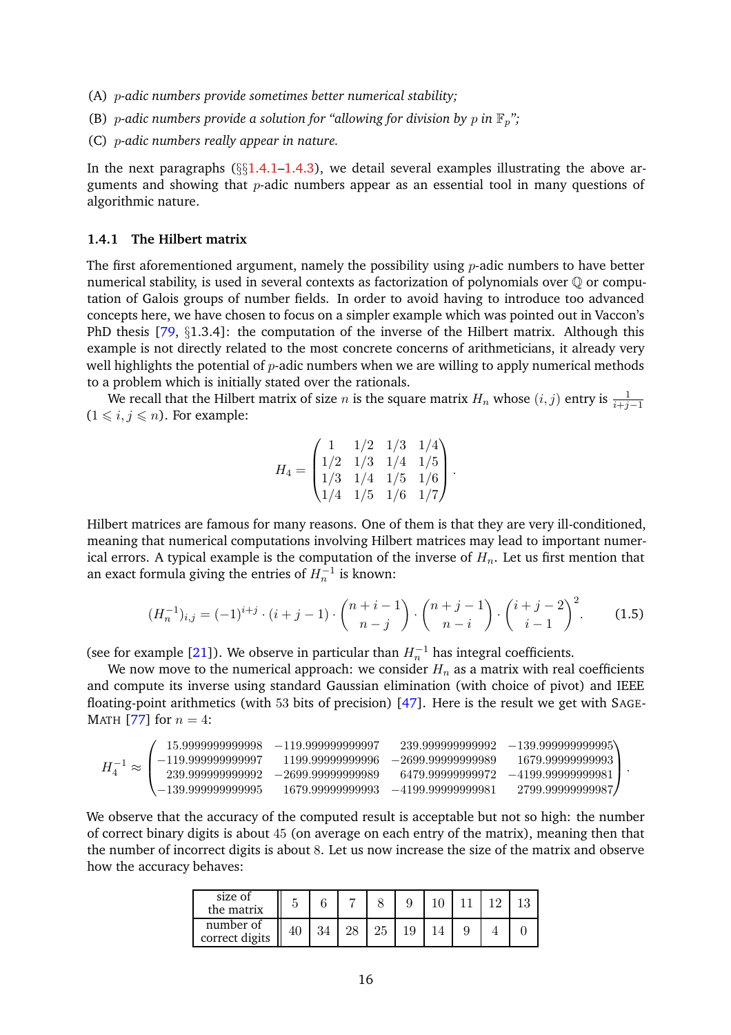- (A) p*-adic numbers provide sometimes better numerical stability;*
- (B) *p*-adic numbers provide a solution for "allowing for division by *p* in  $\mathbb{F}_p$ ";
- (C) p*-adic numbers really appear in nature.*

In the next paragraphs  $(\S_{\S}1.4.1-1.4.3)$  $(\S_{\S}1.4.1-1.4.3)$  $(\S_{\S}1.4.1-1.4.3)$ , we detail several examples illustrating the above arguments and showing that  $p$ -adic numbers appear as an essential tool in many questions of algorithmic nature.

# <span id="page-15-0"></span>**1.4.1 The Hilbert matrix**

The first aforementioned argument, namely the possibility using  $p$ -adic numbers to have better numerical stability, is used in several contexts as factorization of polynomials over Q or computation of Galois groups of number fields. In order to avoid having to introduce too advanced concepts here, we have chosen to focus on a simpler example which was pointed out in Vaccon's PhD thesis [\[79,](#page-83-12) §1.3.4]: the computation of the inverse of the Hilbert matrix. Although this example is not directly related to the most concrete concerns of arithmeticians, it already very well highlights the potential of  $p$ -adic numbers when we are willing to apply numerical methods to a problem which is initially stated over the rationals.

We recall that the Hilbert matrix of size  $n$  is the square matrix  $H_n$  whose  $(i,j)$  entry is  $\frac{1}{i+j-1}$  $(1 \leq i, j \leq n)$ . For example:

<span id="page-15-1"></span>
$$
H_4 = \begin{pmatrix} 1 & 1/2 & 1/3 & 1/4 \\ 1/2 & 1/3 & 1/4 & 1/5 \\ 1/3 & 1/4 & 1/5 & 1/6 \\ 1/4 & 1/5 & 1/6 & 1/7 \end{pmatrix}.
$$

Hilbert matrices are famous for many reasons. One of them is that they are very ill-conditioned, meaning that numerical computations involving Hilbert matrices may lead to important numerical errors. A typical example is the computation of the inverse of  $H_n$ . Let us first mention that an exact formula giving the entries of  $H_n^{-1}$  is known:

$$
(H_n^{-1})_{i,j} = (-1)^{i+j} \cdot (i+j-1) \cdot \binom{n+i-1}{n-j} \cdot \binom{n+j-1}{n-i} \cdot \binom{i+j-2}{i-1}^2.
$$
 (1.5)

(see for example [\[21\]](#page-81-9)). We observe in particular than  $H_n^{-1}$  has integral coefficients.

We now move to the numerical approach: we consider  $H_n$  as a matrix with real coefficients and compute its inverse using standard Gaussian elimination (with choice of pivot) and IEEE floating-point arithmetics (with 53 bits of precision) [\[47\]](#page-82-13). Here is the result we get with SAGE-MATH [\[77\]](#page-83-13) for  $n = 4$ :

We observe that the accuracy of the computed result is acceptable but not so high: the number of correct binary digits is about 45 (on average on each entry of the matrix), meaning then that the number of incorrect digits is about 8. Let us now increase the size of the matrix and observe how the accuracy behaves:

| size of<br>the matrix       |    |  |  |  |  |
|-----------------------------|----|--|--|--|--|
| number of<br>correct digits | 4U |  |  |  |  |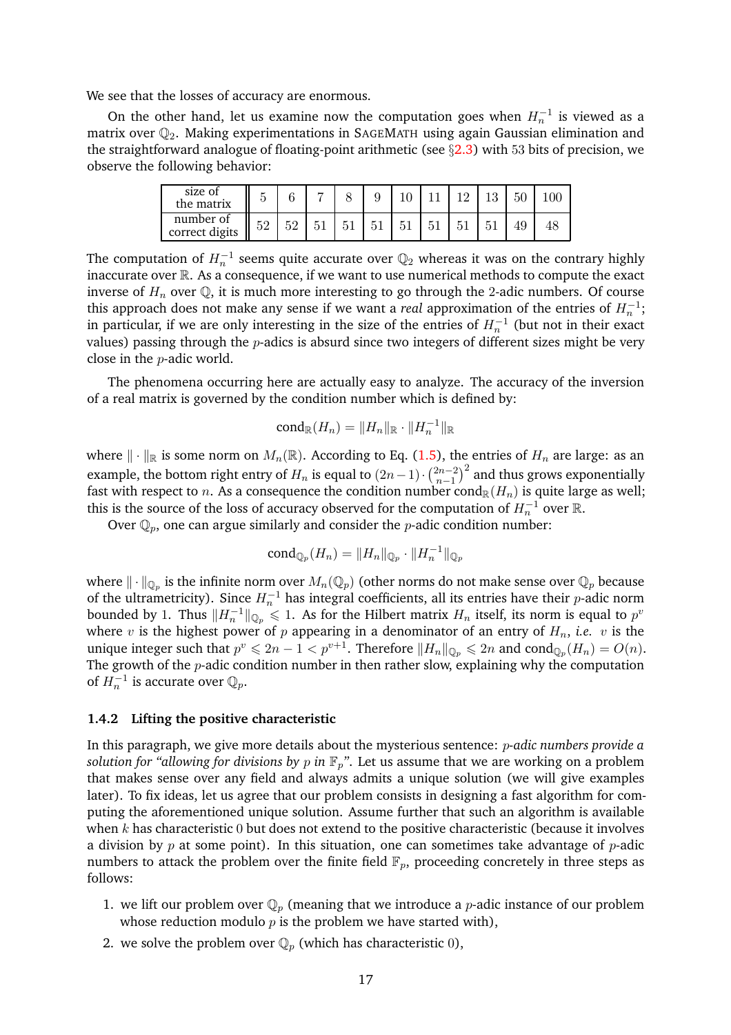We see that the losses of accuracy are enormous.

On the other hand, let us examine now the computation goes when  $H_n^{-1}$  is viewed as a matrix over  $\mathbb{Q}_2$ . Making experimentations in SAGEMATH using again Gaussian elimination and the straightforward analogue of floating-point arithmetic (see  $\S$ [2.3\)](#page-30-0) with 53 bits of precision, we observe the following behavior:

| size of<br>the matrix       |    |              |  |  |  | 50 |  |
|-----------------------------|----|--------------|--|--|--|----|--|
| number of<br>correct digits | 52 | $\mathbf{r}$ |  |  |  |    |  |

The computation of  $H_n^{-1}$  seems quite accurate over  $\mathbb{Q}_2$  whereas it was on the contrary highly inaccurate over R. As a consequence, if we want to use numerical methods to compute the exact inverse of  $H_n$  over  $\mathbb{Q}$ , it is much more interesting to go through the 2-adic numbers. Of course this approach does not make any sense if we want a *real* approximation of the entries of  $H_n^{-1};$ in particular, if we are only interesting in the size of the entries of  $H_n^{-1}$  (but not in their exact values) passing through the  $p$ -adics is absurd since two integers of different sizes might be very close in the p-adic world.

The phenomena occurring here are actually easy to analyze. The accuracy of the inversion of a real matrix is governed by the condition number which is defined by:

$$
\text{cond}_{\mathbb{R}}(H_n) = \|H_n\|_{\mathbb{R}} \cdot \|H_n^{-1}\|_{\mathbb{R}}
$$

where  $\|\cdot\|_{\mathbb{R}}$  is some norm on  $M_n(\mathbb{R})$ . According to Eq. [\(1.5\)](#page-15-1), the entries of  $H_n$  are large: as an example, the bottom right entry of  $H_n$  is equal to  $(2n-1) \cdot {2n-2 \choose n-1}$  $\binom{2n-2}{n-1}^2$  and thus grows exponentially fast with respect to  $n.$  As a consequence the condition number  $\mathsf{cond}_\mathbb{R}(H_n)$  is quite large as well; this is the source of the loss of accuracy observed for the computation of  $H_n^{-1}$  over  $\mathbb R.$ 

Over  $\mathbb{Q}_p$ , one can argue similarly and consider the *p*-adic condition number:

$$
\text{cond}_{\mathbb{Q}_p}(H_n) = ||H_n||_{\mathbb{Q}_p} \cdot ||H_n^{-1}||_{\mathbb{Q}_p}
$$

where  $\|\cdot\|_{\mathbb{Q}_p}$  is the infinite norm over  $M_n(\mathbb{Q}_p)$  (other norms do not make sense over  $\mathbb{Q}_p$  because of the ultrametricity). Since  $H_n^{-1}$  has integral coefficients, all its entries have their  $p$ -adic norm bounded by 1. Thus  $\|H_n^{-1}\|_{\mathbb{Q}_p}\leqslant 1$ . As for the Hilbert matrix  $H_n$  itself, its norm is equal to  $p^v$ where v is the highest power of p appearing in a denominator of an entry of  $H_n$ , *i.e.* v is the unique integer such that  $p^v \leqslant 2n-1 < p^{v+1}$ . Therefore  $||H_n||_{\mathbb{Q}_p} \leqslant 2n$  and  $\text{cond}_{\mathbb{Q}_p}(H_n) = O(n)$ . The growth of the  $p$ -adic condition number in then rather slow, explaining why the computation of  $H_n^{-1}$  is accurate over  $\mathbb{Q}_p.$ 

#### **1.4.2 Lifting the positive characteristic**

In this paragraph, we give more details about the mysterious sentence: p*-adic numbers provide a solution for "allowing for divisions by p in*  $\mathbb{F}_p$ ". Let us assume that we are working on a problem that makes sense over any field and always admits a unique solution (we will give examples later). To fix ideas, let us agree that our problem consists in designing a fast algorithm for computing the aforementioned unique solution. Assume further that such an algorithm is available when  $k$  has characteristic  $0$  but does not extend to the positive characteristic (because it involves a division by p at some point). In this situation, one can sometimes take advantage of  $p$ -adic numbers to attack the problem over the finite field  $\mathbb{F}_p$ , proceeding concretely in three steps as follows:

- 1. we lift our problem over  $\mathbb{Q}_p$  (meaning that we introduce a *p*-adic instance of our problem whose reduction modulo  $p$  is the problem we have started with),
- 2. we solve the problem over  $\mathbb{Q}_p$  (which has characteristic 0),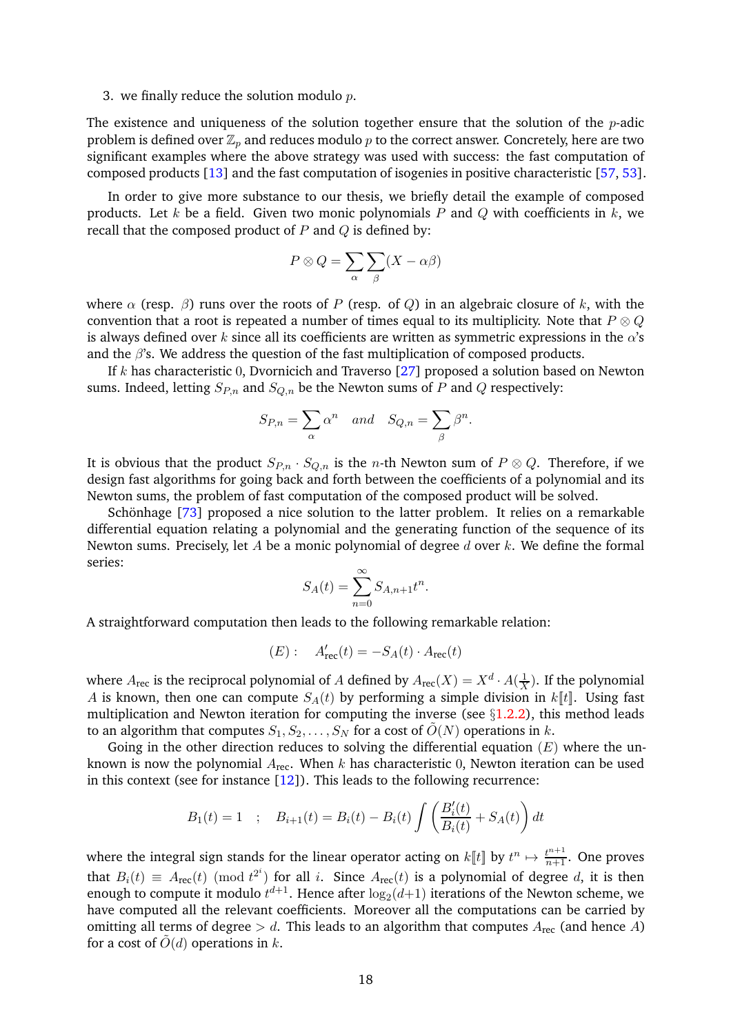#### 3. we finally reduce the solution modulo  $p$ .

The existence and uniqueness of the solution together ensure that the solution of the  $p$ -adic problem is defined over  $\mathbb{Z}_p$  and reduces modulo  $p$  to the correct answer. Concretely, here are two significant examples where the above strategy was used with success: the fast computation of composed products [\[13\]](#page-81-5) and the fast computation of isogenies in positive characteristic [\[57,](#page-82-9) [53\]](#page-82-14).

In order to give more substance to our thesis, we briefly detail the example of composed products. Let k be a field. Given two monic polynomials P and Q with coefficients in  $k$ , we recall that the composed product of  $P$  and  $Q$  is defined by:

$$
P \otimes Q = \sum_{\alpha} \sum_{\beta} (X - \alpha \beta)
$$

where  $\alpha$  (resp.  $\beta$ ) runs over the roots of P (resp. of Q) in an algebraic closure of k, with the convention that a root is repeated a number of times equal to its multiplicity. Note that  $P \otimes Q$ is always defined over k since all its coefficients are written as symmetric expressions in the  $\alpha$ 's and the  $\beta$ 's. We address the question of the fast multiplication of composed products.

If k has characteristic 0, Dvornicich and Traverso  $[27]$  proposed a solution based on Newton sums. Indeed, letting  $S_{P,n}$  and  $S_{Q,n}$  be the Newton sums of P and Q respectively:

$$
S_{P,n} = \sum_{\alpha} \alpha^n \quad and \quad S_{Q,n} = \sum_{\beta} \beta^n.
$$

It is obvious that the product  $S_{P,n} \cdot S_{Q,n}$  is the *n*-th Newton sum of  $P \otimes Q$ . Therefore, if we design fast algorithms for going back and forth between the coefficients of a polynomial and its Newton sums, the problem of fast computation of the composed product will be solved.

Schönhage [\[73\]](#page-83-14) proposed a nice solution to the latter problem. It relies on a remarkable differential equation relating a polynomial and the generating function of the sequence of its Newton sums. Precisely, let A be a monic polynomial of degree  $d$  over  $k$ . We define the formal series:

$$
S_A(t) = \sum_{n=0}^{\infty} S_{A,n+1} t^n.
$$

A straightforward computation then leads to the following remarkable relation:

$$
(E): \quad A'_{\rm rec}(t) = -S_A(t) \cdot A_{\rm rec}(t)
$$

where  $A_{\text{rec}}$  is the reciprocal polynomial of A defined by  $A_{\text{rec}}(X) = X^d \cdot A(\frac{1}{X})$ . If the polynomial A is known, then one can compute  $S_A(t)$  by performing a simple division in  $k[[t]]$ . Using fast multiplication and Newton iteration for computing the inverse (see  $\S1.2.2$ ), this method leads to an algorithm that computes  $S_1, S_2, \ldots, S_N$  for a cost of  $\tilde{O}(N)$  operations in k.

Going in the other direction reduces to solving the differential equation  $(E)$  where the unknown is now the polynomial  $A_{\text{rec}}$ . When k has characteristic 0, Newton iteration can be used in this context (see for instance  $[12]$ ). This leads to the following recurrence:

$$
B_1(t) = 1 \quad ; \quad B_{i+1}(t) = B_i(t) - B_i(t) \int \left( \frac{B_i'(t)}{B_i(t)} + S_A(t) \right) dt
$$

where the integral sign stands for the linear operator acting on  $k[[t]]$  by  $t^n \mapsto \frac{t^{n+1}}{n+1}$ . One proves that  $B_i(t) \equiv A_{\text{rec}}(t) \pmod{t^{2^i}}$  for all i. Since  $A_{\text{rec}}(t)$  is a polynomial of degree d, it is then enough to compute it modulo  $t^{d+1}.$  Hence after  $\log_2(d+1)$  iterations of the Newton scheme, we have computed all the relevant coefficients. Moreover all the computations can be carried by omitting all terms of degree  $> d$ . This leads to an algorithm that computes  $A_{\text{rec}}$  (and hence A) for a cost of  $\tilde{O}(d)$  operations in k.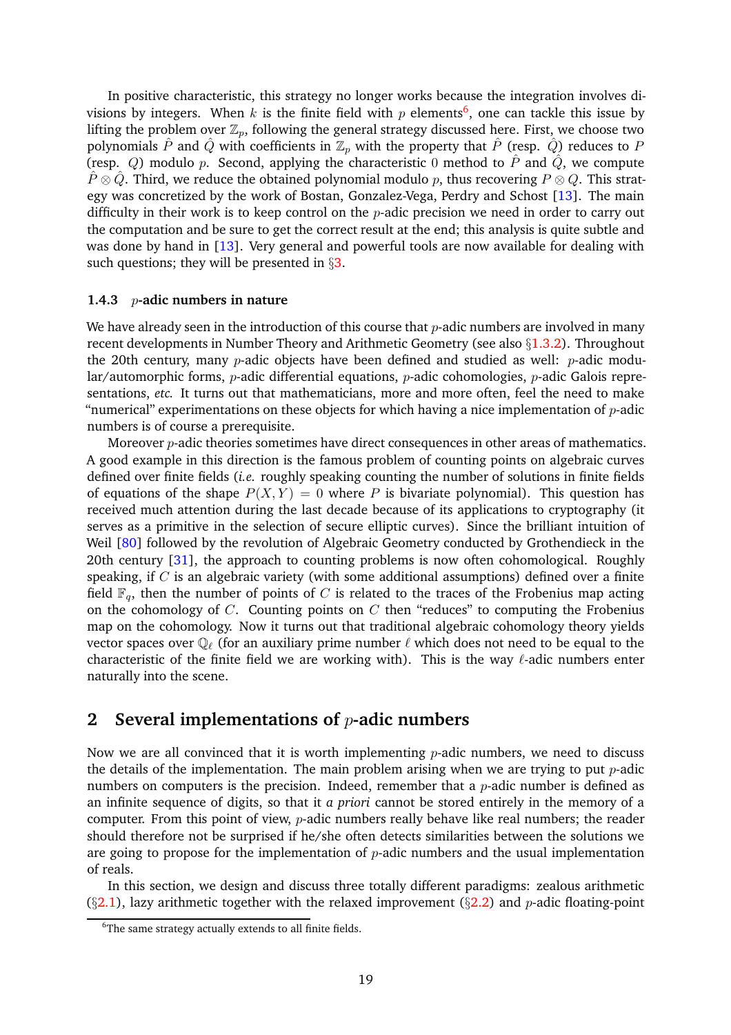In positive characteristic, this strategy no longer works because the integration involves divisions by integers. When  $k$  is the finite field with  $p$  elements<sup>[6](#page-18-2)</sup>, one can tackle this issue by lifting the problem over  $\mathbb{Z}_p$ , following the general strategy discussed here. First, we choose two polynomials  $\hat{P}$  and  $\hat{Q}$  with coefficients in  $\mathbb{Z}_p$  with the property that  $\hat{P}$  (resp.  $\hat{Q}$ ) reduces to  $P$ (resp. Q) modulo p. Second, applying the characteristic 0 method to  $\hat{P}$  and  $\hat{Q}$ , we compute  $P\otimes Q$ . Third, we reduce the obtained polynomial modulo p, thus recovering  $P\otimes Q$ . This strategy was concretized by the work of Bostan, Gonzalez-Vega, Perdry and Schost [\[13\]](#page-81-5). The main difficulty in their work is to keep control on the p-adic precision we need in order to carry out the computation and be sure to get the correct result at the end; this analysis is quite subtle and was done by hand in [\[13\]](#page-81-5). Very general and powerful tools are now available for dealing with such questions; they will be presented in  $\S 3$ .

#### <span id="page-18-1"></span>**1.4.3** p**-adic numbers in nature**

We have already seen in the introduction of this course that  $p$ -adic numbers are involved in many recent developments in Number Theory and Arithmetic Geometry (see also  $\S1.3.2$ ). Throughout the 20th century, many  $p$ -adic objects have been defined and studied as well:  $p$ -adic modular/automorphic forms, p-adic differential equations, p-adic cohomologies, p-adic Galois representations, *etc.* It turns out that mathematicians, more and more often, feel the need to make "numerical" experimentations on these objects for which having a nice implementation of  $p$ -adic numbers is of course a prerequisite.

Moreover  $p$ -adic theories sometimes have direct consequences in other areas of mathematics. A good example in this direction is the famous problem of counting points on algebraic curves defined over finite fields (*i.e.* roughly speaking counting the number of solutions in finite fields of equations of the shape  $P(X, Y) = 0$  where P is bivariate polynomial). This question has received much attention during the last decade because of its applications to cryptography (it serves as a primitive in the selection of secure elliptic curves). Since the brilliant intuition of Weil [\[80\]](#page-83-15) followed by the revolution of Algebraic Geometry conducted by Grothendieck in the 20th century [\[31\]](#page-82-15), the approach to counting problems is now often cohomological. Roughly speaking, if  $C$  is an algebraic variety (with some additional assumptions) defined over a finite field  $\mathbb{F}_q$ , then the number of points of C is related to the traces of the Frobenius map acting on the cohomology of  $C$ . Counting points on  $C$  then "reduces" to computing the Frobenius map on the cohomology. Now it turns out that traditional algebraic cohomology theory yields vector spaces over  $\mathbb{Q}_\ell$  (for an auxiliary prime number  $\ell$  which does not need to be equal to the characteristic of the finite field we are working with). This is the way  $\ell$ -adic numbers enter naturally into the scene.

# <span id="page-18-0"></span>**2 Several implementations of** p**-adic numbers**

Now we are all convinced that it is worth implementing  $p$ -adic numbers, we need to discuss the details of the implementation. The main problem arising when we are trying to put  $p$ -adic numbers on computers is the precision. Indeed, remember that a  $p$ -adic number is defined as an infinite sequence of digits, so that it *a priori* cannot be stored entirely in the memory of a computer. From this point of view,  $p$ -adic numbers really behave like real numbers; the reader should therefore not be surprised if he/she often detects similarities between the solutions we are going to propose for the implementation of  $p$ -adic numbers and the usual implementation of reals.

In this section, we design and discuss three totally different paradigms: zealous arithmetic (§[2.1\)](#page-19-0), lazy arithmetic together with the relaxed improvement (§[2.2\)](#page-22-0) and p-adic floating-point

<span id="page-18-2"></span> $6$ The same strategy actually extends to all finite fields.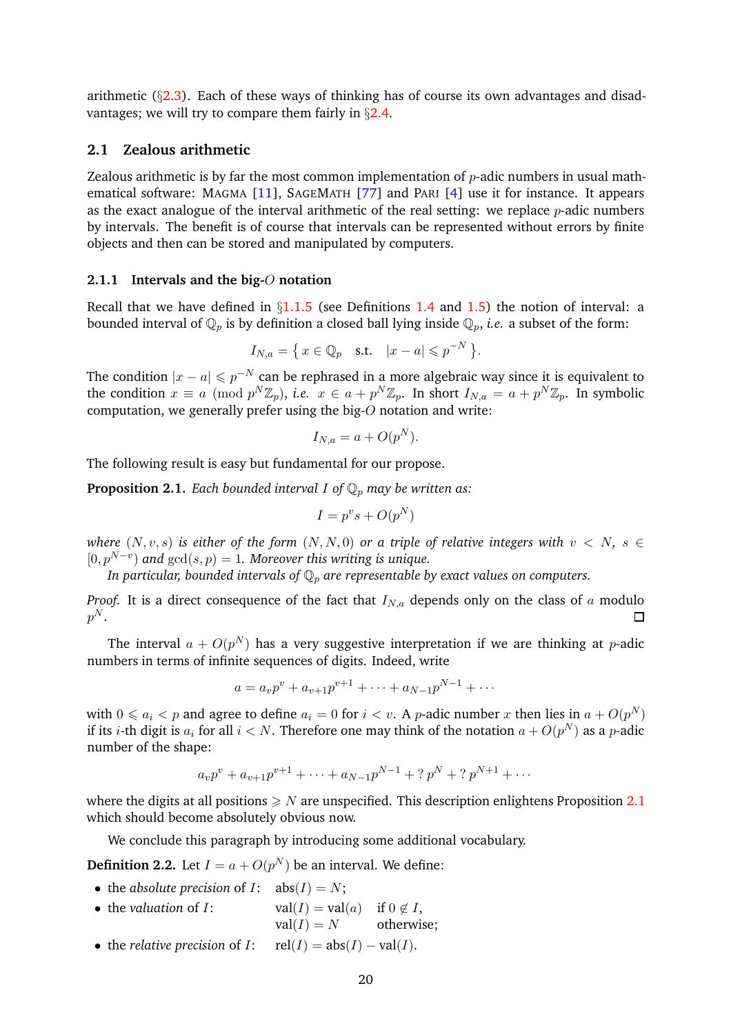arithmetic  $(\S2.3)$  $(\S2.3)$ . Each of these ways of thinking has of course its own advantages and disadvantages; we will try to compare them fairly in §[2.4.](#page-33-0)

### <span id="page-19-0"></span>**2.1 Zealous arithmetic**

Zealous arithmetic is by far the most common implementation of  $p$ -adic numbers in usual mathematical software: MAGMA [\[11\]](#page-81-12), SAGEMATH [\[77\]](#page-83-13) and PARI [\[4\]](#page-81-13) use it for instance. It appears as the exact analogue of the interval arithmetic of the real setting: we replace  $p$ -adic numbers by intervals. The benefit is of course that intervals can be represented without errors by finite objects and then can be stored and manipulated by computers.

#### **2.1.1 Intervals and the big-**O **notation**

Recall that we have defined in  $\S1.1.5$  $\S1.1.5$  (see Definitions [1.4](#page-7-2) and [1.5\)](#page-8-2) the notion of interval: a bounded interval of  $\mathbb{Q}_p$  is by definition a closed ball lying inside  $\mathbb{Q}_p$ , *i.e.* a subset of the form:

$$
I_{N,a} = \{ x \in \mathbb{Q}_p \quad \text{s.t.} \quad |x - a| \leqslant p^{-N} \}.
$$

The condition  $|x - a| \leqslant p^{-N}$  can be rephrased in a more algebraic way since it is equivalent to the condition  $x \equiv a \pmod{p^N \mathbb{Z}_p}$ , *i.e.*  $x \in a + p^N \mathbb{Z}_p$ . In short  $I_{N,a} = a + p^N \mathbb{Z}_p$ . In symbolic computation, we generally prefer using the big- $O$  notation and write:

$$
I_{N,a} = a + O(p^N).
$$

<span id="page-19-1"></span>The following result is easy but fundamental for our propose.

**Proposition 2.1.** *Each bounded interval I of*  $\mathbb{Q}_p$  *may be written as:* 

$$
I = p^v s + O(p^N)
$$

*where*  $(N, v, s)$  *is either of the form*  $(N, N, 0)$  *or a triple of relative integers with*  $v \lt N$ ,  $s \in$  $[0, p^{N-v})$  and  $gcd(s, p) = 1$ . Moreover this writing is unique.

*In particular, bounded intervals of*  $\mathbb{Q}_p$  *are representable by exact values on computers.* 

*Proof.* It is a direct consequence of the fact that  $I_{N,a}$  depends only on the class of a modulo  $p^N.$  $\Box$ 

The interval  $a+O(p^N)$  has a very suggestive interpretation if we are thinking at  $p\text{-}\mathrm{adic}$ numbers in terms of infinite sequences of digits. Indeed, write

$$
a = a_v p^v + a_{v+1} p^{v+1} + \dots + a_{N-1} p^{N-1} + \dots
$$

with  $0 \leqslant a_i < p$  and agree to define  $a_i = 0$  for  $i < v$ . A  $p$ -adic number  $x$  then lies in  $a + O(p^N)$ if its  $i$ -th digit is  $a_i$  for all  $i < N.$  Therefore one may think of the notation  $a + O(p^N)$  as a  $p\text{-}\mathrm{adic}$ number of the shape:

$$
a_v p^v + a_{v+1} p^{v+1} + \dots + a_{N-1} p^{N-1} + ? p^N + ? p^{N+1} + \dots
$$

where the digits at all positions  $\geq N$  are unspecified. This description enlightens Proposition [2.1](#page-19-1) which should become absolutely obvious now.

We conclude this paragraph by introducing some additional vocabulary.

**Definition 2.2.** Let  $I = a + O(p^N)$  be an interval. We define:

- the *absolute precision* of *I*:  $abs(I) = N$ ;<br>• the *valuation* of *I*:  $val(I) = val$
- $val(I) = val(a)$  if  $0 \notin I$ ,<br>val $(I) = N$  otherwise:
- $val(I) = N$
- the *relative precision* of  $I:$   $rel(I) = abs(I) val(I)$ .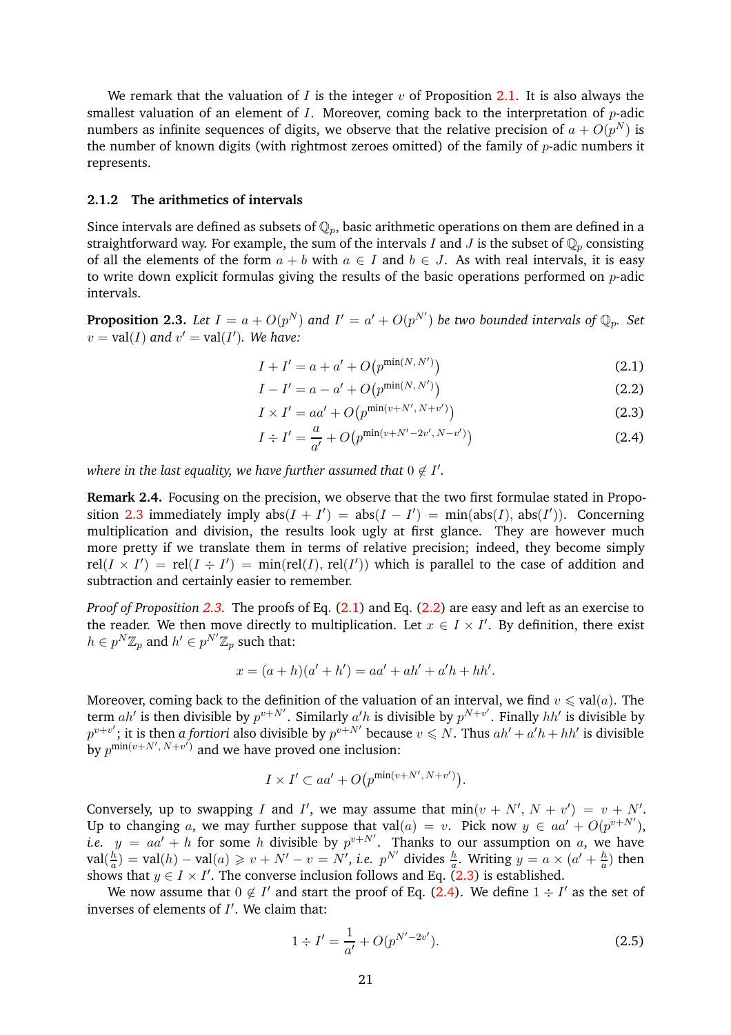We remark that the valuation of I is the integer  $v$  of Proposition [2.1.](#page-19-1) It is also always the smallest valuation of an element of I. Moreover, coming back to the interpretation of  $p$ -adic numbers as infinite sequences of digits, we observe that the relative precision of  $a+O(p^N)$  is the number of known digits (with rightmost zeroes omitted) of the family of  $p$ -adic numbers it represents.

#### **2.1.2 The arithmetics of intervals**

Since intervals are defined as subsets of  $\mathbb{Q}_p$ , basic arithmetic operations on them are defined in a straightforward way. For example, the sum of the intervals I and J is the subset of  $\mathbb{Q}_p$  consisting of all the elements of the form  $a + b$  with  $a \in I$  and  $b \in J$ . As with real intervals, it is easy to write down explicit formulas giving the results of the basic operations performed on  $p$ -adic intervals.

<span id="page-20-0"></span>**Proposition 2.3.** Let  $I = a + O(p^N)$  and  $I' = a' + O(p^{N'})$  be two bounded intervals of  $\mathbb{Q}_p$ . Set  $v = val(I)$  and  $v' = val(I')$ . We have:

<span id="page-20-1"></span>
$$
I + I' = a + a' + O(p^{\min(N, N')})
$$
\n(2.1)

<span id="page-20-3"></span><span id="page-20-2"></span>
$$
I - I' = a - a' + O(p^{\min(N, N')})
$$
\n(2.2)

$$
I \times I' = aa' + O(p^{\min(v + N', N + v')})
$$
\n(2.3)

<span id="page-20-4"></span>
$$
I \div I' = \frac{a}{a'} + O(p^{\min(v + N' - 2v', N - v')})
$$
\n(2.4)

where in the last equality, we have further assumed that  $0 \notin I'.$ 

**Remark 2.4.** Focusing on the precision, we observe that the two first formulae stated in Propo-sition [2.3](#page-20-0) immediately imply  $abs(I + I') = abs(I - I') = min(abs(I), abs(I'))$ . Concerning multiplication and division, the results look ugly at first glance. They are however much more pretty if we translate them in terms of relative precision; indeed, they become simply  $rel(I \times I') = rel(I \div I') = min(rel(I), rel(I'))$  which is parallel to the case of addition and subtraction and certainly easier to remember.

*Proof of Proposition [2.3.](#page-20-0)* The proofs of Eq. [\(2.1\)](#page-20-1) and Eq. [\(2.2\)](#page-20-2) are easy and left as an exercise to the reader. We then move directly to multiplication. Let  $x \in I \times I'$ . By definition, there exist  $h \in p^N \mathbb{Z}_p$  and  $h' \in p^{N'} \mathbb{Z}_p$  such that:

$$
x = (a + h)(a' + h') = aa' + ah' + a'h + hh'.
$$

Moreover, coming back to the definition of the valuation of an interval, we find  $v \leq \text{val}(a)$ . The term ah' is then divisible by  $p^{v+N'}$ . Similarly a'h is divisible by  $p^{N+v'}$ . Finally hh' is divisible by  $p^{v+v'}$ ; it is then *a fortiori* also divisible by  $p^{v+N'}$  because  $v \le N$ . Thus  $ah' + a'h + hh'$  is divisible by  $p^{\min(v+N',N+v')}$  and we have proved one inclusion:

$$
I \times I' \subset aa' + O(p^{\min(v+N',N+v')}).
$$

Conversely, up to swapping I and I', we may assume that  $min(v + N', N + v') = v + N'$ . Up to changing a, we may further suppose that  $val(a) = v$ . Pick now  $y \in aa' + O(p^{v+N'})$ , *i.e.*  $y = aa' + h$  for some h divisible by  $p^{v+N'}$ . Thanks to our assumption on a, we have val $(\frac{h}{a})$  $\frac{h}{a}$ ) = val(h) – val(a)  $\geq v + N' - v = N'$ , *i.e.*  $p^{N'}$  divides  $\frac{h}{a}$ . Writing  $y = a \times (a' + \frac{h}{a})$  $\frac{h}{a}$ ) then shows that  $y \in I \times I'$ . The converse inclusion follows and Eq. [\(2.3\)](#page-20-3) is established.

We now assume that  $0 \notin I'$  and start the proof of Eq. [\(2.4\)](#page-20-4). We define  $1 \div I'$  as the set of inverses of elements of  $I'$ . We claim that:

<span id="page-20-5"></span>
$$
1 \div I' = \frac{1}{a'} + O(p^{N'-2v'}).
$$
 (2.5)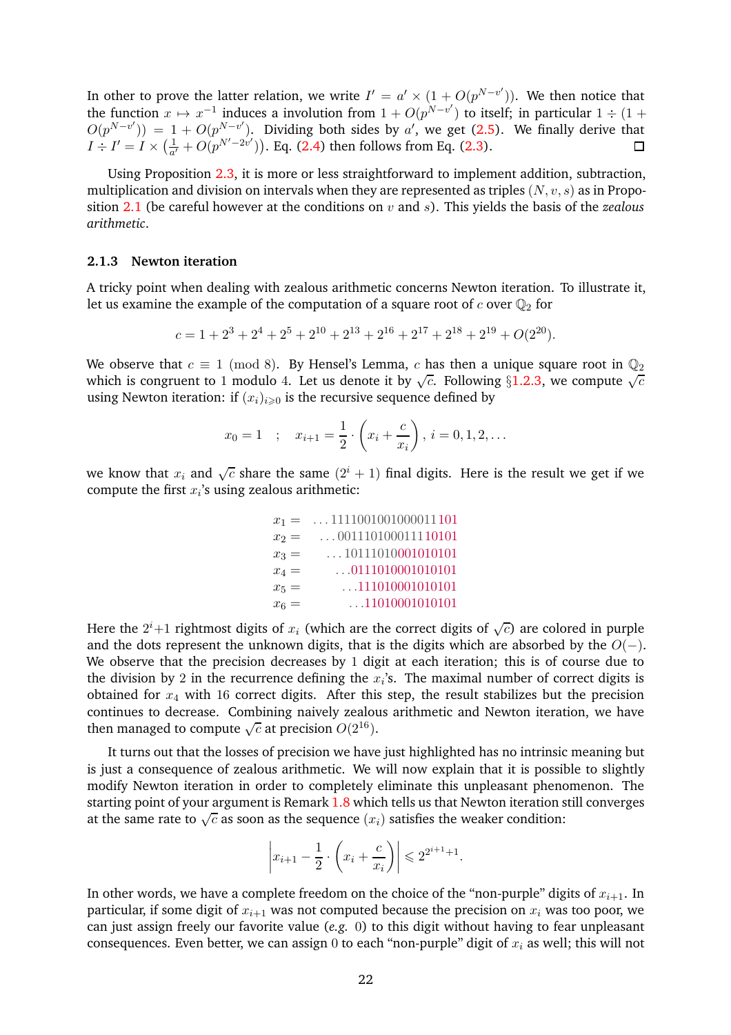In other to prove the latter relation, we write  $I' = a' \times (1 + O(p^{N-v'}))$ . We then notice that the function  $x \mapsto x^{-1}$  induces a involution from  $1 + O(p^{N-v'})$  to itself; in particular  $1 \div (1 +$  $O(p^{N-v'})) = 1 + O(p^{N-v'})$ . Dividing both sides by a', we get [\(2.5\)](#page-20-5). We finally derive that  $I \div I' = I \times (\frac{1}{a'} + O(p^{N'-2v'}))$ . Eq. [\(2.4\)](#page-20-4) then follows from Eq. [\(2.3\)](#page-20-3).

Using Proposition [2.3,](#page-20-0) it is more or less straightforward to implement addition, subtraction, multiplication and division on intervals when they are represented as triples  $(N, v, s)$  as in Proposition [2.1](#page-19-1) (be careful however at the conditions on v and s). This yields the basis of the *zealous arithmetic*.

#### <span id="page-21-0"></span>**2.1.3 Newton iteration**

A tricky point when dealing with zealous arithmetic concerns Newton iteration. To illustrate it, let us examine the example of the computation of a square root of  $c$  over  $\mathbb{Q}_2$  for

$$
c = 1 + 23 + 24 + 25 + 210 + 213 + 216 + 217 + 218 + 219 + O(220).
$$

We observe that  $c \equiv 1 \pmod{8}$ . By Hensel's Lemma, c has then a unique square root in  $\mathbb{Q}_2$ which is congruent to 1 modulo 4. Let us denote it by  $\sqrt{c}$ . Following §[1.2.3,](#page-11-0) we compute  $\sqrt{c}$ using Newton iteration: if  $(x_i)_{i\geq 0}$  is the recursive sequence defined by

$$
x_0 = 1
$$
 ;  $x_{i+1} = \frac{1}{2} \cdot \left( x_i + \frac{c}{x_i} \right), i = 0, 1, 2, ...$ 

we know that  $x_i$  and  $\sqrt{c}$  share the same  $(2^i + 1)$  final digits. Here is the result we get if we compute the first  $x_i$ 's using zealous arithmetic:

| $\ldots$ 1111001001000011101 |
|------------------------------|
| $\ldots 001110100011110101$  |
| $\ldots$ 10111010001010101   |
| $\ldots$ 0111010001010101    |
| $\dots$ 111010001010101      |
| $\dots$ 11010001010101       |
|                              |

Here the  $2^i+1$  rightmost digits of  $x_i$  (which are the correct digits of  $\sqrt{c}$ ) are colored in purple and the dots represent the unknown digits, that is the digits which are absorbed by the  $O(-)$ . We observe that the precision decreases by 1 digit at each iteration; this is of course due to the division by 2 in the recurrence defining the  $x_i$ 's. The maximal number of correct digits is obtained for  $x_4$  with 16 correct digits. After this step, the result stabilizes but the precision continues to decrease. Combining naively zealous arithmetic and Newton iteration, we have then managed to compute  $\sqrt{c}$  at precision  $O(2^{16})$ .

It turns out that the losses of precision we have just highlighted has no intrinsic meaning but is just a consequence of zealous arithmetic. We will now explain that it is possible to slightly modify Newton iteration in order to completely eliminate this unpleasant phenomenon. The starting point of your argument is Remark [1.8](#page-10-3) which tells us that Newton iteration still converges at the same rate to  $\sqrt{c}$  as soon as the sequence  $(x_i)$  satisfies the weaker condition:

$$
\left| x_{i+1} - \frac{1}{2} \cdot \left( x_i + \frac{c}{x_i} \right) \right| \leq 2^{2^{i+1}+1}.
$$

In other words, we have a complete freedom on the choice of the "non-purple" digits of  $x_{i+1}$ . In particular, if some digit of  $x_{i+1}$  was not computed because the precision on  $x_i$  was too poor, we can just assign freely our favorite value (*e.g.* 0) to this digit without having to fear unpleasant consequences. Even better, we can assign 0 to each "non-purple" digit of  $x_i$  as well; this will not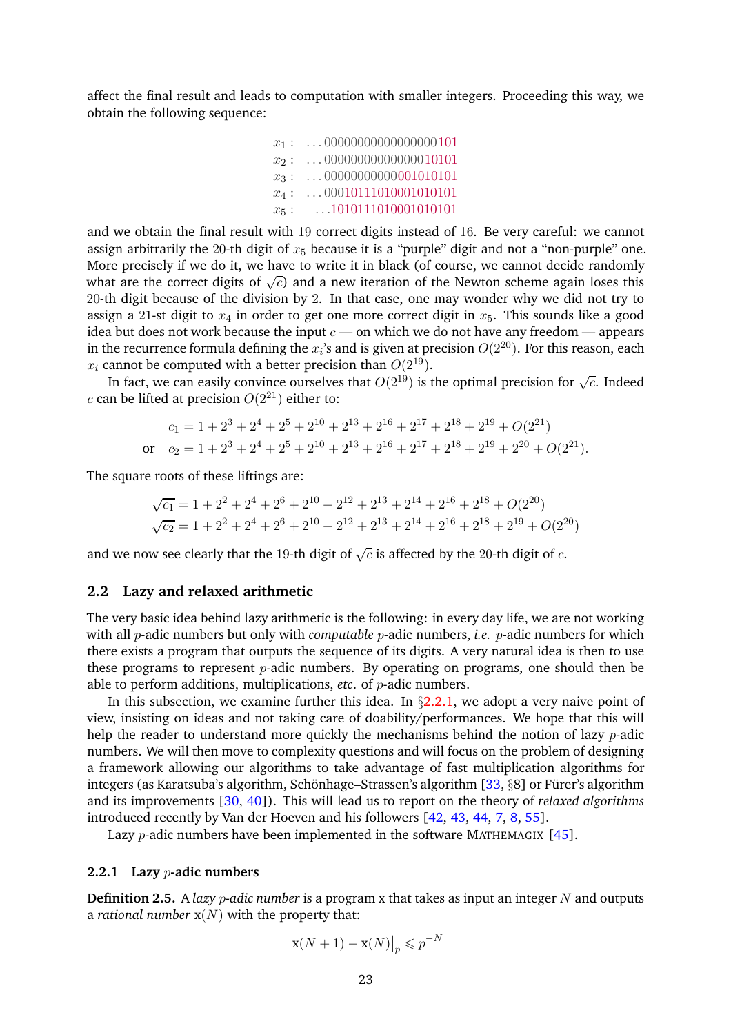affect the final result and leads to computation with smaller integers. Proceeding this way, we obtain the following sequence:

| $x_1$ : | $\ldots 00000000000000000101$  |
|---------|--------------------------------|
| $x_2$ : | $\ldots 00000000000000010101$  |
| $x_3$ : | $\ldots 000000000000001010101$ |
| $x_4$ : | $\ldots 00010111010001010101$  |
| $x_5$ : | $\dots$ 1010111010001010101    |

and we obtain the final result with 19 correct digits instead of 16. Be very careful: we cannot assign arbitrarily the 20-th digit of  $x_5$  because it is a "purple" digit and not a "non-purple" one. More precisely if we do it, we have to write it in black (of course, we cannot decide randomly what are the correct digits of  $\sqrt{c}$ ) and a new iteration of the Newton scheme again loses this 20-th digit because of the division by 2. In that case, one may wonder why we did not try to assign a 21-st digit to  $x_4$  in order to get one more correct digit in  $x_5$ . This sounds like a good idea but does not work because the input  $c$  — on which we do not have any freedom — appears in the recurrence formula defining the  $x_i$ 's and is given at precision  $O(2^{20}).$  For this reason, each  $x_i$  cannot be computed with a better precision than  $O(2^{19})$ .

In fact, we can easily convince ourselves that  $O(2^{19})$  is the optimal precision for  $\sqrt{c}$ . Indeed c can be lifted at precision  $O(2^{21})$  either to:

$$
c_1 = 1 + 2^3 + 2^4 + 2^5 + 2^{10} + 2^{13} + 2^{16} + 2^{17} + 2^{18} + 2^{19} + O(2^{21})
$$
  
or 
$$
c_2 = 1 + 2^3 + 2^4 + 2^5 + 2^{10} + 2^{13} + 2^{16} + 2^{17} + 2^{18} + 2^{19} + 2^{20} + O(2^{21}).
$$

The square roots of these liftings are:

$$
\begin{aligned} \sqrt{c_1} & = 1 + 2^2 + 2^4 + 2^6 + 2^{10} + 2^{12} + 2^{13} + 2^{14} + 2^{16} + 2^{18} + O(2^{20}) \\ \sqrt{c_2} & = 1 + 2^2 + 2^4 + 2^6 + 2^{10} + 2^{12} + 2^{13} + 2^{14} + 2^{16} + 2^{18} + 2^{19} + O(2^{20}) \end{aligned}
$$

and we now see clearly that the 19-th digit of  $\sqrt{c}$  is affected by the 20-th digit of  $c.$ 

# <span id="page-22-0"></span>**2.2 Lazy and relaxed arithmetic**

The very basic idea behind lazy arithmetic is the following: in every day life, we are not working with all *p*-adic numbers but only with *computable p*-adic numbers, *i.e. p*-adic numbers for which there exists a program that outputs the sequence of its digits. A very natural idea is then to use these programs to represent  $p$ -adic numbers. By operating on programs, one should then be able to perform additions, multiplications, *etc*. of p-adic numbers.

In this subsection, we examine further this idea. In  $\S 2.2.1$ , we adopt a very naive point of view, insisting on ideas and not taking care of doability/performances. We hope that this will help the reader to understand more quickly the mechanisms behind the notion of lazy  $p$ -adic numbers. We will then move to complexity questions and will focus on the problem of designing a framework allowing our algorithms to take advantage of fast multiplication algorithms for integers (as Karatsuba's algorithm, Schönhage–Strassen's algorithm  $[33, §8]$  $[33, §8]$  or Fürer's algorithm and its improvements [\[30,](#page-81-14) [40\]](#page-82-17)). This will lead us to report on the theory of *relaxed algorithms* introduced recently by Van der Hoeven and his followers [\[42,](#page-82-18) [43,](#page-82-19) [44,](#page-82-20) [7,](#page-81-15) [8,](#page-81-16) [55\]](#page-82-21).

Lazy  $p$ -adic numbers have been implemented in the software MATHEMAGIX [\[45\]](#page-82-22).

#### <span id="page-22-1"></span>**2.2.1 Lazy** p**-adic numbers**

**Definition 2.5.** A *lazy* p*-adic number* is a program x that takes as input an integer N and outputs a *rational number*  $x(N)$  with the property that:

$$
\left|\mathbf{x}(N+1)-\mathbf{x}(N)\right|_p \leqslant p^{-N}
$$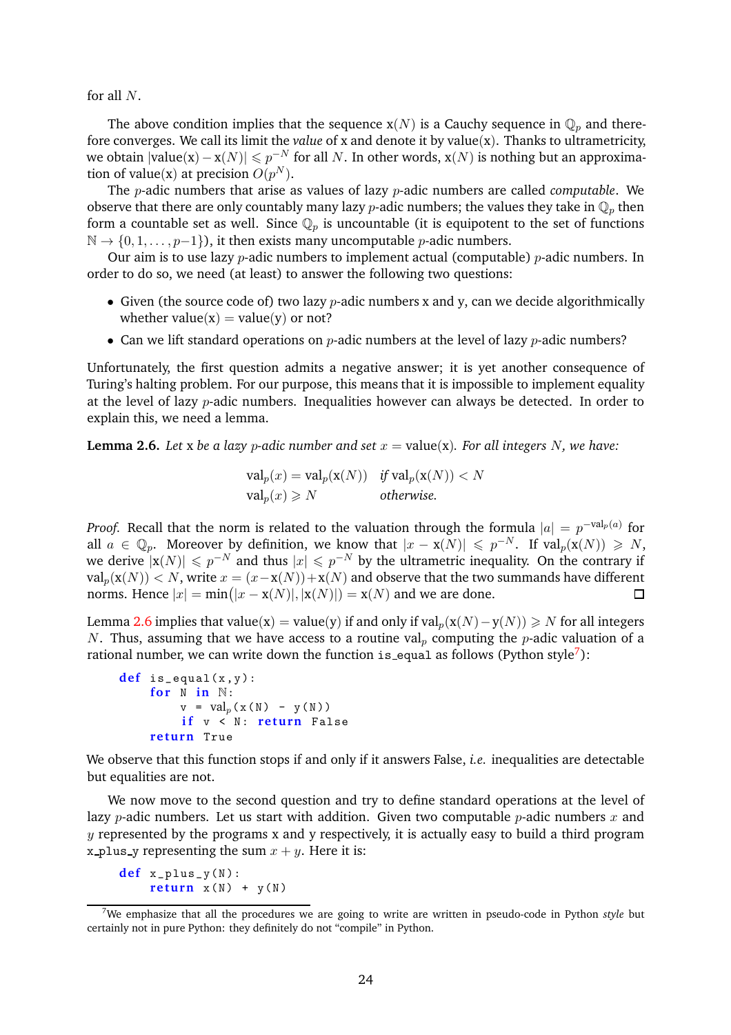for all N.

The above condition implies that the sequence  $x(N)$  is a Cauchy sequence in  $\mathbb{Q}_p$  and therefore converges. We call its limit the *value* of x and denote it by value(x). Thanks to ultrametricity, we obtain  $|value(x) - x(N)| \leq p^{-N}$  for all N. In other words,  $x(N)$  is nothing but an approximation of value(x) at precision  $O(p^N)$ .

The p-adic numbers that arise as values of lazy p-adic numbers are called *computable*. We observe that there are only countably many lazy  $p$ -adic numbers; the values they take in  $\mathbb{Q}_p$  then form a countable set as well. Since  $\mathbb{Q}_p$  is uncountable (it is equipotent to the set of functions  $\mathbb{N} \to \{0, 1, \ldots, p-1\}$ , it then exists many uncomputable *p*-adic numbers.

Our aim is to use lazy  $p$ -adic numbers to implement actual (computable)  $p$ -adic numbers. In order to do so, we need (at least) to answer the following two questions:

- Given (the source code of) two lazy  $p$ -adic numbers x and y, can we decide algorithmically whether value(x) = value(y) or not?
- Can we lift standard operations on  $p$ -adic numbers at the level of lazy  $p$ -adic numbers?

Unfortunately, the first question admits a negative answer; it is yet another consequence of Turing's halting problem. For our purpose, this means that it is impossible to implement equality at the level of lazy  $p$ -adic numbers. Inequalities however can always be detected. In order to explain this, we need a lemma.

<span id="page-23-0"></span>**Lemma 2.6.** Let x be a lazy *p*-adic number and set  $x =$  value(x). For all integers N, we have:

$$
\text{val}_p(x) = \text{val}_p(\textbf{x}(N)) \quad \text{if } \text{val}_p(\textbf{x}(N)) < N
$$
\n
$$
\text{val}_p(x) \ge N \qquad \text{otherwise.}
$$

*Proof.* Recall that the norm is related to the valuation through the formula  $|a| = p^{-val_p(a)}$  for all  $a \in \mathbb{Q}_p$ . Moreover by definition, we know that  $|x - \mathbf{x}(N)| \leqslant p^{-N}$ . If  $\text{val}_p(\mathbf{x}(N)) \geqslant N$ , we derive  $|x(N)| \leq p^{-N}$  and thus  $|x| \leq p^{-N}$  by the ultrametric inequality. On the contrary if val<sub>p</sub>(x(N)) < N, write  $x = (x - x(N)) + x(N)$  and observe that the two summands have different norms. Hence  $|x| = \min(|x - x(N)| |x(N)|) = x(N)$  and we are done norms. Hence  $|x| = \min(|x - \mathbf{x}(N)|, |\mathbf{x}(N)|) = \mathbf{x}(N)$  and we are done.

Lemma [2.6](#page-23-0) implies that value(x) = value(y) if and only if val<sub>p</sub>(x(N)−y(N))  $\geq N$  for all integers N. Thus, assuming that we have access to a routine val<sub>p</sub> computing the p-adic valuation of a rational number, we can write down the function <code>is\_equal</code> as follows (Python style $^7$  $^7$ ):

```
def is_equal(x,y):
    for N in N:
        v = val_n(x(N) - y(N))if v < N: return False
    return True
```
We observe that this function stops if and only if it answers False, *i.e.* inequalities are detectable but equalities are not.

We now move to the second question and try to define standard operations at the level of lazy *p*-adic numbers. Let us start with addition. Given two computable *p*-adic numbers x and  $y$  represented by the programs x and y respectively, it is actually easy to build a third program x\_plus\_y representing the sum  $x + y$ . Here it is:

```
def x_plus_y(N):return x(N) + y(N)
```
<span id="page-23-1"></span><sup>7</sup>We emphasize that all the procedures we are going to write are written in pseudo-code in Python *style* but certainly not in pure Python: they definitely do not "compile" in Python.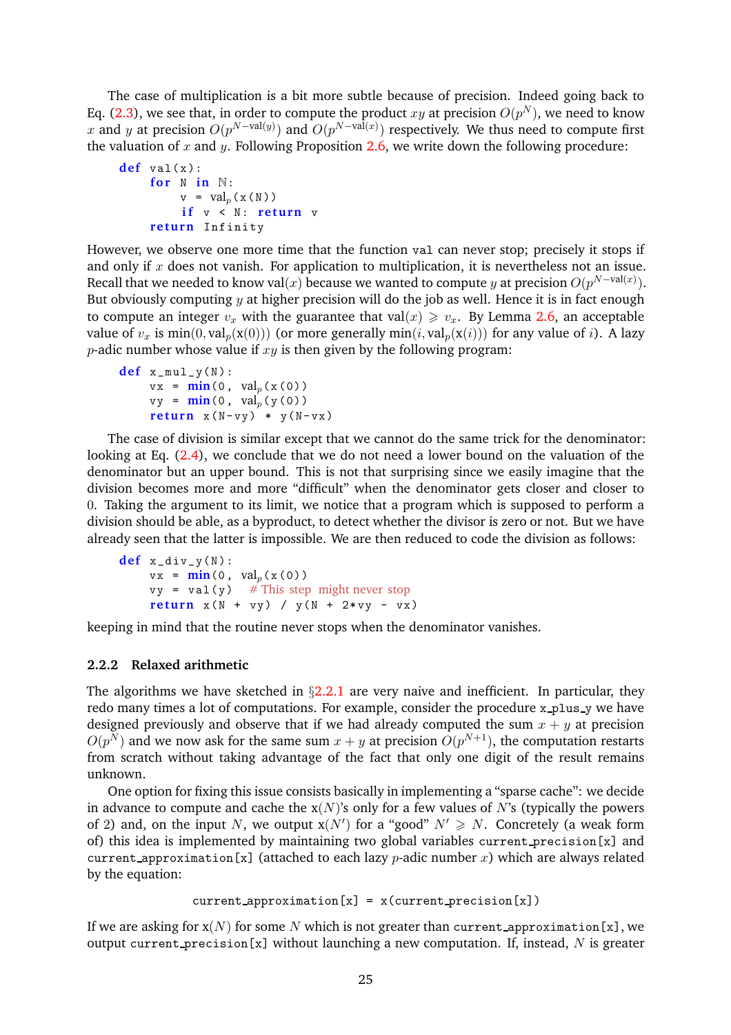The case of multiplication is a bit more subtle because of precision. Indeed going back to Eq. [\(2.3\)](#page-20-3), we see that, in order to compute the product  $xy$  at precision  $O(p^N)$ , we need to know  $x$  and  $y$  at precision  $O(p^{N-{\rm val}(y)})$  and  $O(p^{N-{\rm val}(x)})$  respectively. We thus need to compute first the valuation of  $x$  and  $y$ . Following Proposition [2.6,](#page-23-0) we write down the following procedure:

```
def val(x):
    for N in N:
        v = val_p(x(N))if v < N: return v
    return Infinity
```
However, we observe one more time that the function val can never stop; precisely it stops if and only if  $x$  does not vanish. For application to multiplication, it is nevertheless not an issue. Recall that we needed to know val $(x)$  because we wanted to compute  $y$  at precision  $O(p^{N-{\rm val}(x)}).$ But obviously computing  $y$  at higher precision will do the job as well. Hence it is in fact enough to compute an integer  $v_x$  with the guarantee that val $(x) \ge v_x$ . By Lemma [2.6,](#page-23-0) an acceptable value of  $v_x$  is min(0, val<sub>p</sub>(x(0))) (or more generally min(*i*, val<sub>p</sub>(x(*i*))) for any value of *i*). A lazy *p*-adic number whose value if  $xy$  is then given by the following program:

```
def x_mull_v(N):
    vx = min(0, val_p(x(0)))vy = min(0, val<sub>p</sub>(y(0))return x(N-vy) * y(N-vx)
```
The case of division is similar except that we cannot do the same trick for the denominator: looking at Eq. [\(2.4\)](#page-20-4), we conclude that we do not need a lower bound on the valuation of the denominator but an upper bound. This is not that surprising since we easily imagine that the division becomes more and more "difficult" when the denominator gets closer and closer to 0. Taking the argument to its limit, we notice that a program which is supposed to perform a division should be able, as a byproduct, to detect whether the divisor is zero or not. But we have already seen that the latter is impossible. We are then reduced to code the division as follows:

```
def x_div_y(N):
    vx = min(0, val<sub>p</sub>(x(0))vy = val(y) # This step might never stop
    return x(N + vy) / y(N + 2*vy - vx)
```
keeping in mind that the routine never stops when the denominator vanishes.

# **2.2.2 Relaxed arithmetic**

The algorithms we have sketched in  $\S2.2.1$  $\S2.2.1$  are very naive and inefficient. In particular, they redo many times a lot of computations. For example, consider the procedure x\_plus\_y we have designed previously and observe that if we had already computed the sum  $x + y$  at precision  $O(p^{N})$  and we now ask for the same sum  $x + y$  at precision  $O(p^{N+1})$ , the computation restarts from scratch without taking advantage of the fact that only one digit of the result remains unknown.

One option for fixing this issue consists basically in implementing a "sparse cache": we decide in advance to compute and cache the  $x(N)$ 's only for a few values of N's (typically the powers of 2) and, on the input N, we output  $X(N')$  for a "good"  $N' \geq N$ . Concretely (a weak form of) this idea is implemented by maintaining two global variables current precision[x] and current approximation [x] (attached to each lazy  $p$ -adic number x) which are always related by the equation:

```
current approximation[x] = x(current precision[x])
```
If we are asking for  $x(N)$  for some N which is not greater than current approximation [x], we output current precision [x] without launching a new computation. If, instead,  $N$  is greater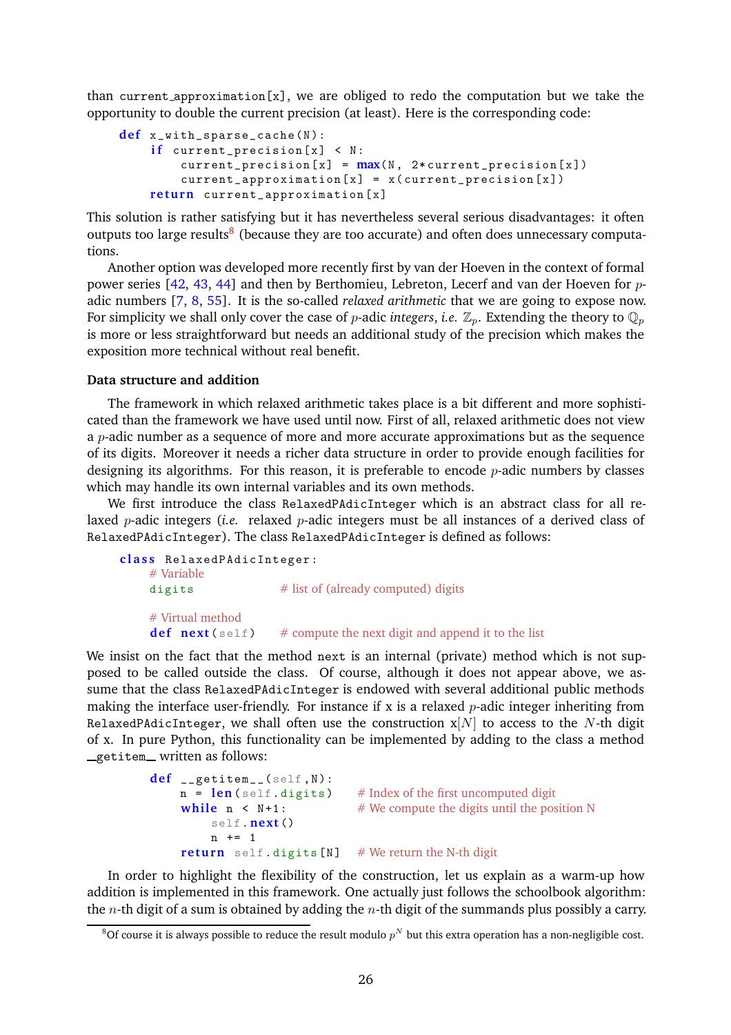than current approximation[x], we are obliged to redo the computation but we take the opportunity to double the current precision (at least). Here is the corresponding code:

```
def x_with_sparse_cache(N):
   if current_precision[x] < N:
        current_precision [x] = max(N, 2*current\_precision[x])current\_approximation[x] = x(current\_precision[x])return current_approximation [x]
```
This solution is rather satisfying but it has nevertheless several serious disadvantages: it often outputs too large results<sup>[8](#page-25-0)</sup> (because they are too accurate) and often does unnecessary computations.

Another option was developed more recently first by van der Hoeven in the context of formal power series [\[42,](#page-82-18) [43,](#page-82-19) [44\]](#page-82-20) and then by Berthomieu, Lebreton, Lecerf and van der Hoeven for padic numbers [\[7,](#page-81-15) [8,](#page-81-16) [55\]](#page-82-21). It is the so-called *relaxed arithmetic* that we are going to expose now. For simplicity we shall only cover the case of *p*-adic *integers*, *i.e.*  $\mathbb{Z}_p$ . Extending the theory to  $\mathbb{Q}_p$ is more or less straightforward but needs an additional study of the precision which makes the exposition more technical without real benefit.

#### **Data structure and addition**

The framework in which relaxed arithmetic takes place is a bit different and more sophisticated than the framework we have used until now. First of all, relaxed arithmetic does not view a  $p$ -adic number as a sequence of more and more accurate approximations but as the sequence of its digits. Moreover it needs a richer data structure in order to provide enough facilities for designing its algorithms. For this reason, it is preferable to encode  $p$ -adic numbers by classes which may handle its own internal variables and its own methods.

We first introduce the class RelaxedPAdicInteger which is an abstract class for all relaxed p-adic integers (*i.e.* relaxed p-adic integers must be all instances of a derived class of RelaxedPAdicInteger). The class RelaxedPAdicInteger is defined as follows:

```
c l a s s RelaxedPAdicInteger :
    # Variable
    digits # list of (already computed) digits
    # Virtual method
    def next (self) # compute the next digit and append it to the list
```
We insist on the fact that the method next is an internal (private) method which is not supposed to be called outside the class. Of course, although it does not appear above, we assume that the class RelaxedPAdicInteger is endowed with several additional public methods making the interface user-friendly. For instance if x is a relaxed  $p$ -adic integer inheriting from RelaxedPAdicInteger, we shall often use the construction  $x[N]$  to access to the N-th digit of x. In pure Python, this functionality can be implemented by adding to the class a method \_getitem\_written as follows:

```
def __getitem__(self, N):
    n = len(self.digtits) # Index of the first uncomputed digit
    while n \leq N+1: \# We compute the digits until the position N
         self.next()
         n + = 1return self.digits [N] # We return the N-th digit
```
In order to highlight the flexibility of the construction, let us explain as a warm-up how addition is implemented in this framework. One actually just follows the schoolbook algorithm: the *n*-th digit of a sum is obtained by adding the *n*-th digit of the summands plus possibly a carry.

<span id="page-25-0"></span> ${}^8$ Of course it is always possible to reduce the result modulo  $p^N$  but this extra operation has a non-negligible cost.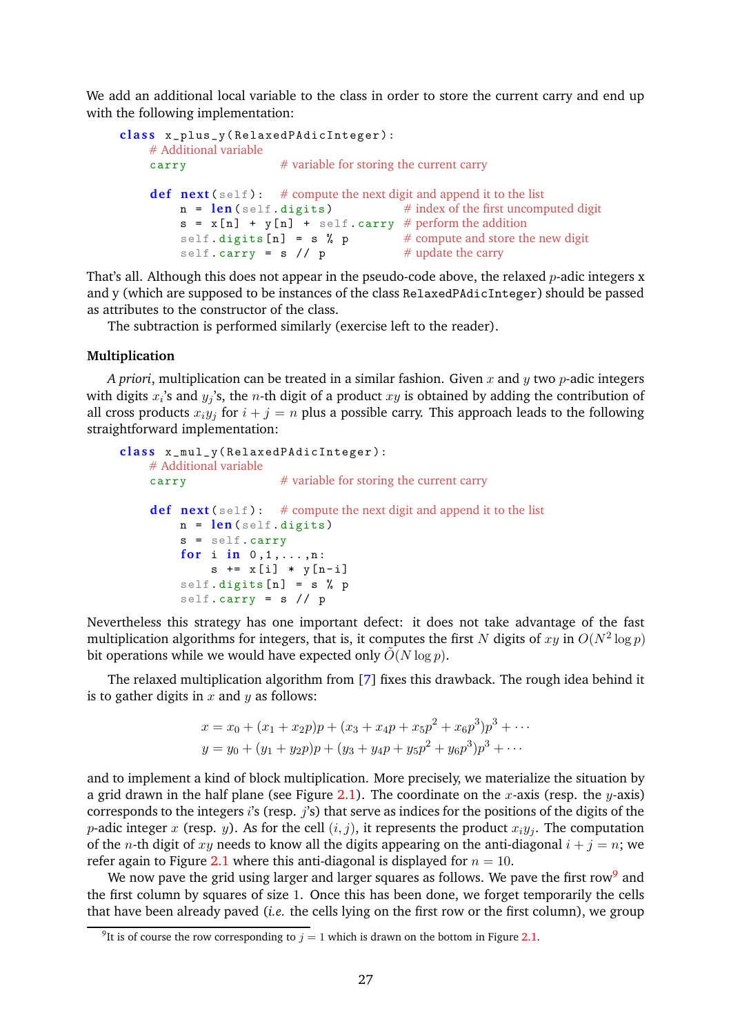We add an additional local variable to the class in order to store the current carry and end up with the following implementation:

```
c l a s s x_plus_y( RelaxedPAdicInteger ):
    # Additional variable
    c\texttt{array} # variable for storing the current carry
     def next (self): # compute the next digit and append it to the list
          n = len(selt.digits) # index of the first uncomputed digit
          s = x[n] + y[n] + self.carry # perform the addition<br>self.digits[n] = s % p # compute and store the new digitself. digits [n] = s % p
          self. carry = s // p # update the carry
```
That's all. Although this does not appear in the pseudo-code above, the relaxed  $p$ -adic integers x and y (which are supposed to be instances of the class RelaxedPAdicInteger) should be passed as attributes to the constructor of the class.

The subtraction is performed similarly (exercise left to the reader).

#### **Multiplication**

*A priori*, multiplication can be treated in a similar fashion. Given x and  $\gamma$  two  $p$ -adic integers with digits  $x_i$ 's and  $y_j$ 's, the n-th digit of a product  $xy$  is obtained by adding the contribution of all cross products  $x_i y_j$  for  $i + j = n$  plus a possible carry. This approach leads to the following straightforward implementation:

```
class x mul v(RelaxedPAdicInteger):
    # Additional variable
    c\text{array} # variable for storing the current carry
    def next (self): # compute the next digit and append it to the list
        n = len(self.digits)s = self. carry
         for i in 0, 1, \ldots, n:
             s += x[i] * y[n-i]self.digits[n] = s % p
         self. carry = s // p
```
Nevertheless this strategy has one important defect: it does not take advantage of the fast multiplication algorithms for integers, that is, it computes the first  $N$  digits of  $xy$  in  $O(N^2\log p)$ bit operations while we would have expected only  $\tilde{O}(N \log p)$ .

The relaxed multiplication algorithm from [\[7\]](#page-81-15) fixes this drawback. The rough idea behind it is to gather digits in  $x$  and  $y$  as follows:

$$
x = x_0 + (x_1 + x_2p)p + (x_3 + x_4p + x_5p^2 + x_6p^3)p^3 + \cdots
$$
  

$$
y = y_0 + (y_1 + y_2p)p + (y_3 + y_4p + y_5p^2 + y_6p^3)p^3 + \cdots
$$

and to implement a kind of block multiplication. More precisely, we materialize the situation by a grid drawn in the half plane (see Figure [2.1\)](#page-27-0). The coordinate on the x-axis (resp. the y-axis) corresponds to the integers i's (resp. j's) that serve as indices for the positions of the digits of the *p*-adic integer x (resp. y). As for the cell  $(i, j)$ , it represents the product  $x_i y_j$ . The computation of the *n*-th digit of xy needs to know all the digits appearing on the anti-diagonal  $i + j = n$ ; we refer again to Figure [2.1](#page-27-0) where this anti-diagonal is displayed for  $n = 10$ .

We now pave the grid using larger and larger squares as follows. We pave the first row<sup>[9](#page-26-0)</sup> and the first column by squares of size 1. Once this has been done, we forget temporarily the cells that have been already paved (*i.e.* the cells lying on the first row or the first column), we group

<span id="page-26-0"></span><sup>&</sup>lt;sup>9</sup>It is of course the row corresponding to  $j = 1$  which is drawn on the bottom in Figure [2.1.](#page-27-0)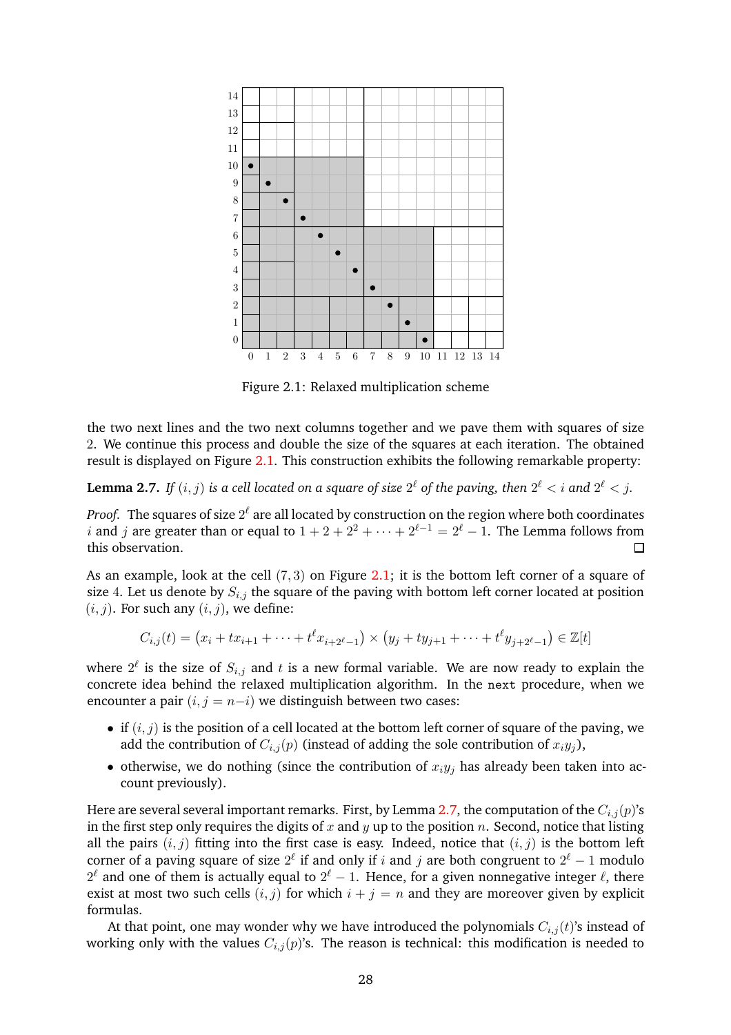

<span id="page-27-0"></span>Figure 2.1: Relaxed multiplication scheme

the two next lines and the two next columns together and we pave them with squares of size 2. We continue this process and double the size of the squares at each iteration. The obtained result is displayed on Figure [2.1.](#page-27-0) This construction exhibits the following remarkable property:

<span id="page-27-1"></span>**Lemma 2.7.** If  $(i, j)$  is a cell located on a square of size  $2^{\ell}$  of the paving, then  $2^{\ell} < i$  and  $2^{\ell} < j$ .

*Proof.* The squares of size  $2^{\ell}$  are all located by construction on the region where both coordinates *i* and *j* are greater than or equal to  $1 + 2 + 2^2 + \cdots + 2^{\ell-1} = 2^{\ell} - 1$ . The Lemma follows from this observation. this observation.

As an example, look at the cell  $(7, 3)$  on Figure [2.1;](#page-27-0) it is the bottom left corner of a square of size 4. Let us denote by  $S_{i,j}$  the square of the paving with bottom left corner located at position  $(i, j)$ . For such any  $(i, j)$ , we define:

$$
C_{i,j}(t) = (x_i + tx_{i+1} + \dots + t^{\ell}x_{i+2^{\ell}-1}) \times (y_j + ty_{j+1} + \dots + t^{\ell}y_{j+2^{\ell}-1}) \in \mathbb{Z}[t]
$$

where  $2^{\ell}$  is the size of  $S_{i,j}$  and  $t$  is a new formal variable. We are now ready to explain the concrete idea behind the relaxed multiplication algorithm. In the next procedure, when we encounter a pair  $(i, j = n-i)$  we distinguish between two cases:

- if  $(i, j)$  is the position of a cell located at the bottom left corner of square of the paving, we add the contribution of  $C_{i,j}(p)$  (instead of adding the sole contribution of  $x_i y_j$ ),
- otherwise, we do nothing (since the contribution of  $x_i y_j$  has already been taken into account previously).

Here are several several important remarks. First, by Lemma [2.7,](#page-27-1) the computation of the  $C_{i,j}(p)$ 's in the first step only requires the digits of  $x$  and  $y$  up to the position  $n$ . Second, notice that listing all the pairs  $(i, j)$  fitting into the first case is easy. Indeed, notice that  $(i, j)$  is the bottom left corner of a paving square of size  $2^{\ell}$  if and only if i and j are both congruent to  $2^{\ell} - 1$  modulo  $2^{\ell}$  and one of them is actually equal to  $2^{\ell} - 1$ . Hence, for a given nonnegative integer  $\ell$ , there exist at most two such cells  $(i, j)$  for which  $i + j = n$  and they are moreover given by explicit formulas.

At that point, one may wonder why we have introduced the polynomials  $C_{i,j}(t)$ 's instead of working only with the values  $C_{i,j}(p)$ 's. The reason is technical: this modification is needed to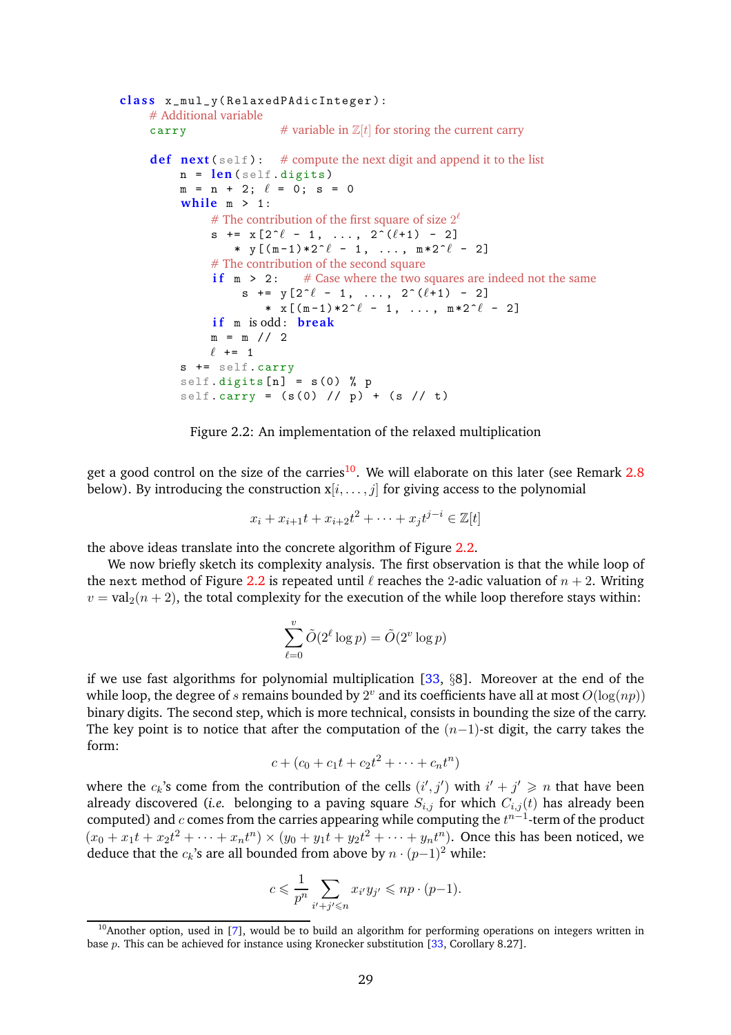```
class x_mu1_y(RelaxedPAdicInteger):
     # Additional variable
     carry \# variable in \mathbb{Z}[t] for storing the current carry
     def next (self): # compute the next digit and append it to the list
          n = len(self.digits)m = n + 2; \ell = 0; s = 0while m > 1:
                # The contribution of the first square of size 2^{\ell}s += x [2^{\hat{ }} \ell - 1, \ldots, 2^{\hat{ }} (\ell +1) - 2]* y [(m-1)*2^{\hat{i}} - 1, ..., m*2^{\hat{i}} - 2]# The contribution of the second square
                if m > 2: # Case where the two squares are indeed not the same
                      s += y [2^{\circ}\ell - 1, \ldots, 2^{\circ}(\ell + 1) - 2]* x \lfloor (m-1) * 2^{\hat{ }} \ell - 1, \ldots, m * 2^{\hat{ }} \ell - 2]i f m is odd: break
                m = m // 2
                l + = 1s += self. carry
           self.digits [n] = s(0) % p
           self. carry = (s(0) // p) + (s // t)
```
<span id="page-28-1"></span>Figure 2.2: An implementation of the relaxed multiplication

get a good control on the size of the carries<sup>[10](#page-28-0)</sup>. We will elaborate on this later (see Remark [2.8](#page-29-0)) below). By introducing the construction  $x[i, \ldots, j]$  for giving access to the polynomial

$$
x_i + x_{i+1}t + x_{i+2}t^2 + \dots + x_j t^{j-i} \in \mathbb{Z}[t]
$$

the above ideas translate into the concrete algorithm of Figure [2.2.](#page-28-1)

We now briefly sketch its complexity analysis. The first observation is that the while loop of the next method of Figure [2.2](#page-28-1) is repeated until  $\ell$  reaches the 2-adic valuation of  $n + 2$ . Writing  $v = val_2(n + 2)$ , the total complexity for the execution of the while loop therefore stays within:

$$
\sum_{\ell=0}^v \tilde{O}(2^{\ell}\log p)=\tilde{O}(2^v\log p)
$$

if we use fast algorithms for polynomial multiplication [\[33,](#page-82-16)  $\S$ 8]. Moreover at the end of the while loop, the degree of  $s$  remains bounded by  $2^v$  and its coefficients have all at most  $O(\log(np))$ binary digits. The second step, which is more technical, consists in bounding the size of the carry. The key point is to notice that after the computation of the  $(n-1)$ -st digit, the carry takes the form:

$$
c + (c_0 + c_1t + c_2t^2 + \dots + c_nt^n)
$$

where the  $c_k$ 's come from the contribution of the cells  $(i',j')$  with  $i'+j' \geq n$  that have been already discovered (*i.e.* belonging to a paving square  $S_{i,j}$  for which  $C_{i,j}(t)$  has already been computed) and  $c$  comes from the carries appearing while computing the  $t^{n-1}$ -term of the product  $(x_0 + x_1t + x_2t^2 + \cdots + x_nt^n) \times (y_0 + y_1t + y_2t^2 + \cdots + y_nt^n)$ . Once this has been noticed, we deduce that the  $c_k$ 's are all bounded from above by  $n \cdot (p-1)^2$  while:

$$
c \leqslant \frac{1}{p^n} \sum_{i'+j' \leqslant n} x_{i'} y_{j'} \leqslant np \cdot (p-1).
$$

<span id="page-28-0"></span><sup>&</sup>lt;sup>10</sup>Another option, used in [\[7\]](#page-81-15), would be to build an algorithm for performing operations on integers written in base p. This can be achieved for instance using Kronecker substitution [\[33,](#page-82-16) Corollary 8.27].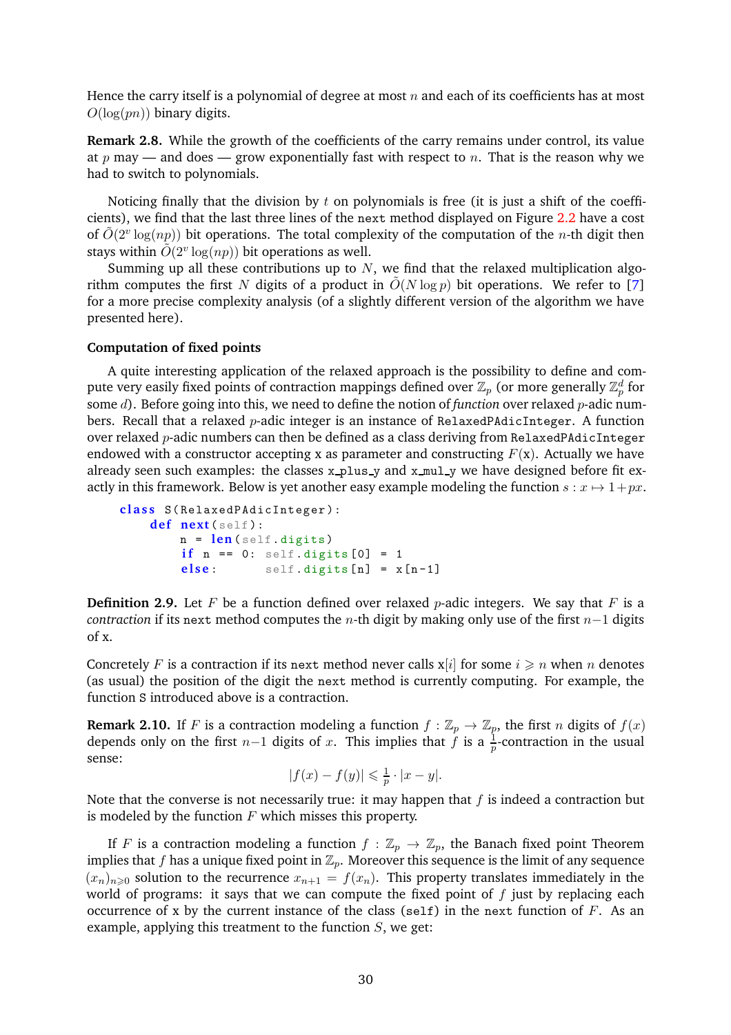<span id="page-29-0"></span>Hence the carry itself is a polynomial of degree at most  $n$  and each of its coefficients has at most  $O(log(pn))$  binary digits.

**Remark 2.8.** While the growth of the coefficients of the carry remains under control, its value at p may — and does — grow exponentially fast with respect to n. That is the reason why we had to switch to polynomials.

Noticing finally that the division by  $t$  on polynomials is free (it is just a shift of the coefficients), we find that the last three lines of the next method displayed on Figure [2.2](#page-28-1) have a cost of  $\tilde{O}(2^v \log(np))$  bit operations. The total complexity of the computation of the n-th digit then stays within  $\tilde{O}(2^v\log(np))$  bit operations as well.

Summing up all these contributions up to  $N$ , we find that the relaxed multiplication algorithm computes the first N digits of a product in  $O(N \log p)$  bit operations. We refer to [\[7\]](#page-81-15) for a more precise complexity analysis (of a slightly different version of the algorithm we have presented here).

#### **Computation of fixed points**

A quite interesting application of the relaxed approach is the possibility to define and compute very easily fixed points of contraction mappings defined over  $\mathbb{Z}_p$  (or more generally  $\mathbb{Z}_p^d$  for some d). Before going into this, we need to define the notion of *function* over relaxed *p*-adic numbers. Recall that a relaxed  $p$ -adic integer is an instance of RelaxedPAdicInteger. A function over relaxed  $p$ -adic numbers can then be defined as a class deriving from RelaxedPAdicInteger endowed with a constructor accepting x as parameter and constructing  $F(x)$ . Actually we have already seen such examples: the classes x\_plus\_y and x\_mul\_y we have designed before fit exactly in this framework. Below is yet another easy example modeling the function  $s : x \mapsto 1+px$ .

```
class S(RelaxedPAdicInteger):
    def next(self):
        n = len(self.digits)if n == 0: \text{self. digits} [0] = 1else: self.digits[n] = x[n-1]
```
**Definition 2.9.** Let F be a function defined over relaxed p-adic integers. We say that F is a *contraction* if its next method computes the *n*-th digit by making only use of the first  $n-1$  digits of x.

Concretely F is a contraction if its next method never calls  $x[i]$  for some  $i \geq n$  when n denotes (as usual) the position of the digit the next method is currently computing. For example, the function S introduced above is a contraction.

**Remark 2.10.** If F is a contraction modeling a function  $f : \mathbb{Z}_p \to \mathbb{Z}_p$ , the first n digits of  $f(x)$ depends only on the first  $n-1$  digits of x. This implies that f is a  $\frac{1}{p}$ -contraction in the usual sense:

$$
|f(x) - f(y)| \leq \frac{1}{p} \cdot |x - y|.
$$

Note that the converse is not necessarily true: it may happen that  $f$  is indeed a contraction but is modeled by the function  $F$  which misses this property.

If F is a contraction modeling a function  $f : \mathbb{Z}_p \to \mathbb{Z}_p$ , the Banach fixed point Theorem implies that f has a unique fixed point in  $\mathbb{Z}_p$ . Moreover this sequence is the limit of any sequence  $(x_n)_{n\geq 0}$  solution to the recurrence  $x_{n+1} = f(x_n)$ . This property translates immediately in the world of programs: it says that we can compute the fixed point of  $f$  just by replacing each occurrence of x by the current instance of the class (self) in the next function of  $F$ . As an example, applying this treatment to the function  $S$ , we get: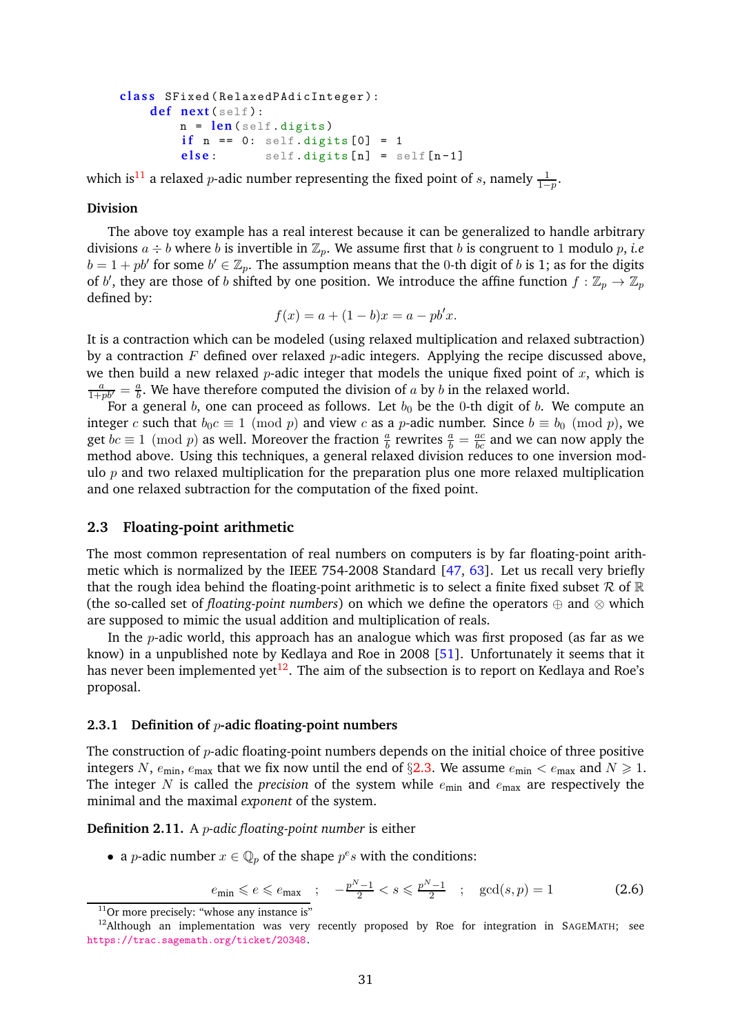```
c l a s s SFixed ( RelaxedPAdicInteger ):
    def next(self):
        n = len(self.digits)if n == 0: \text{self. digits} [0] = 1else: self.digits [n] = self [n-1]
```
which is<sup>[11](#page-30-1)</sup> a relaxed *p*-adic number representing the fixed point of *s*, namely  $\frac{1}{1-p}$ .

### **Division**

The above toy example has a real interest because it can be generalized to handle arbitrary divisions  $a \div b$  where b is invertible in  $\mathbb{Z}_p$ . We assume first that b is congruent to 1 modulo p, *i.e*  $b = 1 + pb'$  for some  $b' \in \mathbb{Z}_p$ . The assumption means that the 0-th digit of b is 1; as for the digits of b', they are those of b shifted by one position. We introduce the affine function  $f : \mathbb{Z}_p \to \mathbb{Z}_p$ defined by:

$$
f(x) = a + (1 - b)x = a - pb'x.
$$

It is a contraction which can be modeled (using relaxed multiplication and relaxed subtraction) by a contraction  $F$  defined over relaxed  $p$ -adic integers. Applying the recipe discussed above, we then build a new relaxed  $p$ -adic integer that models the unique fixed point of  $x$ , which is  $\frac{a}{1+pb'}=\frac{a}{b}$  $\frac{a}{b}$ . We have therefore computed the division of a by b in the relaxed world.

For a general b, one can proceed as follows. Let  $b_0$  be the 0-th digit of b. We compute an integer c such that  $b_0c \equiv 1 \pmod{p}$  and view c as a p-adic number. Since  $b \equiv b_0 \pmod{p}$ , we get  $bc \equiv 1 \pmod{p}$  as well. Moreover the fraction  $\frac{a}{b}$  rewrites  $\frac{a}{b} = \frac{ac}{bc}$  and we can now apply the method above. Using this techniques, a general relaxed division reduces to one inversion modulo  $p$  and two relaxed multiplication for the preparation plus one more relaxed multiplication and one relaxed subtraction for the computation of the fixed point.

#### <span id="page-30-0"></span>**2.3 Floating-point arithmetic**

The most common representation of real numbers on computers is by far floating-point arithmetic which is normalized by the IEEE 754-2008 Standard [\[47,](#page-82-13) [63\]](#page-83-7). Let us recall very briefly that the rough idea behind the floating-point arithmetic is to select a finite fixed subset  $\mathcal R$  of  $\mathbb R$ (the so-called set of *floating-point numbers*) on which we define the operators ⊕ and ⊗ which are supposed to mimic the usual addition and multiplication of reals.

In the  $p$ -adic world, this approach has an analogue which was first proposed (as far as we know) in a unpublished note by Kedlaya and Roe in 2008 [\[51\]](#page-82-23). Unfortunately it seems that it has never been implemented yet<sup>[12](#page-30-2)</sup>. The aim of the subsection is to report on Kedlaya and Roe's proposal.

#### **2.3.1 Definition of** p**-adic floating-point numbers**

The construction of  $p$ -adic floating-point numbers depends on the initial choice of three positive integers N,  $e_{\text{min}}$ ,  $e_{\text{max}}$  that we fix now until the end of §[2.3.](#page-30-0) We assume  $e_{\text{min}} < e_{\text{max}}$  and  $N \ge 1$ . The integer N is called the *precision* of the system while  $e_{\text{min}}$  and  $e_{\text{max}}$  are respectively the minimal and the maximal *exponent* of the system.

### **Definition 2.11.** A p*-adic floating-point number* is either

• a *p*-adic number  $x \in \mathbb{Q}_p$  of the shape  $p^{e_s}$  with the conditions:

<span id="page-30-3"></span>
$$
e_{\min} \leq e \leq e_{\max}
$$
;  $-\frac{p^{N}-1}{2} < s \leq \frac{p^{N}-1}{2}$ ;  $gcd(s, p) = 1$  (2.6)

<span id="page-30-1"></span> $11$ Or more precisely: "whose any instance is"

<span id="page-30-2"></span><sup>&</sup>lt;sup>12</sup>Although an implementation was very recently proposed by Roe for integration in SAGEMATH; see <https://trac.sagemath.org/ticket/20348>.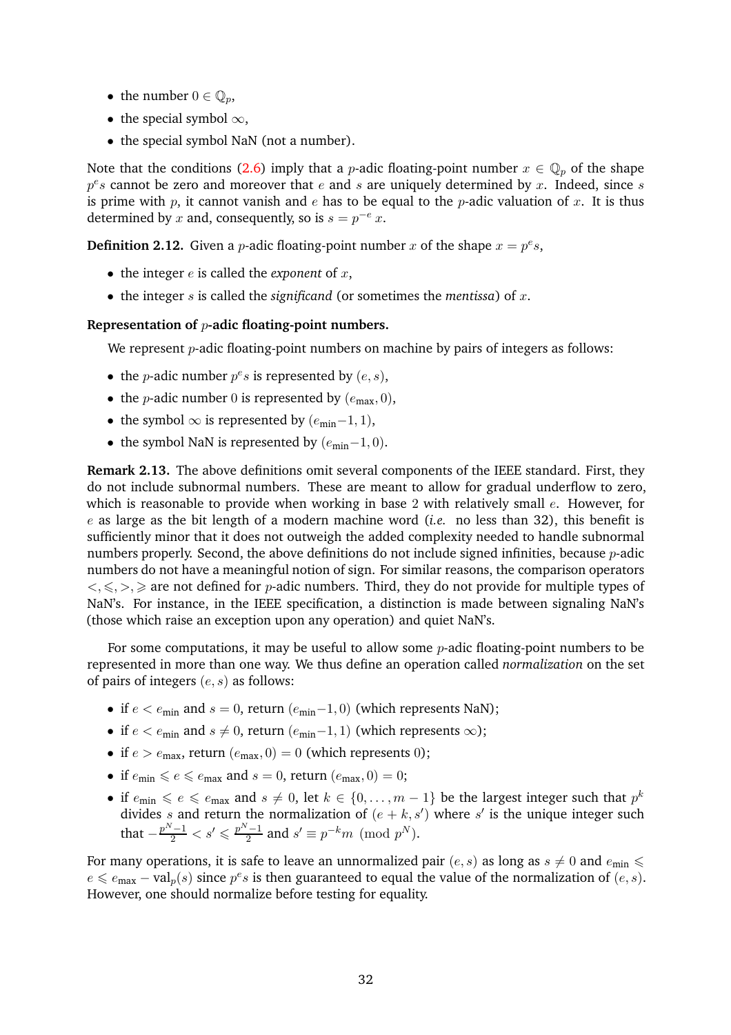- the number  $0 \in \mathbb{Q}_p$ ,
- the special symbol  $\infty$ .
- the special symbol NaN (not a number).

Note that the conditions [\(2.6\)](#page-30-3) imply that a *p*-adic floating-point number  $x \in \mathbb{Q}_p$  of the shape  $p<sup>e</sup>s$  cannot be zero and moreover that  $e$  and  $s$  are uniquely determined by  $x$ . Indeed, since  $s$ is prime with  $p$ , it cannot vanish and  $e$  has to be equal to the  $p$ -adic valuation of  $x$ . It is thus determined by x and, consequently, so is  $s = p^{-e} x$ .

**Definition 2.12.** Given a *p*-adic floating-point number x of the shape  $x = p^e s$ ,

- the integer  $e$  is called the *exponent* of  $x$ ,
- the integer s is called the *significand* (or sometimes the *mentissa*) of x.

# **Representation of** p**-adic floating-point numbers.**

We represent  $p$ -adic floating-point numbers on machine by pairs of integers as follows:

- the *p*-adic number  $p<sup>e</sup> s$  is represented by  $(e, s)$ ,
- the *p*-adic number 0 is represented by  $(e_{\text{max}}, 0)$ ,
- the symbol  $\infty$  is represented by  $(e_{\text{min}}-1, 1)$ ,
- the symbol NaN is represented by  $(e_{\text{min}}-1, 0)$ .

**Remark 2.13.** The above definitions omit several components of the IEEE standard. First, they do not include subnormal numbers. These are meant to allow for gradual underflow to zero, which is reasonable to provide when working in base 2 with relatively small e. However, for e as large as the bit length of a modern machine word (*i.e.* no less than 32), this benefit is sufficiently minor that it does not outweigh the added complexity needed to handle subnormal numbers properly. Second, the above definitions do not include signed infinities, because  $p$ -adic numbers do not have a meaningful notion of sign. For similar reasons, the comparison operators  $\langle \xi, \xi, \xi \rangle$  are not defined for *p*-adic numbers. Third, they do not provide for multiple types of NaN's. For instance, in the IEEE specification, a distinction is made between signaling NaN's (those which raise an exception upon any operation) and quiet NaN's.

For some computations, it may be useful to allow some p-adic floating-point numbers to be represented in more than one way. We thus define an operation called *normalization* on the set of pairs of integers  $(e, s)$  as follows:

- if  $e < e_{\min}$  and  $s = 0$ , return  $(e_{\min} 1, 0)$  (which represents NaN);
- if  $e < e_{\min}$  and  $s \neq 0$ , return  $(e_{\min}-1, 1)$  (which represents  $\infty$ );
- if  $e > e_{\text{max}}$ , return  $(e_{\text{max}}, 0) = 0$  (which represents 0);
- if  $e_{\text{min}} \leq e \leq e_{\text{max}}$  and  $s = 0$ , return  $(e_{\text{max}}, 0) = 0$ ;
- if  $e_{\min} \leq e \leq e_{\max}$  and  $s \neq 0$ , let  $k \in \{0, \ldots, m-1\}$  be the largest integer such that  $p^k$ divides s and return the normalization of  $(e + k, s')$  where s' is the unique integer such that  $-\frac{p^{N}-1}{2} < s' \leqslant \frac{p^{N}-1}{2}$  $\frac{y-1}{2}$  and  $s' \equiv p^{-k}m \pmod{p^N}$ .

For many operations, it is safe to leave an unnormalized pair  $(e, s)$  as long as  $s \neq 0$  and  $e_{\min} \leq$  $e \le e_{\text{max}} - \text{val}_p(s)$  since  $p^e s$  is then guaranteed to equal the value of the normalization of  $(e, s)$ . However, one should normalize before testing for equality.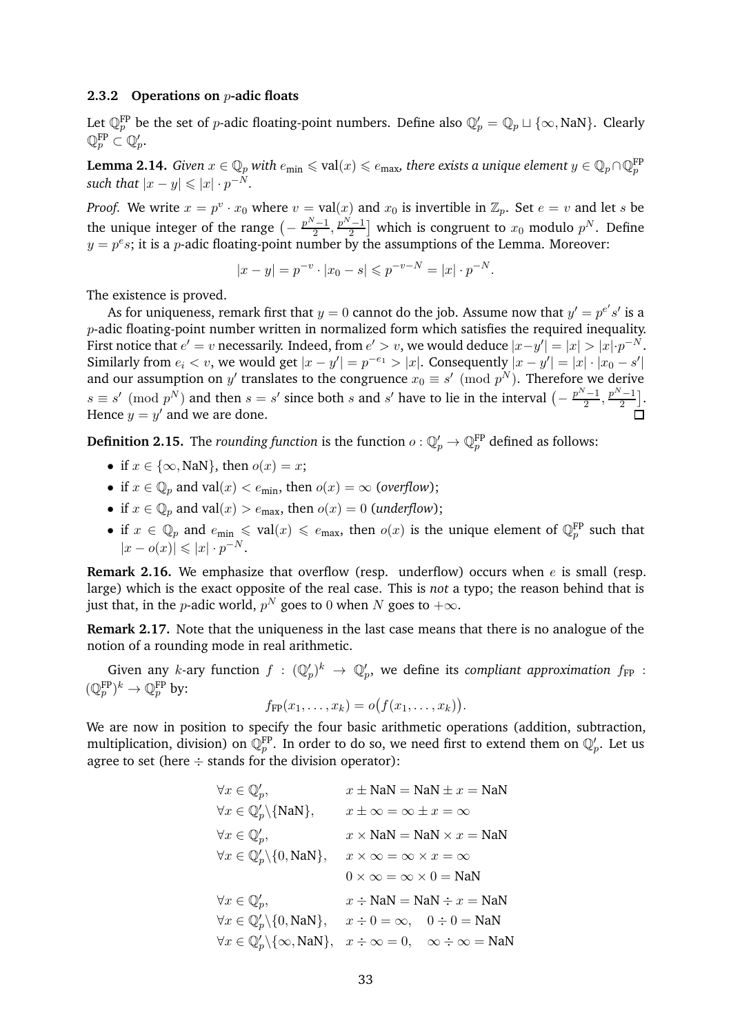#### **2.3.2 Operations on** p**-adic floats**

Let  $\mathbb{Q}_p^{\text{FP}}$  be the set of *p*-adic floating-point numbers. Define also  $\mathbb{Q}_p' = \mathbb{Q}_p \sqcup \{\infty, \text{NaN}\}$ . Clearly  $\mathbb{Q}_p^{\mathrm{FP}} \subset \mathbb{Q}_p'.$ 

 ${\tt Lemma~2.14.}$  *Given*  $x\in\mathbb Q_p$  *with*  $e_{\min}\leqslant {\rm val}(x)\leqslant e_{\max}$ *, there exists a unique element*  $y\in\mathbb Q_p\cap\mathbb Q_p^{\rm FP}$ *such that*  $|x-y| \leqslant |x| \cdot p^{-N}$ *.* 

*Proof.* We write  $x = p^v \cdot x_0$  where  $v = val(x)$  and  $x_0$  is invertible in  $\mathbb{Z}_p$ . Set  $e = v$  and let s be the unique integer of the range  $\left(-\frac{p^{N}-1}{2}\right)$  $\frac{p^{N}-1}{2}$ ,  $\frac{p^{N}-1}{2}$  $\left[\frac{2}{2}\right]$  which is congruent to  $x_0$  modulo  $p^N$ . Define  $y = p^e s$ ; it is a p-adic floating-point number by the assumptions of the Lemma. Moreover:

$$
|x - y| = p^{-v} \cdot |x_0 - s| \leqslant p^{-v - N} = |x| \cdot p^{-N}.
$$

The existence is proved.

As for uniqueness, remark first that  $y = 0$  cannot do the job. Assume now that  $y' = p^{e'} s'$  is a  $p$ -adic floating-point number written in normalized form which satisfies the required inequality. First notice that  $e' = v$  necessarily. Indeed, from  $e' > v$ , we would deduce  $|x-y'| = |x| > |x| \cdot p^{-N}$ . Similarly from  $e_i < v$ , we would get  $|x - y'| = p^{-e_1} > |x|$ . Consequently  $|x - y'| = |x| \cdot |x_0 - s'|$ and our assumption on  $y'$  translates to the congruence  $x_0 \equiv s' \pmod{p^N}$ . Therefore we derive  $s \equiv s' \pmod{p^N}$  and then  $s = s'$  since both s and s' have to lie in the interval  $\left(-\frac{p^N-1}{2}\right)$  $\frac{p^{N}-1}{2}$ ,  $\frac{p^{N}-1}{2}$  $\frac{-1}{2}$ . Hence  $y = y'$  and we are done.

**Definition 2.15.** The *rounding function* is the function  $o: \mathbb{Q}_p' \to \mathbb{Q}_p^{\text{FP}}$  defined as follows:

- if  $x \in \{\infty, \text{NaN}\},\$  then  $o(x) = x$ ;
- if  $x \in \mathbb{Q}_p$  and val $(x) < e_{\min}$ , then  $o(x) = \infty$  (*overflow*);
- if  $x \in \mathbb{Q}_p$  and val $(x) > e_{\text{max}}$ , then  $o(x) = 0$  (*underflow*);
- if  $x \in \mathbb{Q}_p$  and  $e_{\min} \leq \text{val}(x) \leq e_{\max}$ , then  $o(x)$  is the unique element of  $\mathbb{Q}_p^{\text{FP}}$  such that  $|x - o(x)| \leqslant |x| \cdot p^{-N}.$

**Remark 2.16.** We emphasize that overflow (resp. underflow) occurs when e is small (resp. large) which is the exact opposite of the real case. This is *not* a typo; the reason behind that is just that, in the  $p\text{-}\text{adic world},\,p^N$  goes to  $0$  when  $N$  goes to  $+\infty.$ 

**Remark 2.17.** Note that the uniqueness in the last case means that there is no analogue of the notion of a rounding mode in real arithmetic.

Given any *k*-ary function  $f : (\mathbb{Q}_p')^k \to \mathbb{Q}_p'$ , we define its *compliant approximation*  $f_{\text{FP}}$ :  $(\mathbb{Q}_p^{\mathrm{FP}})^k \to \mathbb{Q}_p^{\mathrm{FP}}$  by:

$$
f_{\text{FP}}(x_1,\ldots,x_k)=o(f(x_1,\ldots,x_k)).
$$

We are now in position to specify the four basic arithmetic operations (addition, subtraction, multiplication, division) on  $\mathbb{Q}_p^{\text{FP}}.$  In order to do so, we need first to extend them on  $\mathbb{Q}_p'.$  Let us agree to set (here  $\div$  stands for the division operator):

| $\forall x \in \mathbb{Q}_p',$                                            | $x \pm$ NaN = NaN $\pm x =$ NaN                         |
|---------------------------------------------------------------------------|---------------------------------------------------------|
| $\forall x \in \mathbb{Q}_p^{\prime} \backslash {\text{NaN}},$            | $x \pm \infty = \infty \pm x = \infty$                  |
| $\forall x \in \mathbb{Q}_p',$                                            | $x \times$ NaN = NaN $\times x =$ NaN                   |
| $\forall x \in \mathbb{Q}_p^{\prime} \backslash \{0, \text{NaN}\},\$      | $x\times\infty=\infty\times x=\infty$                   |
|                                                                           | $0 \times \infty = \infty \times 0 =$ NaN               |
| $\forall x \in \mathbb{Q}_p',$                                            | $x \div$ NaN = NaN $\div x$ = NaN                       |
| $\forall x \in \mathbb{Q}_p^{\prime} \backslash \{0, \text{NaN}\},\$      | $x \div 0 = \infty$ , $0 \div 0 = \text{NaN}$           |
| $\forall x \in \mathbb{Q}_p^{\prime} \backslash \{\infty, \text{NaN}\},\$ | $x \div \infty = 0$ , $\infty \div \infty = \text{NaN}$ |
|                                                                           |                                                         |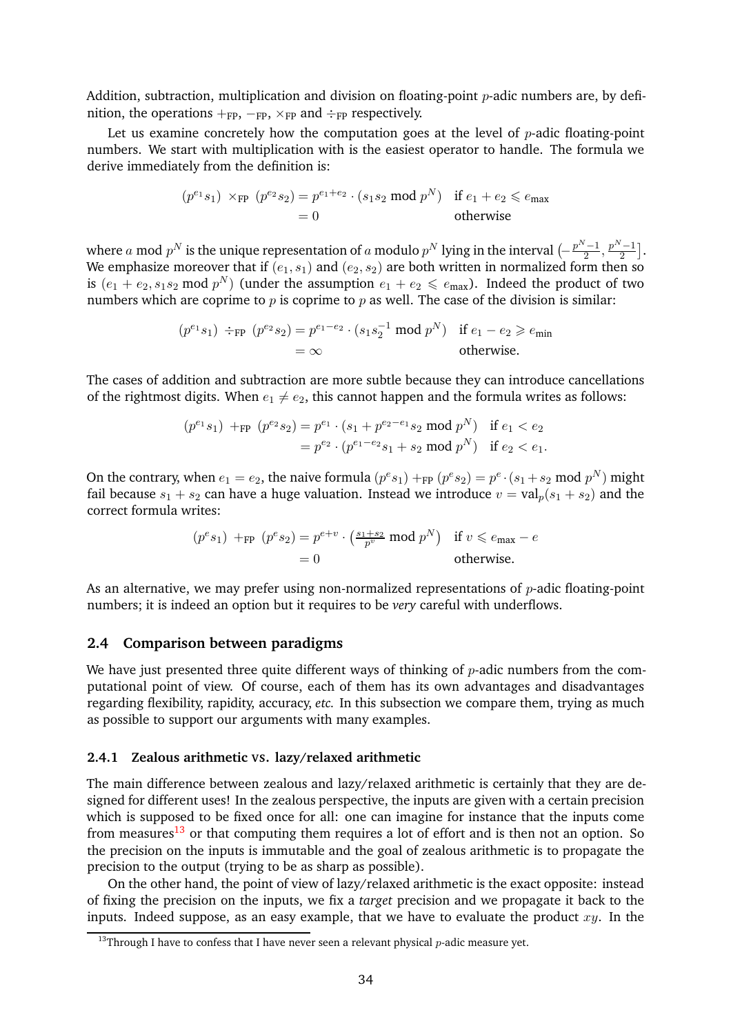Addition, subtraction, multiplication and division on floating-point  $p$ -adic numbers are, by definition, the operations  $+_{FP}$ ,  $-_{FP}$ ,  $\times_{FP}$  and  $\div_{FP}$  respectively.

Let us examine concretely how the computation goes at the level of  $p$ -adic floating-point numbers. We start with multiplication with is the easiest operator to handle. The formula we derive immediately from the definition is:

$$
(p^{e_1}s_1) \times_{\text{FP}} (p^{e_2}s_2) = p^{e_1+e_2} \cdot (s_1s_2 \mod p^N) \text{ if } e_1+e_2 \le e_{\text{max}}
$$
  
= 0 \totherwise

where  $a$  mod  $p^N$  is the unique representation of  $a$  modulo  $p^N$  lying in the interval  $\left(-\frac{p^N-1}{2}\right)$  $\frac{p^{N}-1}{2}, \frac{p^{N}-1}{2}$  $\frac{-1}{2}$ . We emphasize moreover that if  $\left(e_1, s_1\right)$  and  $\left(e_2, s_2\right)$  are both written in normalized form then so is  $(e_1+e_2,s_1s_2 \bmod{p^N})$  (under the assumption  $e_1+e_2 \leqslant e_{\max}$ ). Indeed the product of two numbers which are coprime to  $p$  is coprime to  $p$  as well. The case of the division is similar:

$$
(p^{e_1}s_1) \div_{\text{FP}} (p^{e_2}s_2) = p^{e_1-e_2} \cdot (s_1s_2^{-1} \bmod p^N) \text{ if } e_1 - e_2 \ge e_{\text{min}}
$$
  
=  $\infty$  otherwise.

The cases of addition and subtraction are more subtle because they can introduce cancellations of the rightmost digits. When  $e_1 \neq e_2$ , this cannot happen and the formula writes as follows:

$$
(p^{e_1}s_1) + \text{FP} (p^{e_2}s_2) = p^{e_1} \cdot (s_1 + p^{e_2 - e_1}s_2 \text{ mod } p^N) \text{ if } e_1 < e_2
$$
  
=  $p^{e_2} \cdot (p^{e_1 - e_2}s_1 + s_2 \text{ mod } p^N)$  if  $e_2 < e_1$ .

On the contrary, when  $e_1 = e_2$ , the naive formula  $(p^e s_1) +_{FP} (p^e s_2) = p^e \cdot (s_1 + s_2 \mod p^N)$  might fail because  $s_1 + s_2$  can have a huge valuation. Instead we introduce  $v = val_p(s_1 + s_2)$  and the correct formula writes:

$$
(pes1) +FP (pes2) = pe+v \cdot (\frac{s_1+s_2}{p^v} \mod p^N) \text{ if } v \le e_{\text{max}} - e
$$
  
= 0 \text{ otherwise.

As an alternative, we may prefer using non-normalized representations of  $p$ -adic floating-point numbers; it is indeed an option but it requires to be *very* careful with underflows.

# <span id="page-33-0"></span>**2.4 Comparison between paradigms**

We have just presented three quite different ways of thinking of  $p$ -adic numbers from the computational point of view. Of course, each of them has its own advantages and disadvantages regarding flexibility, rapidity, accuracy, *etc.* In this subsection we compare them, trying as much as possible to support our arguments with many examples.

#### **2.4.1 Zealous arithmetic VS. lazy/relaxed arithmetic**

The main difference between zealous and lazy/relaxed arithmetic is certainly that they are designed for different uses! In the zealous perspective, the inputs are given with a certain precision which is supposed to be fixed once for all: one can imagine for instance that the inputs come from measures<sup>[13](#page-33-1)</sup> or that computing them requires a lot of effort and is then not an option. So the precision on the inputs is immutable and the goal of zealous arithmetic is to propagate the precision to the output (trying to be as sharp as possible).

On the other hand, the point of view of lazy/relaxed arithmetic is the exact opposite: instead of fixing the precision on the inputs, we fix a *target* precision and we propagate it back to the inputs. Indeed suppose, as an easy example, that we have to evaluate the product  $xy$ . In the

<span id="page-33-1"></span><sup>&</sup>lt;sup>13</sup>Through I have to confess that I have never seen a relevant physical  $p$ -adic measure yet.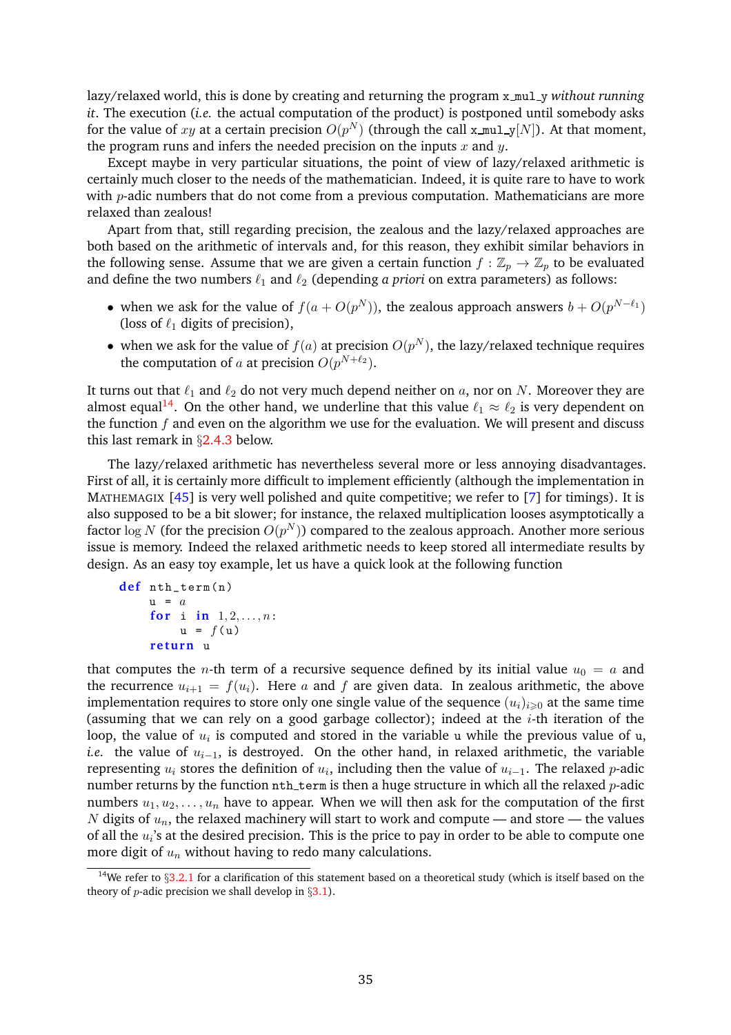lazy/relaxed world, this is done by creating and returning the program x mul y *without running it*. The execution (*i.e.* the actual computation of the product) is postponed until somebody asks for the value of  $xy$  at a certain precision  $O(p^N)$  (through the call x\_mul\_y[N]). At that moment, the program runs and infers the needed precision on the inputs  $x$  and  $y$ .

Except maybe in very particular situations, the point of view of lazy/relaxed arithmetic is certainly much closer to the needs of the mathematician. Indeed, it is quite rare to have to work with *p*-adic numbers that do not come from a previous computation. Mathematicians are more relaxed than zealous!

Apart from that, still regarding precision, the zealous and the lazy/relaxed approaches are both based on the arithmetic of intervals and, for this reason, they exhibit similar behaviors in the following sense. Assume that we are given a certain function  $f : \mathbb{Z}_p \to \mathbb{Z}_p$  to be evaluated and define the two numbers  $\ell_1$  and  $\ell_2$  (depending *a priori* on extra parameters) as follows:

- when we ask for the value of  $f(a + O(p^N))$ , the zealous approach answers  $b + O(p^{N-\ell_1})$ (loss of  $\ell_1$  digits of precision),
- when we ask for the value of  $f(a)$  at precision  $O(p^N)$ , the lazy/relaxed technique requires the computation of *a* at precision  $O(p^{N+\ell_2})$ .

It turns out that  $\ell_1$  and  $\ell_2$  do not very much depend neither on  $a$ , nor on  $N$ . Moreover they are almost equal<sup>[14](#page-34-0)</sup>. On the other hand, we underline that this value  $\ell_1 \approx \ell_2$  is very dependent on the function  $f$  and even on the algorithm we use for the evaluation. We will present and discuss this last remark in §[2.4.3](#page-36-0) below.

The lazy/relaxed arithmetic has nevertheless several more or less annoying disadvantages. First of all, it is certainly more difficult to implement efficiently (although the implementation in MATHEMAGIX [\[45\]](#page-82-22) is very well polished and quite competitive; we refer to [\[7\]](#page-81-15) for timings). It is also supposed to be a bit slower; for instance, the relaxed multiplication looses asymptotically a factor  $\log N$  (for the precision  $O(p^N)$ ) compared to the zealous approach. Another more serious issue is memory. Indeed the relaxed arithmetic needs to keep stored all intermediate results by design. As an easy toy example, let us have a quick look at the following function

```
def nth_term(n)u = afor i in 1, 2, ..., n:
        u = f(u)return u
```
that computes the *n*-th term of a recursive sequence defined by its initial value  $u_0 = a$  and the recurrence  $u_{i+1} = f(u_i)$ . Here a and f are given data. In zealous arithmetic, the above implementation requires to store only one single value of the sequence  $(u_i)_{i\geq 0}$  at the same time (assuming that we can rely on a good garbage collector); indeed at the  $i$ -th iteration of the loop, the value of  $u_i$  is computed and stored in the variable  $\mathfrak u$  while the previous value of  $\mathfrak u,$ *i.e.* the value of  $u_{i-1}$ , is destroyed. On the other hand, in relaxed arithmetic, the variable representing  $u_i$  stores the definition of  $u_i$ , including then the value of  $u_{i-1}.$  The relaxed  $p$ -adic number returns by the function  $nth\_term$  is then a huge structure in which all the relaxed  $p$ -adic numbers  $u_1, u_2, \ldots, u_n$  have to appear. When we will then ask for the computation of the first N digits of  $u_n$ , the relaxed machinery will start to work and compute — and store — the values of all the  $u_i$ 's at the desired precision. This is the price to pay in order to be able to compute one more digit of  $u_n$  without having to redo many calculations.

<span id="page-34-0"></span><sup>&</sup>lt;sup>14</sup>We refer to §[3.2.1](#page-52-1) for a clarification of this statement based on a theoretical study (which is itself based on the theory of *p*-adic precision we shall develop in  $\S 3.1$ ).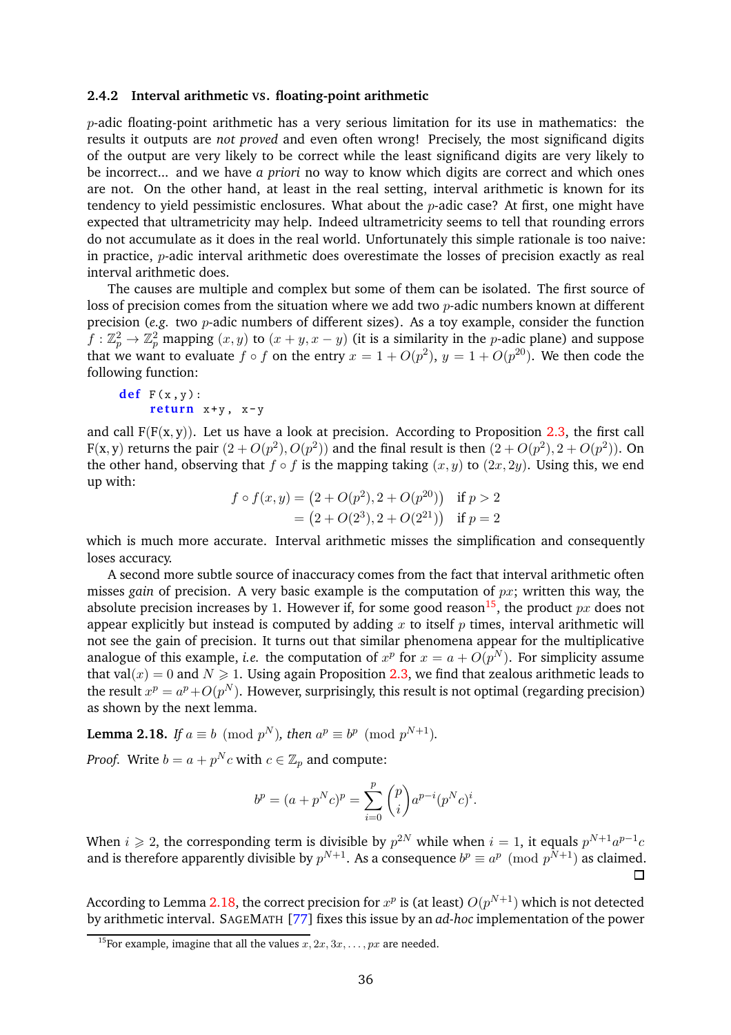#### **2.4.2 Interval arithmetic VS. floating-point arithmetic**

 $p$ -adic floating-point arithmetic has a very serious limitation for its use in mathematics: the results it outputs are *not proved* and even often wrong! Precisely, the most significand digits of the output are very likely to be correct while the least significand digits are very likely to be incorrect... and we have *a priori* no way to know which digits are correct and which ones are not. On the other hand, at least in the real setting, interval arithmetic is known for its tendency to yield pessimistic enclosures. What about the  $p$ -adic case? At first, one might have expected that ultrametricity may help. Indeed ultrametricity seems to tell that rounding errors do not accumulate as it does in the real world. Unfortunately this simple rationale is too naive: in practice, p-adic interval arithmetic does overestimate the losses of precision exactly as real interval arithmetic does.

The causes are multiple and complex but some of them can be isolated. The first source of loss of precision comes from the situation where we add two  $p$ -adic numbers known at different precision (*e.g.* two p-adic numbers of different sizes). As a toy example, consider the function  $f: \mathbb{Z}_p^2 \to \mathbb{Z}_p^2$  mapping  $(x, y)$  to  $(x + y, x - y)$  (it is a similarity in the *p*-adic plane) and suppose that we want to evaluate  $f \circ f$  on the entry  $x = 1 + O(p^2)$ ,  $y = 1 + O(p^{20})$ . We then code the following function:

$$
\begin{array}{c}\n\text{def } F(x,y): \\
\text{return } x+y, x-y\n\end{array}
$$

and call  $F(F(x, y))$ . Let us have a look at precision. According to Proposition [2.3,](#page-20-0) the first call F(x, y) returns the pair  $(2 + O(p^2), O(p^2))$  and the final result is then  $(2 + O(p^2), 2 + O(p^2))$ . On the other hand, observing that  $f \circ f$  is the mapping taking  $(x, y)$  to  $(2x, 2y)$ . Using this, we end up with:

$$
f \circ f(x, y) = (2 + O(p^2), 2 + O(p^{20})) \text{ if } p > 2
$$
  
= (2 + O(2<sup>3</sup>), 2 + O(2<sup>21</sup>)) if p = 2

which is much more accurate. Interval arithmetic misses the simplification and consequently loses accuracy.

A second more subtle source of inaccuracy comes from the fact that interval arithmetic often misses *gain* of precision. A very basic example is the computation of px; written this way, the absolute precision increases by 1. However if, for some good reason<sup>[15](#page-35-0)</sup>, the product  $px$  does not appear explicitly but instead is computed by adding  $x$  to itself  $p$  times, interval arithmetic will not see the gain of precision. It turns out that similar phenomena appear for the multiplicative analogue of this example, *i.e.* the computation of  $x^p$  for  $x = a + O(p^N)$ . For simplicity assume that val $(x) = 0$  and  $N \ge 1$ . Using again Proposition [2.3,](#page-20-0) we find that zealous arithmetic leads to the result  $x^p = a^p + O(p^N)$ . However, surprisingly, this result is not optimal (regarding precision) as shown by the next lemma.

<span id="page-35-1"></span>**Lemma 2.18.** *If*  $a \equiv b \pmod{p^N}$ , *then*  $a^p \equiv b^p \pmod{p^{N+1}}$ *.* 

*Proof.* Write  $b = a + p^N c$  with  $c \in \mathbb{Z}_p$  and compute:

$$
b^{p} = (a + p^{N}c)^{p} = \sum_{i=0}^{p} {p \choose i} a^{p-i} (p^{N}c)^{i}.
$$

When  $i \geqslant 2$ , the corresponding term is divisible by  $p^{2N}$  while when  $i = 1$ , it equals  $p^{N+1}a^{p-1}c$ and is therefore apparently divisible by  $p^{N+1}$ . As a consequence  $b^p \equiv a^p \pmod{p^{N+1}}$  as claimed.  $\Box$ 

According to Lemma [2.18,](#page-35-1) the correct precision for  $x^p$  is (at least)  $O(p^{N+1})$  which is not detected by arithmetic interval. SAGEMATH [\[77\]](#page-83-13) fixes this issue by an *ad-hoc* implementation of the power

<span id="page-35-0"></span><sup>&</sup>lt;sup>15</sup>For example, imagine that all the values  $\overline{x}$ ,  $2x$ ,  $3x$ , ...,  $px$  are needed.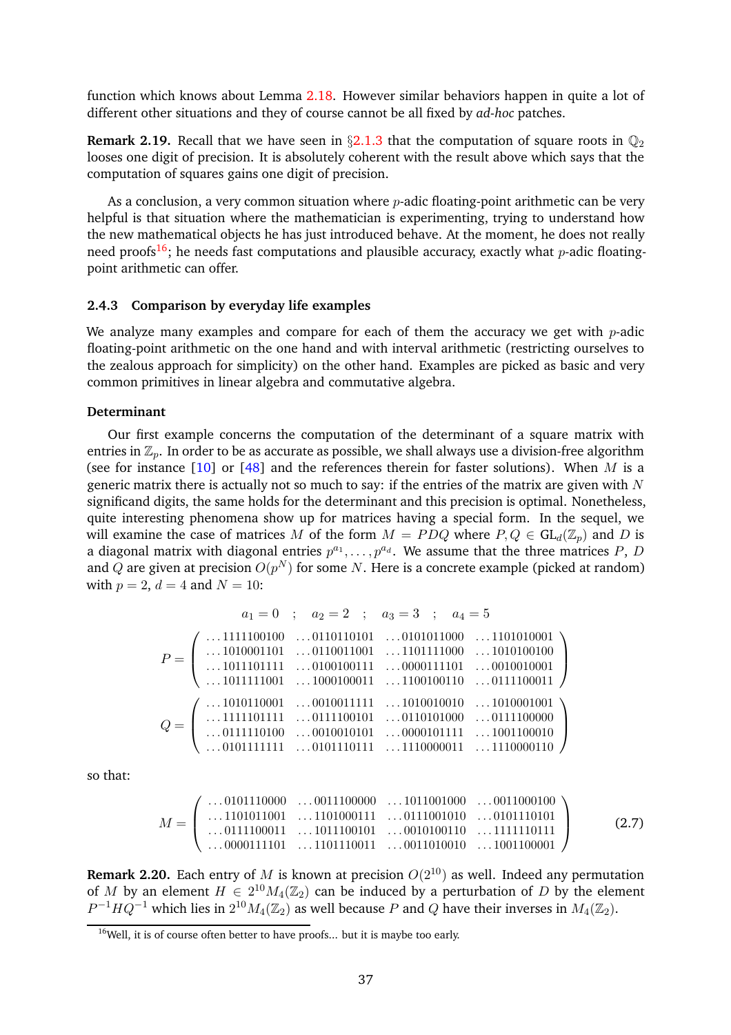function which knows about Lemma [2.18.](#page-35-0) However similar behaviors happen in quite a lot of different other situations and they of course cannot be all fixed by *ad-hoc* patches.

**Remark 2.19.** Recall that we have seen in  $\S2.1.3$  $\S2.1.3$  that the computation of square roots in  $\mathbb{Q}_2$ looses one digit of precision. It is absolutely coherent with the result above which says that the computation of squares gains one digit of precision.

As a conclusion, a very common situation where  $p$ -adic floating-point arithmetic can be very helpful is that situation where the mathematician is experimenting, trying to understand how the new mathematical objects he has just introduced behave. At the moment, he does not really need proofs<sup>[16](#page-36-0)</sup>; he needs fast computations and plausible accuracy, exactly what *p*-adic floatingpoint arithmetic can offer.

### <span id="page-36-1"></span>**2.4.3 Comparison by everyday life examples**

We analyze many examples and compare for each of them the accuracy we get with  $p$ -adic floating-point arithmetic on the one hand and with interval arithmetic (restricting ourselves to the zealous approach for simplicity) on the other hand. Examples are picked as basic and very common primitives in linear algebra and commutative algebra.

#### **Determinant**

Our first example concerns the computation of the determinant of a square matrix with entries in  $\mathbb{Z}_n$ . In order to be as accurate as possible, we shall always use a division-free algorithm (see for instance [\[10\]](#page-81-0) or [\[48\]](#page-82-0) and the references therein for faster solutions). When M is a generic matrix there is actually not so much to say: if the entries of the matrix are given with  $N$ significand digits, the same holds for the determinant and this precision is optimal. Nonetheless, quite interesting phenomena show up for matrices having a special form. In the sequel, we will examine the case of matrices M of the form  $M = PDQ$  where  $P, Q \in GL_d(\mathbb{Z}_p)$  and D is a diagonal matrix with diagonal entries  $p^{a_1}, \ldots, p^{a_d}$ . We assume that the three matrices P, D and  $Q$  are given at precision  $O(p^N)$  for some  $N.$  Here is a concrete example (picked at random) with  $p = 2$ ,  $d = 4$  and  $N = 10$ :

$$
a_1 = 0 \quad ; \quad a_2 = 2 \quad ; \quad a_3 = 3 \quad ; \quad a_4 = 5
$$

| $P =$ | $\dots 1010001101 \dots 0110011001 \dots 1101111000 \dots 1010100100$<br>$\ldots 1011101111 \ldots 0100100111 \ldots 0000111101 \ldots 0010010001$<br>$\ldots 1011111001 \ldots 1000100011 \ldots 1100100110 \ldots 0111100011$ | $\ldots 1111100100 \ldots 0110110101 \ldots 0101011000 \ldots 1101010001$                                                                                                                                                       |  |
|-------|---------------------------------------------------------------------------------------------------------------------------------------------------------------------------------------------------------------------------------|---------------------------------------------------------------------------------------------------------------------------------------------------------------------------------------------------------------------------------|--|
| $Q =$ | $\begin{bmatrix} \ldots 1111101111 & \ldots 0111100101 & \ldots 0110101000 & \ldots 0111100000 \end{bmatrix}$<br>$\dots 0111110100$                                                                                             | $\ldots 1010110001 \ldots 0010011111 \ldots 1010010010 \ldots 1010001001$<br>$\ldots 0010010101 \ldots 0000101111 \ldots 1001100010$<br>$\dots 0101111111 \quad \dots 0101110111 \quad \dots 1110000011 \quad \dots 1110000110$ |  |

so that:

<span id="page-36-2"></span>
$$
M = \left(\begin{array}{cccc} \dots 0101110000 & \dots 0011100000 & \dots 1011001000 & \dots 0011000100 \\ \dots 1101011001 & \dots 1101000111 & \dots 0111100101 & \dots 010111011 \\ \dots 0111100011 & \dots 1011100101 & \dots 0010100110 & \dots 1111110111 \\ \dots 0000111101 & \dots 1101110011 & \dots 0011010010 & \dots 1001100001 \end{array}\right) (2.7)
$$

**Remark 2.20.** Each entry of M is known at precision  $O(2^{10})$  as well. Indeed any permutation of M by an element  $H \in 2^{10}M_4(\mathbb{Z}_2)$  can be induced by a perturbation of D by the element  $P^{-1}HQ^{-1}$  which lies in  $2^{10}M_4(\mathbb{Z}_2)$  as well because  $P$  and  $Q$  have their inverses in  $M_4(\mathbb{Z}_2)$ .

<span id="page-36-0"></span> $16$ Well, it is of course often better to have proofs... but it is maybe too early.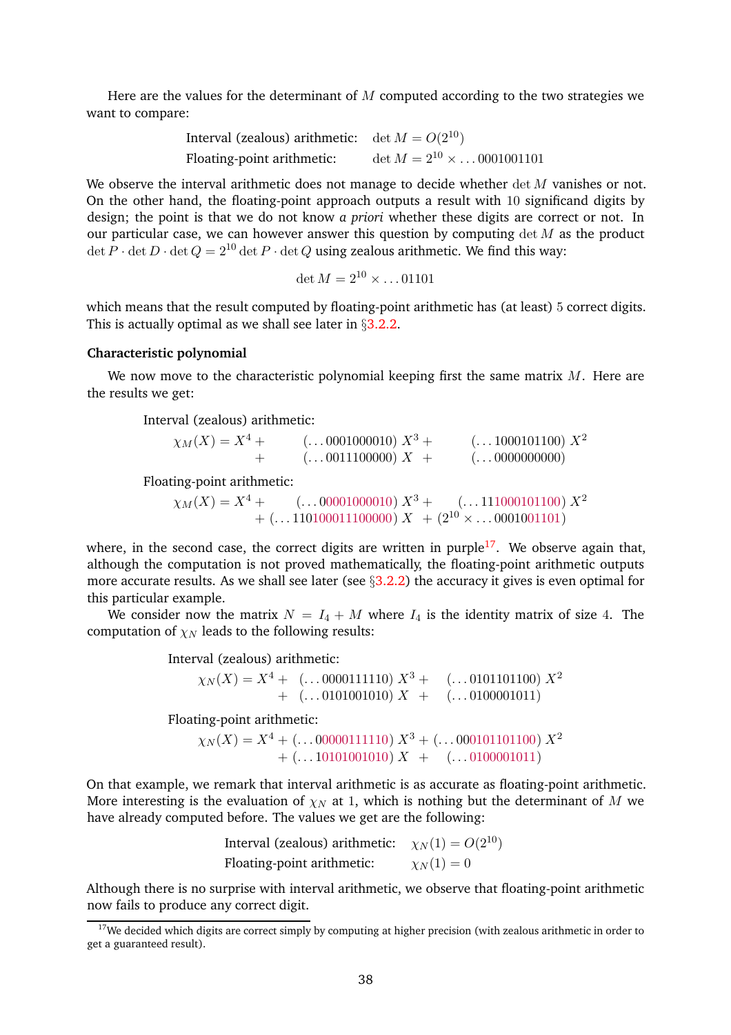Here are the values for the determinant of  $M$  computed according to the two strategies we want to compare:

> Interval (zealous) arithmetic:  $\det M = O(2^{10})$ Floating-point arithmetic:  $\det M = 2^{10} \times ... 0001001101$

We observe the interval arithmetic does not manage to decide whether  $\det M$  vanishes or not. On the other hand, the floating-point approach outputs a result with 10 significand digits by design; the point is that we do not know *a priori* whether these digits are correct or not. In our particular case, we can however answer this question by computing  $\det M$  as the product det  $P \cdot \det D \cdot \det Q = 2^{10} \det P \cdot \det Q$  using zealous arithmetic. We find this way:

$$
\det M = 2^{10} \times \dots 01101
$$

which means that the result computed by floating-point arithmetic has (at least) 5 correct digits. This is actually optimal as we shall see later in §[3.2.2.](#page-56-0)

#### **Characteristic polynomial**

We now move to the characteristic polynomial keeping first the same matrix  $M$ . Here are the results we get:

Interval (zealous) arithmetic:

 $\chi_M(X) = X^4 +$  (...0001000010)  $X^3 +$  (...1000101100)  $X^2$  $+$   $(\dots 0011100000) X +$   $(\dots 0000000000)$ 

Floating-point arithmetic:

 $\chi_M(X) = X^4 +$  (...00001000010)  $X^3 +$  (...111000101100)  $X^2$  $+$  (...110100011100000)  $X + (2^{10} \times ... 0001001101)$ 

where, in the second case, the correct digits are written in purple<sup>[17](#page-37-0)</sup>. We observe again that, although the computation is not proved mathematically, the floating-point arithmetic outputs more accurate results. As we shall see later (see  $\S 3.2.2$ ) the accuracy it gives is even optimal for this particular example.

We consider now the matrix  $N = I_4 + M$  where  $I_4$  is the identity matrix of size 4. The computation of  $\chi_N$  leads to the following results:

Interval (zealous) arithmetic:

 $\chi_N(X) = X^4 + \dots$  0000111110)  $X^3 + \dots$  (... 0101101100)  $X^2$  $+$   $(\dots 0101001010) X + ( \dots 0100001011)$ 

Floating-point arithmetic:

 $\chi_N (X) = X^4 + (\ldots 00000111110) X^3 + (\ldots 000101101100) X^2$  $+$  (...10101001010)  $X +$  (...0100001011)

On that example, we remark that interval arithmetic is as accurate as floating-point arithmetic. More interesting is the evaluation of  $\chi_N$  at 1, which is nothing but the determinant of M we have already computed before. The values we get are the following:

> Interval (zealous) arithmetic:  $\chi_N(1) = O(2^{10})$ Floating-point arithmetic:  $\chi_N(1) = 0$

Although there is no surprise with interval arithmetic, we observe that floating-point arithmetic now fails to produce any correct digit.

<span id="page-37-0"></span> $17$ We decided which digits are correct simply by computing at higher precision (with zealous arithmetic in order to get a guaranteed result).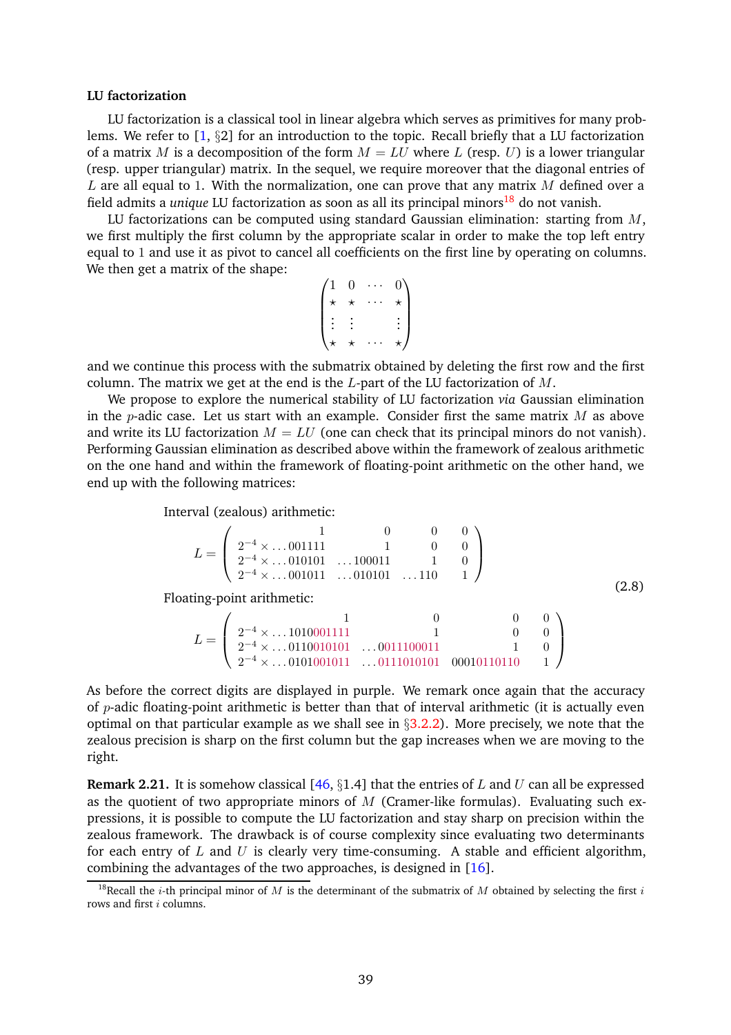### **LU factorization**

LU factorization is a classical tool in linear algebra which serves as primitives for many problems. We refer to  $\lceil 1, \S 2 \rceil$  for an introduction to the topic. Recall briefly that a LU factorization of a matrix M is a decomposition of the form  $M = LU$  where L (resp. U) is a lower triangular (resp. upper triangular) matrix. In the sequel, we require moreover that the diagonal entries of L are all equal to 1. With the normalization, one can prove that any matrix  $M$  defined over a field admits a *unique* LU factorization as soon as all its principal minors<sup>[18](#page-38-0)</sup> do not vanish.

LU factorizations can be computed using standard Gaussian elimination: starting from  $M$ , we first multiply the first column by the appropriate scalar in order to make the top left entry equal to 1 and use it as pivot to cancel all coefficients on the first line by operating on columns. We then get a matrix of the shape:

$$
\begin{pmatrix}\n1 & 0 & \cdots & 0 \\
\star & \star & \cdots & \star \\
\vdots & \vdots & & \vdots \\
\star & \star & \cdots & \star\n\end{pmatrix}
$$

and we continue this process with the submatrix obtained by deleting the first row and the first column. The matrix we get at the end is the  $L$ -part of the LU factorization of  $M$ .

We propose to explore the numerical stability of LU factorization *via* Gaussian elimination in the *p*-adic case. Let us start with an example. Consider first the same matrix  $M$  as above and write its LU factorization  $M = LU$  (one can check that its principal minors do not vanish). Performing Gaussian elimination as described above within the framework of zealous arithmetic on the one hand and within the framework of floating-point arithmetic on the other hand, we end up with the following matrices:

Interval (zealous) arithmetic:

<span id="page-38-1"></span>
$$
L = \left( \begin{array}{cccc} 1 & 0 & 0 & 0 \\ 2^{-4} \times \ldots 001111 & 1 & 0 & 0 \\ 2^{-4} \times \ldots 010101 & \ldots 100011 & 1 & 0 \\ 2^{-4} \times \ldots 001011 & \ldots 010101 & \ldots 110 & 1 \end{array} \right).
$$

Floating-point arithmetic:

$$
L = \left(\begin{array}{cccc} 1 & 0 & 0 & 0\\ 2^{-4} \times \ldots 1010001111 & 1 & 0 & 0\\ 2^{-4} \times \ldots 0110010101 & \ldots 0011100011 & 1 & 0\\ 2^{-4} \times \ldots 0101001011 & \ldots 0111010101 & 00010110110 & 1 \end{array}\right)
$$

(2.8)

As before the correct digits are displayed in purple. We remark once again that the accuracy of  $p$ -adic floating-point arithmetic is better than that of interval arithmetic (it is actually even optimal on that particular example as we shall see in  $\S 3.2.2$ ). More precisely, we note that the zealous precision is sharp on the first column but the gap increases when we are moving to the right.

**Remark 2.21.** It is somehow classical  $[46, \S1.4]$  $[46, \S1.4]$  that the entries of L and U can all be expressed as the quotient of two appropriate minors of  $M$  (Cramer-like formulas). Evaluating such expressions, it is possible to compute the LU factorization and stay sharp on precision within the zealous framework. The drawback is of course complexity since evaluating two determinants for each entry of  $L$  and  $U$  is clearly very time-consuming. A stable and efficient algorithm, combining the advantages of the two approaches, is designed in [\[16\]](#page-81-1).

<span id="page-38-0"></span><sup>&</sup>lt;sup>18</sup>Recall the *i*-th principal minor of M is the determinant of the submatrix of M obtained by selecting the first *i* rows and first i columns.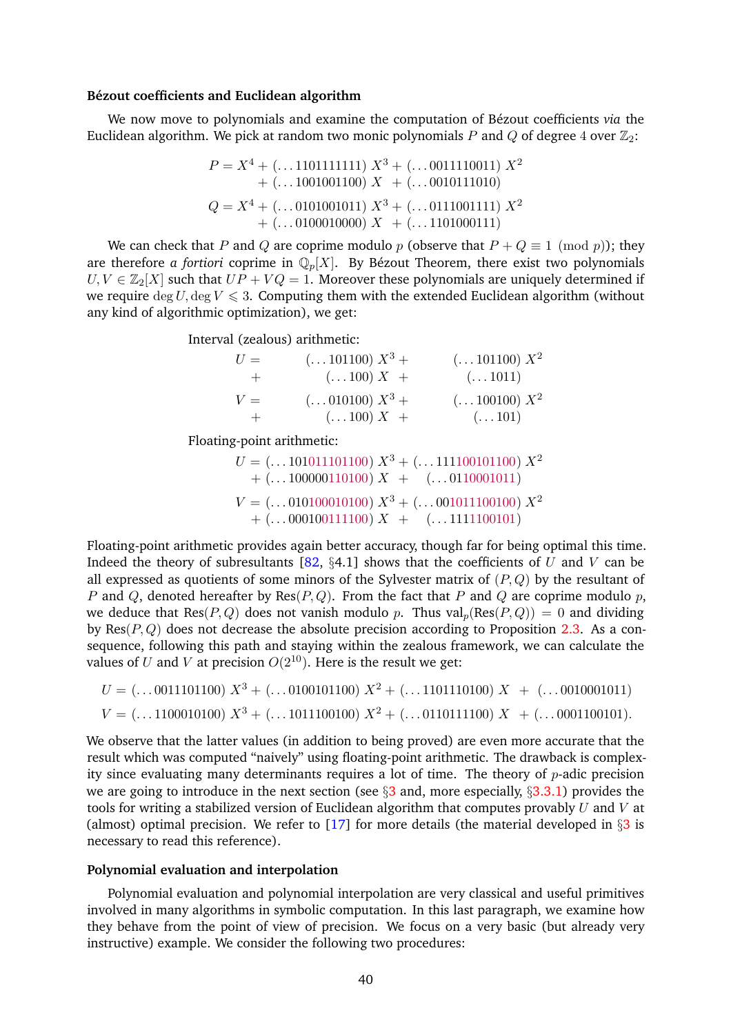### **Bezout coefficients and Euclidean algorithm ´**

We now move to polynomials and examine the computation of Bézout coefficients *via* the Euclidean algorithm. We pick at random two monic polynomials  $P$  and  $Q$  of degree 4 over  $\mathbb{Z}_2$ :

$$
P = X4 + (\dots 1101111111) X3 + (\dots 0011110011) X2 + (\dots 1001001100) X + (\dots 0010111010) Q = X4 + (\dots 0101001011) X3 + (\dots 0111001111) X2 + (\dots 0100010000) X + (\dots 1101000111)
$$

We can check that P and Q are coprime modulo p (observe that  $P + Q \equiv 1 \pmod{p}$ ); they are therefore *a fortiori* coprime in  $\mathbb{Q}_p[X]$ . By Bézout Theorem, there exist two polynomials  $U, V \in \mathbb{Z}_2[X]$  such that  $UP + VQ = 1$ . Moreover these polynomials are uniquely determined if we require deg  $U$ , deg  $V \le 3$ . Computing them with the extended Euclidean algorithm (without any kind of algorithmic optimization), we get:

Interval (zealous) arithmetic:

$$
U = \qquad (\dots 101100) \; X^3 + \qquad (\dots 101100) \; X^2 + \qquad (\dots 100) \; X + \qquad (\dots 1011) V = \qquad (\dots 010100) \; X^3 + \qquad (\dots 100100) \; X^2 + \qquad (\dots 100) \; X + \qquad (\dots 101)
$$

Floating-point arithmetic:

$$
U = (\dots 101011101100) X^3 + (\dots 111100101100) X^2
$$
  
+ (\dots 100000110100) X + (\dots 0110001011)  

$$
V = (\dots 010100010100) X^3 + (\dots 001011100100) X^2
$$
  
+ (\dots 000100111100) X + (\dots 1111100101)

Floating-point arithmetic provides again better accuracy, though far for being optimal this time. Indeed the theory of subresultants [\[82,](#page-83-0)  $64.11$  shows that the coefficients of U and V can be all expressed as quotients of some minors of the Sylvester matrix of  $(P, Q)$  by the resultant of P and Q, denoted hereafter by  $Res(P, Q)$ . From the fact that P and Q are coprime modulo p, we deduce that  $Res(P, Q)$  does not vanish modulo p. Thus val<sub>p</sub>( $Res(P, Q)$ ) = 0 and dividing by  $Res(P, Q)$  does not decrease the absolute precision according to Proposition [2.3.](#page-20-0) As a consequence, following this path and staying within the zealous framework, we can calculate the values of  $U$  and  $V$  at precision  ${\cal O}(2^{10}).$  Here is the result we get:

$$
U = (\dots 0011101100) X^3 + (\dots 0100101100) X^2 + (\dots 1101110100) X + (\dots 0010001011)
$$
  

$$
V = (\dots 1100010100) X^3 + (\dots 1011100100) X^2 + (\dots 0110111100) X + (\dots 0001100101).
$$

We observe that the latter values (in addition to being proved) are even more accurate that the result which was computed "naively" using floating-point arithmetic. The drawback is complexity since evaluating many determinants requires a lot of time. The theory of  $p$ -adic precision we are going to introduce in the next section (see  $\S$ [3](#page-41-0) and, more especially,  $\S$ [3.3.1\)](#page-69-0) provides the tools for writing a stabilized version of Euclidean algorithm that computes provably  $U$  and  $V$  at (almost) optimal precision. We refer to [\[17\]](#page-81-2) for more details (the material developed in  $\S 3$  $\S 3$  is necessary to read this reference).

## **Polynomial evaluation and interpolation**

Polynomial evaluation and polynomial interpolation are very classical and useful primitives involved in many algorithms in symbolic computation. In this last paragraph, we examine how they behave from the point of view of precision. We focus on a very basic (but already very instructive) example. We consider the following two procedures: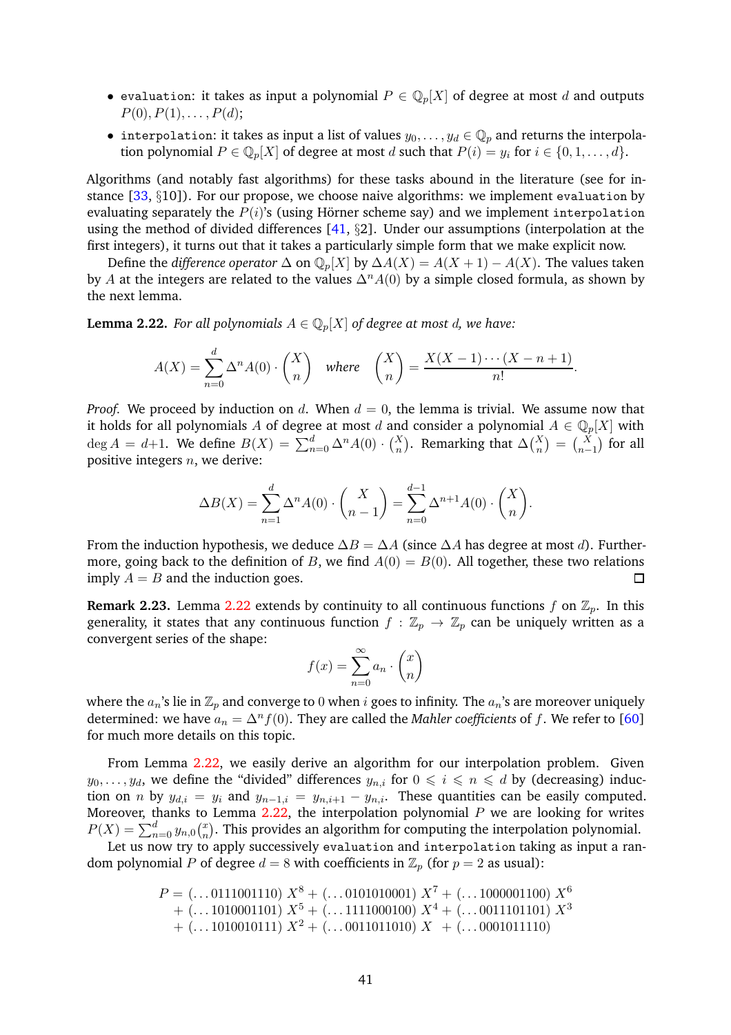- evaluation: it takes as input a polynomial  $P \in \mathbb{Q}_p[X]$  of degree at most d and outputs  $P(0), P(1), \ldots, P(d);$
- interpolation: it takes as input a list of values  $y_0, \ldots, y_d \in \mathbb{Q}_p$  and returns the interpolation polynomial  $P \in \mathbb{Q}_p[X]$  of degree at most d such that  $P(i) = y_i$  for  $i \in \{0, 1, \ldots, d\}$ .

Algorithms (and notably fast algorithms) for these tasks abound in the literature (see for instance  $[33, §10]$  $[33, §10]$ ). For our propose, we choose naive algorithms: we implement evaluation by evaluating separately the  $P(i)$ 's (using Hörner scheme say) and we implement interpolation using the method of divided differences [\[41,](#page-82-3) §2]. Under our assumptions (interpolation at the first integers), it turns out that it takes a particularly simple form that we make explicit now.

Define the *difference operator*  $\Delta$  on  $\mathbb{Q}_p[X]$  by  $\Delta A(X) = A(X+1) - A(X)$ . The values taken by A at the integers are related to the values  $\Delta^n A(0)$  by a simple closed formula, as shown by the next lemma.

<span id="page-40-0"></span>**Lemma 2.22.** *For all polynomials*  $A \in \mathbb{Q}_p[X]$  *of degree at most d, we have:* 

$$
A(X) = \sum_{n=0}^{d} \Delta^{n} A(0) \cdot \binom{X}{n} \quad \text{where} \quad \binom{X}{n} = \frac{X(X-1)\cdots(X-n+1)}{n!}.
$$

*Proof.* We proceed by induction on d. When  $d = 0$ , the lemma is trivial. We assume now that it holds for all polynomials A of degree at most d and consider a polynomial  $A \in \mathbb{Q}_p[X]$  with  $\deg A = d+1$ . We define  $B(X) = \sum_{n=0}^{d} \Delta^n A(0) \cdot {X \choose n}$ . Remarking that  $\Delta {X \choose n} = {X \choose n-1}$  for all positive integers  $n$ , we derive:

$$
\Delta B(X) = \sum_{n=1}^{d} \Delta^{n} A(0) \cdot {X \choose n-1} = \sum_{n=0}^{d-1} \Delta^{n+1} A(0) \cdot {X \choose n}.
$$

From the induction hypothesis, we deduce  $\Delta B = \Delta A$  (since  $\Delta A$  has degree at most d). Furthermore, going back to the definition of B, we find  $A(0) = B(0)$ . All together, these two relations imply  $A = B$  and the induction goes.  $\Box$ 

**Remark 2.23.** Lemma [2.22](#page-40-0) extends by continuity to all continuous functions f on  $\mathbb{Z}_p$ . In this generality, it states that any continuous function  $f : \mathbb{Z}_p \to \mathbb{Z}_p$  can be uniquely written as a convergent series of the shape:

$$
f(x) = \sum_{n=0}^{\infty} a_n \cdot \binom{x}{n}
$$

where the  $a_n$ 's lie in  $\mathbb{Z}_p$  and converge to 0 when i goes to infinity. The  $a_n$ 's are moreover uniquely determined: we have  $a_n = \Delta^n f(0)$ . They are called the *Mahler coefficients* of f. We refer to [\[60\]](#page-83-1) for much more details on this topic.

From Lemma [2.22,](#page-40-0) we easily derive an algorithm for our interpolation problem. Given  $y_0, \ldots, y_d$ , we define the "divided" differences  $y_{n,i}$  for  $0 \leq i \leq n \leq d$  by (decreasing) induction on *n* by  $y_{d,i} = y_i$  and  $y_{n-1,i} = y_{n,i+1} - y_{n,i}$ . These quantities can be easily computed. Moreover, thanks to Lemma  $2.22$ , the interpolation polynomial  $P$  we are looking for writes  $P(X) = \sum_{n=0}^{d} y_{n,0} {x \choose n}$  $\binom{x}{n}$ . This provides an algorithm for computing the interpolation polynomial.

Let us now try to apply successively evaluation and interpolation taking as input a random polynomial P of degree  $d = 8$  with coefficients in  $\mathbb{Z}_p$  (for  $p = 2$  as usual):

$$
P = (\dots 0111001110) X^8 + (\dots 0101010001) X^7 + (\dots 1000001100) X^6
$$
  
+ (\dots 1010001101) X<sup>5</sup> + (\dots 1111000100) X<sup>4</sup> + (\dots 0011101101) X<sup>3</sup>  
+ (\dots 1010010111) X<sup>2</sup> + (\dots 0011011010) X + (\dots 0001011110)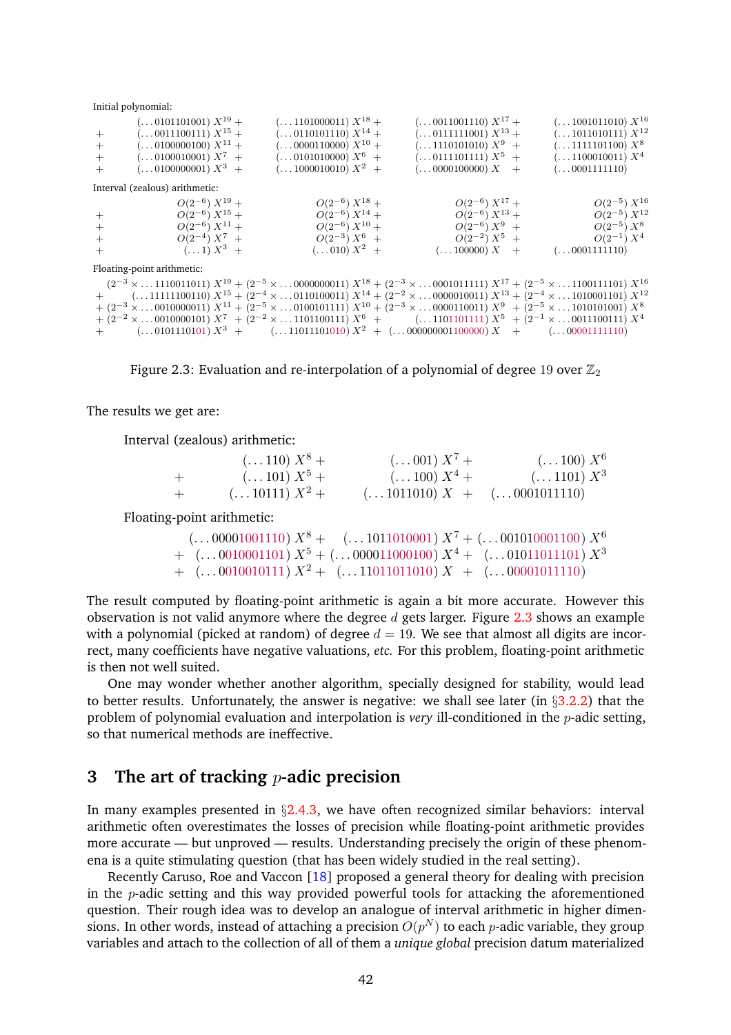| 1111111111 <b>port</b> <i>nominal</i> . |                                                                                                                                                                                            |                                                                                                                                                                                                                                                                                                                                                                                                                                                                                                                                                                                                                                                                                                 |                                                                                                                                                           |                                                                                                                                                           |
|-----------------------------------------|--------------------------------------------------------------------------------------------------------------------------------------------------------------------------------------------|-------------------------------------------------------------------------------------------------------------------------------------------------------------------------------------------------------------------------------------------------------------------------------------------------------------------------------------------------------------------------------------------------------------------------------------------------------------------------------------------------------------------------------------------------------------------------------------------------------------------------------------------------------------------------------------------------|-----------------------------------------------------------------------------------------------------------------------------------------------------------|-----------------------------------------------------------------------------------------------------------------------------------------------------------|
| $+$<br>$+$<br>$+$<br>$+$                | $\ldots$ 0101101001) $X^{19}$ +<br>$\ldots$ 0011100111) $X^{15}$ +<br>$\left(\dots 0100000100\right) X^{11} +$<br>$\left( \ldots 0100010001 \right) X^7 +$<br>$\ldots$ 0100000001) $X^3$ + | $\ldots$ 1101000011) $X^{18}$ +<br>$\ldots$ 0110101110) $X^{14}$ +<br>$\left(\dots 0000110000\right) X^{10} +$<br>$(\ldots 0101010000) X^6 +$<br>$\ldots$ 1000010010) $X^2$ +                                                                                                                                                                                                                                                                                                                                                                                                                                                                                                                   | $\ldots$ 0011001110) $X^{17}$ +<br>$\ldots$ 0111111001) $X^{13}$ +<br>$\ldots$ 1110101010) $X^9$ +<br>$\ldots$ 0111101111) $X^5$ +<br>$(00001000000) X +$ | $(\dots 1001011010) X^{16}$<br>$\ldots$ 1011010111) $X^{12}$<br>$(\ldots 1111101100) X^8$<br>$\left(\dots 1100010011\right) X^4$<br>$(\ldots 0001111110)$ |
|                                         | Interval (zealous) arithmetic:                                                                                                                                                             |                                                                                                                                                                                                                                                                                                                                                                                                                                                                                                                                                                                                                                                                                                 |                                                                                                                                                           |                                                                                                                                                           |
| $+$<br>$+$<br>$+$<br>$+$                | $O(2^{-6}) X^{19} +$<br>$O(2^{-6}) X^{15} +$<br>$O(2^{-6}) X^{11} +$<br>$O(2^{-4}) X^7 +$<br>$(\ldots 1) X^3 +$                                                                            | $O(2^{-6}) X^{18} +$<br>$O(2^{-6}) X^{14} +$<br>$O(2^{-6}) X^{10} +$<br>$O(2^{-3}) X^6 +$<br>$(\ldots 010) X^2 +$                                                                                                                                                                                                                                                                                                                                                                                                                                                                                                                                                                               | $O(2^{-6}) X^{17} +$<br>$O(2^{-6}) X^{13} +$<br>$O(2^{-6}) X^9 +$<br>$O(2^{-2}) X^5 +$<br>$( \dots 100000) X +$                                           | $O(2^{-5}) X^{16}$<br>$O(2^{-5}) X^{12}$<br>$O(2^{-5}) X^8$<br>$O(2^{-1}) X^4$<br>(0001111110)                                                            |
|                                         | Floating-point arithmetic:                                                                                                                                                                 |                                                                                                                                                                                                                                                                                                                                                                                                                                                                                                                                                                                                                                                                                                 |                                                                                                                                                           |                                                                                                                                                           |
|                                         |                                                                                                                                                                                            | $(2^{-3} \times  1110011011) X^{19} + (2^{-5} \times  0000000011) X^{18} + (2^{-3} \times  0001011111) X^{17} + (2^{-5} \times  1100111101) X^{16}$<br>$\ldots$ 11111100110) $X^{15} + (2^{-4} \times \ldots 0110100011) X^{14} + (2^{-2} \times \ldots 000010011) X^{13} + (2^{-4} \times \ldots 1010001101) X^{12}$<br>$+ (2^{-3} \times  0010000011) X^{11} + (2^{-5} \times  0100101111) X^{10} + (2^{-3} \times  0000110011) X^9 + (2^{-5} \times  1010101001) X^8$<br>$+(2^{-2} \times  0010000101) X^7 + (2^{-2} \times  1101100111) X^6 +$ (1101101111) $X^5 + (2^{-1} \times  0011100111) X^4$<br>$+$ (0101110101) $X^3$ + (11011101010) $X^2$ + (000000001100000) $X$ + (00001111110) |                                                                                                                                                           |                                                                                                                                                           |

<span id="page-41-1"></span>Figure 2.3: Evaluation and re-interpolation of a polynomial of degree 19 over  $\mathbb{Z}_2$ 

The results we get are:

Initial polynomial:

Interval (zealous) arithmetic:

|     | $\ldots$ 110) $X^8$ +   | $(\ldots 001) X^7 +$           | $(\ldots 100) X^6$  |
|-----|-------------------------|--------------------------------|---------------------|
| $+$ | $\ldots$ 101) $X^5$ +   | $\ldots$ 100) $X^4$ +          | $(\ldots 1101) X^3$ |
| $+$ | $\ldots$ 10111) $X^2$ + | $( 1011010) X + ( 0001011110)$ |                     |

Floating-point arithmetic:

```
(\dots 00001001110) X^8 + (\dots 1011010001) X^7 + (\dots 001010001100) X^6+ (...0010001101) X^5 + (...000011000100) X^4 + (...01011011101) X^3+ (\dots 0010010111) X^2 + (\dots 11011011010) X + (\dots 00001011110)
```
The result computed by floating-point arithmetic is again a bit more accurate. However this observation is not valid anymore where the degree  $d$  gets larger. Figure [2.3](#page-41-1) shows an example with a polynomial (picked at random) of degree  $d = 19$ . We see that almost all digits are incorrect, many coefficients have negative valuations, *etc.* For this problem, floating-point arithmetic is then not well suited.

One may wonder whether another algorithm, specially designed for stability, would lead to better results. Unfortunately, the answer is negative: we shall see later (in  $\S 3.2.2$ ) that the problem of polynomial evaluation and interpolation is *very* ill-conditioned in the p-adic setting, so that numerical methods are ineffective.

# <span id="page-41-0"></span>**3 The art of tracking** p**-adic precision**

In many examples presented in §[2.4.3,](#page-36-1) we have often recognized similar behaviors: interval arithmetic often overestimates the losses of precision while floating-point arithmetic provides more accurate — but unproved — results. Understanding precisely the origin of these phenomena is a quite stimulating question (that has been widely studied in the real setting).

Recently Caruso, Roe and Vaccon [\[18\]](#page-81-3) proposed a general theory for dealing with precision in the  $p$ -adic setting and this way provided powerful tools for attacking the aforementioned question. Their rough idea was to develop an analogue of interval arithmetic in higher dimensions. In other words, instead of attaching a precision  $O(p^N)$  to each  $p$ -adic variable, they group variables and attach to the collection of all of them a *unique global* precision datum materialized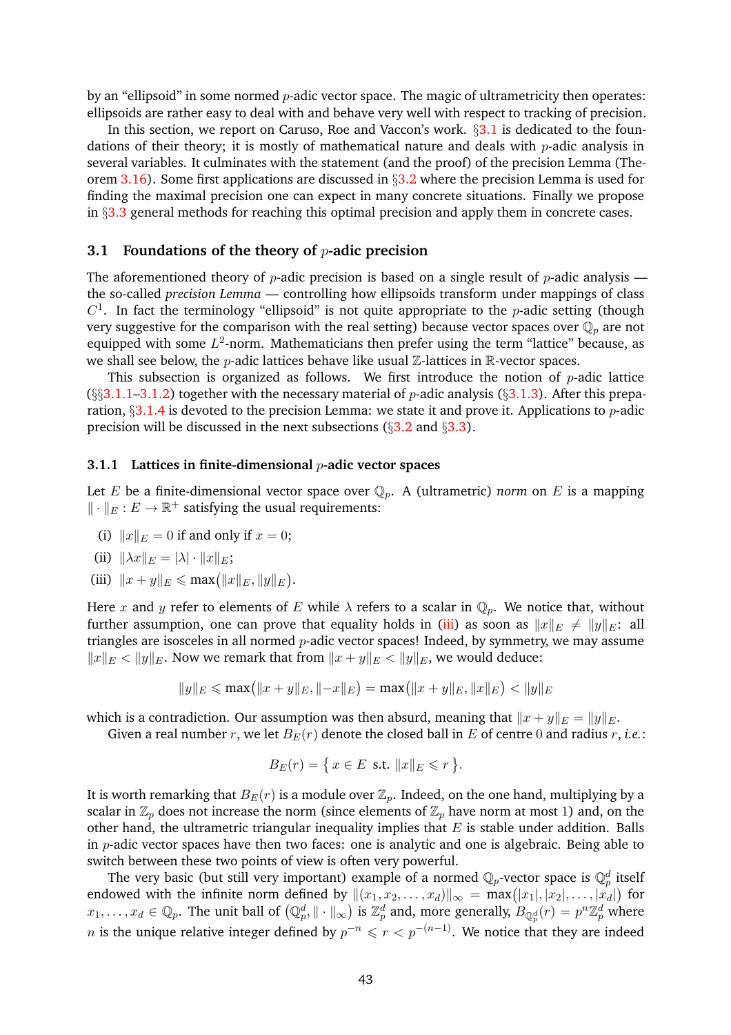by an "ellipsoid" in some normed  $p$ -adic vector space. The magic of ultrametricity then operates: ellipsoids are rather easy to deal with and behave very well with respect to tracking of precision.

In this section, we report on Caruso, Roe and Vaccon's work.  $\S 3.1$  $\S 3.1$  is dedicated to the foundations of their theory; it is mostly of mathematical nature and deals with  $p$ -adic analysis in several variables. It culminates with the statement (and the proof) of the precision Lemma (The-orem [3.16\)](#page-50-0). Some first applications are discussed in  $\S 3.2$  $\S 3.2$  where the precision Lemma is used for finding the maximal precision one can expect in many concrete situations. Finally we propose in §[3.3](#page-69-1) general methods for reaching this optimal precision and apply them in concrete cases.

## <span id="page-42-0"></span>**3.1 Foundations of the theory of** p**-adic precision**

The aforementioned theory of *p*-adic precision is based on a single result of *p*-adic analysis the so-called *precision Lemma* — controlling how ellipsoids transform under mappings of class  $C^1$ . In fact the terminology "ellipsoid" is not quite appropriate to the p-adic setting (though very suggestive for the comparison with the real setting) because vector spaces over  $\mathbb{Q}_p$  are not equipped with some  $L^2$ -norm. Mathematicians then prefer using the term "lattice" because, as we shall see below, the *p*-adic lattices behave like usual  $\mathbb{Z}$ -lattices in R-vector spaces.

This subsection is organized as follows. We first introduce the notion of  $p$ -adic lattice  $({\S3.1.1-3.1.2})$  $({\S3.1.1-3.1.2})$  $({\S3.1.1-3.1.2})$  together with the necessary material of *p*-adic analysis ( $\S3.1.3$ ). After this preparation,  $\S 3.1.4$  $\S 3.1.4$  is devoted to the precision Lemma: we state it and prove it. Applications to *p*-adic precision will be discussed in the next subsections (§[3.2](#page-52-0) and §[3.3\)](#page-69-1).

### <span id="page-42-1"></span>**3.1.1 Lattices in finite-dimensional** p**-adic vector spaces**

Let E be a finite-dimensional vector space over  $\mathbb{Q}_p$ . A (ultrametric) *norm* on E is a mapping  $\Vert \cdot \Vert_{E}: E \to \mathbb{R}^{+}$  satisfying the usual requirements:

- (i)  $||x||_E = 0$  if and only if  $x = 0$ ;
- <span id="page-42-2"></span>(ii)  $\|\lambda x\|_E = |\lambda| \cdot \|x\|_E;$
- (iii)  $||x + y||_E \le \max(||x||_E, ||y||_E).$

Here x and y refer to elements of E while  $\lambda$  refers to a scalar in  $\mathbb{Q}_p$ . We notice that, without further assumption, one can prove that equality holds in [\(iii\)](#page-42-2) as soon as  $||x||_E \neq ||y||_E$ : all triangles are isosceles in all normed  $p$ -adic vector spaces! Indeed, by symmetry, we may assume  $||x||_E < ||y||_E$ . Now we remark that from  $||x + y||_E < ||y||_E$ , we would deduce:

$$
||y||_E \le \max(||x+y||_E, ||-x||_E) = \max(||x+y||_E, ||x||_E) < ||y||_E
$$

which is a contradiction. Our assumption was then absurd, meaning that  $||x + y||_E = ||y||_E$ .

Given a real number r, we let  $B_E(r)$  denote the closed ball in E of centre 0 and radius r, *i.e.*:

$$
B_E(r) = \{ x \in E \text{ s.t. } ||x||_E \leqslant r \}.
$$

It is worth remarking that  $B_E(r)$  is a module over  $\mathbb{Z}_p$ . Indeed, on the one hand, multiplying by a scalar in  $\mathbb{Z}_p$  does not increase the norm (since elements of  $\mathbb{Z}_p$  have norm at most 1) and, on the other hand, the ultrametric triangular inequality implies that  $E$  is stable under addition. Balls in  $p$ -adic vector spaces have then two faces: one is analytic and one is algebraic. Being able to switch between these two points of view is often very powerful.

The very basic (but still very important) example of a normed  $\mathbb{Q}_p$ -vector space is  $\mathbb{Q}_p^d$  itself endowed with the infinite norm defined by  $\|(x_1, x_2, \ldots, x_d)\|_{\infty} = \max(|x_1|, |x_2|, \ldots, |x_d|)$  for  $x_1,\ldots,x_d\in\mathbb{Q}_p.$  The unit ball of  $\left(\mathbb{Q}_p^d,\|\cdot\|_\infty\right)$  is  $\mathbb{Z}_p^d$  and, more generally,  $B_{\mathbb{Q}_p^d}(r)=p^n\mathbb{Z}_p^d$  where  $n$  is the unique relative integer defined by  $p^{-n} \leqslant r < p^{-(n-1)}.$  We notice that they are indeed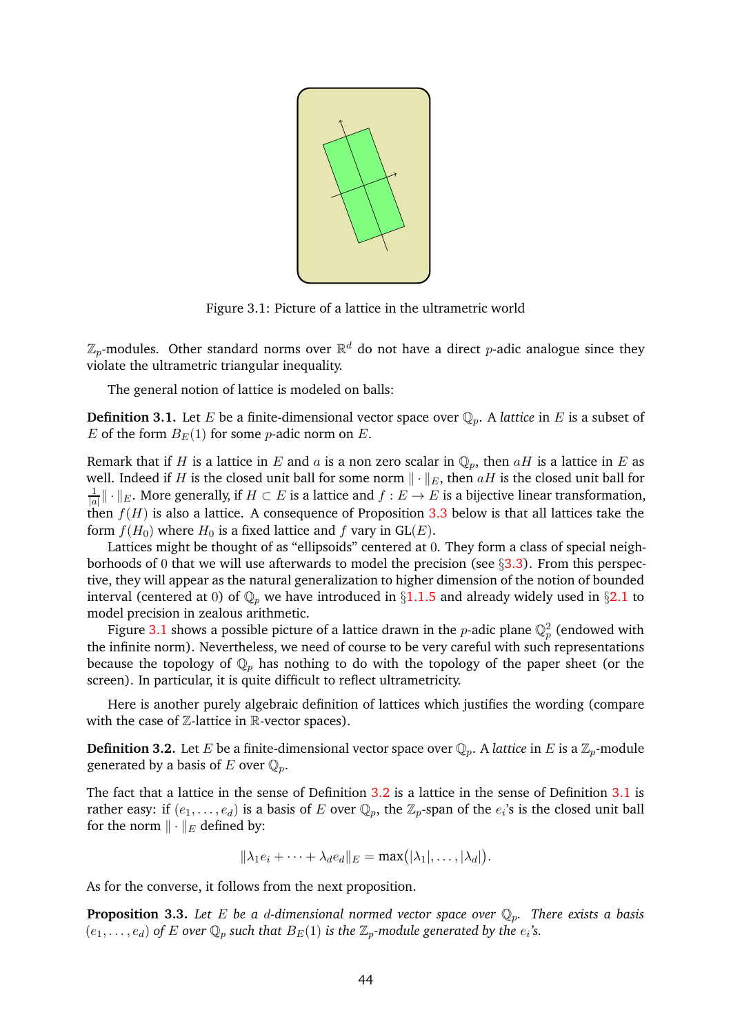

<span id="page-43-1"></span>Figure 3.1: Picture of a lattice in the ultrametric world

 $\mathbb{Z}_p$ -modules. Other standard norms over  $\mathbb{R}^d$  do not have a direct  $p$ -adic analogue since they violate the ultrametric triangular inequality.

<span id="page-43-3"></span>The general notion of lattice is modeled on balls:

**Definition 3.1.** Let E be a finite-dimensional vector space over  $\mathbb{Q}_p$ . A *lattice* in E is a subset of E of the form  $B_E(1)$  for some p-adic norm on E.

Remark that if H is a lattice in E and a is a non zero scalar in  $\mathbb{Q}_p$ , then aH is a lattice in E as well. Indeed if H is the closed unit ball for some norm  $\|\cdot\|_E$ , then  $aH$  is the closed unit ball for 1  $\frac{1}{|a|}\|\cdot\|_E.$  More generally, if  $H\subset E$  is a lattice and  $f:E\to E$  is a bijective linear transformation, then  $f(H)$  is also a lattice. A consequence of Proposition [3.3](#page-43-0) below is that all lattices take the form  $f(H_0)$  where  $H_0$  is a fixed lattice and f vary in GL(E).

Lattices might be thought of as "ellipsoids" centered at 0. They form a class of special neighborhoods of 0 that we will use afterwards to model the precision (see  $\S$ [3.3\)](#page-69-1). From this perspective, they will appear as the natural generalization to higher dimension of the notion of bounded interval (centered at 0) of  $\mathbb{Q}_p$  we have introduced in §[1.1.5](#page-7-0) and already widely used in §[2.1](#page-19-0) to model precision in zealous arithmetic.

Figure [3.1](#page-43-1) shows a possible picture of a lattice drawn in the  $p$ -adic plane  $\mathbb{Q}_p^2$  (endowed with the infinite norm). Nevertheless, we need of course to be very careful with such representations because the topology of  $\mathbb{Q}_p$  has nothing to do with the topology of the paper sheet (or the screen). In particular, it is quite difficult to reflect ultrametricity.

<span id="page-43-2"></span>Here is another purely algebraic definition of lattices which justifies the wording (compare with the case of  $\mathbb{Z}$ -lattice in  $\mathbb{R}$ -vector spaces).

**Definition 3.2.** Let E be a finite-dimensional vector space over  $\mathbb{Q}_p$ . A *lattice* in E is a  $\mathbb{Z}_p$ -module generated by a basis of E over  $\mathbb{Q}_p$ .

The fact that a lattice in the sense of Definition [3.2](#page-43-2) is a lattice in the sense of Definition [3.1](#page-43-3) is rather easy: if  $(e_1,\ldots,e_d)$  is a basis of  $E$  over  $\mathbb{Q}_p,$  the  $\mathbb{Z}_p$ -span of the  $e_i$ 's is the closed unit ball for the norm  $\|\cdot\|_E$  defined by:

$$
\|\lambda_1 e_i + \cdots + \lambda_d e_d\|_E = \max(|\lambda_1|, \ldots, |\lambda_d|).
$$

<span id="page-43-0"></span>As for the converse, it follows from the next proposition.

**Proposition 3.3.** Let E be a d-dimensional normed vector space over  $\mathbb{Q}_p$ . There exists a basis  $(e_1,\ldots,e_d)$  of  $E$  over  $\mathbb{Q}_p$  such that  $B_E(1)$  is the  $\mathbb{Z}_p$ -module generated by the  $e_i$ 's.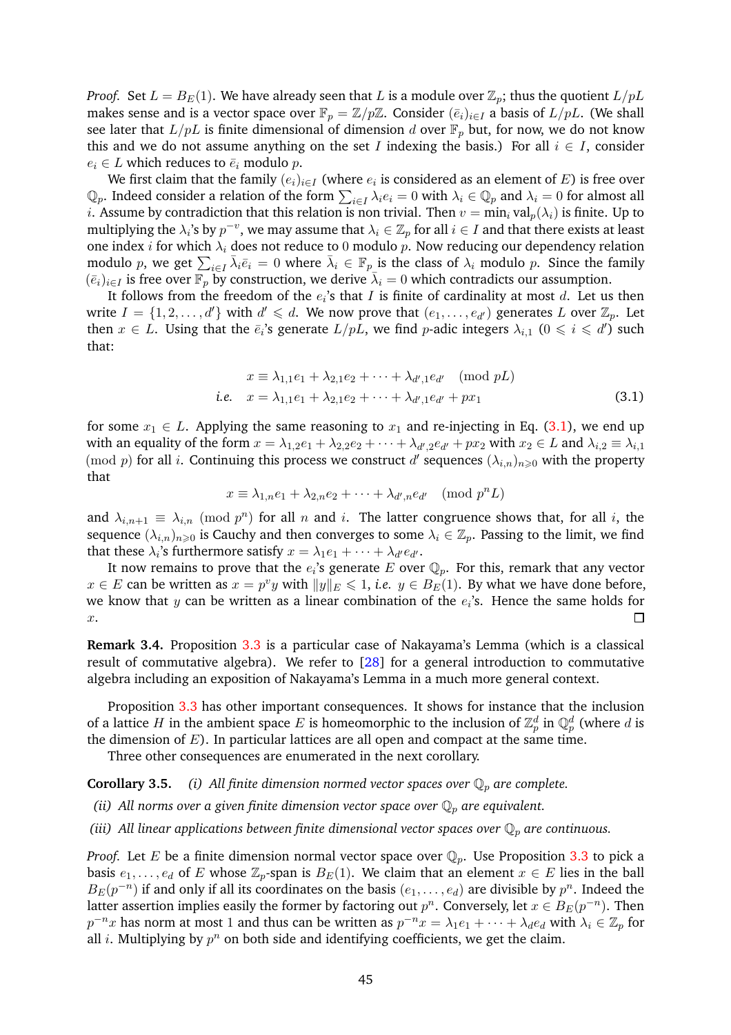*Proof.* Set  $L = B_E(1)$ . We have already seen that L is a module over  $\mathbb{Z}_p$ ; thus the quotient  $L/pL$ makes sense and is a vector space over  $\mathbb{F}_p = \mathbb{Z}/p\mathbb{Z}$ . Consider  $(\bar{e}_i)_{i \in I}$  a basis of  $L/pL$ . (We shall see later that  $L/pL$  is finite dimensional of dimension d over  $\mathbb{F}_p$  but, for now, we do not know this and we do not assume anything on the set I indexing the basis.) For all  $i \in I$ , consider  $e_i \in L$  which reduces to  $\bar{e}_i$  modulo p.

We first claim that the family  $(e_i)_{i\in I}$  (where  $e_i$  is considered as an element of  $E$ ) is free over  $\mathbb{Q}_p$ . Indeed consider a relation of the form  $\sum_{i\in I}\lambda_ie_i=0$  with  $\lambda_i\in\mathbb{Q}_p$  and  $\lambda_i=0$  for almost all *i*. Assume by contradiction that this relation is non trivial. Then  $v = \min_i \text{val}_p(\lambda_i)$  is finite. Up to multiplying the  $\lambda_i$ 's by  $p^{-v}$ , we may assume that  $\lambda_i\in\mathbb{Z}_p$  for all  $i\in I$  and that there exists at least one index *i* for which  $\lambda_i$  does not reduce to 0 modulo p. Now reducing our dependency relation modulo p, we get  $\sum_{i\in I}\bar{\lambda}_i\bar{e}_i=0$  where  $\bar{\lambda}_i\in \mathbb{F}_{p}$  is the class of  $\lambda_i$  modulo p. Since the family  $(\bar{e}_i)_{i\in I}$  is free over  $\bar{\mathbb{F}}_p$  by construction, we derive  $\bar{\lambda}_i=0$  which contradicts our assumption.

It follows from the freedom of the  $e_i$ 's that  $I$  is finite of cardinality at most  $d$ . Let us then write  $I = \{1, 2, ..., d'\}$  with  $d' \le d$ . We now prove that  $(e_1, ..., e_{d'})$  generates L over  $\mathbb{Z}_p$ . Let then  $x \in L$ . Using that the  $\bar{e}_i$ 's generate  $L/pL$ , we find p-adic integers  $\lambda_{i,1}$   $(0 \leq i \leq d')$  such that:

<span id="page-44-0"></span>
$$
x \equiv \lambda_{1,1}e_1 + \lambda_{2,1}e_2 + \dots + \lambda_{d',1}e_{d'} \pmod{pL}
$$
  
i.e.  $x = \lambda_{1,1}e_1 + \lambda_{2,1}e_2 + \dots + \lambda_{d',1}e_{d'} + px_1$  (3.1)

for some  $x_1 \in L$ . Applying the same reasoning to  $x_1$  and re-injecting in Eq. [\(3.1\)](#page-44-0), we end up with an equality of the form  $x = \lambda_{1,2}e_1 + \lambda_{2,2}e_2 + \cdots + \lambda_{d',2}e_{d'} + px_2$  with  $x_2 \in L$  and  $\lambda_{i,2} \equiv \lambda_{i,1}$ (mod p) for all *i*. Continuing this process we construct d' sequences  $(\lambda_{i,n})_{n\geq 0}$  with the property that

$$
x \equiv \lambda_{1,n} e_1 + \lambda_{2,n} e_2 + \dots + \lambda_{d',n} e_{d'} \pmod{p^n L}
$$

and  $\lambda_{i,n+1} \equiv \lambda_{i,n} \pmod{p^n}$  for all n and i. The latter congruence shows that, for all i, the sequence  $(\lambda_{i,n})_{n\geq 0}$  is Cauchy and then converges to some  $\lambda_i \in \mathbb{Z}_p$ . Passing to the limit, we find that these  $\lambda_i$ 's furthermore satisfy  $x = \lambda_1 e_1 + \cdots + \lambda_{d'} e_{d'}$ .

It now remains to prove that the  $e_i$ 's generate  $E$  over  $\mathbb{Q}_p.$  For this, remark that any vector  $x \in E$  can be written as  $x = p^v y$  with  $||y||_E \le 1$ , *i.e.*  $y \in B_E(1)$ . By what we have done before, we know that  $y$  can be written as a linear combination of the  $e_i$ 's. Hence the same holds for  $\mathcal{X}$ .  $\Box$ 

**Remark 3.4.** Proposition [3.3](#page-43-0) is a particular case of Nakayama's Lemma (which is a classical result of commutative algebra). We refer to [\[28\]](#page-81-4) for a general introduction to commutative algebra including an exposition of Nakayama's Lemma in a much more general context.

Proposition [3.3](#page-43-0) has other important consequences. It shows for instance that the inclusion of a lattice  $H$  in the ambient space  $E$  is homeomorphic to the inclusion of  $\mathbb{Z}_p^d$  in  $\mathbb{Q}_p^d$  (where  $d$  is the dimension of  $E$ ). In particular lattices are all open and compact at the same time.

<span id="page-44-1"></span>Three other consequences are enumerated in the next corollary.

**Corollary 3.5.** *(i) All finite dimension normed vector spaces over*  $\mathbb{Q}_p$  *are complete.* 

- *(ii)* All norms over a given finite dimension vector space over  $\mathbb{Q}_p$  are equivalent.
- *(iii) All linear applications between finite dimensional vector spaces over*  $\mathbb{Q}_p$  *are continuous.*

*Proof.* Let E be a finite dimension normal vector space over  $\mathbb{Q}_p$ . Use Proposition [3.3](#page-43-0) to pick a basis  $e_1, \ldots, e_d$  of E whose  $\mathbb{Z}_p$ -span is  $B_E(1)$ . We claim that an element  $x \in E$  lies in the ball  $B_E(p^{-n})$  if and only if all its coordinates on the basis  $(e_1,\ldots,e_d)$  are divisible by  $p^n.$  Indeed the latter assertion implies easily the former by factoring out  $p^n$ . Conversely, let  $x \in B_E(p^{-n})$ . Then  $p^{-n}x$  has norm at most 1 and thus can be written as  $p^{-n}x = \lambda_1 e_1 + \cdots + \lambda_d e_d$  with  $\lambda_i \in \mathbb{Z}_p$  for all *i*. Multiplying by  $p^n$  on both side and identifying coefficients, we get the claim.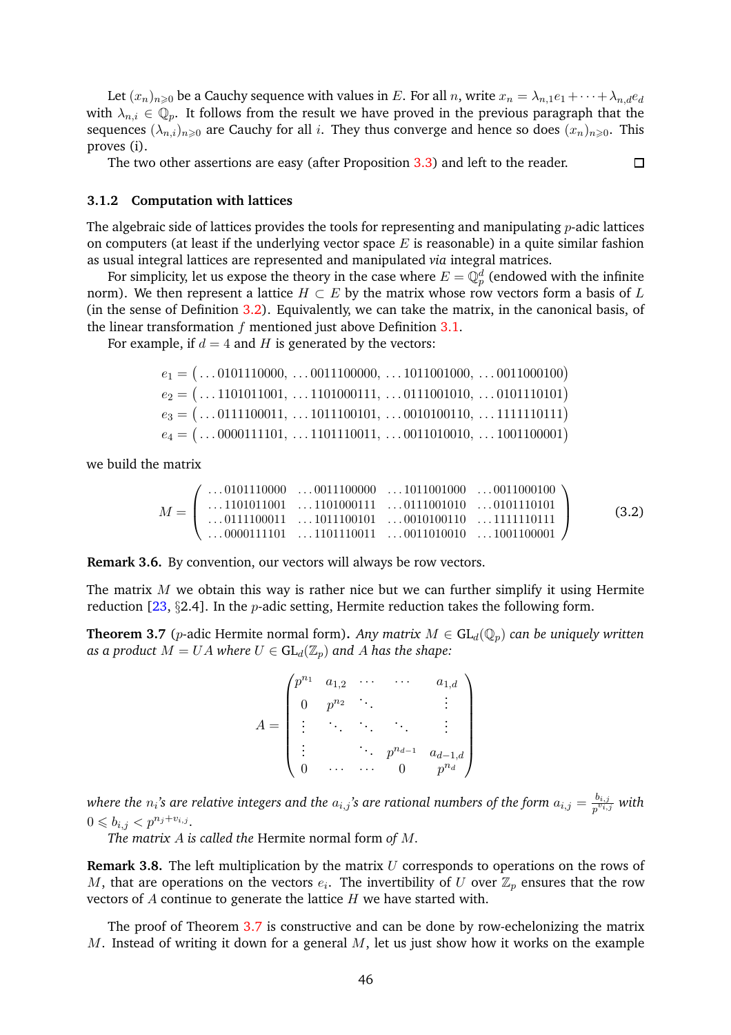Let  $(x_n)_{n\geq 0}$  be a Cauchy sequence with values in E. For all n, write  $x_n = \lambda_{n,1}e_1 + \cdots + \lambda_{n,d}e_d$ with  $\lambda_{n,i} \in \mathbb{Q}_p$ . It follows from the result we have proved in the previous paragraph that the sequences  $(\lambda_{n,i})_{n\geq 0}$  are Cauchy for all *i*. They thus converge and hence so does  $(x_n)_{n\geq 0}$ . This proves (i).

The two other assertions are easy (after Proposition [3.3\)](#page-43-0) and left to the reader.

 $\Box$ 

## <span id="page-45-0"></span>**3.1.2 Computation with lattices**

The algebraic side of lattices provides the tools for representing and manipulating  $p$ -adic lattices on computers (at least if the underlying vector space  $E$  is reasonable) in a quite similar fashion as usual integral lattices are represented and manipulated *via* integral matrices.

For simplicity, let us expose the theory in the case where  $E=\mathbb{Q}_p^d$  (endowed with the infinite norm). We then represent a lattice  $H \subset E$  by the matrix whose row vectors form a basis of L (in the sense of Definition [3.2\)](#page-43-2). Equivalently, we can take the matrix, in the canonical basis, of the linear transformation  $f$  mentioned just above Definition [3.1.](#page-43-3)

For example, if  $d = 4$  and H is generated by the vectors:

| $e_1 = ( \dots 0101110000, \dots 0011100000, \dots 1011001000, \dots 0011000100)$ |  |
|-----------------------------------------------------------------------------------|--|
| $e_2 = ( \dots 1101011001, \dots 1101000111, \dots 0111001010, \dots 0101110101)$ |  |
| $e_3 = ( \dots 0111100011, \dots 1011100101, \dots 0010100110, \dots 1111110111)$ |  |
| $e_4 = ( \dots 0000111101, \dots 1101110011, \dots 0011010010, \dots 1001100001)$ |  |

we build the matrix

<span id="page-45-2"></span>
$$
M = \begin{pmatrix} \dots 0101110000 & \dots 0011100000 & \dots 1011001000 & \dots 0011000100 \\ \dots 1101011001 & \dots 1101000111 & \dots 0111001010 & \dots 010111011 \\ \dots 0111100011 & \dots 101110010 & \dots 0010100110 & \dots 1111110111 \\ \dots 0000111101 & \dots 1101110011 & \dots 0011010010 & \dots 1001100001 \end{pmatrix}
$$
(3.2)

**Remark 3.6.** By convention, our vectors will always be row vectors.

<span id="page-45-1"></span>The matrix  $M$  we obtain this way is rather nice but we can further simplify it using Hermite reduction [\[23,](#page-81-5)  $\S 2.4$ ]. In the *p*-adic setting, Hermite reduction takes the following form.

**Theorem 3.7** (*p*-adic Hermite normal form). *Any matrix*  $M \in GL_d(\mathbb{Q}_p)$  *can be uniquely written as a product*  $M = UA$  *where*  $U \in GL_d(\mathbb{Z}_p)$  *and A has the shape:* 

| $n^{n_1}$ | $a_{1,2}$                |               | $a_{1,d}$   |
|-----------|--------------------------|---------------|-------------|
|           | n <sub>2</sub><br>$\eta$ |               |             |
|           |                          |               |             |
|           |                          | $n^{n_{d-1}}$ | $a_{d-1,d}$ |
|           |                          |               | $n^{nd}$    |

where the  $n_i$ 's are relative integers and the  $a_{i,j}$ 's are rational numbers of the form  $a_{i,j}=\frac{b_{i,j}}{n^{v_{i,j}}}$  $\frac{v_{i,j}}{p^{v_{i,j}}}$  with  $0 \leq b_{i,j} < p^{n_j + v_{i,j}}.$ 

*The matrix* A *is called the* Hermite normal form *of* M*.*

**Remark 3.8.** The left multiplication by the matrix U corresponds to operations on the rows of M, that are operations on the vectors  $e_i$ . The invertibility of U over  $\mathbb{Z}_p$  ensures that the row vectors of A continue to generate the lattice H we have started with.

The proof of Theorem [3.7](#page-45-1) is constructive and can be done by row-echelonizing the matrix M. Instead of writing it down for a general  $M$ , let us just show how it works on the example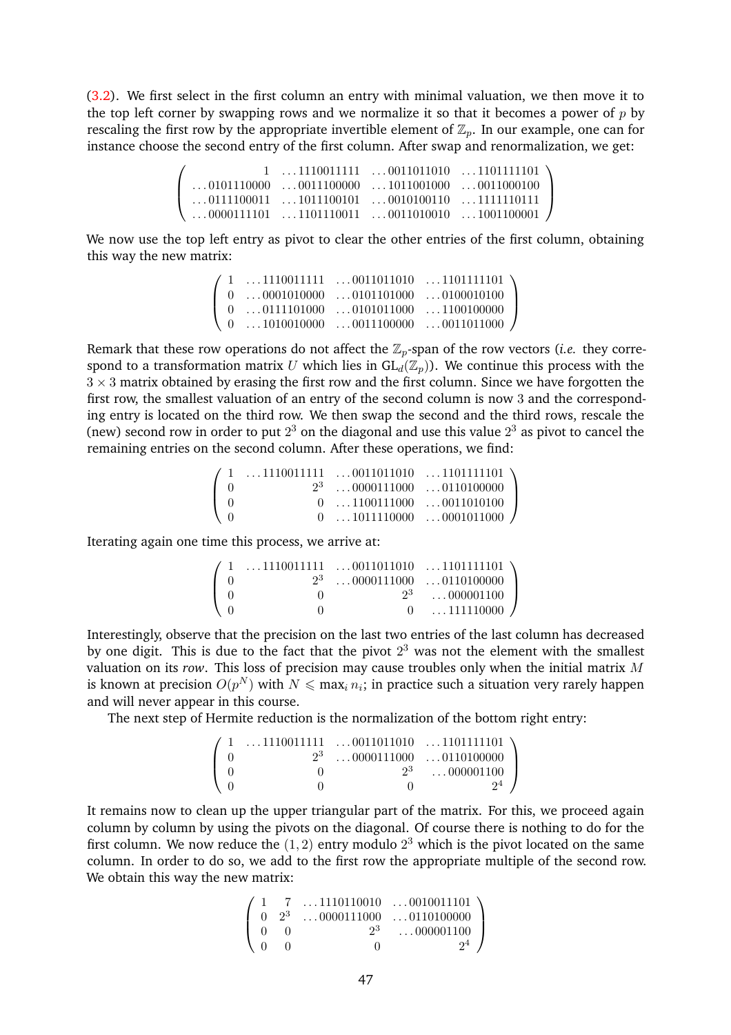[\(3.2\)](#page-45-2). We first select in the first column an entry with minimal valuation, we then move it to the top left corner by swapping rows and we normalize it so that it becomes a power of  $p$  by rescaling the first row by the appropriate invertible element of  $\mathbb{Z}_p$ . In our example, one can for instance choose the second entry of the first column. After swap and renormalization, we get:

|  |  | $1$ 1110011111 0011011010 1101111101                                      |
|--|--|---------------------------------------------------------------------------|
|  |  | $\ldots 0101110000 \ldots 0011100000 \ldots 1011001000 \ldots 0011000100$ |
|  |  | $\ldots 0111100011 \ldots 1011100101 \ldots 0010100110 \ldots 1111110111$ |
|  |  | $\ldots 0000111101 \ldots 1101110011 \ldots 0011010010 \ldots 1001100001$ |

We now use the top left entry as pivot to clear the other entries of the first column, obtaining this way the new matrix:

|  | $'1$ 1110011111 0011011010 1101111101                     |  |
|--|-----------------------------------------------------------|--|
|  | $0$ 0001010000 0101101000 0100010100                      |  |
|  | $0$ 0111101000 0101011000 1100100000                      |  |
|  | $0 \ldots 1010010000 \ldots 0011100000 \ldots 0011011000$ |  |

Remark that these row operations do not affect the  $\mathbb{Z}_p$ -span of the row vectors (*i.e.* they correspond to a transformation matrix U which lies in  $GL_d(\mathbb{Z}_p)$ ). We continue this process with the  $3 \times 3$  matrix obtained by erasing the first row and the first column. Since we have forgotten the first row, the smallest valuation of an entry of the second column is now 3 and the corresponding entry is located on the third row. We then swap the second and the third rows, rescale the (new) second row in order to put  $2<sup>3</sup>$  on the diagonal and use this value  $2<sup>3</sup>$  as pivot to cancel the remaining entries on the second column. After these operations, we find:

|            |                             | $\left(1 \dots 1110011111 \dots 0011011010 \dots 1101111101 \right)$ |
|------------|-----------------------------|----------------------------------------------------------------------|
|            | $2^3$ 0000111000 0110100000 |                                                                      |
|            | $0$ 1100111000 0011010100   |                                                                      |
| $\sqrt{0}$ |                             | $0$ 1011110000 0001011000 /                                          |

Iterating again one time this process, we arrive at:

|  | $\begin{pmatrix} 1 & \ldots 1110011111 & \ldots 0011011010 & \ldots 1101111101 \end{pmatrix}$ |                                     |                    |  |
|--|-----------------------------------------------------------------------------------------------|-------------------------------------|--------------------|--|
|  | $2^3$                                                                                         | $\dots 0000111000 \dots 0110100000$ |                    |  |
|  |                                                                                               | 23                                  | $\ldots 000001100$ |  |
|  |                                                                                               |                                     | $\dots 111110000$  |  |

Interestingly, observe that the precision on the last two entries of the last column has decreased by one digit. This is due to the fact that the pivot  $2<sup>3</sup>$  was not the element with the smallest valuation on its *row*. This loss of precision may cause troubles only when the initial matrix M is known at precision  $O(p^{N})$  with  $N\leqslant\max_{i}n_{i};$  in practice such a situation very rarely happen and will never appear in this course.

The next step of Hermite reduction is the normalization of the bottom right entry:

|  |       | $\ldots$ 1110011111 $\ldots$ 0011011010 $\ldots$ 1101111101 |                    |  |
|--|-------|-------------------------------------------------------------|--------------------|--|
|  | $2^3$ | $\ldots 0000111000 \ldots 0110100000$                       |                    |  |
|  |       | 93                                                          | $\ldots 000001100$ |  |
|  |       |                                                             |                    |  |

It remains now to clean up the upper triangular part of the matrix. For this, we proceed again column by column by using the pivots on the diagonal. Of course there is nothing to do for the first column. We now reduce the  $(1,2)$  entry modulo  $2^3$  which is the pivot located on the same column. In order to do so, we add to the first row the appropriate multiple of the second row. We obtain this way the new matrix:

|    |                     | $\dots$ 1110110010 $\dots$ 0010011101 |
|----|---------------------|---------------------------------------|
| 23 | $\ldots 0000111000$ | $\dots 0110100000$                    |
|    | ი3                  | $\ldots 000001100$                    |
|    |                     |                                       |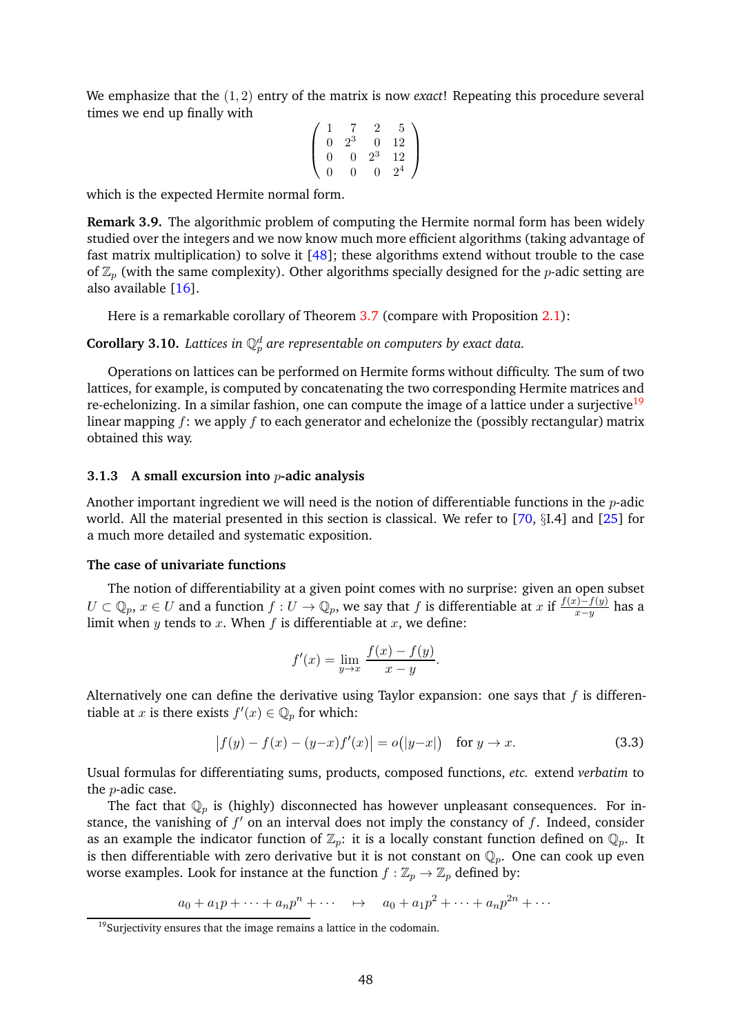We emphasize that the (1, 2) entry of the matrix is now *exact*! Repeating this procedure several times we end up finally with

$$
\left(\begin{array}{cccc} 1 & 7 & 2 & 5 \\ 0 & 2^3 & 0 & 12 \\ 0 & 0 & 2^3 & 12 \\ 0 & 0 & 0 & 2^4 \end{array}\right)
$$

which is the expected Hermite normal form.

**Remark 3.9.** The algorithmic problem of computing the Hermite normal form has been widely studied over the integers and we now know much more efficient algorithms (taking advantage of fast matrix multiplication) to solve it  $[48]$ ; these algorithms extend without trouble to the case of  $\mathbb{Z}_p$  (with the same complexity). Other algorithms specially designed for the *p*-adic setting are also available [\[16\]](#page-81-1).

Here is a remarkable corollary of Theorem [3.7](#page-45-1) (compare with Proposition [2.1\)](#page-19-1):

 ${\bf Corollary~3.10.}$   $Lattices$  in  ${\mathbb Q}_p^d$  are representable on computers by exact data.

Operations on lattices can be performed on Hermite forms without difficulty. The sum of two lattices, for example, is computed by concatenating the two corresponding Hermite matrices and re-echelonizing. In a similar fashion, one can compute the image of a lattice under a surjective<sup>[19](#page-47-1)</sup> linear mapping  $f$ : we apply  $f$  to each generator and echelonize the (possibly rectangular) matrix obtained this way.

#### <span id="page-47-0"></span>**3.1.3 A small excursion into** p**-adic analysis**

Another important ingredient we will need is the notion of differentiable functions in the  $p$ -adic world. All the material presented in this section is classical. We refer to [\[70,](#page-83-2) §I.4] and [\[25\]](#page-81-6) for a much more detailed and systematic exposition.

## **The case of univariate functions**

The notion of differentiability at a given point comes with no surprise: given an open subset  $U\subset \mathbb{Q}_p,$   $x\in U$  and a function  $f:U\to \mathbb{Q}_p,$  we say that  $f$  is differentiable at  $x$  if  $\frac{f(x)-f(y)}{x-y}$  has a limit when  $y$  tends to  $x$ . When  $f$  is differentiable at  $x$ , we define:

<span id="page-47-2"></span>
$$
f'(x) = \lim_{y \to x} \frac{f(x) - f(y)}{x - y}.
$$

Alternatively one can define the derivative using Taylor expansion: one says that  $f$  is differentiable at x is there exists  $f'(x) \in \mathbb{Q}_p$  for which:

$$
|f(y) - f(x) - (y - x)f'(x)| = o(|y - x|) \text{ for } y \to x.
$$
 (3.3)

Usual formulas for differentiating sums, products, composed functions, *etc.* extend *verbatim* to the p-adic case.

The fact that  $\mathbb{Q}_p$  is (highly) disconnected has however unpleasant consequences. For instance, the vanishing of  $f'$  on an interval does not imply the constancy of  $f$ . Indeed, consider as an example the indicator function of  $\mathbb{Z}_p$ : it is a locally constant function defined on  $\mathbb{Q}_p$ . It is then differentiable with zero derivative but it is not constant on  $\mathbb{Q}_p$ . One can cook up even worse examples. Look for instance at the function  $f : \mathbb{Z}_p \to \mathbb{Z}_p$  defined by:

$$
a_0 + a_1 p + \dots + a_n p^n + \dots \quad \mapsto \quad a_0 + a_1 p^2 + \dots + a_n p^{2n} + \dots
$$

<span id="page-47-1"></span> $19$ Surjectivity ensures that the image remains a lattice in the codomain.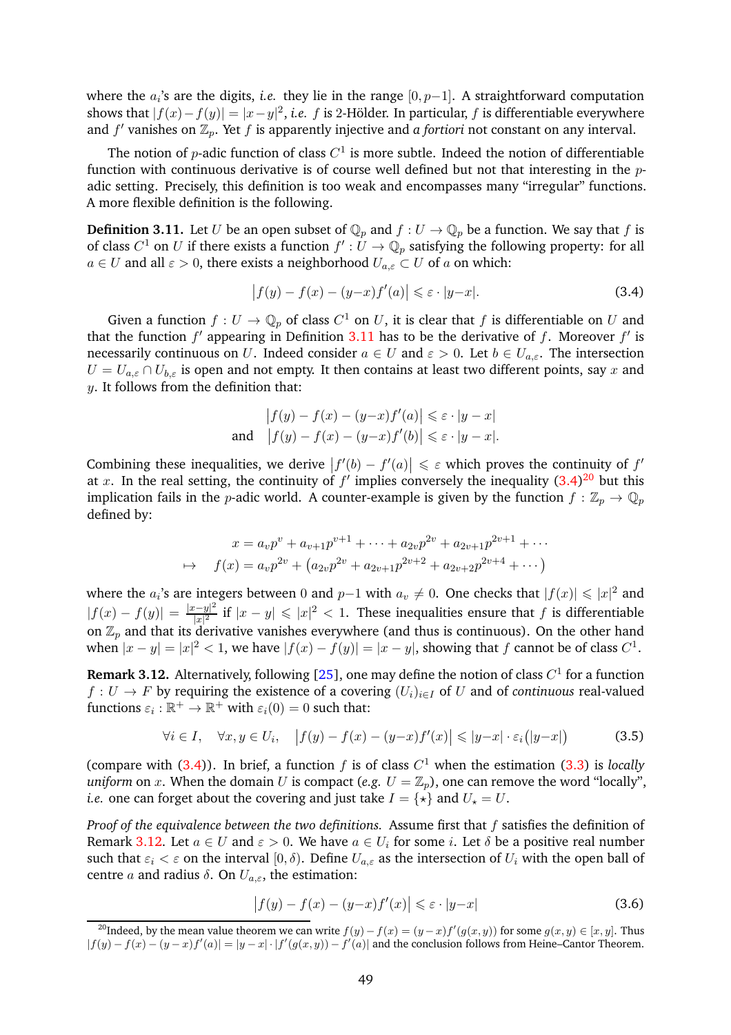where the  $a_i$ 's are the digits, *i.e.* they lie in the range  $[0, p-1]$ . A straightforward computation shows that  $|f(x)-f(y)| = |x-y|^2$ , *i.e.* f is 2-Hölder. In particular, f is differentiable everywhere and  $f'$  vanishes on  $\mathbb{Z}_p$ . Yet  $f$  is apparently injective and *a fortiori* not constant on any interval.

The notion of  $p$ -adic function of class  $C^1$  is more subtle. Indeed the notion of differentiable function with continuous derivative is of course well defined but not that interesting in the  $p$ adic setting. Precisely, this definition is too weak and encompasses many "irregular" functions. A more flexible definition is the following.

<span id="page-48-0"></span>**Definition 3.11.** Let U be an open subset of  $\mathbb{Q}_p$  and  $f: U \to \mathbb{Q}_p$  be a function. We say that f is of class  $C^1$  on  $U$  if there exists a function  $f': U \to \mathbb{Q}_p$  satisfying the following property: for all  $a \in U$  and all  $\varepsilon > 0$ , there exists a neighborhood  $U_{a,\varepsilon} \subset U$  of a on which:

<span id="page-48-1"></span>
$$
\left|f(y) - f(x) - (y - x)f'(a)\right| \leqslant \varepsilon \cdot |y - x|.\tag{3.4}
$$

Given a function  $f: U \to \mathbb{Q}_p$  of class  $C^1$  on U, it is clear that f is differentiable on U and that the function  $f'$  appearing in Definition [3.11](#page-48-0) has to be the derivative of f. Moreover  $f'$  is necessarily continuous on U. Indeed consider  $a \in U$  and  $\varepsilon > 0$ . Let  $b \in U_{a,\varepsilon}$ . The intersection  $U = U_{a,\varepsilon} \cap U_{b,\varepsilon}$  is open and not empty. It then contains at least two different points, say x and  $y$ . It follows from the definition that:

$$
\begin{aligned} \left| f(y) - f(x) - (y - x)f'(a) \right| &\leq \varepsilon \cdot |y - x| \\ \text{and} \quad \left| f(y) - f(x) - (y - x)f'(b) \right| &\leq \varepsilon \cdot |y - x|. \end{aligned}
$$

Combining these inequalities, we derive  $|f'(b) - f'(a)| \leq \varepsilon$  which proves the continuity of  $f'(a)$ at x. In the real setting, the continuity of  $f'$  implies conversely the inequality  $(3.4)^{20}$  $(3.4)^{20}$  $(3.4)^{20}$  $(3.4)^{20}$  but this implication fails in the *p*-adic world. A counter-example is given by the function  $f : \mathbb{Z}_p \to \mathbb{Q}_p$ defined by:

$$
x = a_v p^v + a_{v+1} p^{v+1} + \dots + a_{2v} p^{2v} + a_{2v+1} p^{2v+1} + \dots
$$
  
\n
$$
\mapsto f(x) = a_v p^{2v} + (a_{2v} p^{2v} + a_{2v+1} p^{2v+2} + a_{2v+2} p^{2v+4} + \dots)
$$

where the  $a_i$ 's are integers between 0 and  $p-1$  with  $a_v \neq 0$ . One checks that  $|f(x)| \leq |x|^2$  and  $|f(x) - f(y)| = \frac{|x-y|^2}{|x|^2}$  $\frac{||x-y||^2}{||x||^2}$  if  $|x-y| \le |x|^2 < 1$ . These inequalities ensure that f is differentiable on  $\mathbb{Z}_p$  and that its derivative vanishes everywhere (and thus is continuous). On the other hand when  $|x-y| = |x|^2 < 1$ , we have  $|f(x) - f(y)| = |x - y|$ , showing that f cannot be of class  $C^1$ .

<span id="page-48-3"></span>**Remark 3.12.** Alternatively, following [\[25\]](#page-81-6), one may define the notion of class  $C^1$  for a function  $f: U \to F$  by requiring the existence of a covering  $(U_i)_{i \in I}$  of U and of *continuous* real-valued functions  $\varepsilon_i : \mathbb{R}^+ \to \mathbb{R}^+$  with  $\varepsilon_i(0) = 0$  such that:

$$
\forall i \in I, \quad \forall x, y \in U_i, \quad \left| f(y) - f(x) - (y - x)f'(x) \right| \leqslant \left| y - x \right| \cdot \varepsilon_i \left( \left| y - x \right| \right) \tag{3.5}
$$

(compare with  $(3.4)$ ). In brief, a function f is of class  $C<sup>1</sup>$  when the estimation  $(3.3)$  is *locally uniform* on x. When the domain U is compact (*e.g.*  $U = \mathbb{Z}_p$ ), one can remove the word "locally", *i.e.* one can forget about the covering and just take  $I = \{ \star \}$  and  $U_{\star} = U$ .

*Proof of the equivalence between the two definitions.* Assume first that f satisfies the definition of Remark [3.12.](#page-48-3) Let  $a \in U$  and  $\varepsilon > 0$ . We have  $a \in U_i$  for some i. Let  $\delta$  be a positive real number such that  $\varepsilon_i < \varepsilon$  on the interval  $[0, \delta)$ . Define  $U_{a,\varepsilon}$  as the intersection of  $U_i$  with the open ball of centre *a* and radius  $\delta$ . On  $U_{a,\epsilon}$ , the estimation:

<span id="page-48-4"></span>
$$
\left|f(y) - f(x) - (y - x)f'(x)\right| \leq \varepsilon \cdot |y - x| \tag{3.6}
$$

<span id="page-48-2"></span><sup>&</sup>lt;sup>20</sup>Indeed, by the mean value theorem we can write  $f(y) - f(x) = (y - x)f'(g(x, y))$  for some  $g(x, y) \in [x, y]$ . Thus  $|f(y)-f(x)-(y-x)f'(a)|=|y-x|\cdot |f'(g(x,y))-f'(a)|$  and the conclusion follows from Heine–Cantor Theorem.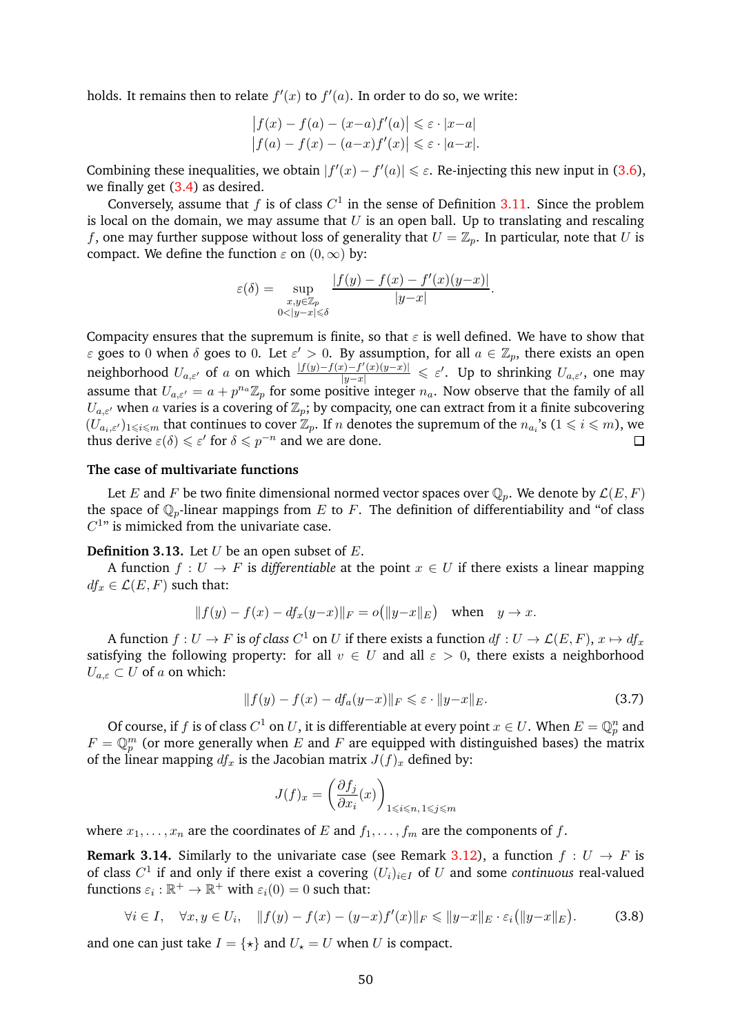holds. It remains then to relate  $f'(x)$  to  $f'(a)$ . In order to do so, we write:

$$
\begin{aligned} \left| f(x) - f(a) - (x - a)f'(a) \right| &\leq \varepsilon \cdot |x - a| \\ \left| f(a) - f(x) - (a - x)f'(x) \right| &\leq \varepsilon \cdot |a - x|. \end{aligned}
$$

Combining these inequalities, we obtain  $|f'(x) - f'(a)| \le \varepsilon$ . Re-injecting this new input in [\(3.6\)](#page-48-4), we finally get [\(3.4\)](#page-48-1) as desired.

Conversely, assume that f is of class  $C^1$  in the sense of Definition [3.11.](#page-48-0) Since the problem is local on the domain, we may assume that  $U$  is an open ball. Up to translating and rescaling f, one may further suppose without loss of generality that  $U = \mathbb{Z}_p$ . In particular, note that U is compact. We define the function  $\varepsilon$  on  $(0, \infty)$  by:

$$
\varepsilon(\delta)=\sup_{\substack{x,y\in\mathbb{Z}_p\\0<|y-x|\leqslant\delta}}\frac{|f(y)-f(x)-f'(x)(y-x)|}{|y-x|}.
$$

Compacity ensures that the supremum is finite, so that  $\varepsilon$  is well defined. We have to show that  $\varepsilon$  goes to 0 when  $\delta$  goes to 0. Let  $\varepsilon' > 0$ . By assumption, for all  $a \in \mathbb{Z}_p$ , there exists an open neighborhood  $U_{a,\varepsilon'}$  of a on which  $\frac{|f(y)-f(x)-f'(x)(y-x)|}{|y-x|} \leq \varepsilon'$ . Up to shrinking  $U_{a,\varepsilon'}$ , one may assume that  $U_{a,\varepsilon'} = a + p^{n_a} \mathbb{Z}_p$  for some positive integer  $n_a$ . Now observe that the family of all  $U_{a,\varepsilon'}$  when a varies is a covering of  $\mathbb{Z}_p$ ; by compacity, one can extract from it a finite subcovering  $(U_{a_i,\varepsilon'})_{1\leqslant i\leqslant m}$  that continues to cover  $\mathbb{Z}_p$ . If n denotes the supremum of the  $n_{a_i}$ 's  $(1\leqslant i\leqslant m)$ , we thus derive  $\varepsilon(\delta) \leq \varepsilon'$  for  $\delta \leq p^{-n}$  and we are done.  $\Box$ 

### **The case of multivariate functions**

Let E and F be two finite dimensional normed vector spaces over  $\mathbb{Q}_p$ . We denote by  $\mathcal{L}(E, F)$ the space of  $\mathbb{Q}_p$ -linear mappings from E to F. The definition of differentiability and "of class"  $C^{1}$ " is mimicked from the univariate case.

**Definition 3.13.** Let  $U$  be an open subset of  $E$ .

A function  $f: U \to F$  is *differentiable* at the point  $x \in U$  if there exists a linear mapping  $df_x \in \mathcal{L}(E, F)$  such that:

$$
||f(y) - f(x) - df_x(y-x)||_F = o(||y-x||_E)
$$
 when  $y \to x$ .

A function  $f: U \to F$  is *of class*  $C^1$  on U if there exists a function  $df: U \to \mathcal{L}(E, F)$ ,  $x \mapsto df_x$ satisfying the following property: for all  $v \in U$  and all  $\varepsilon > 0$ , there exists a neighborhood  $U_{a,\varepsilon} \subset U$  of a on which:

$$
||f(y) - f(x) - df_a(y - x)||_F \leq \varepsilon \cdot ||y - x||_E.
$$
 (3.7)

Of course, if  $f$  is of class  $C^1$  on  $U$ , it is differentiable at every point  $x\in U.$  When  $E=\mathbb{Q}_p^n$  and  $F = \mathbb{Q}_p^m$  (or more generally when E and F are equipped with distinguished bases) the matrix of the linear mapping  $df_x$  is the Jacobian matrix  $J(f)_x$  defined by:

$$
J(f)_x = \left(\frac{\partial f_j}{\partial x_i}(x)\right)_{1 \leqslant i \leqslant n, 1 \leqslant j \leqslant m}
$$

<span id="page-49-0"></span>where  $x_1, \ldots, x_n$  are the coordinates of E and  $f_1, \ldots, f_m$  are the components of f.

**Remark 3.14.** Similarly to the univariate case (see Remark [3.12\)](#page-48-3), a function  $f: U \to F$  is of class  $C^1$  if and only if there exist a covering  $(U_i)_{i\in I}$  of  $U$  and some *continuous* real-valued functions  $\varepsilon_i : \mathbb{R}^+ \to \mathbb{R}^+$  with  $\varepsilon_i(0) = 0$  such that:

$$
\forall i \in I, \quad \forall x, y \in U_i, \quad \|f(y) - f(x) - (y - x)f'(x)\|_F \le \|y - x\|_E \cdot \varepsilon_i \left(\|y - x\|_E\right). \tag{3.8}
$$

and one can just take  $I = \{ \star \}$  and  $U_{\star} = U$  when U is compact.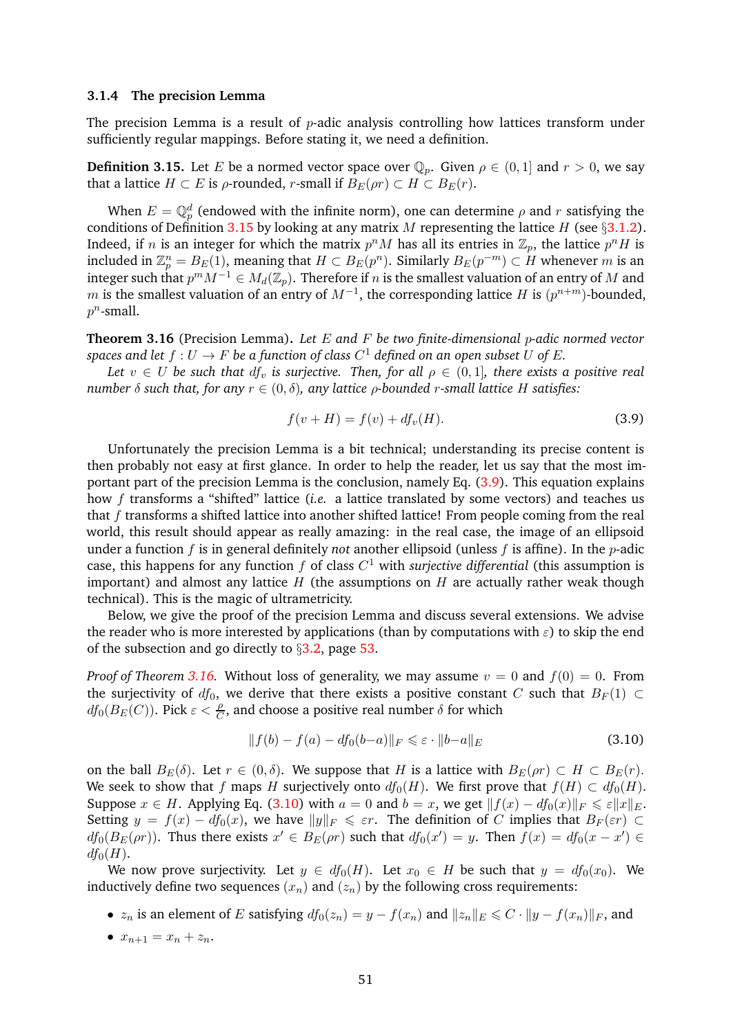#### <span id="page-50-1"></span>**3.1.4 The precision Lemma**

<span id="page-50-2"></span>The precision Lemma is a result of  $p$ -adic analysis controlling how lattices transform under sufficiently regular mappings. Before stating it, we need a definition.

**Definition 3.15.** Let E be a normed vector space over  $\mathbb{Q}_p$ . Given  $\rho \in (0,1]$  and  $r > 0$ , we say that a lattice  $H \subset E$  is  $\rho$ -rounded, r-small if  $B_E(\rho r) \subset H \subset B_E(r)$ .

When  $E=\mathbb{Q}_p^d$  (endowed with the infinite norm), one can determine  $\rho$  and  $r$  satisfying the conditions of Definition [3.15](#page-50-2) by looking at any matrix M representing the lattice H (see  $\S 3.1.2$ ). Indeed, if  $n$  is an integer for which the matrix  $p^{n}M$  has all its entries in  $\mathbb{Z}_{p}$ , the lattice  $p^{n}H$  is included in  $\mathbb{Z}_p^n = B_E(1)$ , meaning that  $H \subset B_E(p^n)$ . Similarly  $B_E(p^{-m}) \subset H$  whenever m is an integer such that  $p^mM^{-1}\in M_d(\mathbb{Z}_p).$  Therefore if  $n$  is the smallest valuation of an entry of  $M$  and  $m$  is the smallest valuation of an entry of  $M^{-1}$ , the corresponding lattice  $H$  is  $(p^{n+m})$ -bounded,  $p^n$ -small.

<span id="page-50-0"></span>**Theorem 3.16** (Precision Lemma)**.** *Let* E *and* F *be two finite-dimensional* p*-adic normed vector* spaces and let  $f: U \to F$  be a function of class  $C^1$  defined on an open subset  $U$  of  $E$ .

*Let*  $v \in U$  *be such that*  $df_v$  *is surjective. Then, for all*  $\rho \in (0,1]$ *, there exists a positive real number*  $\delta$  *such that, for any*  $r \in (0, \delta)$ *, any lattice*  $\rho$ -bounded *r*-small lattice H satisfies:

<span id="page-50-3"></span>
$$
f(v + H) = f(v) + df_v(H).
$$
 (3.9)

Unfortunately the precision Lemma is a bit technical; understanding its precise content is then probably not easy at first glance. In order to help the reader, let us say that the most important part of the precision Lemma is the conclusion, namely Eq. [\(3.9\)](#page-50-3). This equation explains how f transforms a "shifted" lattice (*i.e.* a lattice translated by some vectors) and teaches us that f transforms a shifted lattice into another shifted lattice! From people coming from the real world, this result should appear as really amazing: in the real case, the image of an ellipsoid under a function f is in general definitely *not* another ellipsoid (unless f is affine). In the p-adic case, this happens for any function  $f$  of class  $C^1$  with *surjective differential* (this assumption is important) and almost any lattice  $H$  (the assumptions on  $H$  are actually rather weak though technical). This is the magic of ultrametricity.

Below, we give the proof of the precision Lemma and discuss several extensions. We advise the reader who is more interested by applications (than by computations with  $\varepsilon$ ) to skip the end of the subsection and go directly to §[3.2,](#page-52-0) page [53.](#page-52-0)

*Proof of Theorem [3.16.](#page-50-0)* Without loss of generality, we may assume  $v = 0$  and  $f(0) = 0$ . From the surjectivity of  $df_0$ , we derive that there exists a positive constant C such that  $B_F(1) \subset$  $df_0(B_E(C))$ . Pick  $\varepsilon < \frac{\rho}{C}$ , and choose a positive real number  $\delta$  for which

<span id="page-50-4"></span>
$$
||f(b) - f(a) - df_0(b - a)||_F \leq \varepsilon \cdot ||b - a||_E
$$
\n(3.10)

on the ball  $B_E(\delta)$ . Let  $r \in (0, \delta)$ . We suppose that H is a lattice with  $B_E(\rho r) \subset H \subset B_E(r)$ . We seek to show that f maps H surjectively onto  $df_0(H)$ . We first prove that  $f(H) \subset df_0(H)$ . Suppose  $x \in H$ . Applying Eq. [\(3.10\)](#page-50-4) with  $a = 0$  and  $b = x$ , we get  $||f(x) - df_0(x)||_F \leq \varepsilon ||x||_F$ . Setting  $y = f(x) - df_0(x)$ , we have  $||y||_F \leq \varepsilon r$ . The definition of C implies that  $B_F(\varepsilon r)$  ⊂  $df_0(B_E(\rho r))$ . Thus there exists  $x' \in B_E(\rho r)$  such that  $df_0(x') = y$ . Then  $f(x) = df_0(x - x') \in$  $df_0(H)$ .

We now prove surjectivity. Let  $y \in df_0(H)$ . Let  $x_0 \in H$  be such that  $y = df_0(x_0)$ . We inductively define two sequences  $(x_n)$  and  $(z_n)$  by the following cross requirements:

- $z_n$  is an element of E satisfying  $df_0(z_n) = y f(x_n)$  and  $||z_n||_E \leq C \cdot ||y f(x_n)||_F$ , and
- $x_{n+1} = x_n + z_n$ .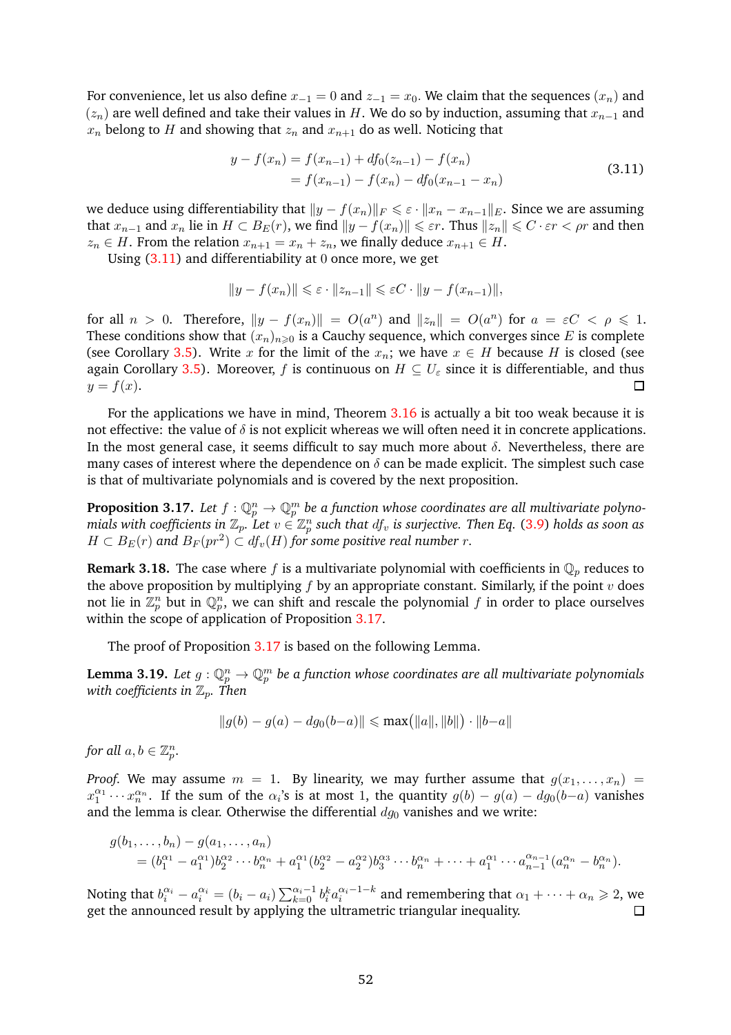For convenience, let us also define  $x_{-1} = 0$  and  $z_{-1} = x_0$ . We claim that the sequences  $(x_n)$  and  $(z_n)$  are well defined and take their values in H. We do so by induction, assuming that  $x_{n-1}$  and  $x_n$  belong to H and showing that  $z_n$  and  $x_{n+1}$  do as well. Noticing that

<span id="page-51-0"></span>
$$
y - f(x_n) = f(x_{n-1}) + df_0(z_{n-1}) - f(x_n)
$$
  
=  $f(x_{n-1}) - f(x_n) - df_0(x_{n-1} - x_n)$  (3.11)

we deduce using differentiability that  $||y - f(x_n)||_F \le \varepsilon \cdot ||x_n - x_{n-1}||_E$ . Since we are assuming that  $x_{n-1}$  and  $x_n$  lie in  $H \subset B_E(r)$ , we find  $||y - f(x_n)|| \leq \varepsilon r$ . Thus  $||z_n|| \leq C \cdot \varepsilon r < \rho r$  and then  $z_n \in H$ . From the relation  $x_{n+1} = x_n + z_n$ , we finally deduce  $x_{n+1} \in H$ .

Using  $(3.11)$  and differentiability at 0 once more, we get

$$
||y - f(x_n)|| \leq \varepsilon \cdot ||z_{n-1}|| \leq \varepsilon C \cdot ||y - f(x_{n-1})||,
$$

for all  $n > 0$ . Therefore,  $||y - f(x_n)|| = O(a^n)$  and  $||z_n|| = O(a^n)$  for  $a = \varepsilon C < \rho \le 1$ . These conditions show that  $(x_n)_{n\geq 0}$  is a Cauchy sequence, which converges since E is complete (see Corollary [3.5\)](#page-44-1). Write x for the limit of the  $x_n$ ; we have  $x \in H$  because H is closed (see again Corollary [3.5\)](#page-44-1). Moreover, f is continuous on  $H \subseteq U_{\varepsilon}$  since it is differentiable, and thus  $y = f(x)$ .  $y = f(x)$ .

For the applications we have in mind, Theorem [3.16](#page-50-0) is actually a bit too weak because it is not effective: the value of  $\delta$  is not explicit whereas we will often need it in concrete applications. In the most general case, it seems difficult to say much more about  $\delta$ . Nevertheless, there are many cases of interest where the dependence on  $\delta$  can be made explicit. The simplest such case is that of multivariate polynomials and is covered by the next proposition.

<span id="page-51-1"></span>**Proposition 3.17.** Let  $f: \mathbb{Q}_p^n \to \mathbb{Q}_p^m$  be a function whose coordinates are all multivariate polynomials with coefficients in  $\mathbb{Z}_p.$  Let  $v\in\mathbb{Z}_p^n$  such that  $df_v$  is surjective. Then Eq. [\(3.9\)](#page-50-3) holds as soon as  $H \subset B_E(r)$  and  $B_F(pr^2) \subset df_v(H)$  for some positive real number  $r$ .

**Remark 3.18.** The case where f is a multivariate polynomial with coefficients in  $\mathbb{Q}_p$  reduces to the above proposition by multiplying  $f$  by an appropriate constant. Similarly, if the point  $v$  does not lie in  $\mathbb{Z}_p^n$  but in  $\mathbb{Q}_p^n$ , we can shift and rescale the polynomial  $f$  in order to place ourselves within the scope of application of Proposition [3.17.](#page-51-1)

<span id="page-51-2"></span>The proof of Proposition [3.17](#page-51-1) is based on the following Lemma.

 ${\bf Lemma~3.19.}$  Let  $g:{\mathbb Q}_p^n\to{\mathbb Q}_p^m$  be a function whose coordinates are all multivariate polynomials *with coefficients in*  $\mathbb{Z}_p$ *. Then* 

$$
||g(b) - g(a) - dg_0(b-a)|| \le \max(||a||, ||b||) \cdot ||b-a||
$$

for all  $a, b \in \mathbb{Z}_p^n$ .

*Proof.* We may assume  $m = 1$ . By linearity, we may further assume that  $g(x_1, \ldots, x_n)$  =  $x_1^{\alpha_1} \cdots x_n^{\alpha_n}$ . If the sum of the  $\alpha_i$ 's is at most 1, the quantity  $g(b) - g(a) - dg_0(b-a)$  vanishes and the lemma is clear. Otherwise the differential  $dg_0$  vanishes and we write:

$$
g(b_1,\ldots,b_n)-g(a_1,\ldots,a_n)
$$
  
=  $(b_1^{\alpha_1}-a_1^{\alpha_1})b_2^{\alpha_2}\cdots b_n^{\alpha_n}+a_1^{\alpha_1}(b_2^{\alpha_2}-a_2^{\alpha_2})b_3^{\alpha_3}\cdots b_n^{\alpha_n}+\cdots+a_1^{\alpha_1}\cdots a_{n-1}^{\alpha_{n-1}}(a_n^{\alpha_n}-b_n^{\alpha_n}).$ 

Noting that  $b_i^{\alpha_i} - a_i^{\alpha_i} = (b_i - a_i) \sum_{k=0}^{\alpha_i - 1} b_i^k a_i^{\alpha_i - 1 - k}$  and remembering that  $\alpha_1 + \cdots + \alpha_n \geq 2$ , we get the announced result by applying the ultrametric triangular inequality.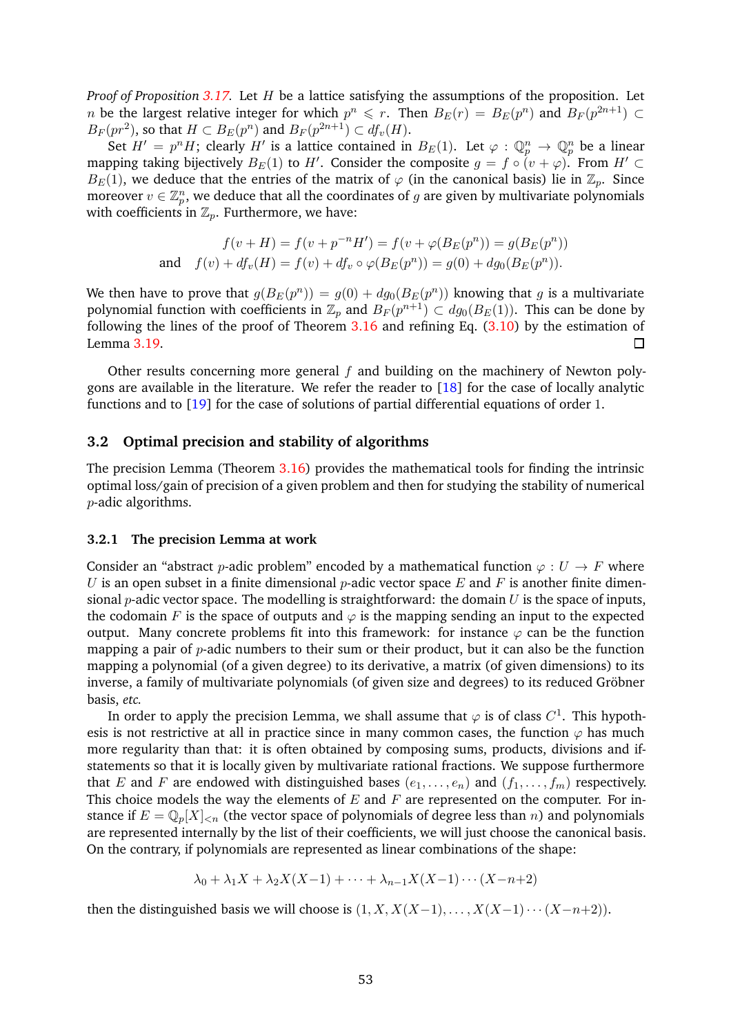*Proof of Proposition [3.17.](#page-51-1)* Let H be a lattice satisfying the assumptions of the proposition. Let *n* be the largest relative integer for which  $p^n \le r$ . Then  $B_E(r) = B_E(p^n)$  and  $B_F(p^{2n+1}) \subset$  $B_F(pr^2)$ , so that  $H \subset B_E(p^n)$  and  $B_F(p^{2n+1}) \subset df_v(H)$ .

Set  $H' = p^n H$ ; clearly H' is a lattice contained in  $B_E(1)$ . Let  $\varphi : \mathbb{Q}_p^n \to \mathbb{Q}_p^n$  be a linear mapping taking bijectively  $B_E(1)$  to  $H'$ . Consider the composite  $g = f \circ (v + \varphi)$ . From  $H' \subset$  $B_E(1)$ , we deduce that the entries of the matrix of  $\varphi$  (in the canonical basis) lie in  $\mathbb{Z}_p$ . Since moreover  $v \in \mathbb{Z}_p^n$ , we deduce that all the coordinates of g are given by multivariate polynomials with coefficients in  $\mathbb{Z}_p$ . Furthermore, we have:

$$
f(v+H) = f(v + p^{-n}H') = f(v + \varphi(B_E(p^n)) = g(B_E(p^n))
$$
  
and 
$$
f(v) + df_v(H) = f(v) + df_v \circ \varphi(B_E(p^n)) = g(0) + dg_0(B_E(p^n)).
$$

We then have to prove that  $g(B_E(p^n)) = g(0) + dg_0(B_E(p^n))$  knowing that g is a multivariate polynomial function with coefficients in  $\mathbb{Z}_p$  and  $B_F(p^{n+1}) \subset dg_0(B_E(1))$ . This can be done by following the lines of the proof of Theorem  $3.16$  and refining Eq.  $(3.10)$  by the estimation of Lemma [3.19.](#page-51-2) □

Other results concerning more general  $f$  and building on the machinery of Newton polygons are available in the literature. We refer the reader to [\[18\]](#page-81-3) for the case of locally analytic functions and to [\[19\]](#page-81-7) for the case of solutions of partial differential equations of order 1.

## <span id="page-52-0"></span>**3.2 Optimal precision and stability of algorithms**

The precision Lemma (Theorem [3.16\)](#page-50-0) provides the mathematical tools for finding the intrinsic optimal loss/gain of precision of a given problem and then for studying the stability of numerical p-adic algorithms.

#### <span id="page-52-1"></span>**3.2.1 The precision Lemma at work**

Consider an "abstract p-adic problem" encoded by a mathematical function  $\varphi : U \to F$  where U is an open subset in a finite dimensional p-adic vector space E and F is another finite dimensional *p*-adic vector space. The modelling is straightforward: the domain U is the space of inputs, the codomain F is the space of outputs and  $\varphi$  is the mapping sending an input to the expected output. Many concrete problems fit into this framework: for instance  $\varphi$  can be the function mapping a pair of p-adic numbers to their sum or their product, but it can also be the function mapping a polynomial (of a given degree) to its derivative, a matrix (of given dimensions) to its inverse, a family of multivariate polynomials (of given size and degrees) to its reduced Gröbner basis, *etc.*

In order to apply the precision Lemma, we shall assume that  $\varphi$  is of class  $C^1$ . This hypothesis is not restrictive at all in practice since in many common cases, the function  $\varphi$  has much more regularity than that: it is often obtained by composing sums, products, divisions and ifstatements so that it is locally given by multivariate rational fractions. We suppose furthermore that E and F are endowed with distinguished bases  $(e_1, \ldots, e_n)$  and  $(f_1, \ldots, f_m)$  respectively. This choice models the way the elements of  $E$  and  $F$  are represented on the computer. For instance if  $E = \mathbb{Q}_n[X]_{\leq n}$  (the vector space of polynomials of degree less than n) and polynomials are represented internally by the list of their coefficients, we will just choose the canonical basis. On the contrary, if polynomials are represented as linear combinations of the shape:

$$
\lambda_0 + \lambda_1 X + \lambda_2 X(X-1) + \dots + \lambda_{n-1} X(X-1) \cdots (X-n+2)
$$

then the distinguished basis we will choose is  $(1, X, X(X-1), \ldots, X(X-1) \cdots (X-n+2)).$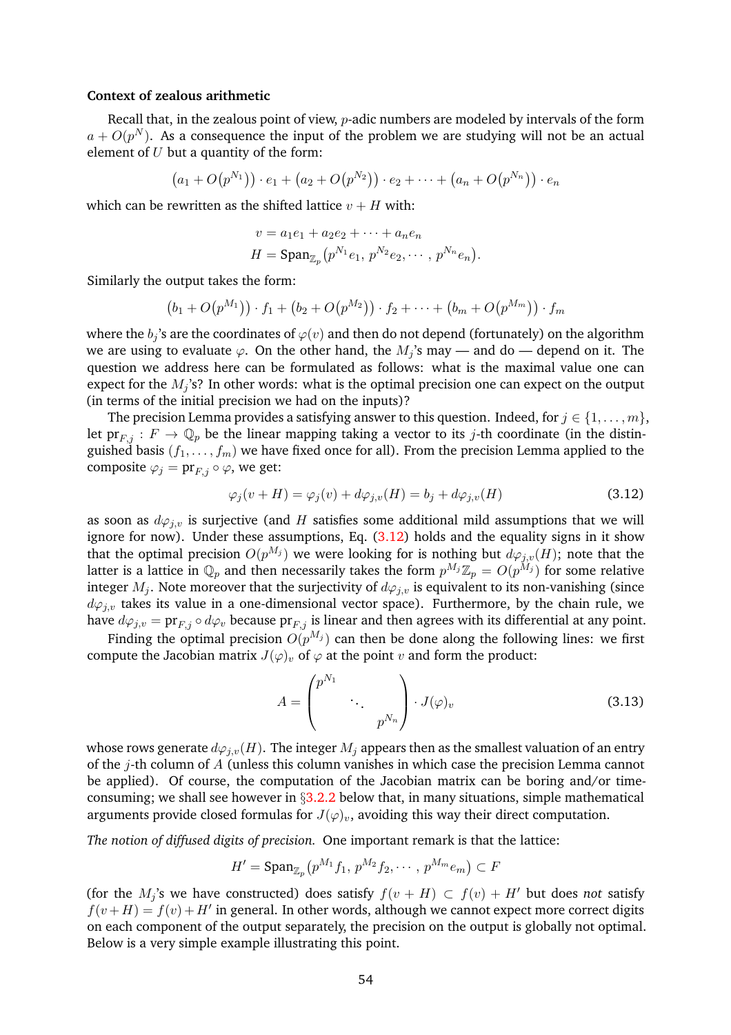#### **Context of zealous arithmetic**

Recall that, in the zealous point of view,  $p$ -adic numbers are modeled by intervals of the form  $a+O(p^N).$  As a consequence the input of the problem we are studying will not be an actual element of  $U$  but a quantity of the form:

$$
(a_1 + O(p^{N_1})) \cdot e_1 + (a_2 + O(p^{N_2})) \cdot e_2 + \cdots + (a_n + O(p^{N_n})) \cdot e_n
$$

which can be rewritten as the shifted lattice  $v + H$  with:

$$
v = a_1e_1 + a_2e_2 + \dots + a_ne_n
$$
  
\n
$$
H = \text{Span}_{\mathbb{Z}_p}(p^{N_1}e_1, p^{N_2}e_2, \dots, p^{N_n}e_n).
$$

Similarly the output takes the form:

$$
(b_1 + O(p^{M_1})) \cdot f_1 + (b_2 + O(p^{M_2})) \cdot f_2 + \cdots + (b_m + O(p^{M_m})) \cdot f_m
$$

where the  $b_j$ 's are the coordinates of  $\varphi(v)$  and then do not depend (fortunately) on the algorithm we are using to evaluate  $\varphi$ . On the other hand, the  $M_j$ 's may — and do — depend on it. The question we address here can be formulated as follows: what is the maximal value one can expect for the  $M_i$ 's? In other words: what is the optimal precision one can expect on the output (in terms of the initial precision we had on the inputs)?

The precision Lemma provides a satisfying answer to this question. Indeed, for  $j \in \{1, \ldots, m\}$ , let  $pr_{F,j}: F \to \mathbb{Q}_p$  be the linear mapping taking a vector to its j-th coordinate (in the distinguished basis  $(f_1, \ldots, f_m)$  we have fixed once for all). From the precision Lemma applied to the composite  $\varphi_j = \operatorname{pr}_{F,j} \circ \varphi$ , we get:

<span id="page-53-0"></span>
$$
\varphi_j(v+H) = \varphi_j(v) + d\varphi_{j,v}(H) = b_j + d\varphi_{j,v}(H)
$$
\n(3.12)

as soon as  $d\varphi_{j,v}$  is surjective (and H satisfies some additional mild assumptions that we will ignore for now). Under these assumptions, Eq.  $(3.12)$  holds and the equality signs in it show that the optimal precision  $O(p^{M_j})$  we were looking for is nothing but  $d\varphi_{j,v}(H)$ ; note that the latter is a lattice in  $\mathbb{Q}_p$  and then necessarily takes the form  $p^{M_j}\mathbb{Z}_p = O(p^{M_j})$  for some relative integer  $M_j$ . Note moreover that the surjectivity of  $d\varphi_{j,v}$  is equivalent to its non-vanishing (since  $d\varphi_{j,v}$  takes its value in a one-dimensional vector space). Furthermore, by the chain rule, we have  $d\varphi_{j,v} = \operatorname{pr}_{F,j} \circ d\varphi_v$  because  $\operatorname{pr}_{F,j}$  is linear and then agrees with its differential at any point.

Finding the optimal precision  $O(p^{M_j})$  can then be done along the following lines: we first compute the Jacobian matrix  $J(\varphi)_v$  of  $\varphi$  at the point v and form the product:

<span id="page-53-1"></span>
$$
A = \begin{pmatrix} p^{N_1} & & \\ & \ddots & \\ & & p^{N_n} \end{pmatrix} \cdot J(\varphi)_v \tag{3.13}
$$

whose rows generate  $d\varphi_{j,v}(H)$ . The integer  $M_j$  appears then as the smallest valuation of an entry of the  $j$ -th column of A (unless this column vanishes in which case the precision Lemma cannot be applied). Of course, the computation of the Jacobian matrix can be boring and/or timeconsuming; we shall see however in  $\S 3.2.2$  $\S 3.2.2$  below that, in many situations, simple mathematical arguments provide closed formulas for  $J(\varphi)_v$ , avoiding this way their direct computation.

*The notion of diffused digits of precision.* One important remark is that the lattice:

$$
H' = \operatorname{Span}_{\mathbb{Z}_p}(p^{M_1}f_1, p^{M_2}f_2, \cdots, p^{M_m}e_m) \subset F
$$

(for the  $M_i$ 's we have constructed) does satisfy  $f(v + H) \subset f(v) + H'$  but does *not* satisfy  $f(v+H) = f(v) + H'$  in general. In other words, although we cannot expect more correct digits on each component of the output separately, the precision on the output is globally not optimal. Below is a very simple example illustrating this point.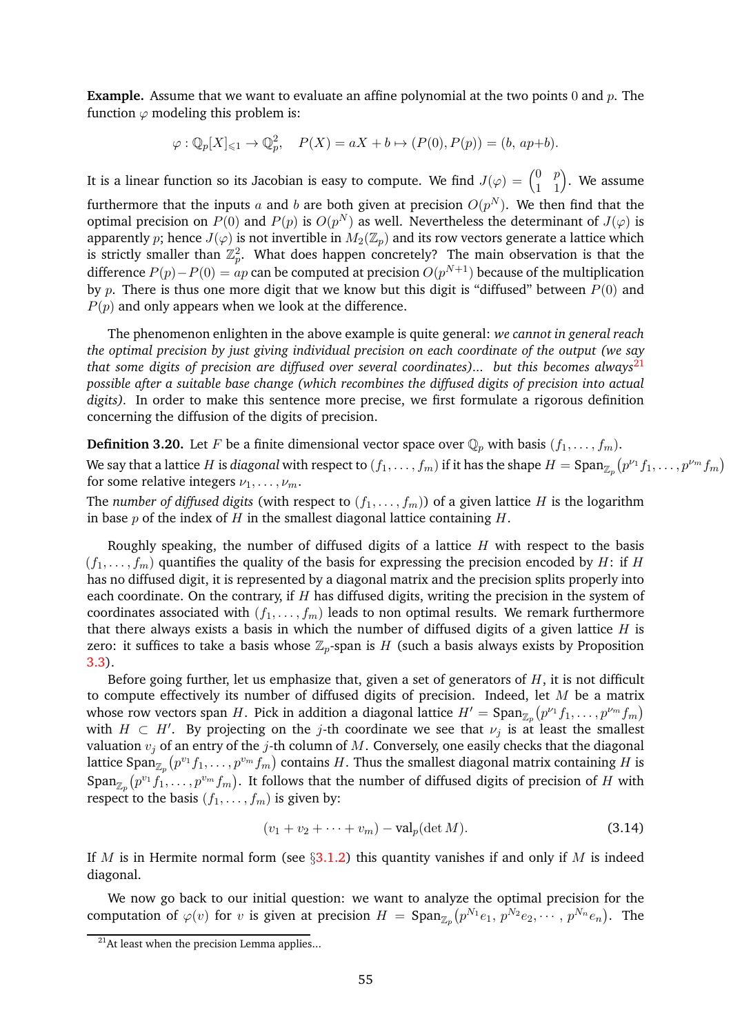**Example.** Assume that we want to evaluate an affine polynomial at the two points 0 and  $p$ . The function  $\varphi$  modeling this problem is:

$$
\varphi : \mathbb{Q}_p[X] \leq 1 \to \mathbb{Q}_p^2
$$
,  $P(X) = aX + b \mapsto (P(0), P(p)) = (b, ap+b)$ .

It is a linear function so its Jacobian is easy to compute. We find  $J(\varphi)=\begin{pmatrix} 0 & p \ 1 & 1 \end{pmatrix}$ . We assume furthermore that the inputs  $a$  and  $b$  are both given at precision  $O(p^N)$ . We then find that the optimal precision on  $P(0)$  and  $P(p)$  is  $O(p^N)$  as well. Nevertheless the determinant of  $J(\varphi)$  is apparently p; hence  $J(\varphi)$  is not invertible in  $M_2(\mathbb{Z}_p)$  and its row vectors generate a lattice which is strictly smaller than  $\mathbb{Z}_p^2$ . What does happen concretely? The main observation is that the difference  $P(p) - P(0) = ap$  can be computed at precision  $O(p^{N+1})$  because of the multiplication by p. There is thus one more digit that we know but this digit is "diffused" between  $P(0)$  and  $P(p)$  and only appears when we look at the difference.

The phenomenon enlighten in the above example is quite general: *we cannot in general reach the optimal precision by just giving individual precision on each coordinate of the output (we say that some digits of precision are diffused over several coordinates)... but this becomes always*<sup>[21](#page-54-0)</sup> *possible after a suitable base change (which recombines the diffused digits of precision into actual digits).* In order to make this sentence more precise, we first formulate a rigorous definition concerning the diffusion of the digits of precision.

<span id="page-54-2"></span>**Definition 3.20.** Let F be a finite dimensional vector space over  $\mathbb{Q}_p$  with basis  $(f_1, \ldots, f_m)$ .

We say that a lattice  $H$  is diagonal with respect to  $(f_1,\ldots,f_m)$  if it has the shape  $H=\mathrm{Span}_{\Z_p}\big(p^{\nu_1}f_1,\ldots,p^{\nu_m}f_m\big)$ for some relative integers  $\nu_1, \ldots, \nu_m$ .

The *number of diffused digits* (with respect to  $(f_1, \ldots, f_m)$ ) of a given lattice H is the logarithm in base  $p$  of the index of  $H$  in the smallest diagonal lattice containing  $H$ .

Roughly speaking, the number of diffused digits of a lattice  $H$  with respect to the basis  $(f_1, \ldots, f_m)$  quantifies the quality of the basis for expressing the precision encoded by H: if H has no diffused digit, it is represented by a diagonal matrix and the precision splits properly into each coordinate. On the contrary, if  $H$  has diffused digits, writing the precision in the system of coordinates associated with  $(f_1, \ldots, f_m)$  leads to non optimal results. We remark furthermore that there always exists a basis in which the number of diffused digits of a given lattice  $H$  is zero: it suffices to take a basis whose  $\mathbb{Z}_p$ -span is H (such a basis always exists by Proposition [3.3\)](#page-43-0).

Before going further, let us emphasize that, given a set of generators of  $H$ , it is not difficult to compute effectively its number of diffused digits of precision. Indeed, let  $M$  be a matrix whose row vectors span  $H$ . Pick in addition a diagonal lattice  $H' = \text{Span}_{\mathbb{Z}_p}\big(p^{\nu_1}f_1,\ldots,p^{\nu_m}f_m\big)$ with  $H \subset H'$ . By projecting on the j-th coordinate we see that  $\nu_j$  is at least the smallest valuation  $v_i$  of an entry of the j-th column of M. Conversely, one easily checks that the diagonal lattice  $\mathrm{Span}_{\mathbb{Z}_p}\big(p^{v_1}f_1,\ldots,p^{v_m}f_m\big)$  contains  $H.$  Thus the smallest diagonal matrix containing  $H$  is  $\text{Span}_{\mathbb{Z}_p}(p^{v_1}f_1,\ldots,p^{v_m}f_m).$  It follows that the number of diffused digits of precision of  $H$  with respect to the basis  $(f_1, \ldots, f_m)$  is given by:

<span id="page-54-1"></span>
$$
(v_1 + v_2 + \dots + v_m) - val_p(\det M). \tag{3.14}
$$

If M is in Hermite normal form (see  $\S3.1.2$ ) this quantity vanishes if and only if M is indeed diagonal.

We now go back to our initial question: we want to analyze the optimal precision for the computation of  $\varphi(v)$  for  $v$  is given at precision  $H = \text{Span}_{\mathbb{Z}_p}\big(p^{N_1}e_1, \, p^{N_2}e_2, \cdots, \, p^{N_n}e_n\big).$  The

<span id="page-54-0"></span> $^{21}$ At least when the precision Lemma applies...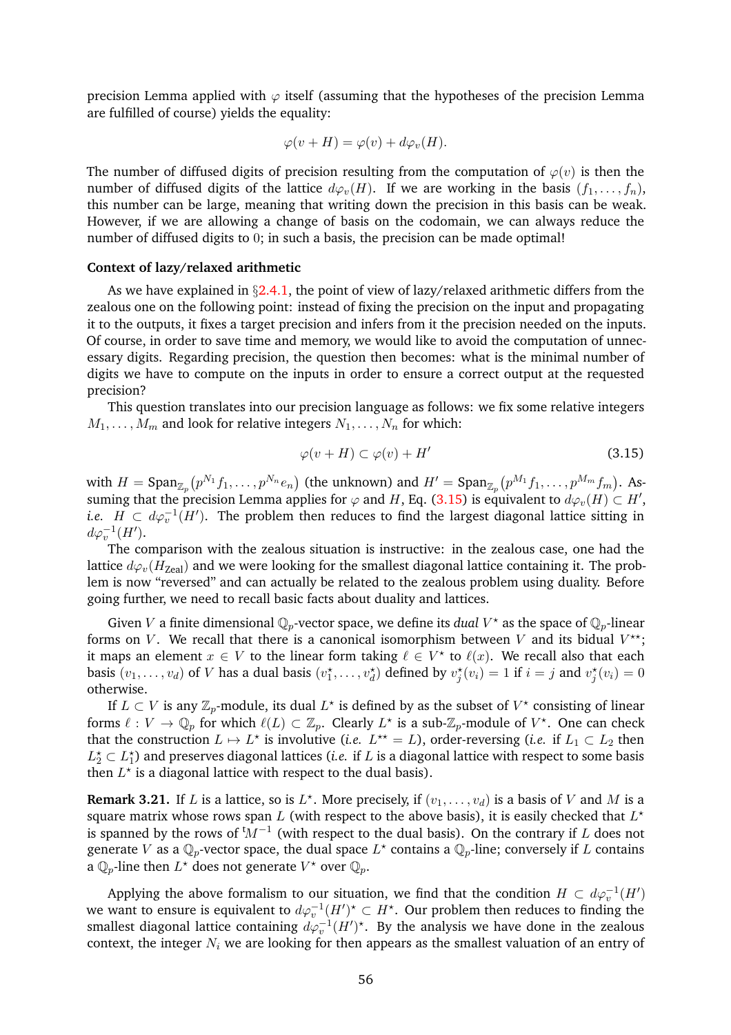precision Lemma applied with  $\varphi$  itself (assuming that the hypotheses of the precision Lemma are fulfilled of course) yields the equality:

$$
\varphi(v+H) = \varphi(v) + d\varphi_v(H).
$$

The number of diffused digits of precision resulting from the computation of  $\varphi(v)$  is then the number of diffused digits of the lattice  $d\varphi_v(H)$ . If we are working in the basis  $(f_1, \ldots, f_n)$ , this number can be large, meaning that writing down the precision in this basis can be weak. However, if we are allowing a change of basis on the codomain, we can always reduce the number of diffused digits to 0; in such a basis, the precision can be made optimal!

### **Context of lazy/relaxed arithmetic**

As we have explained in  $\S 2.4.1$ , the point of view of lazy/relaxed arithmetic differs from the zealous one on the following point: instead of fixing the precision on the input and propagating it to the outputs, it fixes a target precision and infers from it the precision needed on the inputs. Of course, in order to save time and memory, we would like to avoid the computation of unnecessary digits. Regarding precision, the question then becomes: what is the minimal number of digits we have to compute on the inputs in order to ensure a correct output at the requested precision?

This question translates into our precision language as follows: we fix some relative integers  $M_1, \ldots, M_m$  and look for relative integers  $N_1, \ldots, N_n$  for which:

<span id="page-55-0"></span>
$$
\varphi(v+H) \subset \varphi(v) + H'
$$
\n(3.15)

with  $H=\text{Span}_{\mathbb{Z}_p}\big(p^{N_1}f_1,\ldots,p^{N_n}e_n\big)$  (the unknown) and  $H'=\text{Span}_{\mathbb{Z}_p}\big(p^{M_1}f_1,\ldots,p^{M_m}f_m\big).$  Assuming that the precision Lemma applies for  $\varphi$  and H, Eq. [\(3.15\)](#page-55-0) is equivalent to  $d\varphi_v(H) \subset H'$ , *i.e.*  $H \subset d\varphi_v^{-1}(H')$ . The problem then reduces to find the largest diagonal lattice sitting in  $d\varphi_v^{-1}(H').$ 

The comparison with the zealous situation is instructive: in the zealous case, one had the lattice  $d\varphi_v(H_{\text{Zeal}})$  and we were looking for the smallest diagonal lattice containing it. The problem is now "reversed" and can actually be related to the zealous problem using duality. Before going further, we need to recall basic facts about duality and lattices.

Given  $V$  a finite dimensional  $\mathbb{Q}_p$ -vector space, we define its  $dual$   $V^\star$  as the space of  $\mathbb{Q}_p$ -linear forms on V. We recall that there is a canonical isomorphism between V and its bidual  $V^{\star\star}$ ; it maps an element  $x \in V$  to the linear form taking  $\ell \in V^*$  to  $\ell(x)$ . We recall also that each basis  $(v_1, \ldots, v_d)$  of V has a dual basis  $(v_1^*, \ldots, v_d^*)$  defined by  $v_j^*(v_i) = 1$  if  $i = j$  and  $v_j^*(v_i) = 0$ otherwise.

If  $L \subset V$  is any  $\mathbb{Z}_p$ -module, its dual  $L^*$  is defined by as the subset of  $V^*$  consisting of linear forms  $\ell: V \to \mathbb{Q}_p$  for which  $\ell(L) \subset \mathbb{Z}_p$ . Clearly  $L^*$  is a sub- $\mathbb{Z}_p$ -module of  $V^*$ . One can check that the construction  $L \mapsto L^*$  is involutive (*i.e.*  $L^{**} = L$ ), order-reversing (*i.e.* if  $L_1 \subset L_2$  then  $L_2^{\star} \subset L_1^{\star}$ ) and preserves diagonal lattices (*i.e.* if L is a diagonal lattice with respect to some basis then  $L^*$  is a diagonal lattice with respect to the dual basis).

<span id="page-55-1"></span>**Remark 3.21.** If L is a lattice, so is  $L^*$ . More precisely, if  $(v_1, \ldots, v_d)$  is a basis of V and M is a square matrix whose rows span L (with respect to the above basis), it is easily checked that  $L^*$ is spanned by the rows of  $^tM^{-1}$  (with respect to the dual basis). On the contrary if  $L$  does not generate  $V$  as a  $\mathbb{Q}_p$ -vector space, the dual space  $L^\star$  contains a  $\mathbb{Q}_p$ -line; conversely if  $L$  contains a  $\mathbb{Q}_p$ -line then  $L^\star$  does not generate  $V^\star$  over  $\mathbb{Q}_p.$ 

Applying the above formalism to our situation, we find that the condition  $H \subset d\varphi_v^{-1}(H')$ we want to ensure is equivalent to  $d\varphi_v^{-1}(H')^* \subset H^*$ . Our problem then reduces to finding the smallest diagonal lattice containing  $d\varphi_v^{-1}(H')^\star$ . By the analysis we have done in the zealous context, the integer  $N_i$  we are looking for then appears as the smallest valuation of an entry of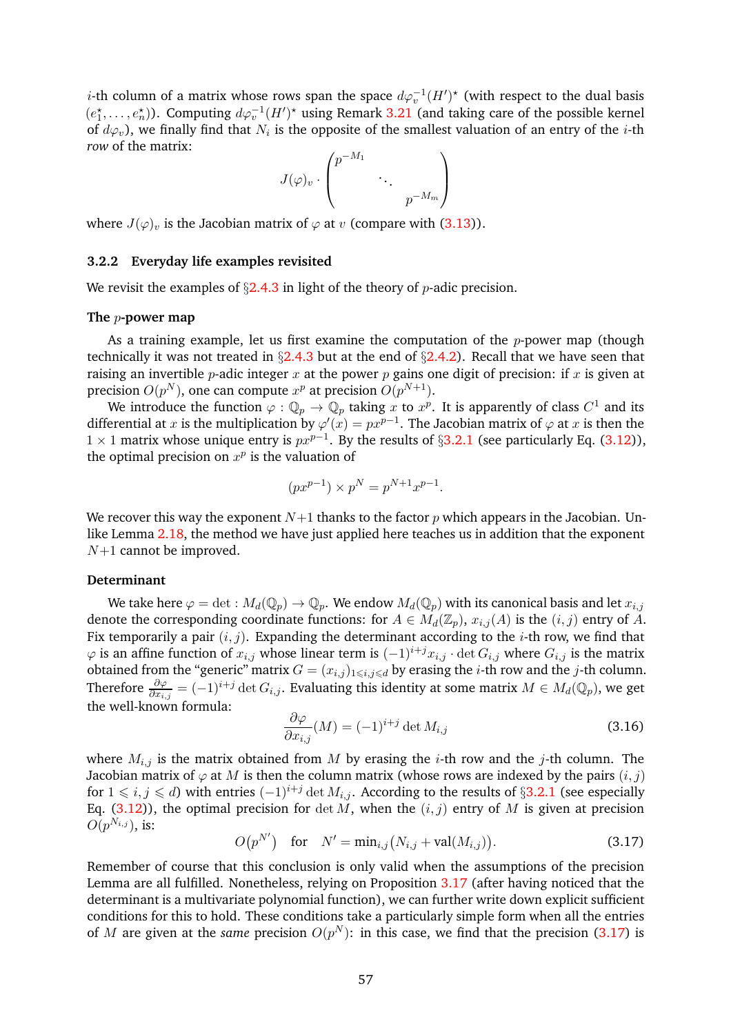$i$ -th column of a matrix whose rows span the space  $d\varphi_v^{-1}(H')^\star$  (with respect to the dual basis  $(e_1^*, \ldots, e_n^*)$ ). Computing  $d\varphi_v^{-1}(H')^*$  using Remark [3.21](#page-55-1) (and taking care of the possible kernel of  $d\varphi_v$ ), we finally find that  $N_i$  is the opposite of the smallest valuation of an entry of the  $i$ -th *row* of the matrix:

$$
J(\varphi)_v \cdot \begin{pmatrix} p^{-M_1} & & \\ & \ddots & \\ & & p^{-M_m} \end{pmatrix}
$$

where  $J(\varphi)_v$  is the Jacobian matrix of  $\varphi$  at v (compare with [\(3.13\)](#page-53-1)).

## <span id="page-56-0"></span>**3.2.2 Everyday life examples revisited**

We revisit the examples of  $\S2.4.3$  $\S2.4.3$  in light of the theory of p-adic precision.

### **The** p**-power map**

As a training example, let us first examine the computation of the  $p$ -power map (though technically it was not treated in  $\S 2.4.3$  $\S 2.4.3$  but at the end of  $\S 2.4.2$ ). Recall that we have seen that raising an invertible *p*-adic integer x at the power p gains one digit of precision: if x is given at precision  $O(p^N)$ , one can compute  $x^p$  at precision  $O(p^{N+1})$ .

We introduce the function  $\varphi : \mathbb{Q}_p \to \mathbb{Q}_p$  taking x to  $x^p$ . It is apparently of class  $C^1$  and its differential at  $x$  is the multiplication by  $\varphi'(x)=px^{p-1}.$  The Jacobian matrix of  $\varphi$  at  $x$  is then the 1 × 1 matrix whose unique entry is  $px^{p-1}$ . By the results of §[3.2.1](#page-52-1) (see particularly Eq. [\(3.12\)](#page-53-0)), the optimal precision on  $x^p$  is the valuation of

$$
(px^{p-1}) \times p^N = p^{N+1}x^{p-1}.
$$

We recover this way the exponent  $N+1$  thanks to the factor p which appears in the Jacobian. Unlike Lemma [2.18,](#page-35-0) the method we have just applied here teaches us in addition that the exponent  $N+1$  cannot be improved.

### **Determinant**

We take here  $\varphi = \det : M_d(\mathbb{Q}_p) \to \mathbb{Q}_p$ . We endow  $M_d(\mathbb{Q}_p)$  with its canonical basis and let  $x_{i,j}$ denote the corresponding coordinate functions: for  $A \in M_d(\mathbb{Z}_p)$ ,  $x_{i,j}(A)$  is the  $(i, j)$  entry of A. Fix temporarily a pair  $(i, j)$ . Expanding the determinant according to the *i*-th row, we find that  $\varphi$  is an affine function of  $x_{i,j}$  whose linear term is  $(-1)^{i+j}x_{i,j}$  · det  $G_{i,j}$  where  $G_{i,j}$  is the matrix obtained from the "generic" matrix  $G = (x_{i,j})_{1 \leq i,j \leq d}$  by erasing the *i*-th row and the *j*-th column. Therefore  $\frac{\partial \varphi}{\partial x_{i,j}}=(-1)^{i+j}\det G_{i,j}.$  Evaluating this identity at some matrix  $M\in M_d(\mathbb Q_p),$  we get the well-known formula:

<span id="page-56-2"></span>
$$
\frac{\partial \varphi}{\partial x_{i,j}}(M) = (-1)^{i+j} \det M_{i,j}
$$
\n(3.16)

where  $M_{i,j}$  is the matrix obtained from  $M$  by erasing the *i*-th row and the *j*-th column. The Jacobian matrix of  $\varphi$  at M is then the column matrix (whose rows are indexed by the pairs  $(i, j)$ for  $1 \le i, j \le d$ ) with entries  $(-1)^{i+j}$  det  $M_{i,j}$ . According to the results of §[3.2.1](#page-52-1) (see especially Eq. [\(3.12\)](#page-53-0)), the optimal precision for  $\det M$ , when the  $(i, j)$  entry of M is given at precision  $O(p^{N_{i,j}})$ , is:

<span id="page-56-1"></span>
$$
O(p^{N'})
$$
 for  $N' = \min_{i,j} (N_{i,j} + \text{val}(M_{i,j})).$  (3.17)

Remember of course that this conclusion is only valid when the assumptions of the precision Lemma are all fulfilled. Nonetheless, relying on Proposition [3.17](#page-51-1) (after having noticed that the determinant is a multivariate polynomial function), we can further write down explicit sufficient conditions for this to hold. These conditions take a particularly simple form when all the entries of M are given at the *same* precision  $O(p^N)$ : in this case, we find that the precision [\(3.17\)](#page-56-1) is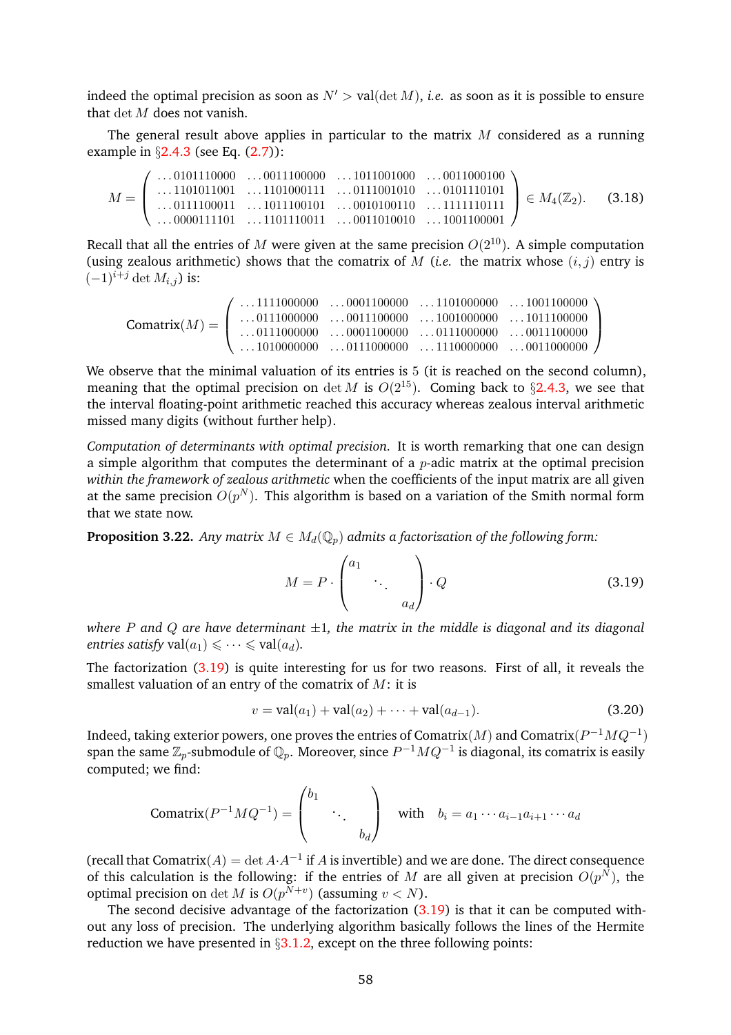indeed the optimal precision as soon as  $N' > \text{val}(\det M)$ , *i.e.* as soon as it is possible to ensure that  $\det M$  does not vanish.

The general result above applies in particular to the matrix  $M$  considered as a running example in  $\S 2.4.3$  $\S 2.4.3$  (see Eq.  $(2.7)$ ):

<span id="page-57-1"></span>
$$
M = \left(\begin{array}{cccc} \dots 0101110000 & \dots 0011100000 & \dots 1011001000 & \dots 0011000100 \\ \dots 1101011001 & \dots 1101000111 & \dots 0111001010 & \dots 010111011 \\ \dots 0111100011 & \dots 101110010 & \dots 0010100110 & \dots 1111110111 \\ \dots 0000111101 & \dots 1101110011 & \dots 0011010010 & \dots 1001100001 \end{array}\right) \in M_4(\mathbb{Z}_2).
$$
 (3.18)

Recall that all the entries of M were given at the same precision  $O(2^{10})$ . A simple computation (using zealous arithmetic) shows that the comatrix of  $M$  (*i.e.* the matrix whose  $(i, j)$  entry is  $(-1)^{i+j}$  det  $M_{i,j}$ ) is:

$$
\text{Comatrix}(M) = \left(\begin{array}{ccc} \dots 1111000000 & \dots 0001100000 & \dots 1101000000 & \dots 1001100000 \\ \dots 0111000000 & \dots 0011100000 & \dots 1001000000 & \dots 1011100000 \\ \dots 0111000000 & \dots 0001100000 & \dots 0111000000 & \dots 0011100000 \\ \dots 1010000000 & \dots 0111000000 & \dots 111000000 & \dots 0011000000 \end{array}\right)
$$

We observe that the minimal valuation of its entries is 5 (it is reached on the second column), meaning that the optimal precision on det M is  $O(2^{15})$ . Coming back to §[2.4.3,](#page-36-1) we see that the interval floating-point arithmetic reached this accuracy whereas zealous interval arithmetic missed many digits (without further help).

*Computation of determinants with optimal precision.* It is worth remarking that one can design a simple algorithm that computes the determinant of a  $p$ -adic matrix at the optimal precision *within the framework of zealous arithmetic* when the coefficients of the input matrix are all given at the same precision  $O(p^{N}).$  This algorithm is based on a variation of the Smith normal form that we state now.

**Proposition 3.22.** *Any matrix*  $M \in M_d(\mathbb{Q}_p)$  *admits a factorization of the following form:* 

<span id="page-57-0"></span>
$$
M = P \cdot \begin{pmatrix} a_1 & & \\ & \ddots & \\ & & a_d \end{pmatrix} \cdot Q \tag{3.19}
$$

*where* P and Q are have determinant  $\pm 1$ , the matrix in the middle is diagonal and its diagonal *entries satisfy*  $val(a_1) \leq \cdots \leq val(a_d)$ .

The factorization [\(3.19\)](#page-57-0) is quite interesting for us for two reasons. First of all, it reveals the smallest valuation of an entry of the comatrix of  $M$ : it is

<span id="page-57-2"></span>
$$
v = val(a_1) + val(a_2) + \dots + val(a_{d-1}).
$$
\n(3.20)

Indeed, taking exterior powers, one proves the entries of Comatrix $(M)$  and Comatrix $(P^{-1}MQ^{-1})$ span the same  $\mathbb{Z}_p$ -submodule of  $\mathbb{Q}_p$ . Moreover, since  $P^{-1}MQ^{-1}$  is diagonal, its comatrix is easily computed; we find:

$$
\text{Comatrix}(P^{-1}MQ^{-1}) = \begin{pmatrix} b_1 & & \\ & \ddots & \\ & & b_d \end{pmatrix} \quad \text{with} \quad b_i = a_1 \cdots a_{i-1} a_{i+1} \cdots a_d
$$

(recall that Comatrix(A) =  $\det A \cdot A^{-1}$  if A is invertible) and we are done. The direct consequence of this calculation is the following: if the entries of M are all given at precision  $O(p^N)$ , the optimal precision on  $\det M$  is  $O(p^{N+v})$  (assuming  $v < N$ ).

The second decisive advantage of the factorization [\(3.19\)](#page-57-0) is that it can be computed without any loss of precision. The underlying algorithm basically follows the lines of the Hermite reduction we have presented in  $\S 3.1.2$ , except on the three following points: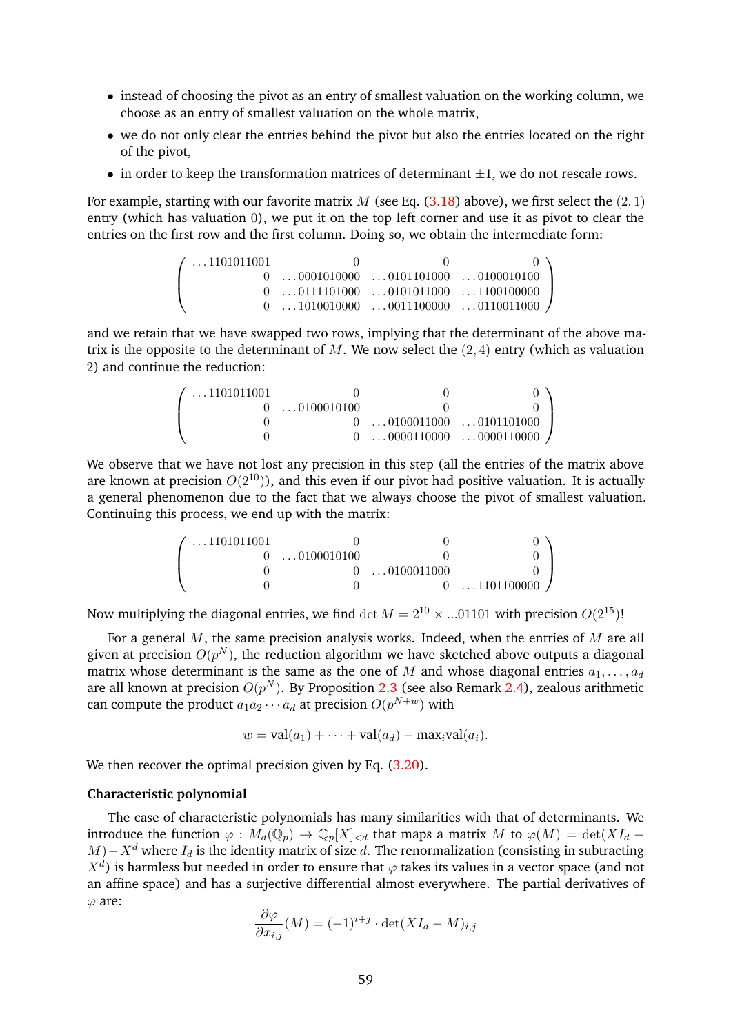- instead of choosing the pivot as an entry of smallest valuation on the working column, we choose as an entry of smallest valuation on the whole matrix,
- we do not only clear the entries behind the pivot but also the entries located on the right of the pivot,
- in order to keep the transformation matrices of determinant  $\pm 1$ , we do not rescale rows.

For example, starting with our favorite matrix M (see Eq.  $(3.18)$  above), we first select the  $(2, 1)$ entry (which has valuation 0), we put it on the top left corner and use it as pivot to clear the entries on the first row and the first column. Doing so, we obtain the intermediate form:

| $\dots 1101011001$ |  |                                                           |
|--------------------|--|-----------------------------------------------------------|
|                    |  | $0 \ldots 0001010000 \ldots 0101101000 \ldots 0100010100$ |
|                    |  | $0$ 0111101000 0101011000 1100100000                      |
|                    |  |                                                           |

and we retain that we have swapped two rows, implying that the determinant of the above matrix is the opposite to the determinant of  $M$ . We now select the  $(2, 4)$  entry (which as valuation 2) and continue the reduction:

| $\dots$ 1101011001 |                     |                                       |                                         |
|--------------------|---------------------|---------------------------------------|-----------------------------------------|
|                    | $\ldots 0100010100$ |                                       |                                         |
|                    |                     |                                       | $0 \ldots 0100011000 \ldots 0101101000$ |
|                    |                     | $\ldots 0000110000 \ldots 0000110000$ |                                         |

We observe that we have not lost any precision in this step (all the entries of the matrix above are known at precision  $O(2^{10})$ ), and this even if our pivot had positive valuation. It is actually a general phenomenon due to the fact that we always choose the pivot of smallest valuation. Continuing this process, we end up with the matrix:

| $\dots$ 1101011001 |                    |                    |                       |
|--------------------|--------------------|--------------------|-----------------------|
|                    | $\dots 0100010100$ |                    |                       |
|                    |                    | $\dots 0100011000$ |                       |
|                    |                    |                    | $0 \ldots 1101100000$ |

Now multiplying the diagonal entries, we find  $\det M = 2^{10} \times ...01101$  with precision  $O(2^{15})!$ 

For a general  $M$ , the same precision analysis works. Indeed, when the entries of  $M$  are all given at precision  $O(p^{N}),$  the reduction algorithm we have sketched above outputs a diagonal matrix whose determinant is the same as the one of M and whose diagonal entries  $a_1, \ldots, a_d$ are all known at precision  $O(p^{N}).$  By Proposition  ${\bf 2.3}$  ${\bf 2.3}$  ${\bf 2.3}$  (see also Remark  ${\bf 2.4}$ ), zealous arithmetic can compute the product  $a_1 a_2 \cdots a_d$  at precision  $O(p^{N+w})$  with

$$
w = \text{val}(a_1) + \cdots + \text{val}(a_d) - \text{max}_i \text{val}(a_i).
$$

We then recover the optimal precision given by Eq.  $(3.20)$ .

#### **Characteristic polynomial**

The case of characteristic polynomials has many similarities with that of determinants. We introduce the function  $\varphi : M_d(\mathbb{Q}_p) \to \mathbb{Q}_p[X]_{< d}$  that maps a matrix M to  $\varphi(M) = \det(XI_d M$ ) –  $X^d$  where  $I_d$  is the identity matrix of size d. The renormalization (consisting in subtracting  $X^{d}$ ) is harmless but needed in order to ensure that  $\varphi$  takes its values in a vector space (and not an affine space) and has a surjective differential almost everywhere. The partial derivatives of  $\varphi$  are:

$$
\frac{\partial \varphi}{\partial x_{i,j}}(M) = (-1)^{i+j} \cdot \det(XI_d - M)_{i,j}
$$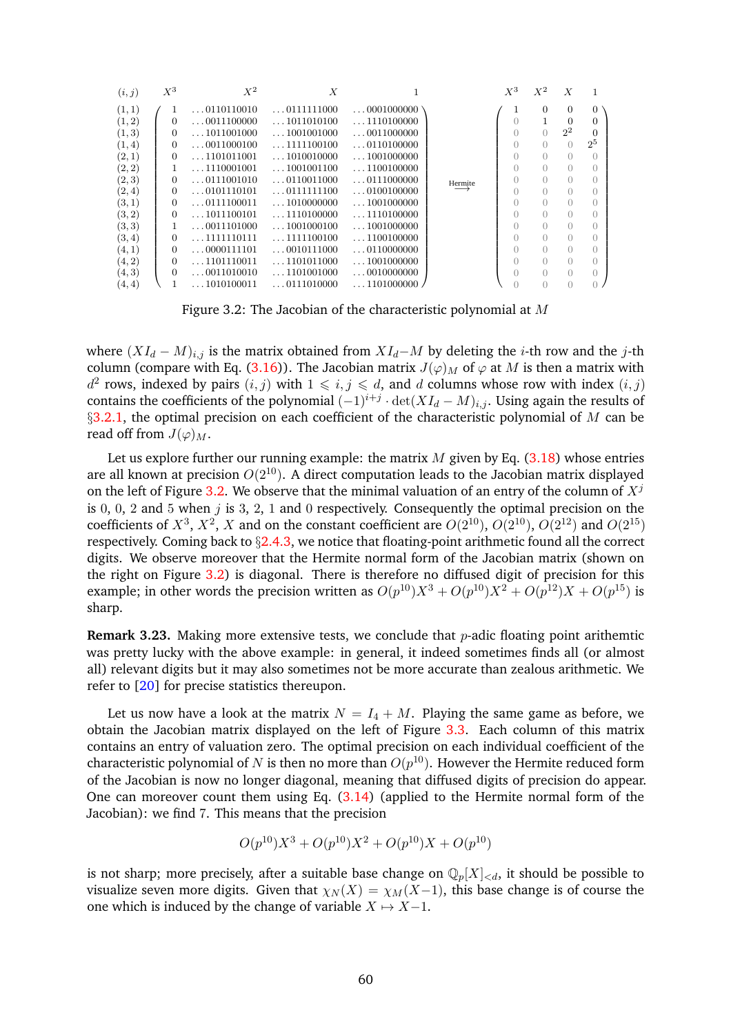| (i, j) | $X^3$ | $X^2$               | X                   |                       |         | $X^3$ | $X^2$ | X         |                  |
|--------|-------|---------------------|---------------------|-----------------------|---------|-------|-------|-----------|------------------|
| (1, 1) |       | $\dots0110110010$   | $\dots 01111111000$ | $\ldots 0001000000$   |         |       | 0     | $\Omega$  | $\theta$         |
| (1, 2) | 0     | $\ldots 0011100000$ | $\ldots$ 1011010100 | $\dots$ 1110100000    |         |       |       | $\theta$  | $\overline{0}$   |
| (1, 3) | 0     | $\dots$ 1011001000  | $\dots 1001001000$  | $\ldots$ 0011000000   |         |       |       | $2^2$     | $\boldsymbol{0}$ |
| (1, 4) | 0     | $\ldots 0011000100$ | $\dots$ 1111100100  | $\dots 0110100000$    |         |       |       |           | 2 <sup>5</sup>   |
| (2,1)  | 0     | $\dots$ 1101011001  | $\ldots$ 1010010000 | $\ldots 1001000000$   |         |       |       | $\cup$    | $\theta$         |
| (2, 2) |       | $\dots$ 1110001001  | $\ldots 1001001100$ | $\ldots 1100100000$   |         |       |       | 0         | $\bigcap$        |
| (2,3)  | 0     | $\ldots$ 0111001010 | $\dots$ 0110011000  | $\ldots$ 0111000000   | Hermite |       |       | 0         | $\bigcap$        |
| (2,4)  | 0     | $\ldots$ 0101110101 | $\ldots$ 0111111100 | $\ldots 0100100000$   |         |       |       | 0         | $\bigcap$        |
| (3,1)  | 0     | $\dots 0111100011$  | $\dots$ 1010000000  | $\dots1001000000$     |         |       |       |           | $\bigcap$        |
| (3, 2) | 0     | $\dots$ 1011100101  | $\dots$ 1110100000  | $\ldots$ 1110100000   |         |       |       |           | $\bigcap$        |
| (3, 3) |       | $\ldots 0011101000$ | $\dots$ 1001000100  | $\ldots 1001000000$   |         |       |       |           | $\bigcap$        |
| (3, 4) | 0     | $\dots$ 1111110111  | $\dots$ 1111100100  | $\dots$ 1100100000    |         |       |       | 0         | $\theta$         |
| (4, 1) | 0     | $\ldots$ 0000111101 | $\ldots$ 0010111000 | $\ldots$ 0110000000   |         |       |       | 0         | $\theta$         |
| (4, 2) | 0     | $\dots$ 1101110011  | $\dots$ 1101011000  | $\ldots 1001000000$   |         |       |       | 0         | $\theta$         |
| (4, 3) | 0     | $\dots$ 0011010010  | $\ldots$ 1101001000 | $\ldots 0010000000$   |         |       |       | $\bigcap$ | $\theta$         |
| (4, 4) |       | $\dots1010100011$   | $\dots 0111010000$  | $\ldots 1101000000$ , |         |       |       |           |                  |

<span id="page-59-0"></span>Figure 3.2: The Jacobian of the characteristic polynomial at M

where  $(XI_d - M)_{i,j}$  is the matrix obtained from  $XI_d - M$  by deleting the *i*-th row and the *j*-th column (compare with Eq. [\(3.16\)](#page-56-2)). The Jacobian matrix  $J(\varphi)_M$  of  $\varphi$  at M is then a matrix with  $d^2$  rows, indexed by pairs  $(i, j)$  with  $1 \leq i, j \leq d$ , and d columns whose row with index  $(i, j)$ contains the coefficients of the polynomial  $(-1)^{i+j} \cdot \det(XI_d - M)_{i,j}$ . Using again the results of §[3.2.1,](#page-52-1) the optimal precision on each coefficient of the characteristic polynomial of  $M$  can be read off from  $J(\varphi)_M$ .

Let us explore further our running example: the matrix  $M$  given by Eq. [\(3.18\)](#page-57-1) whose entries are all known at precision  $O(2^{10})$ . A direct computation leads to the Jacobian matrix displayed on the left of Figure [3.2.](#page-59-0) We observe that the minimal valuation of an entry of the column of  $X^j$ is 0, 0, 2 and 5 when  $i$  is 3, 2, 1 and 0 respectively. Consequently the optimal precision on the coefficients of  $X^3$ ,  $X^2$ ,  $X$  and on the constant coefficient are  $O(2^{10})$ ,  $O(2^{10})$ ,  $O(2^{12})$  and  $O(2^{15})$ respectively. Coming back to §[2.4.3,](#page-36-1) we notice that floating-point arithmetic found all the correct digits. We observe moreover that the Hermite normal form of the Jacobian matrix (shown on the right on Figure [3.2\)](#page-59-0) is diagonal. There is therefore no diffused digit of precision for this example; in other words the precision written as  $O(p^{10})X^3 + O(p^{10})X^2 + O(p^{12})X + O(p^{15})$  is sharp.

**Remark 3.23.** Making more extensive tests, we conclude that *p*-adic floating point arithemtic was pretty lucky with the above example: in general, it indeed sometimes finds all (or almost all) relevant digits but it may also sometimes not be more accurate than zealous arithmetic. We refer to [\[20\]](#page-81-8) for precise statistics thereupon.

Let us now have a look at the matrix  $N = I_4 + M$ . Playing the same game as before, we obtain the Jacobian matrix displayed on the left of Figure [3.3.](#page-60-0) Each column of this matrix contains an entry of valuation zero. The optimal precision on each individual coefficient of the characteristic polynomial of  $N$  is then no more than  $O(p^{10}).$  However the Hermite reduced form of the Jacobian is now no longer diagonal, meaning that diffused digits of precision do appear. One can moreover count them using Eq. [\(3.14\)](#page-54-1) (applied to the Hermite normal form of the Jacobian): we find 7. This means that the precision

$$
O(p^{10})X^3 + O(p^{10})X^2 + O(p^{10})X + O(p^{10})
$$

is not sharp; more precisely, after a suitable base change on  $\mathbb{Q}_p[X]_{< d}$ , it should be possible to visualize seven more digits. Given that  $\chi_N(X) = \chi_M(X-1)$ , this base change is of course the one which is induced by the change of variable  $X \mapsto X-1$ .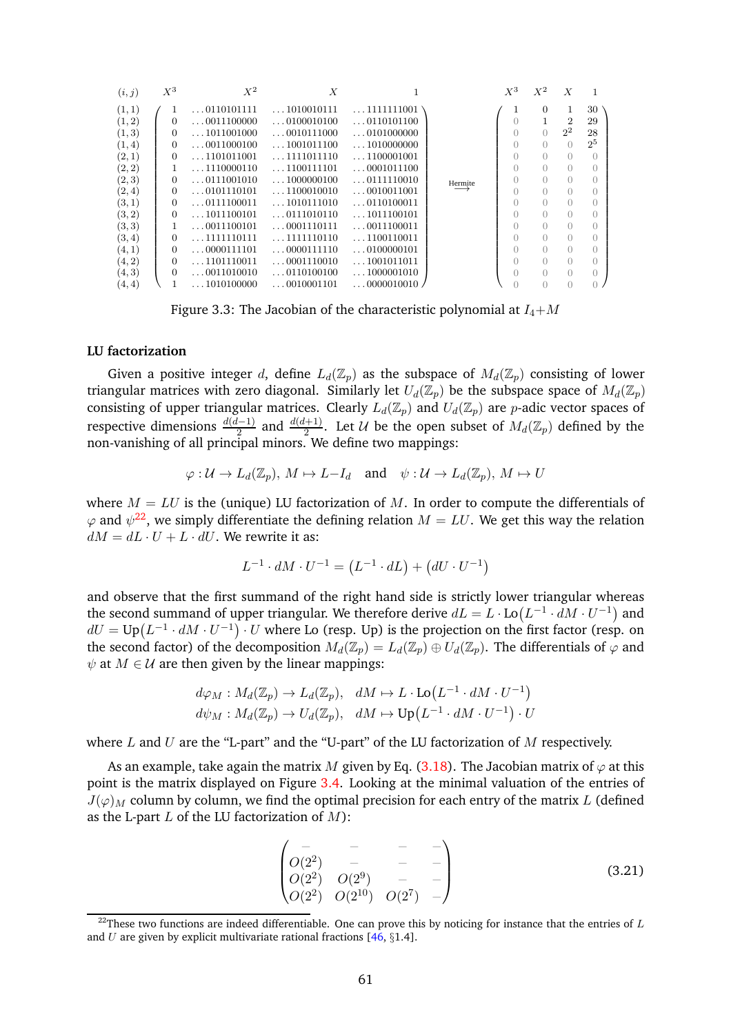| (i, j) | $X^3$          | $X^2$               | X                   |                     |         | $X^3$     | $X^2$    | Х              |                |
|--------|----------------|---------------------|---------------------|---------------------|---------|-----------|----------|----------------|----------------|
| (1, 1) |                | $\ldots 0110101111$ | $\dots$ 1010010111  | $\dots$ 1111111001  |         |           | $\Omega$ |                | 30             |
| (1, 2) | $\overline{0}$ | $\ldots$ 0011100000 | $\ldots$ 0100010100 | $\ldots$ 0110101100 |         |           |          | $\overline{2}$ | 29             |
| (1, 3) | $\overline{0}$ | $\ldots$ 1011001000 | $\ldots 0010111000$ | $\ldots$ 0101000000 |         |           |          | $2^2$          | 28             |
| (1, 4) | $\overline{0}$ | $\ldots 0011000100$ | $\ldots 1001011100$ | $\ldots 1010000000$ |         | $\bigcap$ |          |                | 2 <sup>5</sup> |
| (2,1)  | $\overline{0}$ | $\dots$ 1101011001  | $\ldots$ 1111011110 | $\dots$ 1100001001  |         | $\bigcap$ |          | $\bigcap$      | $\theta$       |
| (2, 2) |                | $\dots$ 1110000110  | $\dots$ 1100111101  | $\ldots$ 0001011100 |         | $\bigcap$ |          | $\bigcap$      | $\bigcap$      |
| (2,3)  | $\overline{0}$ | $\ldots$ 0111001010 | $\ldots 1000000100$ | $\ldots$ 0111110010 | Hermite | $\bigcap$ |          | $\bigcap$      | $\bigcap$      |
| (2, 4) | $\overline{0}$ | $\ldots$ 0101110101 | $\ldots$ 1100010010 | $\ldots$ 0010011001 |         | $\bigcap$ |          | $\cup$         | $\bigcap$      |
| (3,1)  | $\overline{0}$ | $\ldots$ 0111100011 | $\dots$ 1010111010  | $\ldots$ 0110100011 |         | $\bigcap$ |          | $\cup$         | $\bigcap$      |
| (3, 2) | 0              | $\dots$ 1011100101  | $\ldots$ 0111010110 | $\ldots$ 1011100101 |         | $\bigcap$ |          | $\bigcap$      | $\bigcap$      |
| (3, 3) |                | $\ldots 0011100101$ | $\ldots 0001110111$ | $\ldots$ 0011100011 |         |           |          | 0              | $\bigcap$      |
| (3, 4) | $\overline{0}$ | 1111110111          | $\dots$ 1111110110  | $\dots$ 1100110011  |         |           |          |                | $\theta$       |
| (4,1)  | $\overline{0}$ | $\ldots$ 0000111101 | $\ldots$ 0000111110 | $\ldots$ 0100000101 |         | $\bigcap$ |          | 0              | $\theta$       |
| (4, 2) | $\overline{0}$ | $\dots$ 1101110011  | $\ldots$ 0001110010 | $\dots$ 1001011011  |         | $\bigcap$ |          | $\bigcap$      | $\theta$       |
| (4,3)  | 0              | $\ldots$ 0011010010 | $\dots 0110100100$  | $\ldots 1000001010$ |         | $\bigcap$ |          | $\bigcap$      | $\theta$       |
| (4, 4) |                | $\ldots 1010100000$ | $\ldots 0010001101$ | $\ldots 0000010010$ |         |           |          |                |                |

<span id="page-60-0"></span>Figure 3.3: The Jacobian of the characteristic polynomial at  $I_4+M$ 

#### **LU factorization**

Given a positive integer d, define  $L_d(\mathbb{Z}_p)$  as the subspace of  $M_d(\mathbb{Z}_p)$  consisting of lower triangular matrices with zero diagonal. Similarly let  $U_d(\mathbb{Z}_p)$  be the subspace space of  $M_d(\mathbb{Z}_p)$ consisting of upper triangular matrices. Clearly  $L_d(\mathbb{Z}_p)$  and  $U_d(\mathbb{Z}_p)$  are p-adic vector spaces of respective dimensions  $\frac{d(d-1)}{2}$  and  $\frac{d(d+1)}{2}$ . Let U be the open subset of  $M_d(\mathbb{Z}_p)$  defined by the non-vanishing of all principal minors. We define two mappings:

$$
\varphi: \mathcal{U} \to L_d(\mathbb{Z}_p), \ M \mapsto L - I_d \quad \text{and} \quad \psi: \mathcal{U} \to L_d(\mathbb{Z}_p), \ M \mapsto U
$$

where  $M = LU$  is the (unique) LU factorization of M. In order to compute the differentials of  $\varphi$  and  $\psi^{22}$  $\psi^{22}$  $\psi^{22}$ , we simply differentiate the defining relation  $M = L U$ . We get this way the relation  $dM = dL \cdot U + L \cdot dU$ . We rewrite it as:

$$
L^{-1} \cdot dM \cdot U^{-1} = (L^{-1} \cdot dL) + (dU \cdot U^{-1})
$$

and observe that the first summand of the right hand side is strictly lower triangular whereas the second summand of upper triangular. We therefore derive  $dL = L \cdot \text{Lo}(L^{-1} \cdot dM \cdot U^{-1})$  and  $dU = \text{Up}\big(L^{-1} \cdot dM \cdot U^{-1}\big) \cdot U$  where Lo (resp. Up) is the projection on the first factor (resp. on the second factor) of the decomposition  $M_d(\mathbb{Z}_p) = L_d(\mathbb{Z}_p) \oplus U_d(\mathbb{Z}_p)$ . The differentials of  $\varphi$  and  $\psi$  at  $M \in \mathcal{U}$  are then given by the linear mappings:

$$
d\varphi_M: M_d(\mathbb{Z}_p) \to L_d(\mathbb{Z}_p), \quad dM \mapsto L \cdot \text{Lo}\big(L^{-1} \cdot dM \cdot U^{-1}\big)
$$
  

$$
d\psi_M: M_d(\mathbb{Z}_p) \to U_d(\mathbb{Z}_p), \quad dM \mapsto \text{Up}\big(L^{-1} \cdot dM \cdot U^{-1}\big) \cdot U
$$

where  $L$  and  $U$  are the "L-part" and the "U-part" of the LU factorization of  $M$  respectively.

As an example, take again the matrix M given by Eq. [\(3.18\)](#page-57-1). The Jacobian matrix of  $\varphi$  at this point is the matrix displayed on Figure [3.4.](#page-61-0) Looking at the minimal valuation of the entries of  $J(\varphi)_M$  column by column, we find the optimal precision for each entry of the matrix L (defined as the L-part  $L$  of the LU factorization of  $M$ ):

<span id="page-60-2"></span>
$$
\begin{pmatrix}\n- & - & - & - \\
O(2^2) & - & - & - \\
O(2^2) & O(2^9) & - & - \\
O(2^2) & O(2^{10}) & O(2^7) & -\n\end{pmatrix}
$$
\n(3.21)

<span id="page-60-1"></span><sup>&</sup>lt;sup>22</sup>These two functions are indeed differentiable. One can prove this by noticing for instance that the entries of  $L$ and U are given by explicit multivariate rational fractions  $[46, §1.4]$  $[46, §1.4]$ .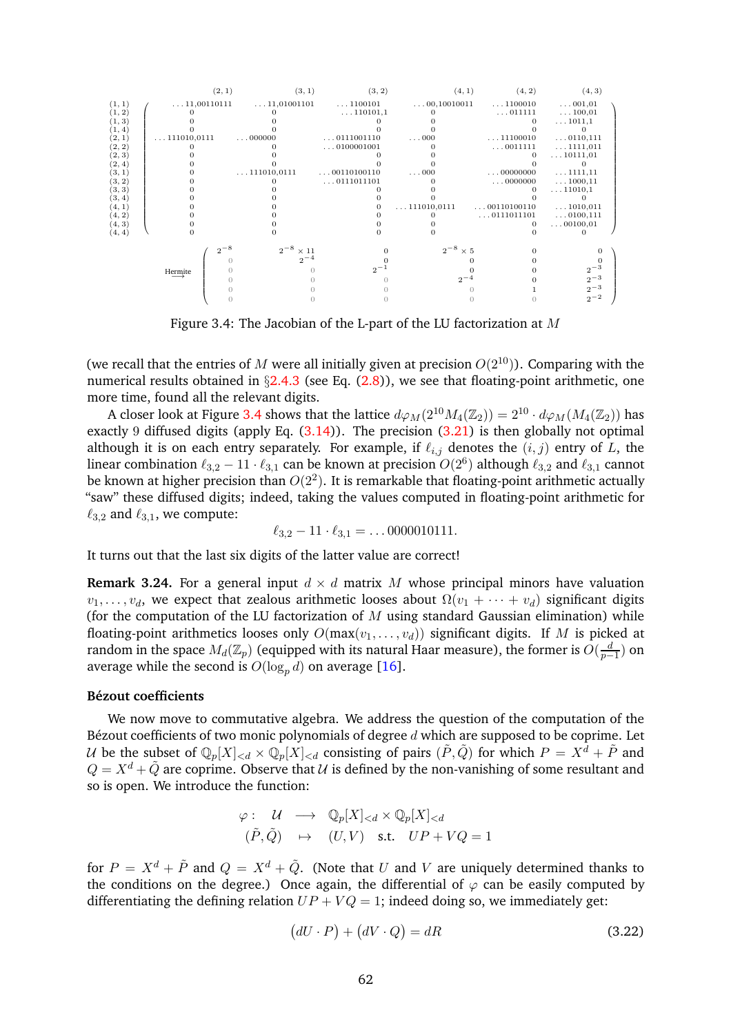

<span id="page-61-0"></span>Figure 3.4: The Jacobian of the L-part of the LU factorization at  $M$ 

(we recall that the entries of M were all initially given at precision  $O(2^{10})$ ). Comparing with the numerical results obtained in  $\S2.4.3$  $\S2.4.3$  (see Eq. [\(2.8\)](#page-38-1)), we see that floating-point arithmetic, one more time, found all the relevant digits.

A closer look at Figure [3.4](#page-61-0) shows that the lattice  $d\varphi_M(2^{10}M_4(\mathbb{Z}_2)) = 2^{10} \cdot d\varphi_M(M_4(\mathbb{Z}_2))$  has exactly 9 diffused digits (apply Eq. [\(3.14\)](#page-54-1)). The precision [\(3.21\)](#page-60-2) is then globally not optimal although it is on each entry separately. For example, if  $\ell_{i,j}$  denotes the  $(i, j)$  entry of L, the linear combination  $\ell_{3,2} - 11 \cdot \ell_{3,1}$  can be known at precision  $O(2^6)$  although  $\ell_{3,2}$  and  $\ell_{3,1}$  cannot be known at higher precision than  $O(2^2)$ . It is remarkable that floating-point arithmetic actually "saw" these diffused digits; indeed, taking the values computed in floating-point arithmetic for  $\ell_{3,2}$  and  $\ell_{3,1}$ , we compute:

$$
\ell_{3,2}-11 \cdot \ell_{3,1} = \ldots 0000010111.
$$

<span id="page-61-2"></span>It turns out that the last six digits of the latter value are correct!

**Remark 3.24.** For a general input  $d \times d$  matrix M whose principal minors have valuation  $v_1, \ldots, v_d$ , we expect that zealous arithmetic looses about  $\Omega(v_1 + \cdots + v_d)$  significant digits (for the computation of the LU factorization of  $M$  using standard Gaussian elimination) while floating-point arithmetics looses only  $O(max(v_1, \ldots, v_d))$  significant digits. If M is picked at random in the space  $M_d(\mathbb{Z}_p)$  (equipped with its natural Haar measure), the former is  $O(\frac{d}{p_-})$  $\frac{d}{p-1}$ ) on average while the second is  $O(\log_n d)$  on average [\[16\]](#page-81-1).

### **Bezout coefficients ´**

We now move to commutative algebra. We address the question of the computation of the Bézout coefficients of two monic polynomials of degree  $d$  which are supposed to be coprime. Let U be the subset of  $\mathbb{Q}_p[X]_{< d} \times \mathbb{Q}_p[X]_{< d}$  consisting of pairs  $(\tilde{P}, \tilde{Q})$  for which  $P = X^d + \tilde{P}$  and  $Q = X^d + \tilde{Q}$  are coprime. Observe that U is defined by the non-vanishing of some resultant and so is open. We introduce the function:

$$
\varphi: \quad \mathcal{U} \quad \longrightarrow \quad \mathbb{Q}_p[X]_{< d} \times \mathbb{Q}_p[X]_{< d}
$$
\n
$$
(\tilde{P}, \tilde{Q}) \quad \mapsto \quad (U, V) \quad \text{s.t.} \quad UP + VQ = 1
$$

for  $P = X^d + \tilde{P}$  and  $Q = X^d + \tilde{Q}$ . (Note that U and V are uniquely determined thanks to the conditions on the degree.) Once again, the differential of  $\varphi$  can be easily computed by differentiating the defining relation  $UP + VQ = 1$ ; indeed doing so, we immediately get:

<span id="page-61-1"></span>
$$
(dU \cdot P) + (dV \cdot Q) = dR \tag{3.22}
$$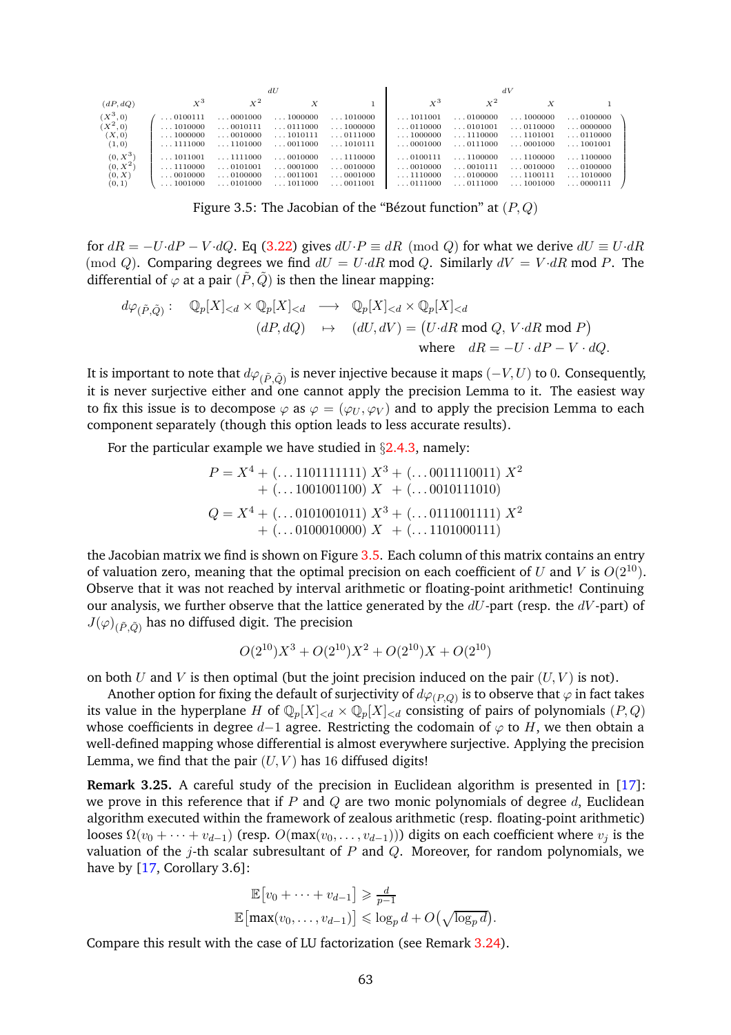| dU         |                  |                  |                  |                  | dV               |                  |                  |                  |  |
|------------|------------------|------------------|------------------|------------------|------------------|------------------|------------------|------------------|--|
| (dP, dQ)   | $X^3$            | $X^2$            |                  |                  | $X^3$            | $X^2$            |                  |                  |  |
| $(X^3,0)$  | $\dots$ 0100111  | $\ldots$ 0001000 | $\ldots 1000000$ | $\ldots 1010000$ | $\dots$ 1011001  | $\dots$ 0100000  | $\ldots 1000000$ | $\ldots$ 0100000 |  |
| $(X^2,0)$  | $\ldots 1010000$ | $\ldots$ 0010111 | $\ldots$ 0111000 | $\ldots 1000000$ | $\ldots$ 0110000 | $\dots$ 0101001  | $\ldots$ 0110000 | $\ldots$ 0000000 |  |
| (X,0)      | $\ldots 1000000$ | $\ldots 0010000$ | $\dots$ 1010111  | $\ldots 0111000$ | $\ldots 1000000$ | $\ldots$ 1110000 | $\dots$ 1101001  | $\dots$ 0110000  |  |
| (1,0)      | $\dots$ 1111000  | $\dots$ 1101000  | $\ldots 0011000$ | $\ldots$ 1010111 | $\ldots$ 0001000 | $\dots$ 0111000  | $\ldots$ 0001000 | $\ldots 1001001$ |  |
| $(0, X^3)$ | $\ldots$ 1011001 | $\dots$ 1111000  | $\ldots$ 0010000 | $\dots$ 1110000  | $\ldots$ 0100111 | $\dots$ 1100000  | $\dots$ 1100000  | $\dots$ 1100000  |  |
| $(0, X^2)$ | $\dots$ 1110000  | $\ldots$ 0101001 | $\ldots$ 0001000 | $\ldots$ 0010000 | $\ldots$ 0010000 | $\ldots$ 0010111 | $\ldots$ 0010000 | $\ldots$ 0100000 |  |
| (0,X)      | $\ldots$ 0010000 | $\ldots$ 0100000 | $\ldots$ 0011001 | $\ldots$ 0001000 | $\dots$ 1110000  | $\dots$ 0100000  | $\dots$ 1100111  | $\dots 1010000$  |  |
| (0,1)      | $\ldots 1001000$ | $\dots$ 0101000  | $\dots$ 1011000  | $\ldots$ 0011001 | $\ldots$ 0111000 | $\dots$ 0111000  | $\ldots 1001000$ | $\ldots$ 0000111 |  |

<span id="page-62-0"></span>Figure 3.5: The Jacobian of the "Bézout function" at  $(P, Q)$ 

for  $dR = -U \cdot dP - V \cdot dQ$ . Eq [\(3.22\)](#page-61-1) gives  $dU \cdot P \equiv dR \pmod{Q}$  for what we derive  $dU \equiv U \cdot dR$ (mod Q). Comparing degrees we find  $dU = U \cdot dR$  mod Q. Similarly  $dV = V \cdot dR$  mod P. The differential of  $\varphi$  at a pair  $(\tilde{P}, \tilde{Q})$  is then the linear mapping:

$$
d\varphi_{(\tilde{P},\tilde{Q})}: \quad \mathbb{Q}_p[X]_{< d} \times \mathbb{Q}_p[X]_{< d} \quad \longrightarrow \quad \mathbb{Q}_p[X]_{< d} \times \mathbb{Q}_p[X]_{< d}
$$
\n
$$
(dP, dQ) \quad \mapsto \quad (dU, dV) = (U \cdot dR \text{ mod } Q, V \cdot dR \text{ mod } P)
$$
\n
$$
\text{where} \quad dR = -U \cdot dP - V \cdot dQ.
$$

It is important to note that  $d\varphi_{(\tilde{P},\tilde{Q})}$  is never injective because it maps  $(-V,U)$  to  $0.$  Consequently, it is never surjective either and one cannot apply the precision Lemma to it. The easiest way to fix this issue is to decompose  $\varphi$  as  $\varphi = (\varphi_U, \varphi_V)$  and to apply the precision Lemma to each component separately (though this option leads to less accurate results).

For the particular example we have studied in  $\S$ [2.4.3,](#page-36-1) namely:

$$
P = X4 + (\dots 1101111111) X3 + (\dots 0011110011) X2
$$
  
+ (\dots 1001001100) X + (\dots 0010111010)  

$$
Q = X4 + (\dots 0101001011) X3 + (\dots 0111001111) X2
$$
  
+ (\dots 0100010000) X + (\dots 1101000111)

the Jacobian matrix we find is shown on Figure [3.5.](#page-62-0) Each column of this matrix contains an entry of valuation zero, meaning that the optimal precision on each coefficient of U and V is  $O(2^{10})$ . Observe that it was not reached by interval arithmetic or floating-point arithmetic! Continuing our analysis, we further observe that the lattice generated by the  $dU$ -part (resp. the  $dV$ -part) of  $J(\varphi)_{(\tilde{P},\tilde{Q})}$  has no diffused digit. The precision

$$
O(2^{10})X^3 + O(2^{10})X^2 + O(2^{10})X + O(2^{10})
$$

on both U and V is then optimal (but the joint precision induced on the pair  $(U, V)$  is not).

Another option for fixing the default of surjectivity of  $d\varphi_{(P,Q)}$  is to observe that  $\varphi$  in fact takes its value in the hyperplane H of  $\mathbb{Q}_p[X]_{< d} \times \mathbb{Q}_p[X]_{< d}$  consisting of pairs of polynomials  $(P, Q)$ whose coefficients in degree  $d-1$  agree. Restricting the codomain of  $\varphi$  to H, we then obtain a well-defined mapping whose differential is almost everywhere surjective. Applying the precision Lemma, we find that the pair  $(U, V)$  has 16 diffused digits!

**Remark 3.25.** A careful study of the precision in Euclidean algorithm is presented in [\[17\]](#page-81-2): we prove in this reference that if  $P$  and  $Q$  are two monic polynomials of degree  $d$ , Euclidean algorithm executed within the framework of zealous arithmetic (resp. floating-point arithmetic) looses  $\Omega(v_0 + \cdots + v_{d-1})$  (resp.  $O(\max(v_0, \ldots, v_{d-1}))$ ) digits on each coefficient where  $v_j$  is the valuation of the  $j$ -th scalar subresultant of  $P$  and  $Q$ . Moreover, for random polynomials, we have by [\[17,](#page-81-2) Corollary 3.6]:

$$
\mathbb{E}\left[v_0 + \dots + v_{d-1}\right] \geqslant \frac{d}{p-1}
$$

$$
\mathbb{E}\left[\max(v_0, \dots, v_{d-1})\right] \leqslant \log_p d + O\left(\sqrt{\log_p d}\right).
$$

Compare this result with the case of LU factorization (see Remark [3.24\)](#page-61-2).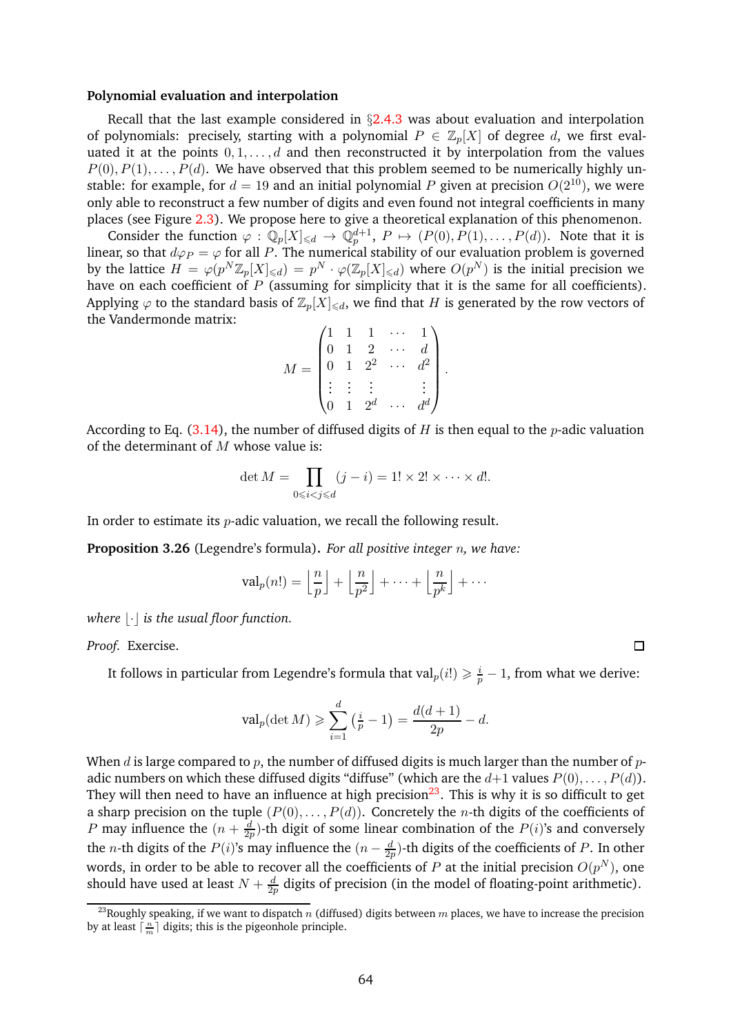#### **Polynomial evaluation and interpolation**

Recall that the last example considered in §[2.4.3](#page-36-1) was about evaluation and interpolation of polynomials: precisely, starting with a polynomial  $P \in \mathbb{Z}_p[X]$  of degree d, we first evaluated it at the points  $0, 1, \ldots, d$  and then reconstructed it by interpolation from the values  $P(0), P(1), \ldots, P(d)$ . We have observed that this problem seemed to be numerically highly unstable: for example, for  $d = 19$  and an initial polynomial P given at precision  $O(2^{10})$ , we were only able to reconstruct a few number of digits and even found not integral coefficients in many places (see Figure [2.3\)](#page-41-1). We propose here to give a theoretical explanation of this phenomenon.

Consider the function  $\varphi : \mathbb{Q}_p[X]_{\leq d} \to \mathbb{Q}_p^{d+1}, P \mapsto (P(0), P(1), \dots, P(d)).$  Note that it is linear, so that  $d\varphi_P=\varphi$  for all  $P.$  The numerical stability of our evaluation problem is governed by the lattice  $H = \varphi(p^N \mathbb{Z}_p[X]_{\leq d}) = p^N \cdot \varphi(\mathbb{Z}_p[X]_{\leq d})$  where  $O(p^N)$  is the initial precision we have on each coefficient of  $P$  (assuming for simplicity that it is the same for all coefficients). Applying  $\varphi$  to the standard basis of  $\mathbb{Z}_p[X]_{\le d}$ , we find that H is generated by the row vectors of the Vandermonde matrix:

$$
M = \begin{pmatrix} 1 & 1 & 1 & \cdots & 1 \\ 0 & 1 & 2 & \cdots & d \\ 0 & 1 & 2^2 & \cdots & d^2 \\ \vdots & \vdots & \vdots & & \vdots \\ 0 & 1 & 2^d & \cdots & d^d \end{pmatrix}.
$$

According to Eq. [\(3.14\)](#page-54-1), the number of diffused digits of H is then equal to the *p*-adic valuation of the determinant of  $M$  whose value is:

$$
\det M = \prod_{0 \le i < j \le d} (j - i) = 1! \times 2! \times \dots \times d!.
$$

In order to estimate its *p*-adic valuation, we recall the following result.

**Proposition 3.26** (Legendre's formula)**.** *For all positive integer* n*, we have:*

$$
\mathrm{val}_p(n!) = \left\lfloor \frac{n}{p} \right\rfloor + \left\lfloor \frac{n}{p^2} \right\rfloor + \cdots + \left\lfloor \frac{n}{p^k} \right\rfloor + \cdots
$$

*where*  $|\cdot|$  *is the usual floor function.* 

*Proof.* Exercise.

It follows in particular from Legendre's formula that val $_p(i!) \geqslant \frac{i}{p}-1,$  from what we derive:

$$
val_p(\det M) \ge \sum_{i=1}^d (\frac{i}{p} - 1) = \frac{d(d+1)}{2p} - d.
$$

When  $d$  is large compared to  $p$ , the number of diffused digits is much larger than the number of  $p$ adic numbers on which these diffused digits "diffuse" (which are the  $d+1$  values  $P(0), \ldots, P(d)$ ). They will then need to have an influence at high precision<sup>[23](#page-63-0)</sup>. This is why it is so difficult to get a sharp precision on the tuple  $(P(0), \ldots, P(d))$ . Concretely the *n*-th digits of the coefficients of P may influence the  $(n + \frac{d}{2n})$  $\frac{d}{2p}$ )-th digit of some linear combination of the  $P(i)$ 's and conversely the *n*-th digits of the  $P(i)$ 's may influence the  $(n - \frac{d}{2p})$ -th digits of the coefficients of  $P$ . In other words, in order to be able to recover all the coefficients of  $P$  at the initial precision  $O(p^N)$ , one should have used at least  $N + \frac{d}{2n}$  $\frac{d}{2p}$  digits of precision (in the model of floating-point arithmetic).

 $\Box$ 

<span id="page-63-0"></span><sup>&</sup>lt;sup>23</sup>Roughly speaking, if we want to dispatch n (diffused) digits between m places, we have to increase the precision by at least  $\lceil \frac{n}{m} \rceil$  digits; this is the pigeonhole principle.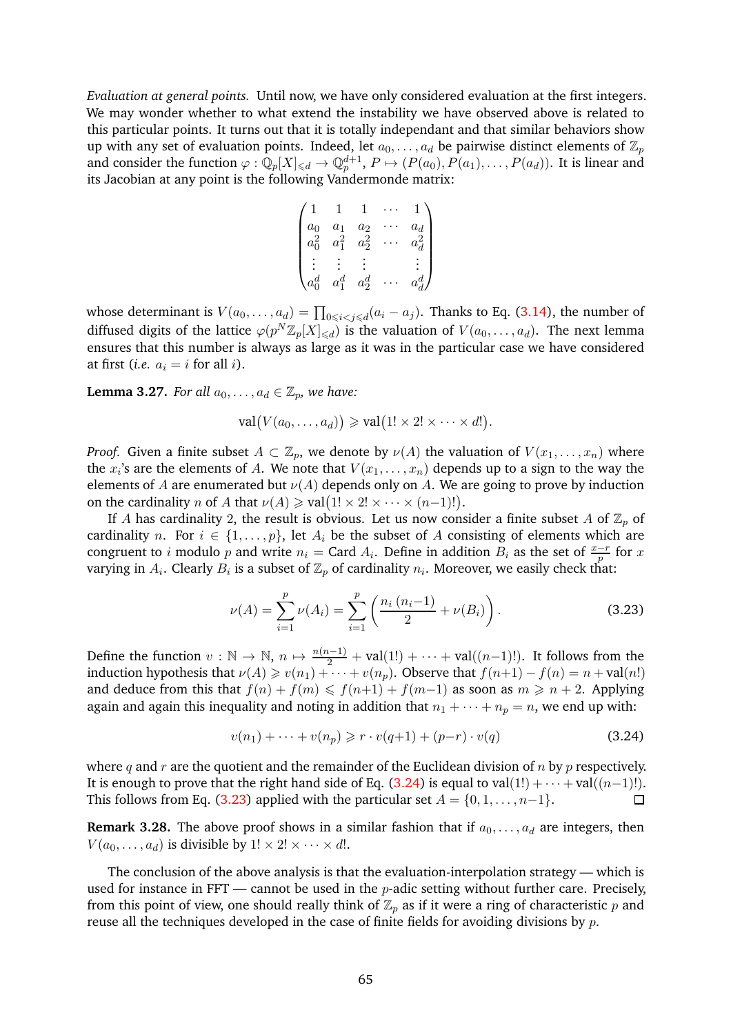*Evaluation at general points.* Until now, we have only considered evaluation at the first integers. We may wonder whether to what extend the instability we have observed above is related to this particular points. It turns out that it is totally independant and that similar behaviors show up with any set of evaluation points. Indeed, let  $a_0, \ldots, a_d$  be pairwise distinct elements of  $\mathbb{Z}_p$ and consider the function  $\varphi : \mathbb{Q}_p[X]_{\leq d} \to \mathbb{Q}_p^{d+1}$ ,  $P \mapsto (P(a_0), P(a_1), \dots, P(a_d))$ . It is linear and its Jacobian at any point is the following Vandermonde matrix:

| $a_0$              | $a_1$   | $a_2$   | $a_d$         |
|--------------------|---------|---------|---------------|
| $a_0^2$            | $a_1^2$ | $a_2^2$ | $a_d^2$       |
|                    |         |         |               |
| $a_{\mathrm{c}}^d$ | $a_1^d$ | $a_2^d$ | $a^a_{\cdot}$ |

whose determinant is  $V(a_0,\ldots,a_d)=\prod_{0\leqslant i < j \leqslant d} (a_i-a_j)$ . Thanks to Eq. [\(3.14\)](#page-54-1), the number of diffused digits of the lattice  $\varphi(p^N\mathbb{Z}_p[X]_{\leqslant d})$  is the valuation of  $V(a_0,\ldots,a_d)$ . The next lemma ensures that this number is always as large as it was in the particular case we have considered at first (*i.e.*  $a_i = i$  for all *i*).

**Lemma 3.27.** *For all*  $a_0, \ldots, a_d \in \mathbb{Z}_p$ *, we have:* 

$$
\mathrm{val}(V(a_0,\ldots,a_d))\geqslant \mathrm{val}(1!\times 2!\times\cdots\times d!).
$$

*Proof.* Given a finite subset  $A \subset \mathbb{Z}_p$ , we denote by  $\nu(A)$  the valuation of  $V(x_1, \ldots, x_n)$  where the  $x_i$ 's are the elements of A. We note that  $V(x_1,\ldots,x_n)$  depends up to a sign to the way the elements of A are enumerated but  $\nu(A)$  depends only on A. We are going to prove by induction on the cardinality *n* of *A* that  $\nu(A) \geq \text{val}(1! \times 2! \times \cdots \times (n-1)!)$ .

If A has cardinality 2, the result is obvious. Let us now consider a finite subset A of  $\mathbb{Z}_p$  of cardinality n. For  $i \in \{1, \ldots, p\}$ , let  $A_i$  be the subset of A consisting of elements which are congruent to *i* modulo *p* and write  $n_i = \text{Card } A_i$ . Define in addition  $B_i$  as the set of  $\frac{x-r}{p}$  for  $x$ varying in  $A_i$ . Clearly  $B_i$  is a subset of  $\mathbb{Z}_p$  of cardinality  $n_i$ . Moreover, we easily check that:

<span id="page-64-1"></span>
$$
\nu(A) = \sum_{i=1}^{p} \nu(A_i) = \sum_{i=1}^{p} \left( \frac{n_i (n_i - 1)}{2} + \nu(B_i) \right).
$$
 (3.23)

Define the function  $v : \mathbb{N} \to \mathbb{N}$ ,  $n \mapsto \frac{n(n-1)}{2} + val(1!) + \cdots + val((n-1)!)$ . It follows from the induction hypothesis that  $\nu(A) \geq v(n_1) + \cdots + v(n_p)$ . Observe that  $f(n+1) - f(n) = n + val(n!)$ and deduce from this that  $f(n) + f(m) \leq f(n+1) + f(m-1)$  as soon as  $m \geq n+2$ . Applying again and again this inequality and noting in addition that  $n_1 + \cdots + n_p = n$ , we end up with:

<span id="page-64-0"></span>
$$
v(n_1) + \dots + v(n_p) \geq r \cdot v(q+1) + (p-r) \cdot v(q)
$$
\n(3.24)

where q and r are the quotient and the remainder of the Euclidean division of  $n$  by  $p$  respectively. It is enough to prove that the right hand side of Eq. [\(3.24\)](#page-64-0) is equal to val(1!) + · · · + val((n−1)!).<br>This follows from Eq. (3.23) applied with the particular set  $A = \{0, 1, ..., n-1\}$ . This follows from Eq. [\(3.23\)](#page-64-1) applied with the particular set  $A = \{0, 1, \ldots, n-1\}$ .

**Remark 3.28.** The above proof shows in a similar fashion that if  $a_0, \ldots, a_d$  are integers, then  $V(a_0, \ldots, a_d)$  is divisible by  $1! \times 2! \times \cdots \times d!$ .

The conclusion of the above analysis is that the evaluation-interpolation strategy — which is used for instance in FFT — cannot be used in the  $p$ -adic setting without further care. Precisely, from this point of view, one should really think of  $\mathbb{Z}_p$  as if it were a ring of characteristic p and reuse all the techniques developed in the case of finite fields for avoiding divisions by  $p$ .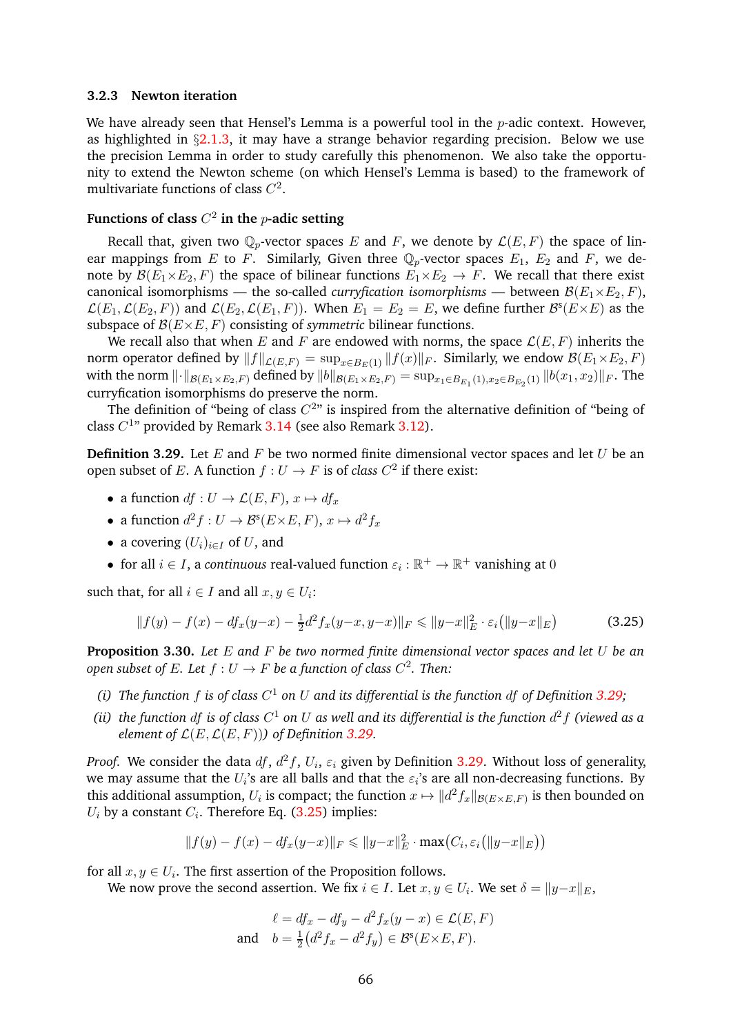#### **3.2.3 Newton iteration**

We have already seen that Hensel's Lemma is a powerful tool in the  $p$ -adic context. However, as highlighted in  $\S2.1.3$ , it may have a strange behavior regarding precision. Below we use the precision Lemma in order to study carefully this phenomenon. We also take the opportunity to extend the Newton scheme (on which Hensel's Lemma is based) to the framework of multivariate functions of class  $C^2$ .

## **Functions of class** C 2 **in the** p**-adic setting**

Recall that, given two  $\mathbb{Q}_p$ -vector spaces E and F, we denote by  $\mathcal{L}(E, F)$  the space of linear mappings from E to F. Similarly, Given three  $\mathbb{Q}_p$ -vector spaces  $E_1$ ,  $E_2$  and F, we denote by  $\mathcal{B}(E_1\times E_2, F)$  the space of bilinear functions  $E_1\times E_2 \rightarrow F$ . We recall that there exist canonical isomorphisms — the so-called *curryfication isomorphisms* — between  $\mathcal{B}(E_1 \times E_2, F)$ ,  $\mathcal{L}(E_1, \mathcal{L}(E_2, F))$  and  $\mathcal{L}(E_2, \mathcal{L}(E_1, F))$ . When  $E_1 = E_2 = E$ , we define further  $\mathcal{B}^s(E \times E)$  as the subspace of  $\mathcal{B}(E \times E, F)$  consisting of *symmetric* bilinear functions.

We recall also that when E and F are endowed with norms, the space  $\mathcal{L}(E, F)$  inherits the norm operator defined by  $||f||_{\mathcal{L}(E,F)} = \sup_{x \in B_F(1)} ||f(x)||_F$ . Similarly, we endow  $\mathcal{B}(E_1 \times E_2, F)$ with the norm  $\|\cdot\|_{\mathcal{B}(E_1\times E_2,F)}$  defined by  $\|b\|_{\mathcal{B}(E_1\times E_2,F)} = \sup_{x_1\in B_{E_1}(1), x_2\in B_{E_2}(1)} \|b(x_1,x_2)\|_F$ . The curryfication isomorphisms do preserve the norm.

<span id="page-65-0"></span>The definition of "being of class  $C^{2n}$  is inspired from the alternative definition of "being of class  $C^{1}$ " provided by Remark [3.14](#page-49-0) (see also Remark [3.12\)](#page-48-3).

**Definition 3.29.** Let E and F be two normed finite dimensional vector spaces and let U be an open subset of E. A function  $f: U \to F$  is of *class*  $C^2$  if there exist:

- a function  $df: U \to \mathcal{L}(E, F), x \mapsto df_x$
- a function  $d^2 f : U \to \mathcal{B}^s(E \times E, F)$ ,  $x \mapsto d^2 f_x$
- a covering  $(U_i)_{i \in I}$  of  $U$ , and
- for all  $i \in I$ , a *continuous* real-valued function  $\varepsilon_i : \mathbb{R}^+ \to \mathbb{R}^+$  vanishing at 0

such that, for all  $i \in I$  and all  $x, y \in U_i$ :

<span id="page-65-1"></span>
$$
||f(y) - f(x) - df_x(y - x) - \frac{1}{2}d^2 f_x(y - x, y - x)||_F \le ||y - x||_E^2 \cdot \varepsilon_i(||y - x||_E)
$$
 (3.25)

**Proposition 3.30.** *Let* E *and* F *be two normed finite dimensional vector spaces and let* U *be an*  $open$  subset of  $E$ *. Let*  $f: U \to F$  be a function of class  $C^2$ *. Then:* 

- (*i*) The function f is of class  $C^1$  on U and its differential is the function  $df$  of Definition [3.29;](#page-65-0)
- (*ii*) the function  $df$  is of class  $C^1$  on  $U$  as well and its differential is the function  $d^2f$  (viewed as a *element of*  $\mathcal{L}(E, \mathcal{L}(E, F))$ *)* of Definition [3.29.](#page-65-0)

*Proof.* We consider the data  $df$ ,  $d^2f$ ,  $U_i$ ,  $\varepsilon_i$  given by Definition [3.29.](#page-65-0) Without loss of generality, we may assume that the  $U_i$ 's are all balls and that the  $\varepsilon_i$ 's are all non-decreasing functions. By this additional assumption,  $U_i$  is compact; the function  $x \mapsto \|d^2f_x\|_{\mathcal{B}(E \times E, F)}$  is then bounded on  $U_i$  by a constant  $C_i$ . Therefore Eq. [\(3.25\)](#page-65-1) implies:

$$
|| f(y) - f(x) - df_x(y-x)||_F \le ||y-x||_E^2 \cdot \max(C_i, \varepsilon_i(||y-x||_E))
$$

for all  $x, y \in U_i$ . The first assertion of the Proposition follows.

We now prove the second assertion. We fix  $i \in I$ . Let  $x, y \in U_i$ . We set  $\delta = \|y - x\|_E$ ,

$$
\ell = df_x - df_y - d^2 f_x (y - x) \in \mathcal{L}(E, F)
$$
  
and 
$$
b = \frac{1}{2} (d^2 f_x - d^2 f_y) \in \mathcal{B}^{\mathsf{s}}(E \times E, F).
$$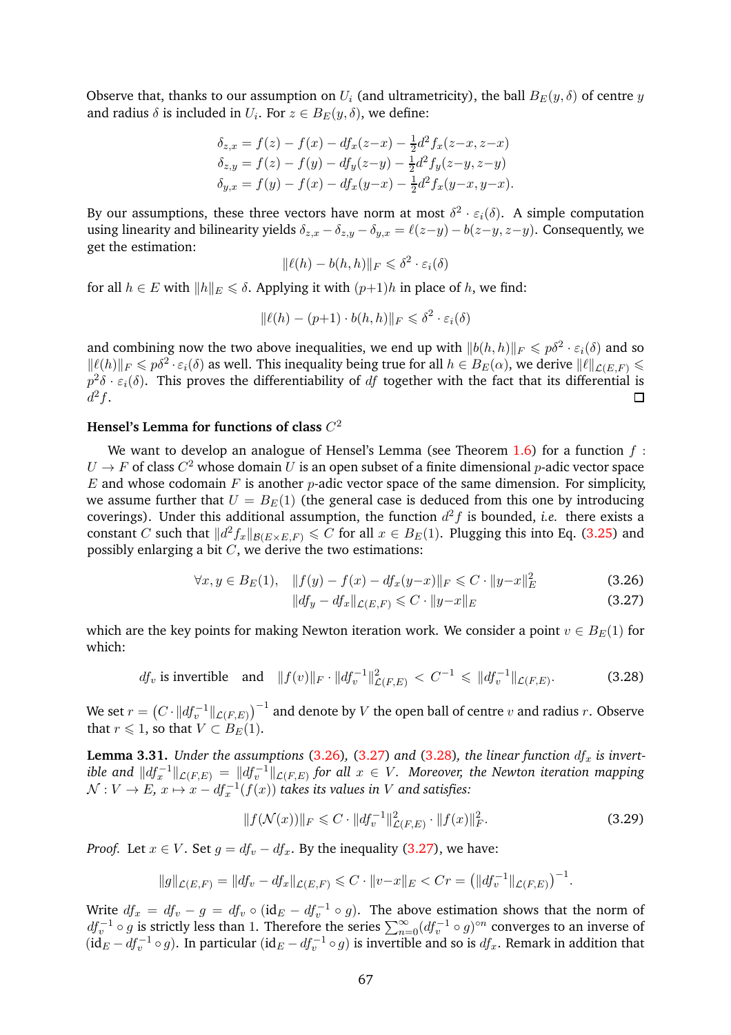Observe that, thanks to our assumption on  $U_i$  (and ultrametricity), the ball  $B_E(y, \delta)$  of centre y and radius  $\delta$  is included in  $U_i$ . For  $z \in B_E(y,\delta)$ , we define:

$$
\delta_{z,x} = f(z) - f(x) - df_x(z-x) - \frac{1}{2}d^2 f_x(z-x, z-x)
$$
  
\n
$$
\delta_{z,y} = f(z) - f(y) - df_y(z-y) - \frac{1}{2}d^2 f_y(z-y, z-y)
$$
  
\n
$$
\delta_{y,x} = f(y) - f(x) - df_x(y-x) - \frac{1}{2}d^2 f_x(y-x, y-x).
$$

By our assumptions, these three vectors have norm at most  $\delta^2 \cdot \varepsilon_i(\delta)$ . A simple computation using linearity and bilinearity yields  $\delta_{z,x} - \delta_{z,y} - \delta_{y,x} = \ell(z-y) - b(z-y, z-y)$ . Consequently, we get the estimation:

$$
\|\ell(h) - b(h, h)\|_F \leq \delta^2 \cdot \varepsilon_i(\delta)
$$

for all  $h \in E$  with  $||h||_E \le \delta$ . Applying it with  $(p+1)h$  in place of h, we find:

$$
\|\ell(h) - (p+1) \cdot b(h,h)\|_F \leq \delta^2 \cdot \varepsilon_i(\delta)
$$

and combining now the two above inequalities, we end up with  $||b(h, h)||_F \leq p\delta^2 \cdot \varepsilon_i(\delta)$  and so  $\|\ell(h)\|_F\leqslant p\delta^2\cdot\varepsilon_i(\delta)$  as well. This inequality being true for all  $h\in B_E(\alpha)$ , we derive  $\|\ell\|_{\mathcal{L}(E,F)}\leqslant$  $p^2\delta \cdot \varepsilon_i(\delta)$ . This proves the differentiability of df together with the fact that its differential is  $d^2f$ .

## Hensel's Lemma for functions of class  $C^2$

We want to develop an analogue of Hensel's Lemma (see Theorem [1.6\)](#page-9-0) for a function  $f$ :  $U \to F$  of class  $C^2$  whose domain  $U$  is an open subset of a finite dimensional p-adic vector space  $E$  and whose codomain  $F$  is another  $p$ -adic vector space of the same dimension. For simplicity, we assume further that  $U = B<sub>E</sub>(1)$  (the general case is deduced from this one by introducing coverings). Under this additional assumption, the function  $d^2f$  is bounded, *i.e.* there exists a constant C such that  $||d^2f_x||_{\mathcal{B}(E\times E,F)} \le C$  for all  $x \in B_E(1)$ . Plugging this into Eq. [\(3.25\)](#page-65-1) and possibly enlarging a bit  $C$ , we derive the two estimations:

$$
\forall x, y \in B_E(1), \quad \|f(y) - f(x) - df_x(y - x)\|_F \leq C \cdot \|y - x\|_E^2 \tag{3.26}
$$

<span id="page-66-1"></span><span id="page-66-0"></span>
$$
||df_y - df_x||_{\mathcal{L}(E,F)} \leqslant C \cdot ||y - x||_E \tag{3.27}
$$

which are the key points for making Newton iteration work. We consider a point  $v \in B_E(1)$  for which:

<span id="page-66-2"></span>
$$
df_v
$$
 is invertible and  $||f(v)||_F \cdot ||df_v^{-1}||^2_{\mathcal{L}(F,E)} < C^{-1} \le ||df_v^{-1}||_{\mathcal{L}(F,E)}$ . (3.28)

<span id="page-66-4"></span>We set  $r = \left(C \cdot \|df_{v}^{-1}\|_{\mathcal{L}(F,E)}\right)^{-1}$  and denote by  $V$  the open ball of centre  $v$  and radius  $r$ . Observe that  $r \leq 1$ , so that  $V \subset B_F(1)$ .

**Lemma 3.31.** *Under the assumptions* [\(3.26\)](#page-66-0), [\(3.27\)](#page-66-1) and [\(3.28\)](#page-66-2), the linear function  $df_x$  is invert*ible and*  $\|df_x^{-1}\|_{\mathcal{L}(F,E)} = \|df_v^{-1}\|_{\mathcal{L}(F,E)}$  *for all*  $x ∈ V$ *. Moreover, the Newton iteration mapping*  $\mathcal{N}: V \to E, x \mapsto x - df_x^{-1}(f(x))$  *takes its values in* V *and satisfies*:

<span id="page-66-3"></span>
$$
||f(\mathcal{N}(x))||_F \leq C \cdot ||df_v^{-1}||^2_{\mathcal{L}(F,E)} \cdot ||f(x)||_F^2.
$$
 (3.29)

*Proof.* Let  $x \in V$ . Set  $g = df_v - df_x$ . By the inequality [\(3.27\)](#page-66-1), we have:

$$
||g||_{\mathcal{L}(E,F)} = ||df_v - df_x||_{\mathcal{L}(E,F)} \leq C \cdot ||v - x||_E < Cr = (||df_v^{-1}||_{\mathcal{L}(F,E)})^{-1}.
$$

Write  $df_x = df_v - g = df_v \circ (id_E - df_v^{-1} \circ g)$ . The above estimation shows that the norm of  $df_v^{-1} \circ g$  is strictly less than 1. Therefore the series  $\sum_{n=0}^{\infty} (df_v^{-1} \circ g)^{\circ n}$  converges to an inverse of  $(id_E - df_v^{-1} \circ g)$ . In particular  $(id_E - df_v^{-1} \circ g)$  is invertible and so is  $df_x$ . Remark in addition that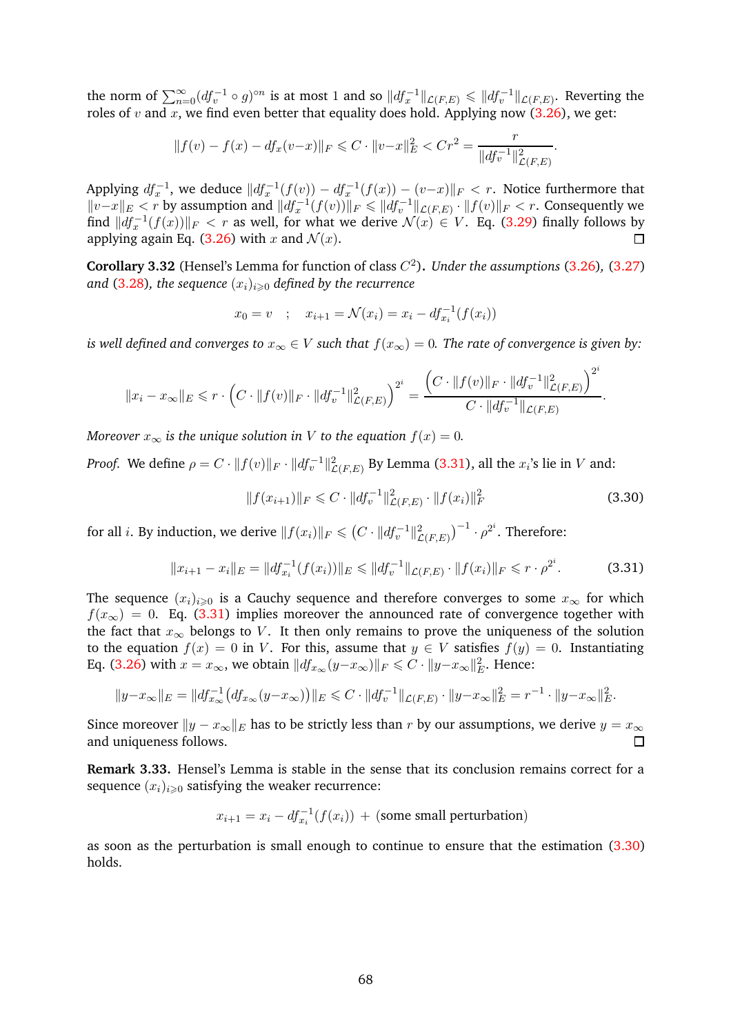the norm of  $\sum_{n=0}^{\infty} (df_v^{-1} \circ g)^{\circ n}$  is at most 1 and so  $||df_x^{-1}||_{\mathcal{L}(F,E)} \leq ||df_v^{-1}||_{\mathcal{L}(F,E)}$ . Reverting the roles of v and x, we find even better that equality does hold. Applying now  $(3.26)$ , we get:

$$
||f(v) - f(x) - df_x(v-x)||_F \leq C \cdot ||v-x||_E^2 \leq C r^2 = \frac{r}{||df_v^{-1}||_{\mathcal{L}(F,E)}^2}.
$$

Applying  $df_x^{-1}$ , we deduce  $||df_x^{-1}(f(v)) - df_x^{-1}(f(x)) - (v-x)||_F < r$ . Notice furthermore that  $||v-x||_E < r$  by assumption and  $||df_x^{-1}(f(v))||_F \le ||df_v^{-1}||_{\mathcal{L}(F,E)} \cdot ||f(v)||_F < r$ . Consequently we find  $||df_x^{-1}(f(x))||_F < r$  as well, for what we derive  $\mathcal{N}(x) \in V$ . Eq. [\(3.29\)](#page-66-3) finally follows by applying again Eq. [\(3.26\)](#page-66-0) with x and  $\mathcal{N}(x)$ .

<span id="page-67-2"></span>**Corollary 3.32** (Hensel's Lemma for function of class  $C^2$ ). Under the assumptions [\(3.26\)](#page-66-0), [\(3.27\)](#page-66-1) *and* [\(3.28\)](#page-66-2), the sequence  $(x_i)_{i\geq 0}$  *defined by the recurrence* 

$$
x_0 = v
$$
 ;  $x_{i+1} = \mathcal{N}(x_i) = x_i - df_{x_i}^{-1}(f(x_i))$ 

*is well defined and converges to*  $x_{\infty} \in V$  *such that*  $f(x_{\infty}) = 0$ . The rate of convergence is given by:

$$
||x_i - x_{\infty}||_E \leq r \cdot \left( C \cdot ||f(v)||_F \cdot ||df_v^{-1}||^2_{\mathcal{L}(F,E)} \right)^{2^i} = \frac{\left( C \cdot ||f(v)||_F \cdot ||df_v^{-1}||^2_{\mathcal{L}(F,E)} \right)^{2^i}}{C \cdot ||df_v^{-1}||_{\mathcal{L}(F,E)}}.
$$

*Moreover*  $x_{\infty}$  *is the unique solution in V to the equation*  $f(x) = 0$ *.* 

*Proof.* We define  $\rho = C \cdot \|f(v)\|_F \cdot \|df_v^{-1}\|_{\mathcal{L}(F,E)}^2$  By Lemma [\(3.31\)](#page-66-4), all the  $x_i$ 's lie in  $V$  and:

<span id="page-67-1"></span><span id="page-67-0"></span>
$$
||f(x_{i+1})||_F \leq C \cdot ||df_v^{-1}||^2_{\mathcal{L}(F,E)} \cdot ||f(x_i)||_F^2
$$
\n(3.30)

for all  $i.$  By induction, we derive  $\|f(x_i)\|_F\leqslant \left(C\cdot \|df_v^{-1}\|_{{\mathcal L}(F,E)}^2\right)^{-1}\cdot \rho^{2^i}.$  Therefore:

$$
||x_{i+1} - x_i||_E = ||df_{x_i}^{-1}(f(x_i))||_E \le ||df_v^{-1}||_{\mathcal{L}(F,E)} \cdot ||f(x_i)||_F \le r \cdot \rho^{2^i}.
$$
 (3.31)

The sequence  $(x_i)_{i\geq 0}$  is a Cauchy sequence and therefore converges to some  $x_{\infty}$  for which  $f(x_{\infty}) = 0$ . Eq. [\(3.31\)](#page-67-0) implies moreover the announced rate of convergence together with the fact that  $x_{\infty}$  belongs to V. It then only remains to prove the uniqueness of the solution to the equation  $f(x) = 0$  in V. For this, assume that  $y \in V$  satisfies  $f(y) = 0$ . Instantiating Eq. [\(3.26\)](#page-66-0) with  $x = x_{\infty}$ , we obtain  $||df_{x_{\infty}}(y-x_{\infty})||_F \leq C \cdot ||y-x_{\infty}||_E^2$ . Hence:

$$
||y-x_{\infty}||_E = ||df_{x_{\infty}}^{-1}(df_{x_{\infty}}(y-x_{\infty}))||_E \leq C \cdot ||df_{v}^{-1}||_{\mathcal{L}(F,E)} \cdot ||y-x_{\infty}||_E^2 = r^{-1} \cdot ||y-x_{\infty}||_E^2.
$$

Since moreover  $||y - x_\infty||_E$  has to be strictly less than r by our assumptions, we derive  $y = x_\infty$  and uniqueness follows. and uniqueness follows.

<span id="page-67-3"></span>**Remark 3.33.** Hensel's Lemma is stable in the sense that its conclusion remains correct for a sequence  $(x_i)_{i\geq 0}$  satisfying the weaker recurrence:

 $x_{i+1} = x_i - df_{x_i}^{-1}(f(x_i)) +$  (some small perturbation)

as soon as the perturbation is small enough to continue to ensure that the estimation [\(3.30\)](#page-67-1) holds.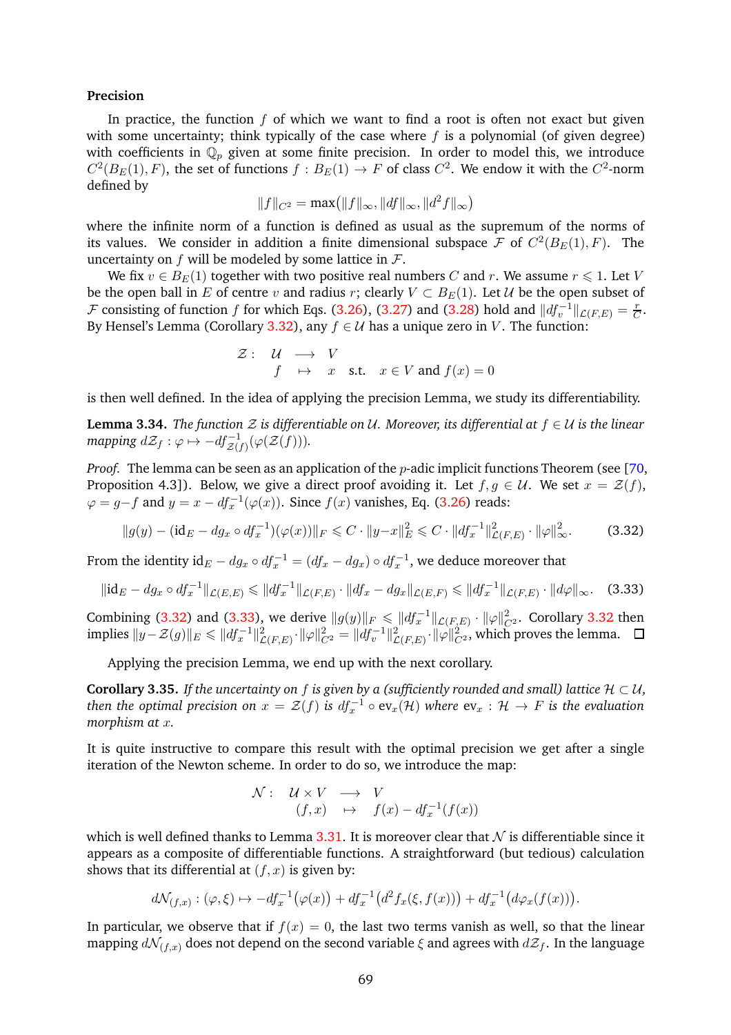#### **Precision**

In practice, the function  $f$  of which we want to find a root is often not exact but given with some uncertainty; think typically of the case where  $f$  is a polynomial (of given degree) with coefficients in  $\mathbb{Q}_p$  given at some finite precision. In order to model this, we introduce  $C^2(B_E(1),F)$ , the set of functions  $f : B_E(1) \to F$  of class  $C^2$ . We endow it with the  $C^2$ -norm defined by

$$
||f||_{C^2} = \max(||f||_{\infty}, ||df||_{\infty}, ||d^2f||_{\infty})
$$

where the infinite norm of a function is defined as usual as the supremum of the norms of its values. We consider in addition a finite dimensional subspace  $\mathcal F$  of  $C^2(B_E(1), F)$ . The uncertainty on  $f$  will be modeled by some lattice in  $\mathcal{F}$ .

We fix  $v \in B_F(1)$  together with two positive real numbers C and r. We assume  $r \le 1$ . Let V be the open ball in E of centre v and radius r; clearly  $V \subset B_E(1)$ . Let U be the open subset of *F* consisting of function *f* for which Eqs. [\(3.26\)](#page-66-0), [\(3.27\)](#page-66-1) and [\(3.28\)](#page-66-2) hold and  $||df_v^{-1}||_{\mathcal{L}(F,E)} = \frac{r}{C}$  $\frac{r}{C}$ . By Hensel's Lemma (Corollary [3.32\)](#page-67-2), any  $f \in \mathcal{U}$  has a unique zero in V. The function:

<span id="page-68-1"></span><span id="page-68-0"></span>
$$
\begin{array}{rcl}\n\mathcal{Z} : & \mathcal{U} & \longrightarrow & V \\
f & \mapsto & x \quad \text{s.t.} & x \in V \text{ and } f(x) = 0\n\end{array}
$$

is then well defined. In the idea of applying the precision Lemma, we study its differentiability.

**Lemma 3.34.** *The function*  $\mathcal Z$  *is differentiable on*  $\mathcal U$ *. Moreover, its differential at*  $f \in \mathcal U$  *is the linear*  $mapping \ d\mathcal{Z}_f: \varphi \mapsto -df^{-1}_{\mathcal{Z}(f)}(\varphi(\mathcal{Z}(f))).$ 

*Proof.* The lemma can be seen as an application of the *p*-adic implicit functions Theorem (see [\[70,](#page-83-2) Proposition 4.3]). Below, we give a direct proof avoiding it. Let  $f, g \in \mathcal{U}$ . We set  $x = \mathcal{Z}(f)$ ,  $\varphi = g - f$  and  $y = x - df_x^{-1}(\varphi(x))$ . Since  $f(x)$  vanishes, Eq. [\(3.26\)](#page-66-0) reads:

$$
||g(y) - (\mathrm{id}_E - dg_x \circ df_x^{-1})(\varphi(x))||_F \leq C \cdot ||y - x||_E^2 \leq C \cdot ||df_x^{-1}||_{\mathcal{L}(F,E)}^2 \cdot ||\varphi||_{\infty}^2. \tag{3.32}
$$

From the identity  $\mathrm{id}_E - dg_x \circ df_x^{-1} = (df_x - dg_x) \circ df_x^{-1}$ , we deduce moreover that

$$
\|\mathrm{id}_E - dg_x \circ df_x^{-1}\|_{\mathcal{L}(E,E)} \le \|df_x^{-1}\|_{\mathcal{L}(F,E)} \cdot \|df_x - dg_x\|_{\mathcal{L}(E,F)} \le \|df_x^{-1}\|_{\mathcal{L}(F,E)} \cdot \|d\varphi\|_{\infty}.\tag{3.33}
$$

Combining [\(3.32\)](#page-68-0) and [\(3.33\)](#page-68-1), we derive  $||g(y)||_F \le ||df_x^{-1}||_{\mathcal{L}(F,E)} \cdot ||\varphi||_{C^2}^2$ . Corollary [3.32](#page-67-2) then implies  $\|y-\mathcal{Z}(g)\|_E\leqslant \|df_x^{-1}\|_{\mathcal{L}(F,E)}^2\cdot\|\varphi\|_{C^2}^2=\|df_v^{-1}\|_{\mathcal{L}(F,E)}^2\cdot\|\varphi\|_{C^2}^2,$  which proves the lemma.

Applying the precision Lemma, we end up with the next corollary.

**Corollary 3.35.** *If the uncertainty on f is given by a (sufficiently rounded and small) lattice*  $H \subset U$ , *then the optimal precision on*  $x = \mathcal{Z}(f)$  *is*  $df_x^{-1} \circ ev_x(\mathcal{H})$  *where*  $ev_x : \mathcal{H} \to F$  *is the evaluation morphism at* x*.*

It is quite instructive to compare this result with the optimal precision we get after a single iteration of the Newton scheme. In order to do so, we introduce the map:

$$
\begin{array}{rcl}\nN: & \mathcal{U} \times V \quad \longrightarrow \quad V \\
(f, x) & \mapsto \quad f(x) - df_x^{-1}(f(x))\n\end{array}
$$

which is well defined thanks to Lemma [3.31.](#page-66-4) It is moreover clear that  $\mathcal N$  is differentiable since it appears as a composite of differentiable functions. A straightforward (but tedious) calculation shows that its differential at  $(f, x)$  is given by:

$$
d\mathcal{N}_{(f,x)} : (\varphi, \xi) \mapsto -df_x^{-1}(\varphi(x)) + df_x^{-1}(d^2f_x(\xi, f(x))) + df_x^{-1}(d\varphi_x(f(x))).
$$

In particular, we observe that if  $f(x) = 0$ , the last two terms vanish as well, so that the linear mapping  $dN_{(f,x)}$  does not depend on the second variable  $\xi$  and agrees with  $dZ_f$ . In the language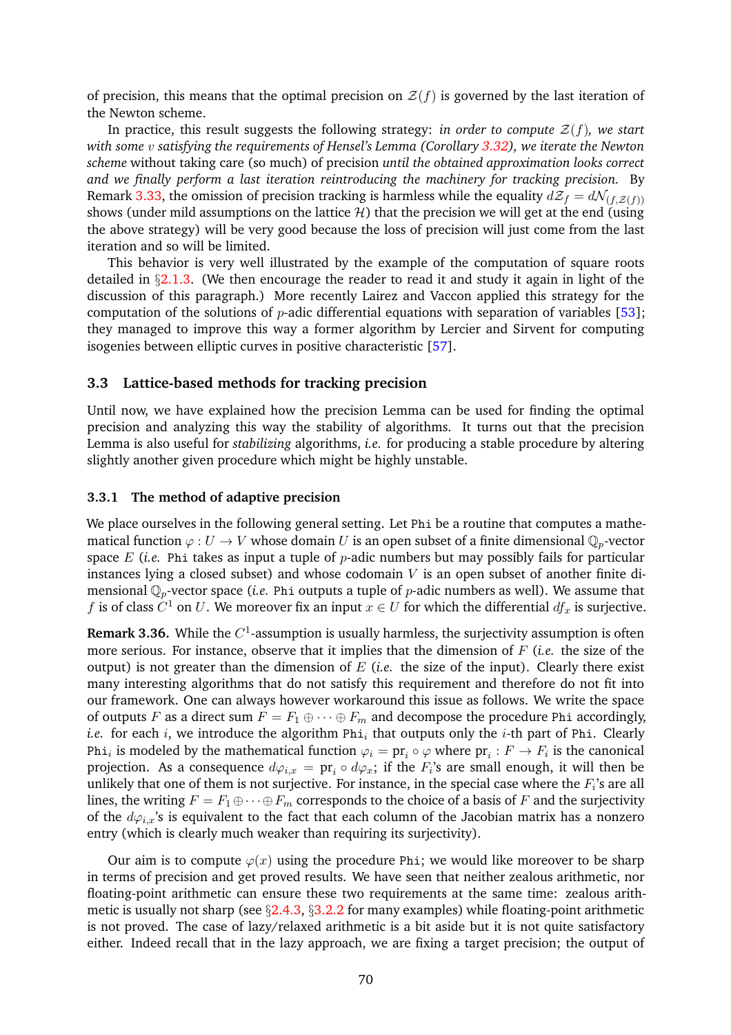of precision, this means that the optimal precision on  $\mathcal{Z}(f)$  is governed by the last iteration of the Newton scheme.

In practice, this result suggests the following strategy: *in order to compute*  $\mathcal{Z}(f)$ *, we start with some* v *satisfying the requirements of Hensel's Lemma (Corollary [3.32\)](#page-67-2), we iterate the Newton scheme* without taking care (so much) of precision *until the obtained approximation looks correct and we finally perform a last iteration reintroducing the machinery for tracking precision.* By Remark [3.33,](#page-67-3) the omission of precision tracking is harmless while the equality  $dZ_f = dN_{(f,Z(f))}$ shows (under mild assumptions on the lattice  $H$ ) that the precision we will get at the end (using the above strategy) will be very good because the loss of precision will just come from the last iteration and so will be limited.

This behavior is very well illustrated by the example of the computation of square roots detailed in §[2.1.3.](#page-21-0) (We then encourage the reader to read it and study it again in light of the discussion of this paragraph.) More recently Lairez and Vaccon applied this strategy for the computation of the solutions of  $p$ -adic differential equations with separation of variables [\[53\]](#page-82-4); they managed to improve this way a former algorithm by Lercier and Sirvent for computing isogenies between elliptic curves in positive characteristic [\[57\]](#page-82-5).

## <span id="page-69-1"></span>**3.3 Lattice-based methods for tracking precision**

Until now, we have explained how the precision Lemma can be used for finding the optimal precision and analyzing this way the stability of algorithms. It turns out that the precision Lemma is also useful for *stabilizing* algorithms, *i.e.* for producing a stable procedure by altering slightly another given procedure which might be highly unstable.

### <span id="page-69-0"></span>**3.3.1 The method of adaptive precision**

We place ourselves in the following general setting. Let Phi be a routine that computes a mathematical function  $\varphi: U \to V$  whose domain U is an open subset of a finite dimensional  $\mathbb{Q}_p$ -vector space E (*i.e.* Phi takes as input a tuple of p-adic numbers but may possibly fails for particular instances lying a closed subset) and whose codomain  $V$  is an open subset of another finite dimensional  $\mathbb{Q}_p$ -vector space (*i.e.* Phi outputs a tuple of p-adic numbers as well). We assume that f is of class  $C^1$  on  $U$ . We moreover fix an input  $x \in U$  for which the differential  $df_x$  is surjective.

**Remark 3.36.** While the  $C^1$ -assumption is usually harmless, the surjectivity assumption is often more serious. For instance, observe that it implies that the dimension of F (*i.e.* the size of the output) is not greater than the dimension of E (*i.e.* the size of the input). Clearly there exist many interesting algorithms that do not satisfy this requirement and therefore do not fit into our framework. One can always however workaround this issue as follows. We write the space of outputs F as a direct sum  $F = F_1 \oplus \cdots \oplus F_m$  and decompose the procedure Phi accordingly, *i.e.* for each *i*, we introduce the algorithm  $Phi_i$  that outputs only the *i*-th part of Phi. Clearly Phi<sub>i</sub> is modeled by the mathematical function  $\varphi_i = \text{pr}_i \circ \varphi$  where  $\text{pr}_i : F \to F_i$  is the canonical projection. As a consequence  $d\varphi_{i,x} = \text{pr}_i \circ d\varphi_x$ ; if the  $F_i$ 's are small enough, it will then be unlikely that one of them is not surjective. For instance, in the special case where the  $F_i$ 's are all lines, the writing  $F = F_1 \oplus \cdots \oplus F_m$  corresponds to the choice of a basis of F and the surjectivity of the  $d\varphi_{i,x}$ 's is equivalent to the fact that each column of the Jacobian matrix has a nonzero entry (which is clearly much weaker than requiring its surjectivity).

Our aim is to compute  $\varphi(x)$  using the procedure Phi; we would like moreover to be sharp in terms of precision and get proved results. We have seen that neither zealous arithmetic, nor floating-point arithmetic can ensure these two requirements at the same time: zealous arithmetic is usually not sharp (see  $\S2.4.3$ ,  $\S3.2.2$  $\S3.2.2$  for many examples) while floating-point arithmetic is not proved. The case of lazy/relaxed arithmetic is a bit aside but it is not quite satisfactory either. Indeed recall that in the lazy approach, we are fixing a target precision; the output of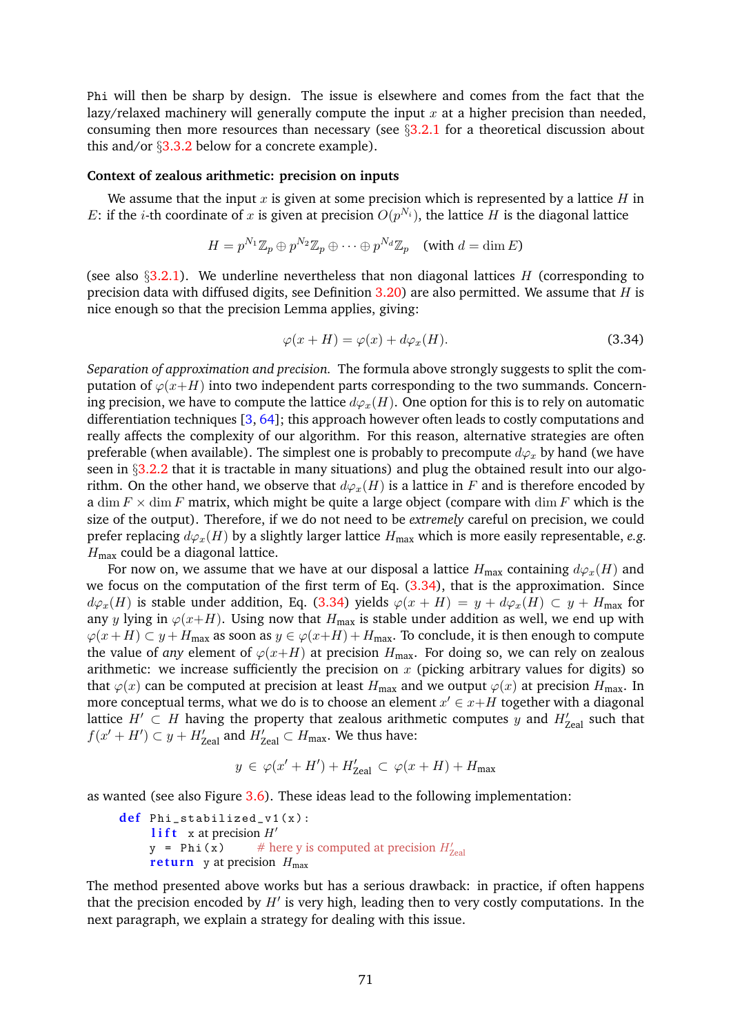Phi will then be sharp by design. The issue is elsewhere and comes from the fact that the lazy/relaxed machinery will generally compute the input  $x$  at a higher precision than needed, consuming then more resources than necessary (see §[3.2.1](#page-52-1) for a theoretical discussion about this and/or  $\S 3.3.2$  $\S 3.3.2$  below for a concrete example).

#### **Context of zealous arithmetic: precision on inputs**

We assume that the input x is given at some precision which is represented by a lattice  $H$  in E: if the *i*-th coordinate of x is given at precision  $O(p^{N_i})$ , the lattice H is the diagonal lattice

$$
H = p^{N_1} \mathbb{Z}_p \oplus p^{N_2} \mathbb{Z}_p \oplus \cdots \oplus p^{N_d} \mathbb{Z}_p \quad \text{(with } d = \dim E\text{)}
$$

(see also  $\S 3.2.1$ ). We underline nevertheless that non diagonal lattices H (corresponding to precision data with diffused digits, see Definition [3.20\)](#page-54-2) are also permitted. We assume that  $H$  is nice enough so that the precision Lemma applies, giving:

<span id="page-70-0"></span>
$$
\varphi(x+H) = \varphi(x) + d\varphi_x(H). \tag{3.34}
$$

*Separation of approximation and precision.* The formula above strongly suggests to split the computation of  $\varphi(x+H)$  into two independent parts corresponding to the two summands. Concerning precision, we have to compute the lattice  $d\varphi_x(H)$ . One option for this is to rely on automatic differentiation techniques [\[3,](#page-81-9) [64\]](#page-83-3); this approach however often leads to costly computations and really affects the complexity of our algorithm. For this reason, alternative strategies are often preferable (when available). The simplest one is probably to precompute  $d\varphi_x$  by hand (we have seen in §[3.2.2](#page-56-0) that it is tractable in many situations) and plug the obtained result into our algorithm. On the other hand, we observe that  $d\varphi_x(H)$  is a lattice in F and is therefore encoded by a dim  $F \times \dim F$  matrix, which might be quite a large object (compare with dim F which is the size of the output). Therefore, if we do not need to be *extremely* careful on precision, we could prefer replacing  $d\varphi_x(H)$  by a slightly larger lattice  $H_{\text{max}}$  which is more easily representable, *e.g.*  $H_{\text{max}}$  could be a diagonal lattice.

For now on, we assume that we have at our disposal a lattice  $H_{\text{max}}$  containing  $d\varphi_x(H)$  and we focus on the computation of the first term of Eq. [\(3.34\)](#page-70-0), that is the approximation. Since  $d\varphi_x(H)$  is stable under addition, Eq. [\(3.34\)](#page-70-0) yields  $\varphi(x+H) = y + d\varphi_x(H) \subset y + H_{\text{max}}$  for any y lying in  $\varphi(x+H)$ . Using now that  $H_{\text{max}}$  is stable under addition as well, we end up with  $\varphi(x+H) \subset y+H_{\text{max}}$  as soon as  $y \in \varphi(x+H) + H_{\text{max}}$ . To conclude, it is then enough to compute the value of *any* element of  $\varphi(x+H)$  at precision  $H_{\text{max}}$ . For doing so, we can rely on zealous arithmetic: we increase sufficiently the precision on  $x$  (picking arbitrary values for digits) so that  $\varphi(x)$  can be computed at precision at least  $H_{\text{max}}$  and we output  $\varphi(x)$  at precision  $H_{\text{max}}$ . In more conceptual terms, what we do is to choose an element  $x' \in x + H$  together with a diagonal lattice  $H' \subset H$  having the property that zealous arithmetic computes y and  $H'_{\text{Zeal}}$  such that  $f(x' + H') \subset y + H'_{\text{Zeal}}$  and  $H'_{\text{Zeal}} \subset H_{\text{max}}$ . We thus have:

$$
y \in \varphi(x' + H') + H'_{\text{Zeal}} \subset \varphi(x + H) + H_{\text{max}}
$$

as wanted (see also Figure [3.6\)](#page-71-0). These ideas lead to the following implementation:

```
def Phi_stabilized_v1(x):
     lift x at precision H'y = Phi(x) # here y is computed at precision H'_{\text{Zeal}}return y at precision H_{\text{max}}
```
The method presented above works but has a serious drawback: in practice, if often happens that the precision encoded by  $H'$  is very high, leading then to very costly computations. In the next paragraph, we explain a strategy for dealing with this issue.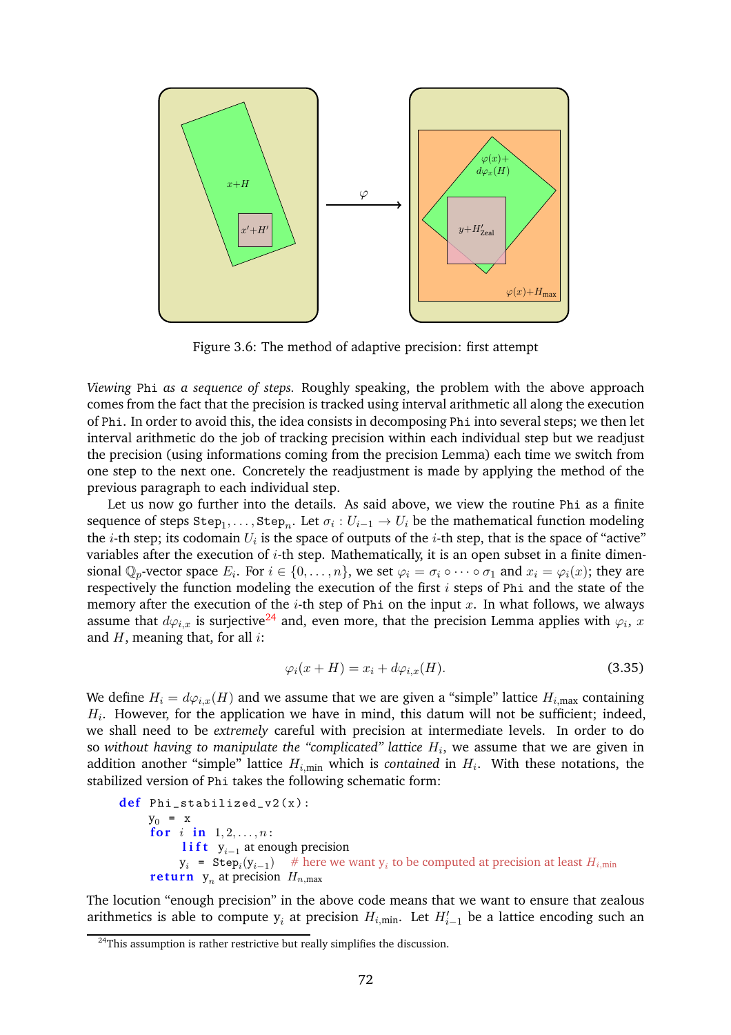

<span id="page-71-0"></span>Figure 3.6: The method of adaptive precision: first attempt

*Viewing* Phi *as a sequence of steps.* Roughly speaking, the problem with the above approach comes from the fact that the precision is tracked using interval arithmetic all along the execution of Phi. In order to avoid this, the idea consists in decomposing Phi into several steps; we then let interval arithmetic do the job of tracking precision within each individual step but we readjust the precision (using informations coming from the precision Lemma) each time we switch from one step to the next one. Concretely the readjustment is made by applying the method of the previous paragraph to each individual step.

Let us now go further into the details. As said above, we view the routine Phi as a finite sequence of steps  $\texttt{Step}_1, \ldots, \texttt{Step}_n$ . Let  $\sigma_i: U_{i-1} \to U_i$  be the mathematical function modeling the  $i$ -th step; its codomain  $U_i$  is the space of outputs of the  $i$ -th step, that is the space of "active" variables after the execution of  $i$ -th step. Mathematically, it is an open subset in a finite dimensional  $\mathbb{Q}_p$ -vector space  $E_i$ . For  $i \in \{0, ..., n\}$ , we set  $\varphi_i = \sigma_i \circ \cdots \circ \sigma_1$  and  $x_i = \varphi_i(x)$ ; they are respectively the function modeling the execution of the first  $i$  steps of Phi and the state of the memory after the execution of the *i*-th step of Phi on the input x. In what follows, we always assume that  $d\varphi_{i,x}$  is surjective $^{24}$  $^{24}$  $^{24}$  and, even more, that the precision Lemma applies with  $\varphi_i$ ,  $x$ and  $H$ , meaning that, for all  $i$ :

$$
\varphi_i(x+H) = x_i + d\varphi_{i,x}(H). \tag{3.35}
$$

We define  $H_i = d\varphi_{i,x}(H)$  and we assume that we are given a "simple" lattice  $H_{i,\text{max}}$  containing  $H_i$ . However, for the application we have in mind, this datum will not be sufficient; indeed, we shall need to be *extremely* careful with precision at intermediate levels. In order to do so without having to manipulate the "complicated" lattice  $H_i,$  we assume that we are given in addition another "simple" lattice  $H_{i,\min}$  which is *contained* in  $H_i$ . With these notations, the stabilized version of Phi takes the following schematic form:

```
def Phi_stabilized_v2(x):
       y_0 = xfor i in 1, 2, ..., n:
              l i f t yi−1
at enough precision
              \mathbf{y}_i = Ste\mathbf{p}_i(\mathbf{y}_{i-1}) # here we want \mathbf{y}_i to be computed at precision at least H_{i,\min}return \mathbf{y}_n at precision H_{n,\text{max}}
```
The locution "enough precision" in the above code means that we want to ensure that zealous arithmetics is able to compute  $y_i$  at precision  $H_{i,\text{min}}$ . Let  $H'_{i-1}$  be a lattice encoding such an

<span id="page-71-1"></span> $24$ This assumption is rather restrictive but really simplifies the discussion.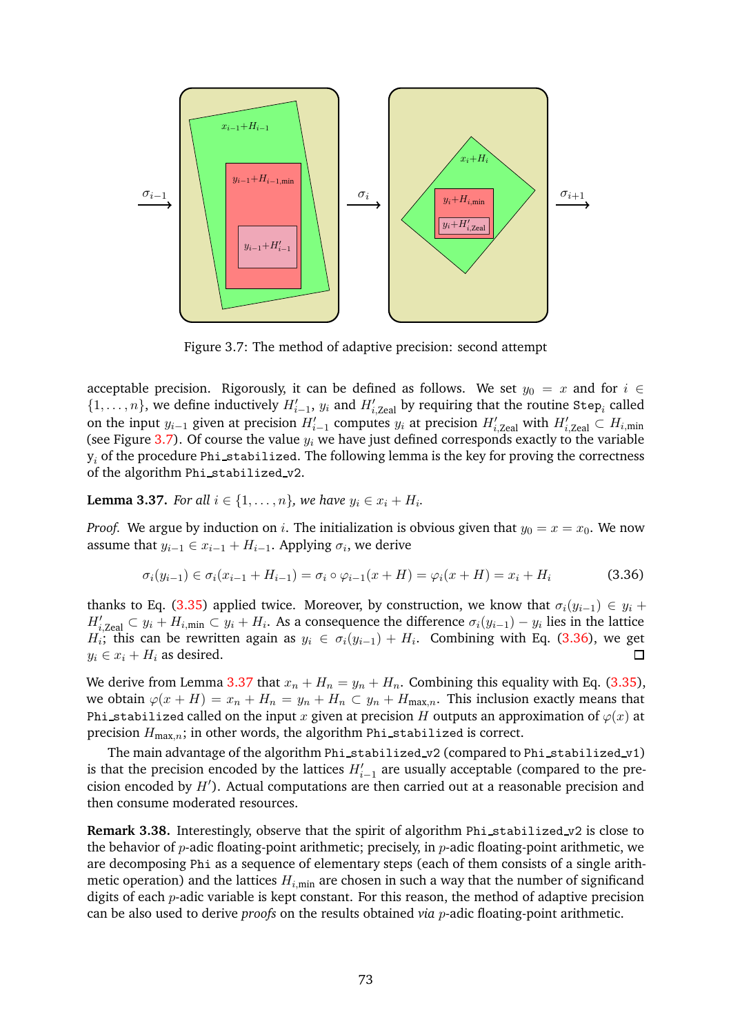

<span id="page-72-0"></span>Figure 3.7: The method of adaptive precision: second attempt

acceptable precision. Rigorously, it can be defined as follows. We set  $y_0 = x$  and for  $i \in$  $\{1,\ldots,n\}$ , we define inductively  $H'_{i-1}$ ,  $y_i$  and  $H'_{i,\text{Zeal}}$  by requiring that the routine Step<sub>i</sub> called on the input  $y_{i-1}$  given at precision  $H'_{i-1}$  computes  $y_i$  at precision  $H'_{i,\text{Zeal}}$  with  $H'_{i,\text{Zeal}} \subset H_{i,\text{min}}$ (see Figure [3.7\)](#page-72-0). Of course the value  $y_i$  we have just defined corresponds exactly to the variable  $y_i$  of the procedure Phi stabilized. The following lemma is the key for proving the correctness of the algorithm Phi\_stabilized\_v2.

<span id="page-72-2"></span>**Lemma 3.37.** *For all*  $i \in \{1, ..., n\}$ *, we have*  $y_i \in x_i + H_i$ *.* 

*Proof.* We argue by induction on i. The initialization is obvious given that  $y_0 = x = x_0$ . We now assume that  $y_{i-1} \in x_{i-1} + H_{i-1}$ . Applying  $\sigma_i$ , we derive

<span id="page-72-1"></span>
$$
\sigma_i(y_{i-1}) \in \sigma_i(x_{i-1} + H_{i-1}) = \sigma_i \circ \varphi_{i-1}(x+H) = \varphi_i(x+H) = x_i + H_i \tag{3.36}
$$

thanks to Eq. [\(3.35\)](#page-71-0) applied twice. Moreover, by construction, we know that  $\sigma_i(y_{i-1}) \in y_i$  +  $H'_{i,\text{Zeal}} \subset y_i + H_{i,\text{min}} \subset y_i + H_i$ . As a consequence the difference  $\sigma_i(y_{i-1}) - y_i$  lies in the lattice  $H_i$ ; this can be rewritten again as  $y_i \in \sigma_i(y_{i-1}) + H_i$ . Combining with Eq. [\(3.36\)](#page-72-1), we get  $y_i \in x_i + H_i$  as desired.

We derive from Lemma [3.37](#page-72-2) that  $x_n + H_n = y_n + H_n$ . Combining this equality with Eq. [\(3.35\)](#page-71-0), we obtain  $\varphi(x+H) = x_n + H_n = y_n + H_n \subset y_n + H_{\text{max},n}$ . This inclusion exactly means that Phi\_stabilized called on the input x given at precision H outputs an approximation of  $\varphi(x)$  at precision  $H_{\text{max},n}$ ; in other words, the algorithm Phi\_stabilized is correct.

The main advantage of the algorithm Phi\_stabilized\_v2 (compared to Phi\_stabilized\_v1) is that the precision encoded by the lattices  $H'_{i-1}$  are usually acceptable (compared to the precision encoded by  $H'$ ). Actual computations are then carried out at a reasonable precision and then consume moderated resources.

**Remark 3.38.** Interestingly, observe that the spirit of algorithm Phi\_stabilized\_v2 is close to the behavior of  $p$ -adic floating-point arithmetic; precisely, in  $p$ -adic floating-point arithmetic, we are decomposing Phi as a sequence of elementary steps (each of them consists of a single arithmetic operation) and the lattices  $H_{i,min}$  are chosen in such a way that the number of significand digits of each  $p$ -adic variable is kept constant. For this reason, the method of adaptive precision can be also used to derive *proofs* on the results obtained *via* p-adic floating-point arithmetic.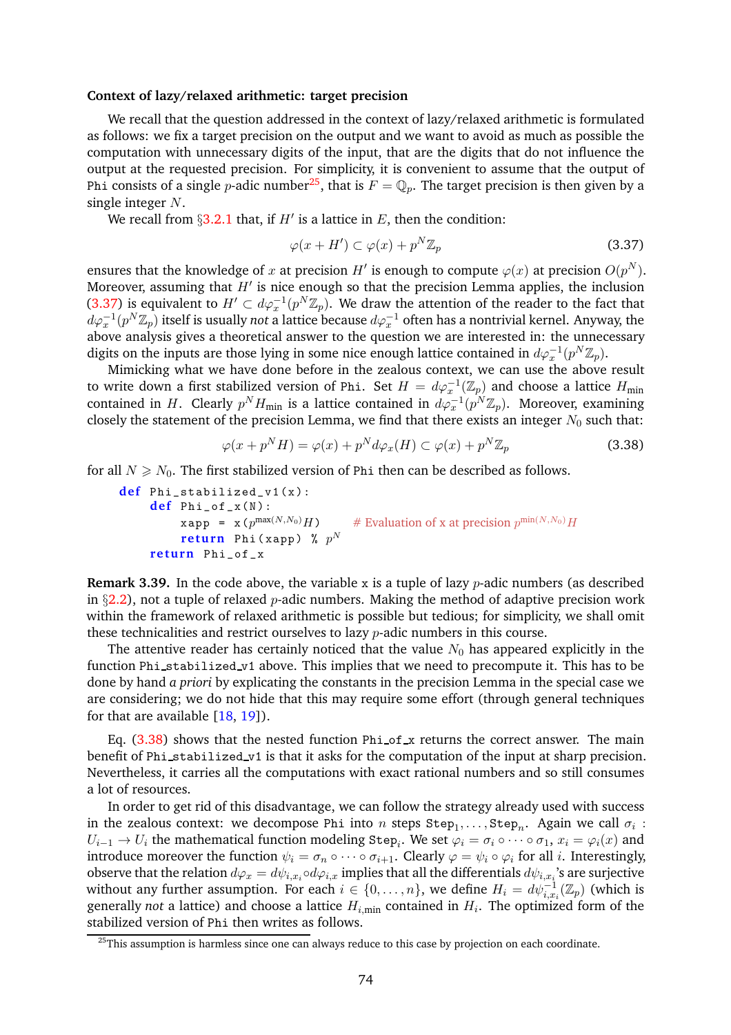### **Context of lazy/relaxed arithmetic: target precision**

We recall that the question addressed in the context of lazy/relaxed arithmetic is formulated as follows: we fix a target precision on the output and we want to avoid as much as possible the computation with unnecessary digits of the input, that are the digits that do not influence the output at the requested precision. For simplicity, it is convenient to assume that the output of Phi consists of a single p-adic number<sup>[25](#page-73-0)</sup>, that is  $F = \mathbb{Q}_p$ . The target precision is then given by a single integer N.

We recall from  $\S 3.2.1$  $\S 3.2.1$  that, if  $H'$  is a lattice in  $E$ , then the condition:

<span id="page-73-2"></span><span id="page-73-1"></span>
$$
\varphi(x + H') \subset \varphi(x) + p^N \mathbb{Z}_p \tag{3.37}
$$

ensures that the knowledge of  $x$  at precision  $H'$  is enough to compute  $\varphi(x)$  at precision  $O(p^N).$ Moreover, assuming that  $H'$  is nice enough so that the precision Lemma applies, the inclusion [\(3.37\)](#page-73-1) is equivalent to  $H' \subset d\varphi_x^{-1}(p^N \mathbb{Z}_p)$ . We draw the attention of the reader to the fact that  $d\varphi_x^{-1}(p^N\mathbb{Z}_p)$  itself is usually *not* a lattice because  $d\varphi_x^{-1}$  often has a nontrivial kernel. Anyway, the above analysis gives a theoretical answer to the question we are interested in: the unnecessary digits on the inputs are those lying in some nice enough lattice contained in  $d\varphi_x^{-1}(p^N\mathbb{Z}_p)$ .

Mimicking what we have done before in the zealous context, we can use the above result to write down a first stabilized version of Phi. Set  $H = d\varphi_x^{-1}(\mathbb{Z}_p)$  and choose a lattice  $H_{\text{min}}$ contained in  $H$ . Clearly  $p^N H_{\min}$  is a lattice contained in  $d\varphi_x^{-1}(p^N{\mathbb Z}_p).$  Moreover, examining closely the statement of the precision Lemma, we find that there exists an integer  $N_0$  such that:

$$
\varphi(x + p^N H) = \varphi(x) + p^N d\varphi_x(H) \subset \varphi(x) + p^N \mathbb{Z}_p \tag{3.38}
$$

for all  $N \ge N_0$ . The first stabilized version of Phi then can be described as follows.

**de f** Phi\_stabilized\_v1 (x ): **de f** Phi\_of\_x(N ): xapp = x(p max(N,N0)H) # Evaluation of x at precision p min(N,N0)H **r e t u r n** Phi ( xapp ) % p N **r e t u r n** Phi\_of\_x

**Remark 3.39.** In the code above, the variable x is a tuple of lazy  $p$ -adic numbers (as described in §[2.2\)](#page-22-0), not a tuple of relaxed *p*-adic numbers. Making the method of adaptive precision work within the framework of relaxed arithmetic is possible but tedious; for simplicity, we shall omit these technicalities and restrict ourselves to lazy *p*-adic numbers in this course.

The attentive reader has certainly noticed that the value  $N_0$  has appeared explicitly in the function Phi\_stabilized\_v1 above. This implies that we need to precompute it. This has to be done by hand *a priori* by explicating the constants in the precision Lemma in the special case we are considering; we do not hide that this may require some effort (through general techniques for that are available [\[18,](#page-81-0) [19\]](#page-81-1)).

Eq.  $(3.38)$  shows that the nested function Phi of x returns the correct answer. The main benefit of Phi\_stabilized\_v1 is that it asks for the computation of the input at sharp precision. Nevertheless, it carries all the computations with exact rational numbers and so still consumes a lot of resources.

In order to get rid of this disadvantage, we can follow the strategy already used with success in the zealous context: we decompose Phi into  $n$  steps Step $_1,\ldots,$ Step $_n.$  Again we call  $\sigma_i$  :  $U_{i-1}\to U_i$  the mathematical function modeling Step<sub>i</sub>. We set  $\varphi_i=\sigma_i\circ\cdots\circ\sigma_1$ ,  $x_i=\varphi_i(x)$  and introduce moreover the function  $\psi_i = \sigma_n \circ \cdots \circ \sigma_{i+1}$ . Clearly  $\varphi = \psi_i \circ \varphi_i$  for all *i*. Interestingly, observe that the relation  $d\varphi_x=d\psi_{i,x_i}$ ० $d\varphi_{i,x}$  implies that all the differentials  $d\psi_{i,x_i}$ 's are surjective without any further assumption. For each  $i \in \{0, \ldots, n\}$ , we define  $H_i = d\psi_{i,x_i}^{-1}(\mathbb{Z}_p)$  (which is generally *not* a lattice) and choose a lattice  $H_{i,\min}$  contained in  $H_i$ . The optimized form of the stabilized version of Phi then writes as follows.

<span id="page-73-0"></span> $^{25}$ This assumption is harmless since one can always reduce to this case by projection on each coordinate.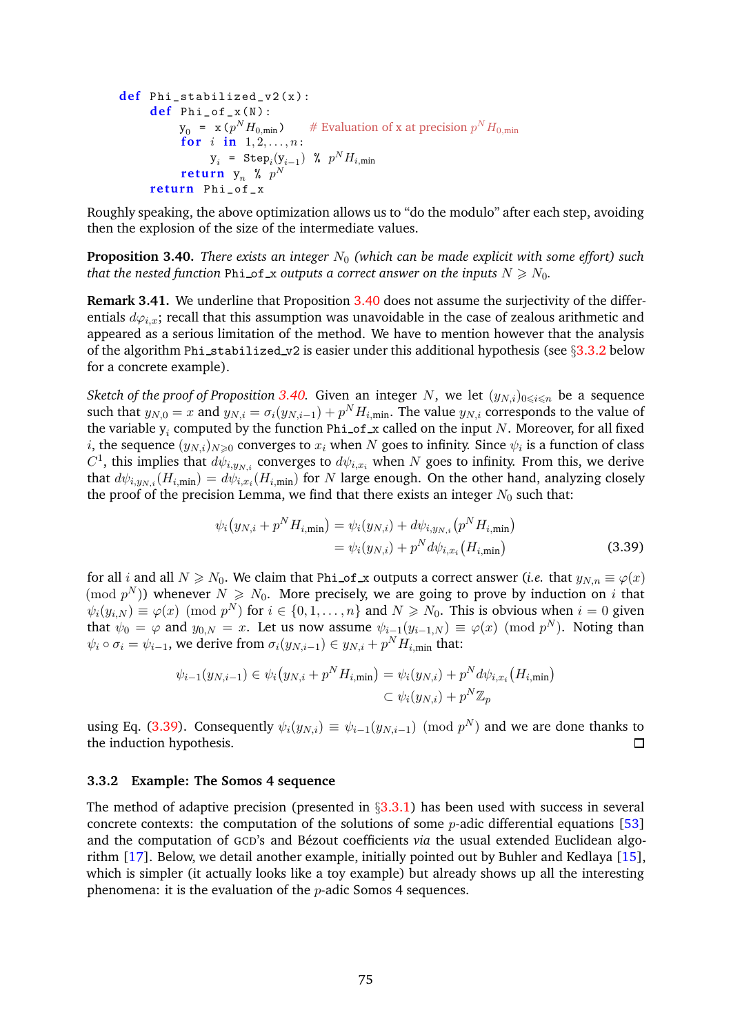```
def Phi_stabilized_v2(x):
        def Phi_of_x(N):
                \mathbf{y}_0 = \mathbf{x} ( p^N H_{0,\text{min}} ) # Evaluation of x at precision p^N H_{0,\text{min}}for i in 1, 2, ..., n:
                         \mathbf{y}_i = Ste\mathbf{p}_i(\mathbf{y}_{i-1}) % p^N H_{i,\text{min}}\mathbf{return} \ \ \mathbf{y}_n \ \ \text{\%} \ \ p^Nr e t u r n Phi_of_x
```
<span id="page-74-0"></span>Roughly speaking, the above optimization allows us to "do the modulo" after each step, avoiding then the explosion of the size of the intermediate values.

**Proposition 3.40.** *There exists an integer*  $N_0$  *(which can be made explicit with some effort) such that the nested function* Phi of x *outputs a correct answer on the inputs*  $N \ge N_0$ *.* 

**Remark 3.41.** We underline that Proposition [3.40](#page-74-0) does not assume the surjectivity of the differentials  $d\varphi_{i,x}$ ; recall that this assumption was unavoidable in the case of zealous arithmetic and appeared as a serious limitation of the method. We have to mention however that the analysis of the algorithm Phi\_stabilized\_v2 is easier under this additional hypothesis (see  $\S 3.3.2$  $\S 3.3.2$  below for a concrete example).

*Sketch of the proof of Proposition* [3.40.](#page-74-0) Given an integer N, we let  $(y_{N,i})_{0 \le i \le n}$  be a sequence such that  $y_{N,0} = x$  and  $y_{N,i} = \sigma_i(y_{N,i-1}) + p^N H_{i,\text{min}}$ . The value  $y_{N,i}$  corresponds to the value of the variable  $\mathbf{y}_i$  computed by the function <code>Phi\_of\_x</code> called on the input  $N.$  Moreover, for all fixed  $i$ , the sequence  $(y_{N,i})_{N\geqslant 0}$  converges to  $x_i$  when  $N$  goes to infinity. Since  $\psi_i$  is a function of class  $C^1$ , this implies that  $d\psi_{i,y_{N,i}}$  converges to  $d\psi_{i,x_i}$  when  $N$  goes to infinity. From this, we derive that  $d\psi_{i,y_{N,i}}(H_{i,\min})=d\psi_{i,x_i}(H_{i,\min})$  for  $N$  large enough. On the other hand, analyzing closely the proof of the precision Lemma, we find that there exists an integer  $N_0$  such that:

<span id="page-74-2"></span>
$$
\psi_i(y_{N,i} + p^N H_{i,\min}) = \psi_i(y_{N,i}) + d\psi_{i,y_{N,i}}(p^N H_{i,\min})
$$
  
=  $\psi_i(y_{N,i}) + p^N d\psi_{i,x_i}(H_{i,\min})$  (3.39)

for all *i* and all  $N \ge N_0$ . We claim that Phi<sub>of x</sub> outputs a correct answer (*i.e.* that  $y_{N,n} \equiv \varphi(x)$ (mod  $p^N$ )) whenever  $N \ge N_0$ . More precisely, we are going to prove by induction on i that  $\psi_i(y_{i,N}) \equiv \varphi(x) \pmod{p^N}$  for  $i \in \{0, 1, \dots, n\}$  and  $N \geq N_0$ . This is obvious when  $i = 0$  given that  $\psi_0 = \varphi$  and  $y_{0,N} = x$ . Let us now assume  $\psi_{i-1}(y_{i-1,N}) \equiv \varphi(x) \pmod{p^N}$ . Noting than  $\psi_i \circ \sigma_i = \psi_{i-1}$ , we derive from  $\sigma_i(y_{N,i-1}) \in y_{N,i} + p^N H_{i,\text{min}}$  that:

$$
\psi_{i-1}(y_{N,i-1}) \in \psi_i(y_{N,i} + p^N H_{i,\min}) = \psi_i(y_{N,i}) + p^N d\psi_{i,x_i}(H_{i,\min})
$$
  

$$
\subset \psi_i(y_{N,i}) + p^N \mathbb{Z}_p
$$

using Eq. [\(3.39\)](#page-74-2). Consequently  $\psi_i(y_{N,i}) \equiv \psi_{i-1}(y_{N,i-1}) \pmod{p^N}$  and we are done thanks to the induction hypothesis.  $\Box$ 

### <span id="page-74-1"></span>**3.3.2 Example: The Somos 4 sequence**

The method of adaptive precision (presented in  $\S 3.3.1$ ) has been used with success in several concrete contexts: the computation of the solutions of some  $p$ -adic differential equations [\[53\]](#page-82-0) and the computation of GCD's and Bézout coefficients *via* the usual extended Euclidean algorithm [\[17\]](#page-81-2). Below, we detail another example, initially pointed out by Buhler and Kedlaya [\[15\]](#page-81-3), which is simpler (it actually looks like a toy example) but already shows up all the interesting phenomena: it is the evaluation of the  $p$ -adic Somos 4 sequences.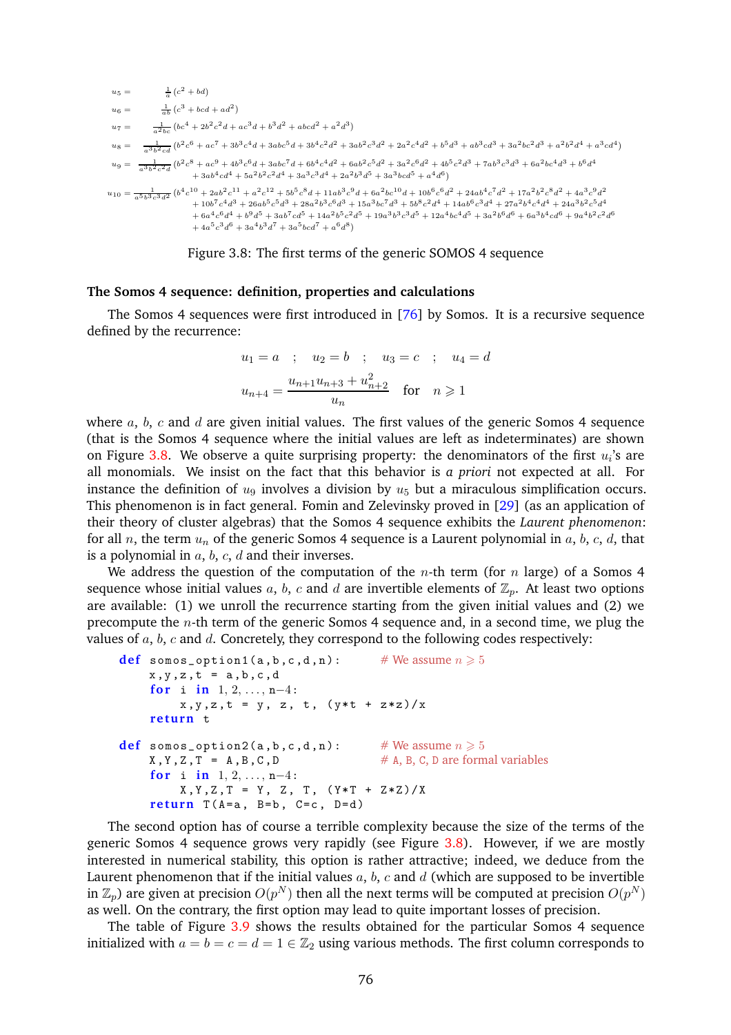$$
u_5 = \frac{1}{ab}(c^2 + bd)
$$
  
\n
$$
u_6 = \frac{1}{ab}(c^3 + bcd + ad^2)
$$
  
\n
$$
u_7 = \frac{1}{a^2bc}(bc^4 + 2b^2c^2d + ac^3d + b^3d^2 + abcd^2 + a^2d^3)
$$
  
\n
$$
u_8 = \frac{1}{a^3b^2cd}(b^2c^6 + ac^7 + 3b^3c^4d + 3abc^5d + 3b^4c^2d^2 + 3ab^2c^3d^2 + 2a^2c^4d^2 + b^5d^3 + ab^3cd^3 + 3a^2bc^2d^3 + a^2b^2d^4 + a^3cd^4)
$$
  
\n
$$
u_9 = \frac{1}{a^3b^2c^2d}(b^2c^8 + ac^9 + 4b^3c^6d + 3abc^7d + 6b^4c^4d^2 + 6ab^2c^5d^2 + 3a^2c^6d^2 + 4ab^5c^2d^3 + 7ab^3c^3d^3 + 6a^2bc^4d^3 + b^6d^4
$$
  
\n
$$
+ 3ab^4cd^4 + 5a^2b^2c^2d^4 + 3a^3c^3d^4 + 2a^2b^3d^5 + 3a^3bcd^5 + a^4d^6)
$$
  
\n
$$
u_{10} = \frac{1}{a^5b^3c^3d^2}(b^4c^{10} + 2ab^2c^{11} + a^2c^{12} + 5b^5c^8d + 11ab^3c^9d + 6a^2bc^{10}d + 10b^6c^6d^2 + 24ab^4c^7d^2 + 17a^2b^2c^8d^2 + 4a^3c^9d^2 + 10b^7c^4d^3 + 26ab^5c^5d^3 + 28a^2b^3c^6d^3 + 15a^3bc^7d^3 + 5b^8c^2d^4 + 14ab^6c^3d^4 + 27a^2b^4c^4d^4 + 24a^3b^2c^5d^4 + 6a^4c^6d^4 + b^9d^5 + 3ab^7cd^5 + 14a^2
$$

<span id="page-75-0"></span>

# **The Somos 4 sequence: definition, properties and calculations**

The Somos 4 sequences were first introduced in [\[76\]](#page-83-0) by Somos. It is a recursive sequence defined by the recurrence:

$$
u_1 = a
$$
 ;  $u_2 = b$  ;  $u_3 = c$  ;  $u_4 = d$   
 $u_{n+4} = \frac{u_{n+1}u_{n+3} + u_{n+2}^2}{u_n}$  for  $n \ge 1$ 

where  $a, b, c$  and  $d$  are given initial values. The first values of the generic Somos 4 sequence (that is the Somos 4 sequence where the initial values are left as indeterminates) are shown on Figure [3.8.](#page-75-0) We observe a quite surprising property: the denominators of the first  $u_i$ 's are all monomials. We insist on the fact that this behavior is *a priori* not expected at all. For instance the definition of  $u_9$  involves a division by  $u_5$  but a miraculous simplification occurs. This phenomenon is in fact general. Fomin and Zelevinsky proved in [\[29\]](#page-81-4) (as an application of their theory of cluster algebras) that the Somos 4 sequence exhibits the *Laurent phenomenon*: for all n, the term  $u_n$  of the generic Somos 4 sequence is a Laurent polynomial in  $a$ ,  $b$ ,  $c$ ,  $d$ , that is a polynomial in  $a, b, c, d$  and their inverses.

We address the question of the computation of the *n*-th term (for *n* large) of a Somos 4 sequence whose initial values a, b, c and d are invertible elements of  $\mathbb{Z}_p$ . At least two options are available: (1) we unroll the recurrence starting from the given initial values and (2) we precompute the n-th term of the generic Somos 4 sequence and, in a second time, we plug the values of  $a$ ,  $b$ ,  $c$  and  $d$ . Concretely, they correspond to the following codes respectively:

```
def somos_option1(a,b,c,d,n): # We assume n \geq 5x, y, z, t = a, b, c, dfor i in 1, 2, ..., n-4:
        x, y, z, t = y, z, t, (y*t + z*z)/xreturn t
def somos_option2(a,b,c,d,n): # We assume n \geq 5X, Y, Z, T = A, B, C, D # A, B, C, D are formal variables
    for i in 1, 2, ..., n-4:
        X, Y, Z, T = Y, Z, T, (Y * T + Z * Z) / Xreturn T(A=a, B=b, C=c, D=d)
```
The second option has of course a terrible complexity because the size of the terms of the generic Somos 4 sequence grows very rapidly (see Figure [3.8\)](#page-75-0). However, if we are mostly interested in numerical stability, this option is rather attractive; indeed, we deduce from the Laurent phenomenon that if the initial values  $a, b, c$  and  $d$  (which are supposed to be invertible in  $\mathbb{Z}_p$ ) are given at precision  $O(p^N)$  then all the next terms will be computed at precision  $O(p^N)$ as well. On the contrary, the first option may lead to quite important losses of precision.

The table of Figure [3.9](#page-76-0) shows the results obtained for the particular Somos 4 sequence initialized with  $a = b = c = d = 1 \in \mathbb{Z}_2$  using various methods. The first column corresponds to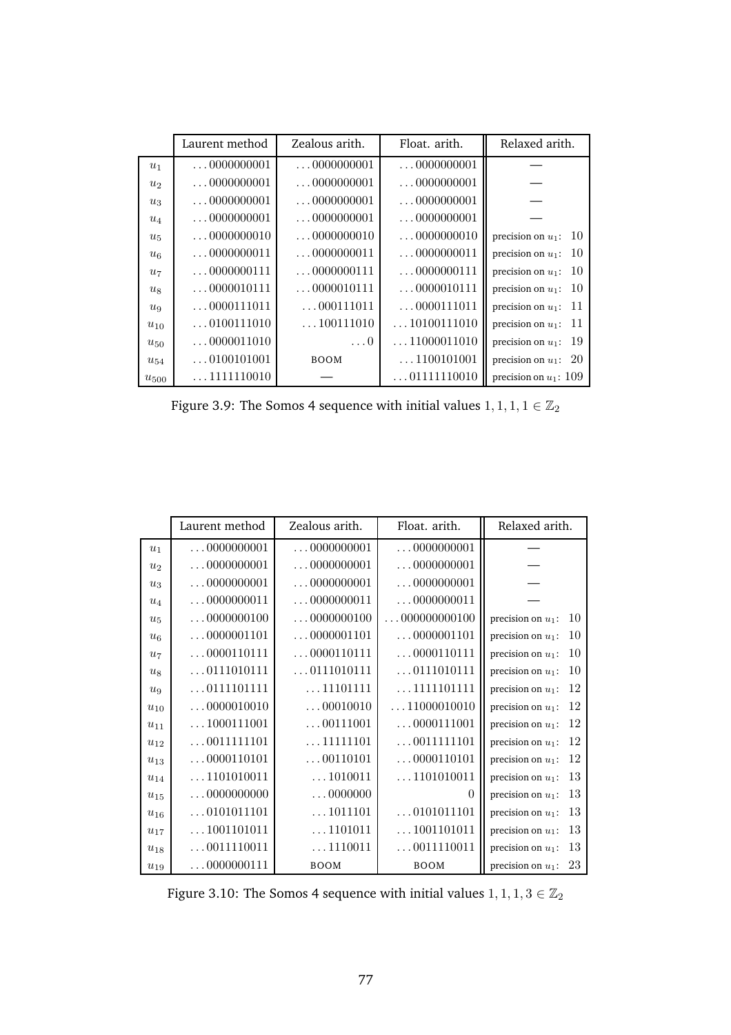|                | Laurent method       | Zealous arith.       | Float, arith.        | Relaxed arith.              |  |
|----------------|----------------------|----------------------|----------------------|-----------------------------|--|
| $u_1$          | $\ldots 0000000001$  | $\dots 00000000001$  | $\ldots 0000000001$  |                             |  |
| u <sub>2</sub> | $\ldots 0000000001$  | $\dots 00000000001$  | $\ldots 00000000001$ |                             |  |
| $u_3$          | $\ldots 0000000001$  | $\dots 00000000001$  | $\ldots 00000000001$ |                             |  |
| $u_4$          | $\ldots 0000000001$  | $\dots 00000000001$  | $\ldots 00000000001$ |                             |  |
| $u_{5}$        | $\ldots 00000000010$ | $\ldots 00000000010$ | $\ldots 0000000010$  | precision on $u_1$ :<br>10  |  |
| $u_6$          | $\ldots 0000000011$  | $\dots 00000000011$  | $\ldots 00000000011$ | precision on $u_1$ :<br>10  |  |
| $u_7$          | $\dots 00000000111$  | $\ldots 0000000111$  | $\ldots 0000000111$  | 10<br>precision on $u_1$ :  |  |
| $u_{8}$        | $\dots 0000010111$   | $\ldots 0000010111$  | $\ldots 0000010111$  | precision on $u_1$ :<br>10  |  |
| $u_{9}$        | $\ldots 0000111011$  | $\dots 000111011$    | $\ldots 0000111011$  | precision on $u_1$ :<br>-11 |  |
| $u_{10}$       | $\dots 0100111010$   | $\dots 100111010$    | $\ldots$ 10100111010 | precision on $u_1$ :<br>11  |  |
| $u_{50}$       | $\ldots 0000011010$  | $\ldots 0$           | $\ldots$ 11000011010 | precision on $u_1$ :<br>19  |  |
| $u_{54}$       | $\ldots$ 0100101001  | <b>BOOM</b>          | $\dots 1100101001$   | precision on $u_1$ :<br>20  |  |
| $u_{500}$      | $\dots$ 1111110010   |                      | $\ldots$ 01111110010 | precision on $u_1$ : 109    |  |

<span id="page-76-0"></span>Figure 3.9: The Somos 4 sequence with initial values  $1,1,1,1\in\mathbb{Z}_2$ 

|                | Laurent method       | Zealous arith.      | Float. arith.         | Relaxed arith.       |    |
|----------------|----------------------|---------------------|-----------------------|----------------------|----|
| $u_1$          | $\ldots 0000000001$  | $\ldots 0000000001$ | $\ldots 0000000001$   |                      |    |
| u <sub>2</sub> | $\ldots 0000000001$  | $\ldots 0000000001$ | $\ldots 0000000001$   |                      |    |
| $u_3$          | $\ldots 0000000001$  | $\ldots 0000000001$ | $\ldots 0000000001$   |                      |    |
| $u_4$          | $\ldots 0000000011$  | $\ldots 0000000011$ | $\ldots 0000000011$   |                      |    |
| $u_{5}$        | $\ldots 0000000100$  | $\ldots 0000000100$ | $\ldots 000000000100$ | precision on $u_1$ : | 10 |
| $u_{6}$        | $\ldots 0000001101$  | $\ldots 0000001101$ | $\ldots 0000001101$   | precision on $u_1$ : | 10 |
| $u_7$          | $\ldots 0000110111$  | $\ldots 0000110111$ | $\ldots 0000110111$   | precision on $u_1$ : | 10 |
| $u_{8}$        | $\ldots 0111010111$  | $\ldots 0111010111$ | $\ldots 0111010111$   | precision on $u_1$ : | 10 |
| $u_{9}$        | $\ldots 0111101111$  | $\dots$ 11101111    | $\dots$ 1111101111    | precision on $u_1$ : | 12 |
| $u_{10}$       | $\ldots 0000010010$  | $\ldots 00010010$   | $\ldots 11000010010$  | precision on $u_1$ : | 12 |
| $u_{11}$       | $\dots 1000111001$   | $\ldots 00111001$   | $\ldots 0000111001$   | precision on $u_1$ : | 12 |
| $u_{12}$       | $\ldots 00111111101$ | $\dots$ 11111101    | $\ldots 00111111101$  | precision on $u_1$ : | 12 |
| $u_{13}$       | $\ldots 0000110101$  | $\ldots 00110101$   | $\ldots 0000110101$   | precision on $u_1$ : | 12 |
| $u_{14}$       | $\dots 1101010011$   | $\ldots 1010011$    | $\ldots 1101010011$   | precision on $u_1$ : | 13 |
| $u_{15}$       | $\ldots 0000000000$  | $\ldots 0000000$    | $\Omega$              | precision on $u_1$ : | 13 |
| $u_{16}$       | $\ldots 0101011101$  | $\dots$ 1011101     | $\ldots 0101011101$   | precision on $u_1$ : | 13 |
| $u_{17}$       | $\dots 1001101011$   | $\dots 1101011$     | $\ldots 1001101011$   | precision on $u_1$ : | 13 |
| $u_{18}$       | $\ldots 0011110011$  | $\ldots 1110011$    | $\ldots 0011110011$   | precision on $u_1$ : | 13 |
| $u_{19}$       | $\ldots 0000000111$  | <b>BOOM</b>         | <b>BOOM</b>           | precision on $u_1$ : | 23 |

<span id="page-76-1"></span>Figure 3.10: The Somos 4 sequence with initial values  $1,1,1,3\in\mathbb{Z}_2$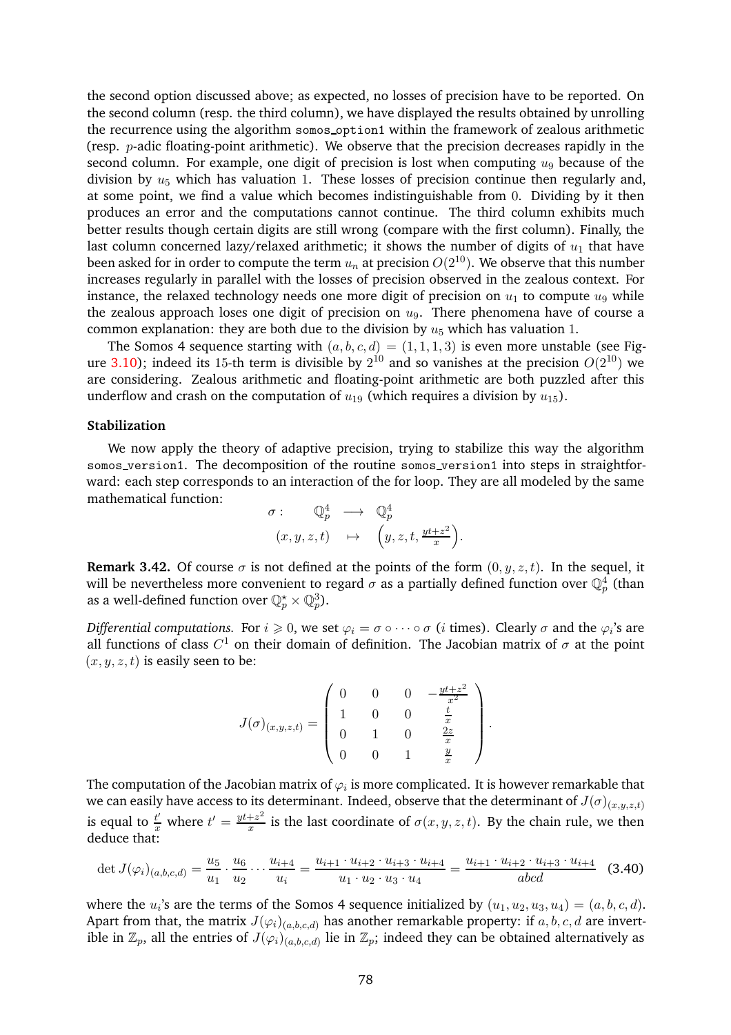the second option discussed above; as expected, no losses of precision have to be reported. On the second column (resp. the third column), we have displayed the results obtained by unrolling the recurrence using the algorithm somos option1 within the framework of zealous arithmetic (resp. p-adic floating-point arithmetic). We observe that the precision decreases rapidly in the second column. For example, one digit of precision is lost when computing  $u_9$  because of the division by  $u_5$  which has valuation 1. These losses of precision continue then regularly and, at some point, we find a value which becomes indistinguishable from 0. Dividing by it then produces an error and the computations cannot continue. The third column exhibits much better results though certain digits are still wrong (compare with the first column). Finally, the last column concerned lazy/relaxed arithmetic; it shows the number of digits of  $u_1$  that have been asked for in order to compute the term  $u_n$  at precision  $O(2^{10})$ . We observe that this number increases regularly in parallel with the losses of precision observed in the zealous context. For instance, the relaxed technology needs one more digit of precision on  $u_1$  to compute  $u_9$  while the zealous approach loses one digit of precision on  $u<sub>9</sub>$ . There phenomena have of course a common explanation: they are both due to the division by  $u_5$  which has valuation 1.

The Somos 4 sequence starting with  $(a, b, c, d) = (1, 1, 1, 3)$  is even more unstable (see Fig-ure [3.10\)](#page-76-1); indeed its 15-th term is divisible by  $2^{10}$  and so vanishes at the precision  $O(2^{10})$  we are considering. Zealous arithmetic and floating-point arithmetic are both puzzled after this underflow and crash on the computation of  $u_{19}$  (which requires a division by  $u_{15}$ ).

## **Stabilization**

We now apply the theory of adaptive precision, trying to stabilize this way the algorithm somos\_version1. The decomposition of the routine somos\_version1 into steps in straightforward: each step corresponds to an interaction of the for loop. They are all modeled by the same mathematical function:

$$
\begin{array}{rcl}\n\sigma: & \mathbb{Q}_p^4 & \longrightarrow & \mathbb{Q}_p^4 \\
(x, y, z, t) & \mapsto & \left(y, z, t, \frac{yt + z^2}{x}\right).\n\end{array}
$$

**Remark 3.42.** Of course  $\sigma$  is not defined at the points of the form  $(0, y, z, t)$ . In the sequel, it will be nevertheless more convenient to regard  $\sigma$  as a partially defined function over  ${\mathbb Q}_p^4$  (than as a well-defined function over  $\mathbb{Q}_p^\star\times \mathbb{Q}_p^3).$ 

*Differential computations.* For  $i \geq 0$ , we set  $\varphi_i = \sigma \circ \cdots \circ \sigma$  (*i* times). Clearly  $\sigma$  and the  $\varphi_i$ 's are all functions of class  $C^1$  on their domain of definition. The Jacobian matrix of  $\sigma$  at the point  $(x, y, z, t)$  is easily seen to be:

$$
J(\sigma)_{(x,y,z,t)} = \begin{pmatrix} 0 & 0 & 0 & -\frac{yt+z^2}{x^2} \\ 1 & 0 & 0 & \frac{t}{x} \\ 0 & 1 & 0 & \frac{2z}{x} \\ 0 & 0 & 1 & \frac{y}{x} \end{pmatrix}
$$

.

The computation of the Jacobian matrix of  $\varphi_i$  is more complicated. It is however remarkable that we can easily have access to its determinant. Indeed, observe that the determinant of  $J(\sigma)_{(x,y,z,t)}$ is equal to  $\frac{t'}{x}$  where  $t' = \frac{yt+z^2}{x}$  $\frac{+z^2}{x}$  is the last coordinate of  $\sigma(x, y, z, t)$ . By the chain rule, we then deduce that:

<span id="page-77-0"></span>
$$
\det J(\varphi_i)_{(a,b,c,d)} = \frac{u_5}{u_1} \cdot \frac{u_6}{u_2} \cdots \frac{u_{i+4}}{u_i} = \frac{u_{i+1} \cdot u_{i+2} \cdot u_{i+3} \cdot u_{i+4}}{u_1 \cdot u_2 \cdot u_3 \cdot u_4} = \frac{u_{i+1} \cdot u_{i+2} \cdot u_{i+3} \cdot u_{i+4}}{abcd} \tag{3.40}
$$

where the  $u_i$ 's are the terms of the Somos 4 sequence initialized by  $(u_1, u_2, u_3, u_4) = (a, b, c, d)$ . Apart from that, the matrix  $J(\varphi_i)_{(a,b,c,d)}$  has another remarkable property: if  $a, b, c, d$  are invertible in  $\mathbb{Z}_p$ , all the entries of  $J(\varphi_i)_{(a,b,c,d)}$  lie in  $\mathbb{Z}_p$ ; indeed they can be obtained alternatively as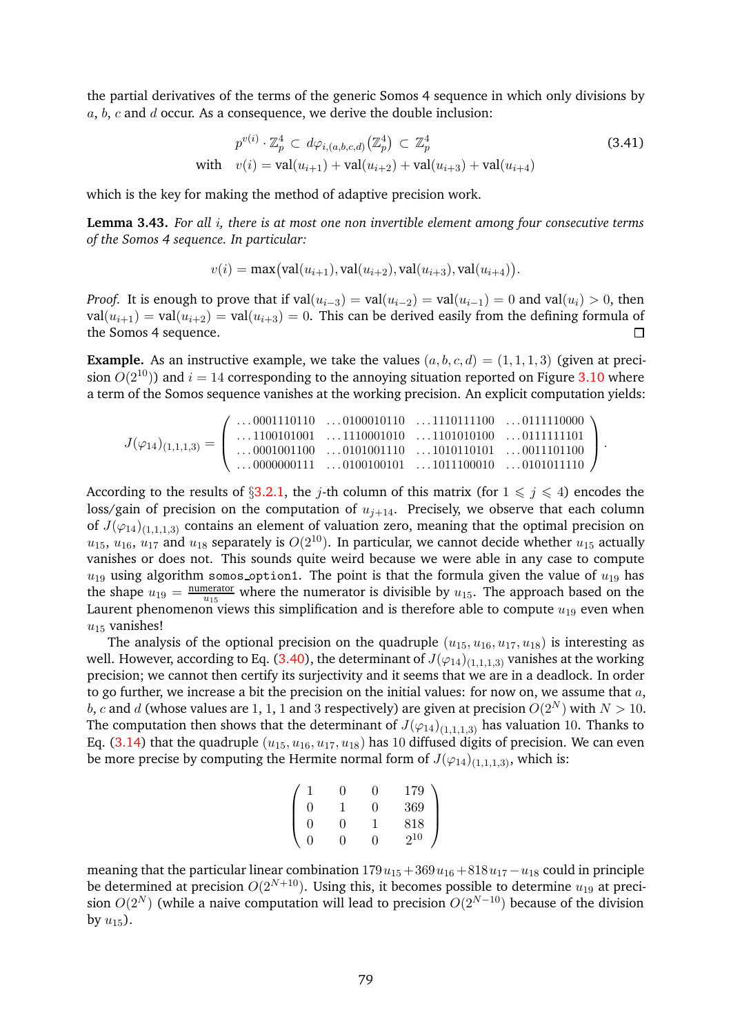the partial derivatives of the terms of the generic Somos 4 sequence in which only divisions by  $a, b, c$  and  $d$  occur. As a consequence, we derive the double inclusion:

<span id="page-78-0"></span>
$$
p^{v(i)} \cdot \mathbb{Z}_p^4 \subset d\varphi_{i,(a,b,c,d)}(\mathbb{Z}_p^4) \subset \mathbb{Z}_p^4
$$
  
with 
$$
v(i) = \text{val}(u_{i+1}) + \text{val}(u_{i+2}) + \text{val}(u_{i+3}) + \text{val}(u_{i+4})
$$
 (3.41)

<span id="page-78-1"></span>which is the key for making the method of adaptive precision work.

**Lemma 3.43.** *For all* i*, there is at most one non invertible element among four consecutive terms of the Somos 4 sequence. In particular:*

$$
v(i) = max(val(u_{i+1}), val(u_{i+2}), val(u_{i+3}), val(u_{i+4})).
$$

*Proof.* It is enough to prove that if val $(u_{i-3}) = \text{val}(u_{i-2}) = \text{val}(u_{i-1}) = 0$  and val $(u_i) > 0$ , then  $val(u_{i+1}) = val(u_{i+2}) = val(u_{i+3}) = 0$ . This can be derived easily from the defining formula of the Somos 4 sequence.  $\Box$ 

**Example.** As an instructive example, we take the values  $(a, b, c, d) = (1, 1, 1, 3)$  (given at precision  $O(2^{10})$ ) and  $i = 14$  corresponding to the annoying situation reported on Figure [3.10](#page-76-1) where a term of the Somos sequence vanishes at the working precision. An explicit computation yields:

 $J(\varphi_{14})_{(1,1,1,3)} =$  $\sqrt{ }$  $\overline{\mathcal{L}}$  $\dots 0001110110 \dots 0100010110 \dots 1110111100 \dots 0111110000$  $\dots$ 1100101001  $\dots$ 1110001010  $\dots$ 1101010100  $\dots$ 0111111101  $\dots 0001001100 \dots 0101001110 \dots 1010110101 \dots 0011101100$  $\dots 0000000111 \dots 0100100101 \dots 1011100010 \dots 0101011110$  $\setminus$  $\vert \cdot$ 

According to the results of §[3.2.1,](#page-52-0) the j-th column of this matrix (for  $1 \leq j \leq 4$ ) encodes the loss/gain of precision on the computation of  $u_{i+14}$ . Precisely, we observe that each column of  $J(\varphi_{14})_{(1,1,1,3)}$  contains an element of valuation zero, meaning that the optimal precision on  $u_{15}$ ,  $u_{16}$ ,  $u_{17}$  and  $u_{18}$  separately is  $O(2^{10})$ . In particular, we cannot decide whether  $u_{15}$  actually vanishes or does not. This sounds quite weird because we were able in any case to compute  $u_{19}$  using algorithm somos option1. The point is that the formula given the value of  $u_{19}$  has the shape  $u_{19} = \frac{\text{numerator}}{u_{15}}$  $\frac{\text{nearator}}{u_{15}}$  where the numerator is divisible by  $u_{15}$ . The approach based on the Laurent phenomenon views this simplification and is therefore able to compute  $u_{19}$  even when  $u_{15}$  vanishes!

The analysis of the optional precision on the quadruple  $(u_{15}, u_{16}, u_{17}, u_{18})$  is interesting as well. However, according to Eq. [\(3.40\)](#page-77-0), the determinant of  $J(\varphi_{14})_{(1,1,1,3)}$  vanishes at the working precision; we cannot then certify its surjectivity and it seems that we are in a deadlock. In order to go further, we increase a bit the precision on the initial values: for now on, we assume that  $a$ , b, c and d (whose values are 1, 1, 1 and 3 respectively) are given at precision  $O(2^N)$  with  $N > 10$ . The computation then shows that the determinant of  $J(\varphi_{14})_{(1,1,1,3)}$  has valuation 10. Thanks to Eq. [\(3.14\)](#page-54-0) that the quadruple  $(u_{15}, u_{16}, u_{17}, u_{18})$  has 10 diffused digits of precision. We can even be more precise by computing the Hermite normal form of  $J(\varphi_{14})_{(1,1,1,3)}$ , which is:

$$
\left(\begin{array}{cccc}\n1 & 0 & 0 & 179 \\
0 & 1 & 0 & 369 \\
0 & 0 & 1 & 818 \\
0 & 0 & 0 & 2^{10}\n\end{array}\right)
$$

meaning that the particular linear combination  $179u_{15} + 369u_{16} + 818u_{17} - u_{18}$  could in principle be determined at precision  $O(2^{N+10})$ . Using this, it becomes possible to determine  $u_{19}$  at precision  $O(2^N)$  (while a naive computation will lead to precision  $O(2^{N-10})$  because of the division by  $u_{15}$ ).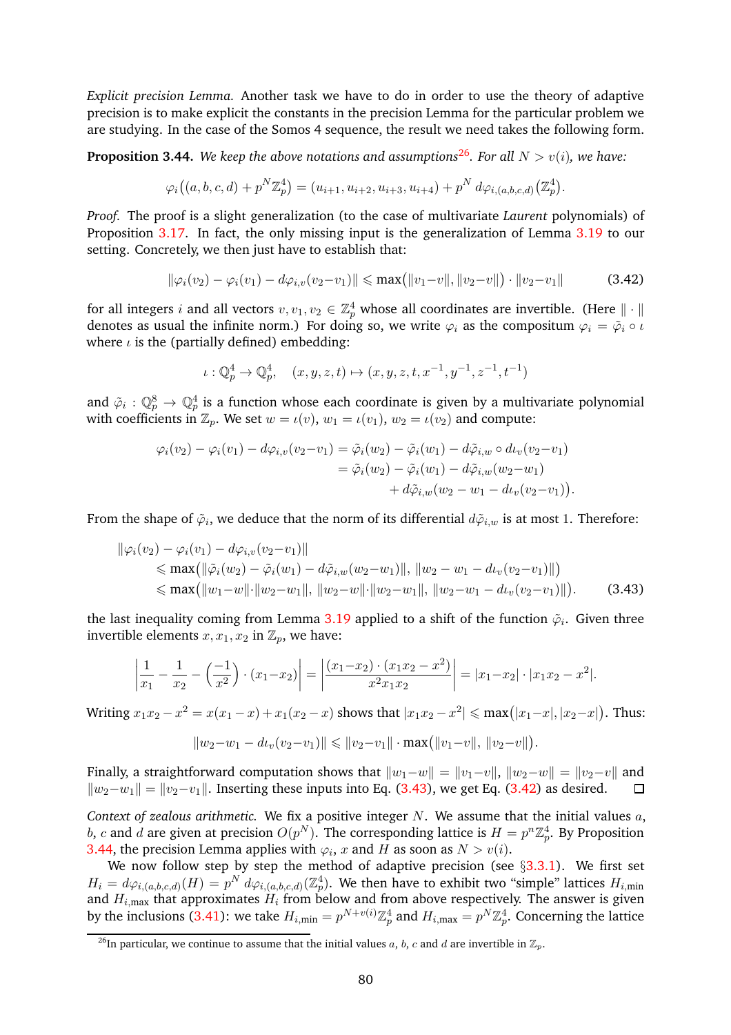*Explicit precision Lemma.* Another task we have to do in order to use the theory of adaptive precision is to make explicit the constants in the precision Lemma for the particular problem we are studying. In the case of the Somos 4 sequence, the result we need takes the following form.

<span id="page-79-3"></span>**Proposition 3.44.** *We keep the above notations and assumptions*<sup>[26](#page-79-0)</sup>*. For all*  $N > v(i)$ *, we have:* 

$$
\varphi_i\big((a,b,c,d)+p^N\mathbb{Z}_p^4\big)=(u_{i+1},u_{i+2},u_{i+3},u_{i+4})+p^N d\varphi_{i,(a,b,c,d)}(\mathbb{Z}_p^4).
$$

*Proof.* The proof is a slight generalization (to the case of multivariate *Laurent* polynomials) of Proposition [3.17.](#page-51-0) In fact, the only missing input is the generalization of Lemma [3.19](#page-51-1) to our setting. Concretely, we then just have to establish that:

$$
\|\varphi_i(v_2) - \varphi_i(v_1) - d\varphi_{i,v}(v_2 - v_1)\| \le \max\big(\|v_1 - v\|, \|v_2 - v\|\big) \cdot \|v_2 - v_1\|\big) \tag{3.42}
$$

for all integers i and all vectors  $v, v_1, v_2 \in \mathbb{Z}_p^4$  whose all coordinates are invertible. (Here  $\|\cdot\|$ ) denotes as usual the infinite norm.) For doing so, we write  $\varphi_i$  as the compositum  $\varphi_i = \tilde{\varphi}_i \circ \iota$ where  $\iota$  is the (partially defined) embedding:

<span id="page-79-2"></span>
$$
\iota: \mathbb{Q}_p^4 \to \mathbb{Q}_p^4, \quad (x, y, z, t) \mapsto (x, y, z, t, x^{-1}, y^{-1}, z^{-1}, t^{-1})
$$

and  $\tilde{\varphi}_i : \mathbb{Q}_p^8 \to \mathbb{Q}_p^4$  is a function whose each coordinate is given by a multivariate polynomial with coefficients in  $\mathbb{Z}_p$ . We set  $w = \iota(v)$ ,  $w_1 = \iota(v_1)$ ,  $w_2 = \iota(v_2)$  and compute:

$$
\varphi_i(v_2) - \varphi_i(v_1) - d\varphi_{i,v}(v_2 - v_1) = \tilde{\varphi}_i(w_2) - \tilde{\varphi}_i(w_1) - d\tilde{\varphi}_{i,w} \circ d\iota_v(v_2 - v_1) \n= \tilde{\varphi}_i(w_2) - \tilde{\varphi}_i(w_1) - d\tilde{\varphi}_{i,w}(w_2 - w_1) \n+ d\tilde{\varphi}_{i,w}(w_2 - w_1 - d\iota_v(v_2 - v_1)).
$$

From the shape of  $\tilde\varphi_i$ , we deduce that the norm of its differential  $d\tilde\varphi_{i,w}$  is at most 1. Therefore:

$$
\|\varphi_i(v_2) - \varphi_i(v_1) - d\varphi_{i,v}(v_2 - v_1)\|
$$
  
\$\leq\$ max( $\|\tilde{\varphi}_i(w_2) - \tilde{\varphi}_i(w_1) - d\tilde{\varphi}_{i,w}(w_2 - w_1)\|$ ,  $\|w_2 - w_1 - d\iota_v(v_2 - v_1)\|\)$   
\$\leq\$ max( $\|w_1 - w\| \cdot \|w_2 - w_1\|$ ,  $\|w_2 - w\| \cdot \|w_2 - w_1\|$ ,  $\|w_2 - w_1 - d\iota_v(v_2 - v_1)\|\$ ). (3.43)

the last inequality coming from Lemma [3.19](#page-51-1) applied to a shift of the function  $\tilde{\varphi}_i.$  Given three invertible elements  $x, x_1, x_2$  in  $\mathbb{Z}_p$ , we have:

$$
\left|\frac{1}{x_1} - \frac{1}{x_2} - \left(\frac{-1}{x^2}\right) \cdot (x_1 - x_2)\right| = \left|\frac{(x_1 - x_2) \cdot (x_1 x_2 - x^2)}{x^2 x_1 x_2}\right| = |x_1 - x_2| \cdot |x_1 x_2 - x^2|.
$$

Writing  $x_1x_2 - x^2 = x(x_1 - x) + x_1(x_2 - x)$  shows that  $|x_1x_2 - x^2| \le \max(|x_1 - x|, |x_2 - x|)$ . Thus:

<span id="page-79-1"></span>
$$
||w_2-w_1 - d\iota_v(v_2-v_1)|| \le ||v_2-v_1|| \cdot \max(||v_1-v||, ||v_2-v||).
$$

Finally, a straightforward computation shows that  $||w_1-w|| = ||v_1-v||$ ,  $||w_2-w|| = ||v_2-v||$  and  $||w_2-w_1|| = ||v_2-v_1||$ . Inserting these inputs into Eq. (3.43), we get Eq. (3.42) as desired. □  $||w_2-w_1|| = ||v_2-v_1||$ . Inserting these inputs into Eq. [\(3.43\)](#page-79-1), we get Eq. [\(3.42\)](#page-79-2) as desired.

*Context of zealous arithmetic.* We fix a positive integer N. We assume that the initial values a,  $b, c$  and  $d$  are given at precision  $O(p^N)$ . The corresponding lattice is  $H = p^n \mathbb{Z}_p^4$ . By Proposition [3.44,](#page-79-3) the precision Lemma applies with  $\varphi_i$ , x and H as soon as  $N > v(i)$ .

We now follow step by step the method of adaptive precision (see  $\S 3.3.1$ ). We first set  $H_i=d\varphi_{i,(a,b,c,d)}(H)=p^N\ d\varphi_{i,(a,b,c,d)}({\mathbb Z}_p^4).$  We then have to exhibit two "simple" lattices  $H_{i,\min}$ and  $H_{i,\mathrm{max}}$  that approximates  $H_i$  from below and from above respectively. The answer is given by the inclusions [\(3.41\)](#page-78-0): we take  $H_{i,{\rm min}}=p^{N+v(i)}\mathbb{Z}_p^4$  and  $H_{i,{\rm max}}=p^N\mathbb{Z}_p^4.$  Concerning the lattice

<span id="page-79-0"></span><sup>&</sup>lt;sup>26</sup>In particular, we continue to assume that the initial values a, b, c and d are invertible in  $\mathbb{Z}_p$ .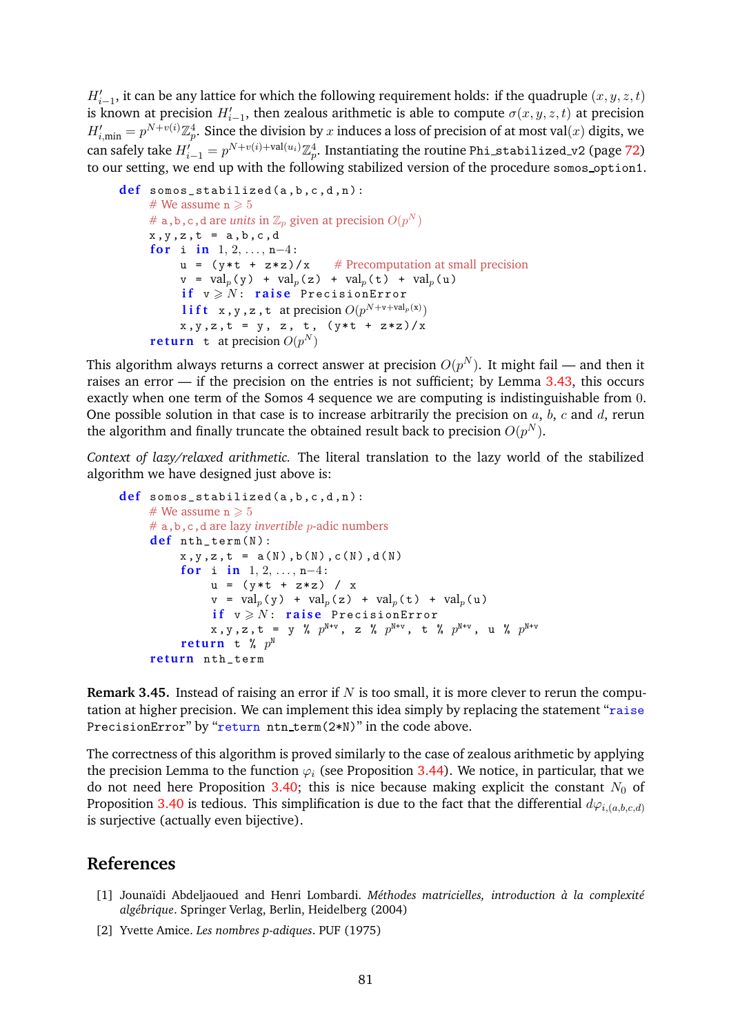$H'_{i-1}$ , it can be any lattice for which the following requirement holds: if the quadruple  $(x, y, z, t)$ is known at precision  $H'_{i-1}$ , then zealous arithmetic is able to compute  $\sigma(x,y,z,t)$  at precision  $H'_{i,\min} = p^{N+v(i)}\mathbb{Z}_p^4.$  Since the division by  $x$  induces a loss of precision of at most val $(x)$  digits, we can safely take  $H'_{i-1}=p^{N+v(i)+\mathrm{val}(u_i)}\mathbb{Z}_p^4.$  Instantiating the routine <code>Phi\_stabilized\_v2</code> (page  $72)$ to our setting, we end up with the following stabilized version of the procedure somos option1.

```
def somos_stabilized(a,b,c,d,n):
     # We assume n \ge 5# a, b, c, d are units in \mathbb{Z}_p given at precision O(p^N)x, y, z, t = a, b, c, dfor i in 1, 2, ..., n-4:<br>u = (y*t + z*z)/x# Precomputation at small precision
          v = val_n(y) + val_n(z) + val_n(t) + val_n(u)if v \ge N: raise PrecisionError
           lift x, y, z, t at precision O(p^{N+v+val_p(x)})x, y, z, t = y, z, t, (y*t + z*z)/xreturn t at precision O(p^N)
```
This algorithm always returns a correct answer at precision  $O(p^N).$  It might fail — and then it raises an error  $-$  if the precision on the entries is not sufficient; by Lemma [3.43,](#page-78-1) this occurs exactly when one term of the Somos 4 sequence we are computing is indistinguishable from 0. One possible solution in that case is to increase arbitrarily the precision on  $a, b, c$  and  $d,$  rerun the algorithm and finally truncate the obtained result back to precision  $O(p^N).$ 

*Context of lazy/relaxed arithmetic.* The literal translation to the lazy world of the stabilized algorithm we have designed just above is:

```
def somos stabilized (a,b,c,d,n):
    # We assume n \ge 5# a,b,c,d are lazy invertible p-adic numbers
     def nth_term(N):
          x, y, z, t = a(N), b(N), c(N), d(N)for i in 1, 2, ..., n-4:
               u = (y * t + z * z) / xv = val_n(y) + val_n(z) + val_n(t) + val_n(u)if v \ge N: raise PrecisionError
               x, y, z, t = y % p^{N+v}, z % p^{N+v}, t % p^{N+v}, u % p^{N+v}\textbf{return} t % p^{\texttt{N}}return nth_term
```
**Remark 3.45.** Instead of raising an error if N is too small, it is more clever to rerun the computation at higher precision. We can implement this idea simply by replacing the statement "raise PrecisionError" by "return ntn\_term(2\*N)" in the code above.

The correctness of this algorithm is proved similarly to the case of zealous arithmetic by applying the precision Lemma to the function  $\varphi_i$  (see Proposition [3.44\)](#page-79-3). We notice, in particular, that we do not need here Proposition [3.40;](#page-74-0) this is nice because making explicit the constant  $N_0$  of Proposition [3.40](#page-74-0) is tedious. This simplification is due to the fact that the differential  $d\varphi_{i,(a,b,c,d)}$ is surjective (actually even bijective).

# **References**

- [1] Jounaïdi Abdeljaoued and Henri Lombardi. *Méthodes matricielles, introduction à la complexité alg´ebrique*. Springer Verlag, Berlin, Heidelberg (2004)
- [2] Yvette Amice. *Les nombres p-adiques*. PUF (1975)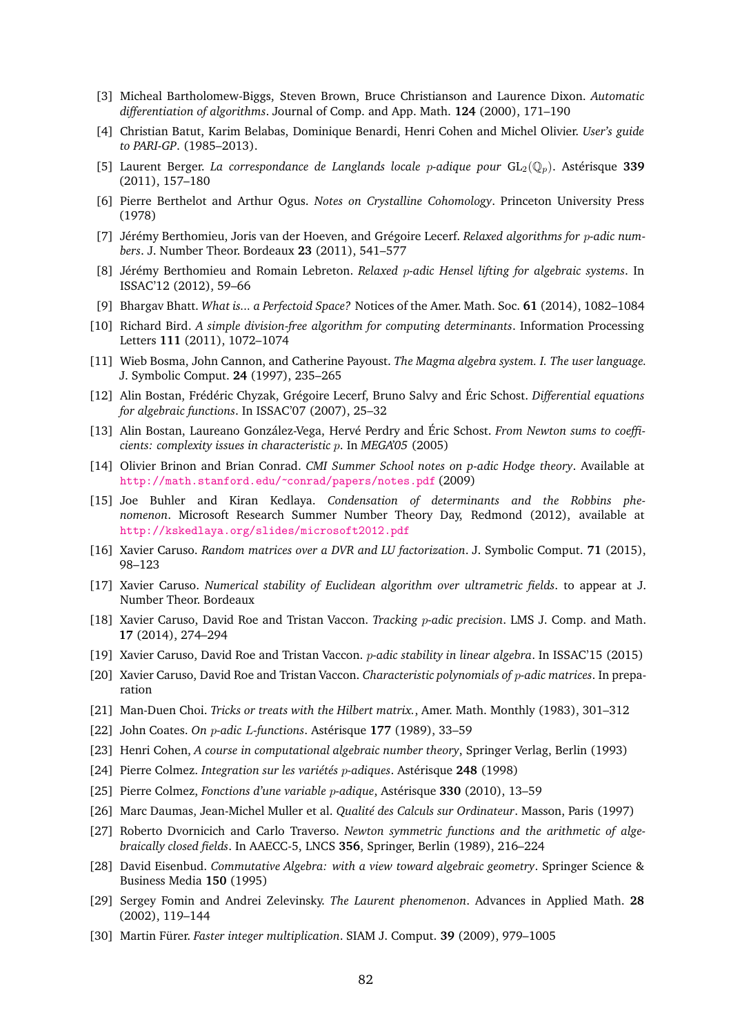- [3] Micheal Bartholomew-Biggs, Steven Brown, Bruce Christianson and Laurence Dixon. *Automatic differentiation of algorithms*. Journal of Comp. and App. Math. **124** (2000), 171–190
- [4] Christian Batut, Karim Belabas, Dominique Benardi, Henri Cohen and Michel Olivier. *User's guide to PARI-GP*. (1985–2013).
- [5] Laurent Berger. *La correspondance de Langlands locale* p*-adique pour* GL2(Qp). Ast´erisque **339** (2011), 157–180
- [6] Pierre Berthelot and Arthur Ogus. *Notes on Crystalline Cohomology*. Princeton University Press (1978)
- [7] Jérémy Berthomieu, Joris van der Hoeven, and Grégoire Lecerf. *Relaxed algorithms for p-adic numbers*. J. Number Theor. Bordeaux **23** (2011), 541–577
- [8] J´er´emy Berthomieu and Romain Lebreton. *Relaxed* p*-adic Hensel lifting for algebraic systems*. In ISSAC'12 (2012), 59–66
- [9] Bhargav Bhatt. *What is... a Perfectoid Space?* Notices of the Amer. Math. Soc. **61** (2014), 1082–1084
- [10] Richard Bird. *A simple division-free algorithm for computing determinants*. Information Processing Letters **111** (2011), 1072–1074
- [11] Wieb Bosma, John Cannon, and Catherine Payoust. *The Magma algebra system. I. The user language.* J. Symbolic Comput. **24** (1997), 235–265
- [12] Alin Bostan, Frédéric Chyzak, Grégoire Lecerf, Bruno Salvy and Éric Schost. *Differential equations for algebraic functions*. In ISSAC'07 (2007), 25–32
- [13] Alin Bostan, Laureano González-Vega, Hervé Perdry and Éric Schost. *From Newton sums to coefficients: complexity issues in characteristic* p. In *MEGA'05* (2005)
- <span id="page-81-3"></span>[14] Olivier Brinon and Brian Conrad. *CMI Summer School notes on p-adic Hodge theory*. Available at <http://math.stanford.edu/~conrad/papers/notes.pdf> (2009)
- [15] Joe Buhler and Kiran Kedlaya. *Condensation of determinants and the Robbins phenomenon*. Microsoft Research Summer Number Theory Day, Redmond (2012), available at <http://kskedlaya.org/slides/microsoft2012.pdf>
- <span id="page-81-2"></span>[16] Xavier Caruso. *Random matrices over a DVR and LU factorization*. J. Symbolic Comput. **71** (2015), 98–123
- <span id="page-81-0"></span>[17] Xavier Caruso. *Numerical stability of Euclidean algorithm over ultrametric fields*. to appear at J. Number Theor. Bordeaux
- <span id="page-81-1"></span>[18] Xavier Caruso, David Roe and Tristan Vaccon. *Tracking* p*-adic precision*. LMS J. Comp. and Math. **17** (2014), 274–294
- [19] Xavier Caruso, David Roe and Tristan Vaccon. p*-adic stability in linear algebra*. In ISSAC'15 (2015)
- [20] Xavier Caruso, David Roe and Tristan Vaccon. *Characteristic polynomials of* p*-adic matrices*. In preparation
- [21] Man-Duen Choi. *Tricks or treats with the Hilbert matrix.*, Amer. Math. Monthly (1983), 301–312
- [22] John Coates. *On* p*-adic* L*-functions*. Ast´erisque **177** (1989), 33–59
- [23] Henri Cohen, *A course in computational algebraic number theory*, Springer Verlag, Berlin (1993)
- [24] Pierre Colmez. *Integration sur les vari´et´es* p*-adiques*. Ast´erisque **248** (1998)
- [25] Pierre Colmez, *Fonctions d'une variable* p*-adique*, Ast´erisque **330** (2010), 13–59
- [26] Marc Daumas, Jean-Michel Muller et al. *Qualit´e des Calculs sur Ordinateur*. Masson, Paris (1997)
- [27] Roberto Dvornicich and Carlo Traverso. *Newton symmetric functions and the arithmetic of algebraically closed fields*. In AAECC-5, LNCS **356**, Springer, Berlin (1989), 216–224
- <span id="page-81-4"></span>[28] David Eisenbud. *Commutative Algebra: with a view toward algebraic geometry*. Springer Science & Business Media **150** (1995)
- [29] Sergey Fomin and Andrei Zelevinsky. *The Laurent phenomenon*. Advances in Applied Math. **28** (2002), 119–144
- [30] Martin Fürer. *Faster integer multiplication*. SIAM J. Comput. 39 (2009), 979-1005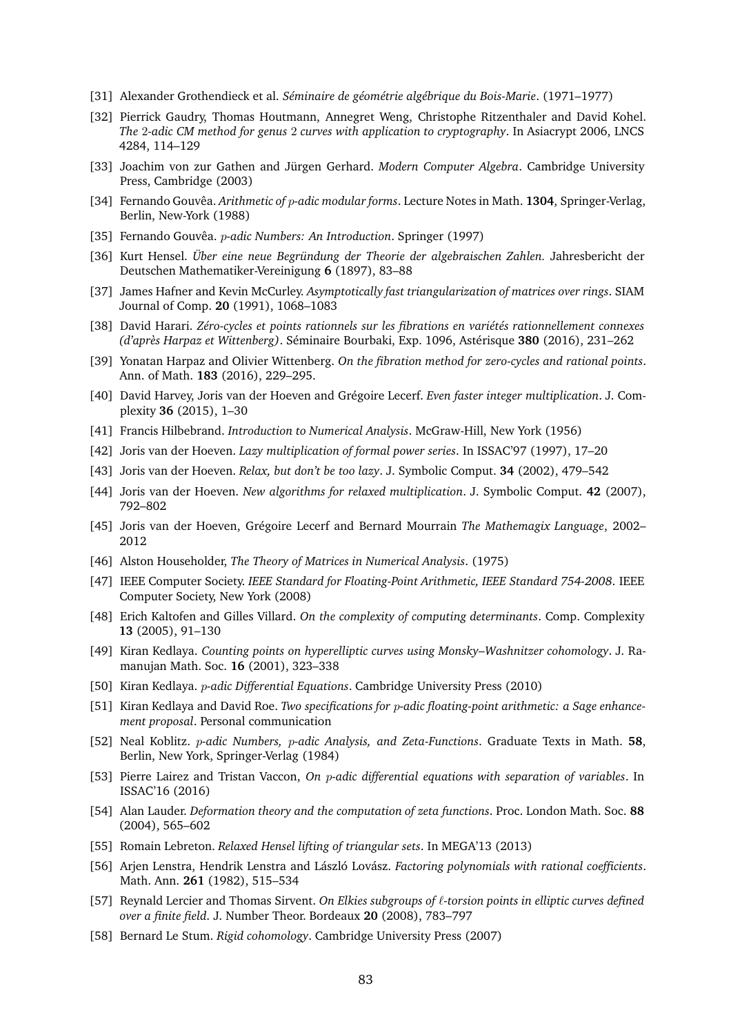- [31] Alexander Grothendieck et al. *S´eminaire de g´eom´etrie alg´ebrique du Bois-Marie*. (1971–1977)
- [32] Pierrick Gaudry, Thomas Houtmann, Annegret Weng, Christophe Ritzenthaler and David Kohel. *The* 2*-adic CM method for genus* 2 *curves with application to cryptography*. In Asiacrypt 2006, LNCS 4284, 114–129
- [33] Joachim von zur Gathen and Jürgen Gerhard. *Modern Computer Algebra*. Cambridge University Press, Cambridge (2003)
- [34] Fernando Gouvˆea. *Arithmetic of* p*-adic modular forms*. Lecture Notes in Math. **1304**, Springer-Verlag, Berlin, New-York (1988)
- [35] Fernando Gouvêa. *p-adic Numbers: An Introduction*. Springer (1997)
- [36] Kurt Hensel. Über eine neue Begründung der Theorie der algebraischen Zahlen. Jahresbericht der Deutschen Mathematiker-Vereinigung **6** (1897), 83–88
- [37] James Hafner and Kevin McCurley. *Asymptotically fast triangularization of matrices over rings*. SIAM Journal of Comp. **20** (1991), 1068–1083
- [38] David Harari. *Zéro-cycles et points rationnels sur les fibrations en variétés rationnellement connexes (d'après Harpaz et Wittenberg).* Séminaire Bourbaki, Exp. 1096, Astérisque **380** (2016), 231–262
- [39] Yonatan Harpaz and Olivier Wittenberg. *On the fibration method for zero-cycles and rational points*. Ann. of Math. **183** (2016), 229–295.
- [40] David Harvey, Joris van der Hoeven and Grégoire Lecerf. *Even faster integer multiplication*. J. Complexity **36** (2015), 1–30
- [41] Francis Hilbebrand. *Introduction to Numerical Analysis*. McGraw-Hill, New York (1956)
- [42] Joris van der Hoeven. *Lazy multiplication of formal power series*. In ISSAC'97 (1997), 17–20
- [43] Joris van der Hoeven. *Relax, but don't be too lazy*. J. Symbolic Comput. **34** (2002), 479–542
- [44] Joris van der Hoeven. *New algorithms for relaxed multiplication*. J. Symbolic Comput. **42** (2007), 792–802
- [45] Joris van der Hoeven, Grégoire Lecerf and Bernard Mourrain *The Mathemagix Language*, 2002– 2012
- [46] Alston Householder, *The Theory of Matrices in Numerical Analysis*. (1975)
- [47] IEEE Computer Society. *IEEE Standard for Floating-Point Arithmetic, IEEE Standard 754-2008*. IEEE Computer Society, New York (2008)
- [48] Erich Kaltofen and Gilles Villard. *On the complexity of computing determinants*. Comp. Complexity **13** (2005), 91–130
- [49] Kiran Kedlaya. *Counting points on hyperelliptic curves using Monsky–Washnitzer cohomology*. J. Ramanujan Math. Soc. **16** (2001), 323–338
- [50] Kiran Kedlaya. p*-adic Differential Equations*. Cambridge University Press (2010)
- [51] Kiran Kedlaya and David Roe. *Two specifications for* p*-adic floating-point arithmetic: a Sage enhancement proposal*. Personal communication
- <span id="page-82-0"></span>[52] Neal Koblitz. p*-adic Numbers,* p*-adic Analysis, and Zeta-Functions*. Graduate Texts in Math. **58**, Berlin, New York, Springer-Verlag (1984)
- [53] Pierre Lairez and Tristan Vaccon, *On* p*-adic differential equations with separation of variables*. In ISSAC'16 (2016)
- [54] Alan Lauder. *Deformation theory and the computation of zeta functions*. Proc. London Math. Soc. **88** (2004), 565–602
- [55] Romain Lebreton. *Relaxed Hensel lifting of triangular sets*. In MEGA'13 (2013)
- [56] Arjen Lenstra, Hendrik Lenstra and László Lovász. *Factoring polynomials with rational coefficients*. Math. Ann. **261** (1982), 515–534
- [57] Reynald Lercier and Thomas Sirvent. *On Elkies subgroups of* ℓ*-torsion points in elliptic curves defined over a finite field*. J. Number Theor. Bordeaux **20** (2008), 783–797
- [58] Bernard Le Stum. *Rigid cohomology*. Cambridge University Press (2007)